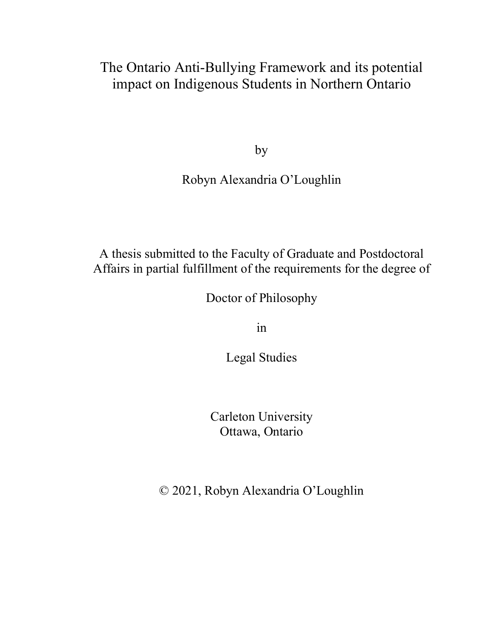# The Ontario Anti-Bullying Framework and its potential impact on Indigenous Students in Northern Ontario

by

Robyn Alexandria O'Loughlin

A thesis submitted to the Faculty of Graduate and Postdoctoral Affairs in partial fulfillment of the requirements for the degree of

Doctor of Philosophy

in

Legal Studies

Carleton University Ottawa, Ontario

© 2021, Robyn Alexandria O'Loughlin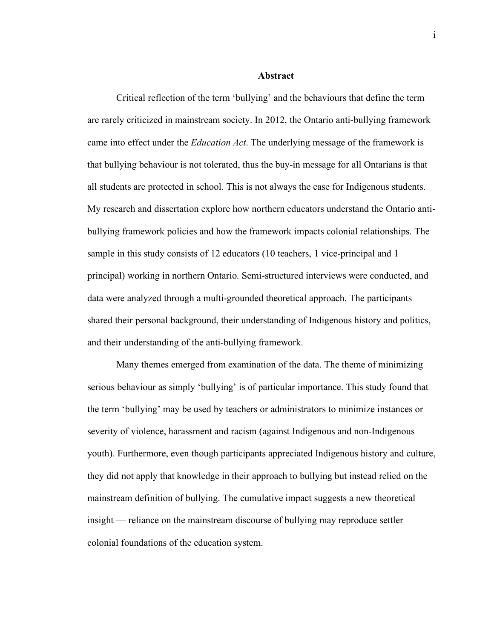**Abstract**

Critical reflection of the term 'bullying' and the behaviours that define the term are rarely criticized in mainstream society. In 2012, the Ontario anti-bullying framework came into effect under the *Education Act*. The underlying message of the framework is that bullying behaviour is not tolerated, thus the buy-in message for all Ontarians is that all students are protected in school. This is not always the case for Indigenous students. My research and dissertation explore how northern educators understand the Ontario antibullying framework policies and how the framework impacts colonial relationships. The sample in this study consists of 12 educators (10 teachers, 1 vice-principal and 1 principal) working in northern Ontario. Semi-structured interviews were conducted, and data were analyzed through a multi-grounded theoretical approach. The participants shared their personal background, their understanding of Indigenous history and politics, and their understanding of the anti-bullying framework.

Many themes emerged from examination of the data. The theme of minimizing serious behaviour as simply 'bullying' is of particular importance. This study found that the term 'bullying' may be used by teachers or administrators to minimize instances or severity of violence, harassment and racism (against Indigenous and non-Indigenous youth). Furthermore, even though participants appreciated Indigenous history and culture, they did not apply that knowledge in their approach to bullying but instead relied on the mainstream definition of bullying. The cumulative impact suggests a new theoretical insight — reliance on the mainstream discourse of bullying may reproduce settler colonial foundations of the education system.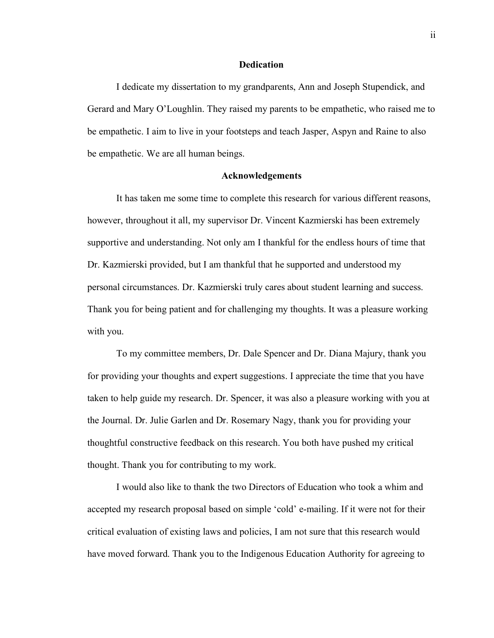## **Dedication**

I dedicate my dissertation to my grandparents, Ann and Joseph Stupendick, and Gerard and Mary O'Loughlin. They raised my parents to be empathetic, who raised me to be empathetic. I aim to live in your footsteps and teach Jasper, Aspyn and Raine to also be empathetic. We are all human beings.

#### **Acknowledgements**

It has taken me some time to complete this research for various different reasons, however, throughout it all, my supervisor Dr. Vincent Kazmierski has been extremely supportive and understanding. Not only am I thankful for the endless hours of time that Dr. Kazmierski provided, but I am thankful that he supported and understood my personal circumstances. Dr. Kazmierski truly cares about student learning and success. Thank you for being patient and for challenging my thoughts. It was a pleasure working with you.

To my committee members, Dr. Dale Spencer and Dr. Diana Majury, thank you for providing your thoughts and expert suggestions. I appreciate the time that you have taken to help guide my research. Dr. Spencer, it was also a pleasure working with you at the Journal. Dr. Julie Garlen and Dr. Rosemary Nagy, thank you for providing your thoughtful constructive feedback on this research. You both have pushed my critical thought. Thank you for contributing to my work.

I would also like to thank the two Directors of Education who took a whim and accepted my research proposal based on simple 'cold' e-mailing. If it were not for their critical evaluation of existing laws and policies, I am not sure that this research would have moved forward. Thank you to the Indigenous Education Authority for agreeing to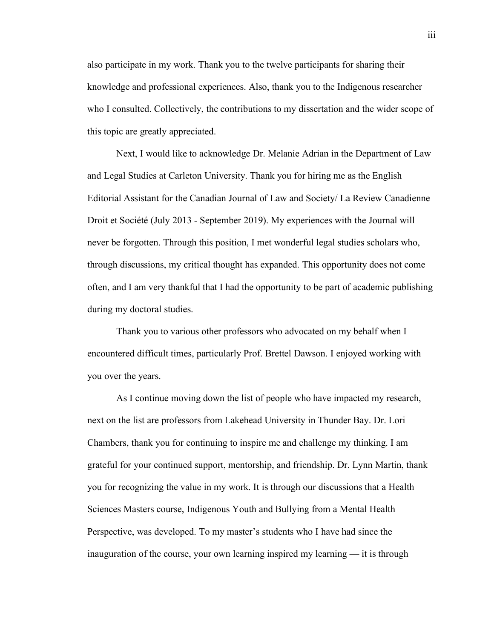also participate in my work. Thank you to the twelve participants for sharing their knowledge and professional experiences. Also, thank you to the Indigenous researcher who I consulted. Collectively, the contributions to my dissertation and the wider scope of this topic are greatly appreciated.

Next, I would like to acknowledge Dr. Melanie Adrian in the Department of Law and Legal Studies at Carleton University. Thank you for hiring me as the English Editorial Assistant for the Canadian Journal of Law and Society/ La Review Canadienne Droit et Société (July 2013 - September 2019). My experiences with the Journal will never be forgotten. Through this position, I met wonderful legal studies scholars who, through discussions, my critical thought has expanded. This opportunity does not come often, and I am very thankful that I had the opportunity to be part of academic publishing during my doctoral studies.

Thank you to various other professors who advocated on my behalf when I encountered difficult times, particularly Prof. Brettel Dawson. I enjoyed working with you over the years.

As I continue moving down the list of people who have impacted my research, next on the list are professors from Lakehead University in Thunder Bay. Dr. Lori Chambers, thank you for continuing to inspire me and challenge my thinking. I am grateful for your continued support, mentorship, and friendship. Dr. Lynn Martin, thank you for recognizing the value in my work. It is through our discussions that a Health Sciences Masters course, Indigenous Youth and Bullying from a Mental Health Perspective, was developed. To my master's students who I have had since the inauguration of the course, your own learning inspired my learning — it is through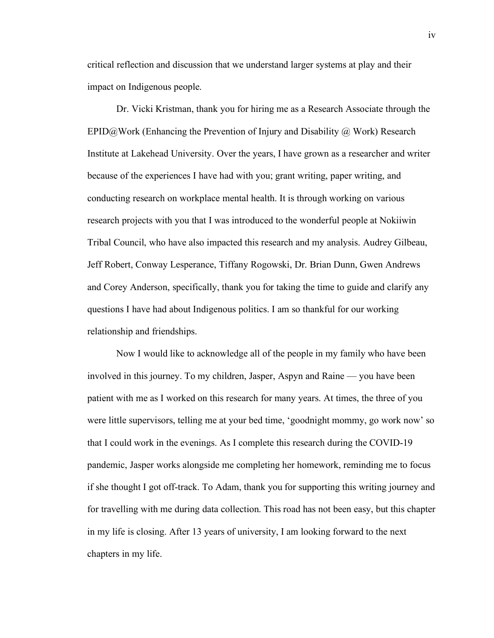critical reflection and discussion that we understand larger systems at play and their impact on Indigenous people.

Dr. Vicki Kristman, thank you for hiring me as a Research Associate through the EPID@Work (Enhancing the Prevention of Injury and Disability @ Work) Research Institute at Lakehead University. Over the years, I have grown as a researcher and writer because of the experiences I have had with you; grant writing, paper writing, and conducting research on workplace mental health. It is through working on various research projects with you that I was introduced to the wonderful people at Nokiiwin Tribal Council, who have also impacted this research and my analysis. Audrey Gilbeau, Jeff Robert, Conway Lesperance, Tiffany Rogowski, Dr. Brian Dunn, Gwen Andrews and Corey Anderson, specifically, thank you for taking the time to guide and clarify any questions I have had about Indigenous politics. I am so thankful for our working relationship and friendships.

Now I would like to acknowledge all of the people in my family who have been involved in this journey. To my children, Jasper, Aspyn and Raine — you have been patient with me as I worked on this research for many years. At times, the three of you were little supervisors, telling me at your bed time, 'goodnight mommy, go work now' so that I could work in the evenings. As I complete this research during the COVID-19 pandemic, Jasper works alongside me completing her homework, reminding me to focus if she thought I got off-track. To Adam, thank you for supporting this writing journey and for travelling with me during data collection. This road has not been easy, but this chapter in my life is closing. After 13 years of university, I am looking forward to the next chapters in my life.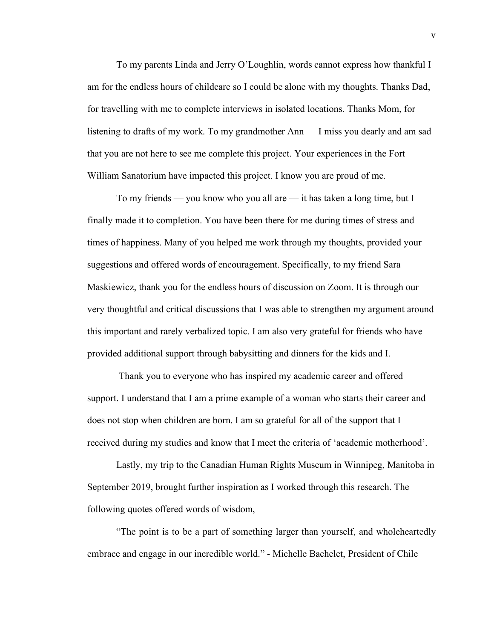To my parents Linda and Jerry O'Loughlin, words cannot express how thankful I am for the endless hours of childcare so I could be alone with my thoughts. Thanks Dad, for travelling with me to complete interviews in isolated locations. Thanks Mom, for listening to drafts of my work. To my grandmother Ann — I miss you dearly and am sad that you are not here to see me complete this project. Your experiences in the Fort William Sanatorium have impacted this project. I know you are proud of me.

To my friends — you know who you all are — it has taken a long time, but I finally made it to completion. You have been there for me during times of stress and times of happiness. Many of you helped me work through my thoughts, provided your suggestions and offered words of encouragement. Specifically, to my friend Sara Maskiewicz, thank you for the endless hours of discussion on Zoom. It is through our very thoughtful and critical discussions that I was able to strengthen my argument around this important and rarely verbalized topic. I am also very grateful for friends who have provided additional support through babysitting and dinners for the kids and I.

Thank you to everyone who has inspired my academic career and offered support. I understand that I am a prime example of a woman who starts their career and does not stop when children are born. I am so grateful for all of the support that I received during my studies and know that I meet the criteria of 'academic motherhood'.

Lastly, my trip to the Canadian Human Rights Museum in Winnipeg, Manitoba in September 2019, brought further inspiration as I worked through this research. The following quotes offered words of wisdom,

"The point is to be a part of something larger than yourself, and wholeheartedly embrace and engage in our incredible world." - Michelle Bachelet, President of Chile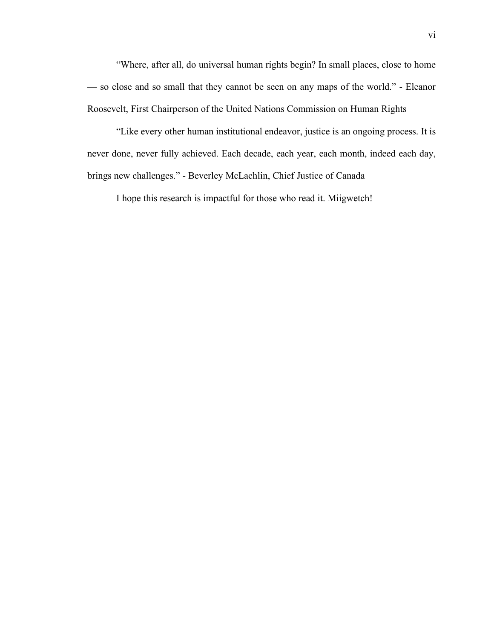"Where, after all, do universal human rights begin? In small places, close to home — so close and so small that they cannot be seen on any maps of the world." - Eleanor Roosevelt, First Chairperson of the United Nations Commission on Human Rights

"Like every other human institutional endeavor, justice is an ongoing process. It is never done, never fully achieved. Each decade, each year, each month, indeed each day, brings new challenges." - Beverley McLachlin, Chief Justice of Canada

I hope this research is impactful for those who read it. Miigwetch!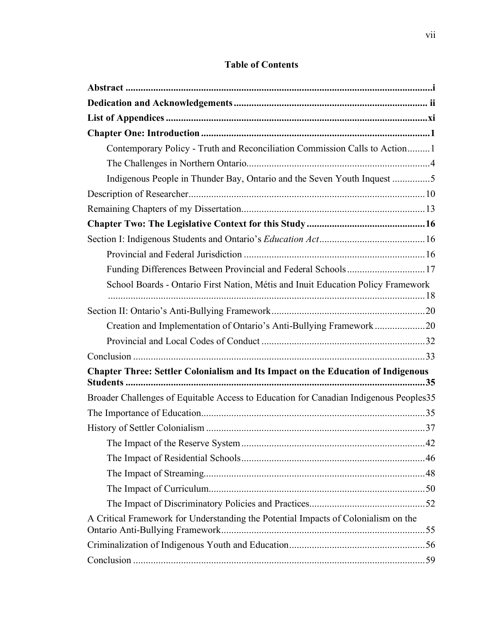| Contemporary Policy - Truth and Reconciliation Commission Calls to Action1              |
|-----------------------------------------------------------------------------------------|
|                                                                                         |
| Indigenous People in Thunder Bay, Ontario and the Seven Youth Inquest 5                 |
|                                                                                         |
|                                                                                         |
|                                                                                         |
|                                                                                         |
|                                                                                         |
| Funding Differences Between Provincial and Federal Schools17                            |
| School Boards - Ontario First Nation, Métis and Inuit Education Policy Framework        |
|                                                                                         |
|                                                                                         |
| Creation and Implementation of Ontario's Anti-Bullying Framework20                      |
|                                                                                         |
|                                                                                         |
| <b>Chapter Three: Settler Colonialism and Its Impact on the Education of Indigenous</b> |
| Broader Challenges of Equitable Access to Education for Canadian Indigenous Peoples35   |
|                                                                                         |
|                                                                                         |
|                                                                                         |
|                                                                                         |
|                                                                                         |
|                                                                                         |
|                                                                                         |
| A Critical Framework for Understanding the Potential Impacts of Colonialism on the      |
|                                                                                         |
|                                                                                         |

# **Table of Contents**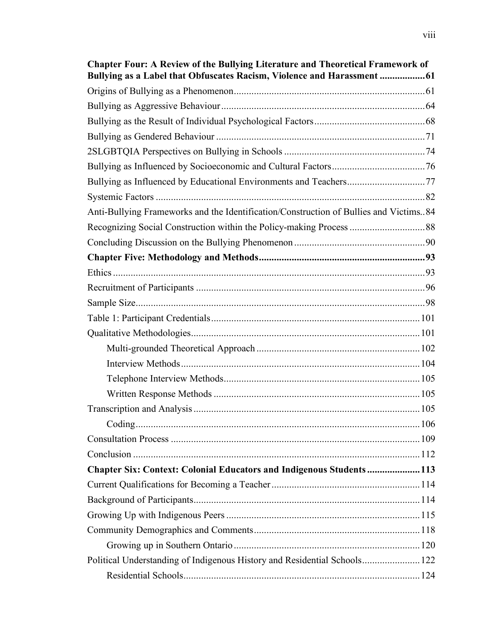| <b>Chapter Four: A Review of the Bullying Literature and Theoretical Framework of</b> |  |
|---------------------------------------------------------------------------------------|--|
|                                                                                       |  |
|                                                                                       |  |
|                                                                                       |  |
|                                                                                       |  |
|                                                                                       |  |
|                                                                                       |  |
|                                                                                       |  |
|                                                                                       |  |
| Anti-Bullying Frameworks and the Identification/Construction of Bullies and Victims84 |  |
|                                                                                       |  |
|                                                                                       |  |
|                                                                                       |  |
|                                                                                       |  |
|                                                                                       |  |
|                                                                                       |  |
|                                                                                       |  |
|                                                                                       |  |
|                                                                                       |  |
|                                                                                       |  |
|                                                                                       |  |
|                                                                                       |  |
|                                                                                       |  |
|                                                                                       |  |
|                                                                                       |  |
|                                                                                       |  |
| Chapter Six: Context: Colonial Educators and Indigenous Students  113                 |  |
|                                                                                       |  |
|                                                                                       |  |
|                                                                                       |  |
|                                                                                       |  |
|                                                                                       |  |
| Political Understanding of Indigenous History and Residential Schools 122             |  |
|                                                                                       |  |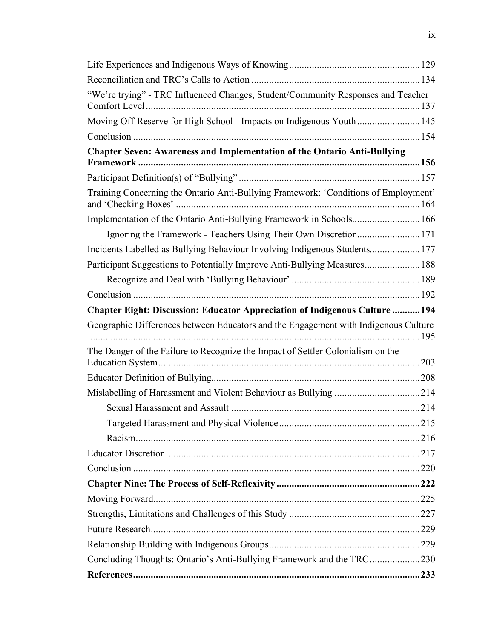| "We're trying" - TRC Influenced Changes, Student/Community Responses and Teacher    |  |
|-------------------------------------------------------------------------------------|--|
| Moving Off-Reserve for High School - Impacts on Indigenous Youth 145                |  |
|                                                                                     |  |
| <b>Chapter Seven: Awareness and Implementation of the Ontario Anti-Bullying</b>     |  |
|                                                                                     |  |
| Training Concerning the Ontario Anti-Bullying Framework: 'Conditions of Employment' |  |
| Implementation of the Ontario Anti-Bullying Framework in Schools 166                |  |
| Ignoring the Framework - Teachers Using Their Own Discretion 171                    |  |
| Incidents Labelled as Bullying Behaviour Involving Indigenous Students 177          |  |
| Participant Suggestions to Potentially Improve Anti-Bullying Measures 188           |  |
|                                                                                     |  |
|                                                                                     |  |
| Chapter Eight: Discussion: Educator Appreciation of Indigenous Culture  194         |  |
| Geographic Differences between Educators and the Engagement with Indigenous Culture |  |
| The Danger of the Failure to Recognize the Impact of Settler Colonialism on the     |  |
|                                                                                     |  |
|                                                                                     |  |
|                                                                                     |  |
|                                                                                     |  |
|                                                                                     |  |
|                                                                                     |  |
|                                                                                     |  |
|                                                                                     |  |
|                                                                                     |  |
|                                                                                     |  |
|                                                                                     |  |
|                                                                                     |  |
| Concluding Thoughts: Ontario's Anti-Bullying Framework and the TRC230               |  |
|                                                                                     |  |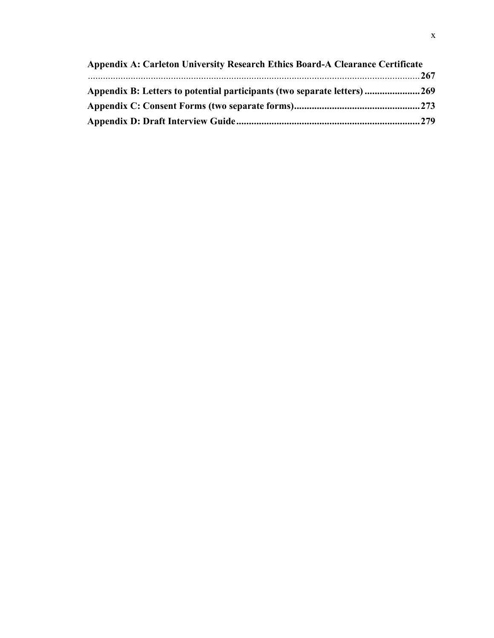| Appendix A: Carleton University Research Ethics Board-A Clearance Certificate |  |
|-------------------------------------------------------------------------------|--|
|                                                                               |  |
| Appendix B: Letters to potential participants (two separate letters) 269      |  |
|                                                                               |  |
|                                                                               |  |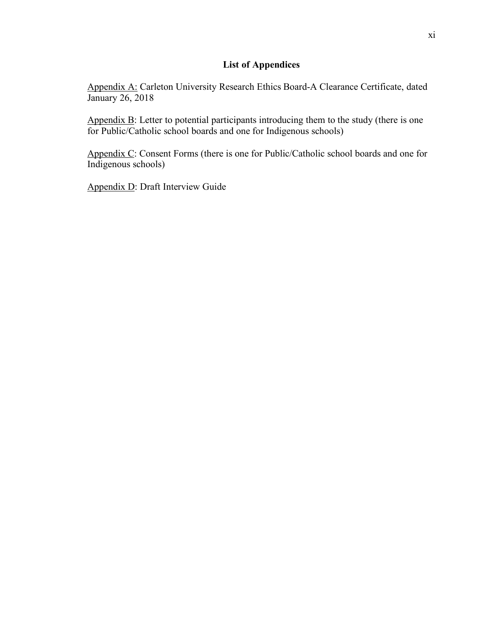# **List of Appendices**

Appendix A: Carleton University Research Ethics Board-A Clearance Certificate, dated January 26, 2018

Appendix  $\overline{B}$ : Letter to potential participants introducing them to the study (there is one for Public/Catholic school boards and one for Indigenous schools)

Appendix C: Consent Forms (there is one for Public/Catholic school boards and one for Indigenous schools)

Appendix D: Draft Interview Guide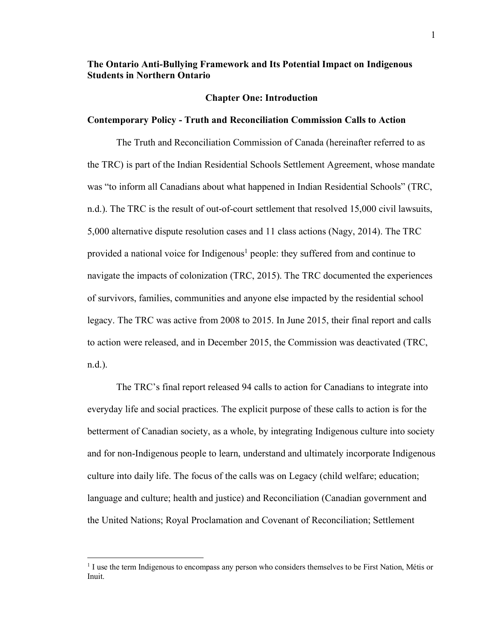# **The Ontario Anti-Bullying Framework and Its Potential Impact on Indigenous Students in Northern Ontario**

# **Chapter One: Introduction**

# **Contemporary Policy - Truth and Reconciliation Commission Calls to Action**

The Truth and Reconciliation Commission of Canada (hereinafter referred to as the TRC) is part of the Indian Residential Schools Settlement Agreement, whose mandate was "to inform all Canadians about what happened in Indian Residential Schools" (TRC, n.d.). The TRC is the result of out-of-court settlement that resolved 15,000 civil lawsuits, 5,000 alternative dispute resolution cases and 11 class actions (Nagy, 2014). The TRC provided a national voice for Indigenous<sup>1</sup> people: they suffered from and continue to navigate the impacts of colonization (TRC, 2015). The TRC documented the experiences of survivors, families, communities and anyone else impacted by the residential school legacy. The TRC was active from 2008 to 2015. In June 2015, their final report and calls to action were released, and in December 2015, the Commission was deactivated (TRC, n.d.).

The TRC's final report released 94 calls to action for Canadians to integrate into everyday life and social practices. The explicit purpose of these calls to action is for the betterment of Canadian society, as a whole, by integrating Indigenous culture into society and for non-Indigenous people to learn, understand and ultimately incorporate Indigenous culture into daily life. The focus of the calls was on Legacy (child welfare; education; language and culture; health and justice) and Reconciliation (Canadian government and the United Nations; Royal Proclamation and Covenant of Reconciliation; Settlement

<sup>&</sup>lt;sup>1</sup> I use the term Indigenous to encompass any person who considers themselves to be First Nation, Métis or Inuit.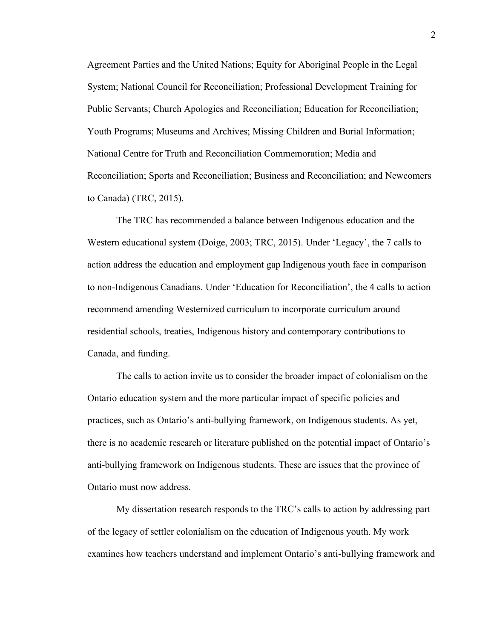Agreement Parties and the United Nations; Equity for Aboriginal People in the Legal System; National Council for Reconciliation; Professional Development Training for Public Servants; Church Apologies and Reconciliation; Education for Reconciliation; Youth Programs; Museums and Archives; Missing Children and Burial Information; National Centre for Truth and Reconciliation Commemoration; Media and Reconciliation; Sports and Reconciliation; Business and Reconciliation; and Newcomers to Canada) (TRC, 2015).

The TRC has recommended a balance between Indigenous education and the Western educational system (Doige, 2003; TRC, 2015). Under 'Legacy', the 7 calls to action address the education and employment gap Indigenous youth face in comparison to non-Indigenous Canadians. Under 'Education for Reconciliation', the 4 calls to action recommend amending Westernized curriculum to incorporate curriculum around residential schools, treaties, Indigenous history and contemporary contributions to Canada, and funding.

The calls to action invite us to consider the broader impact of colonialism on the Ontario education system and the more particular impact of specific policies and practices, such as Ontario's anti-bullying framework, on Indigenous students. As yet, there is no academic research or literature published on the potential impact of Ontario's anti-bullying framework on Indigenous students. These are issues that the province of Ontario must now address.

My dissertation research responds to the TRC's calls to action by addressing part of the legacy of settler colonialism on the education of Indigenous youth. My work examines how teachers understand and implement Ontario's anti-bullying framework and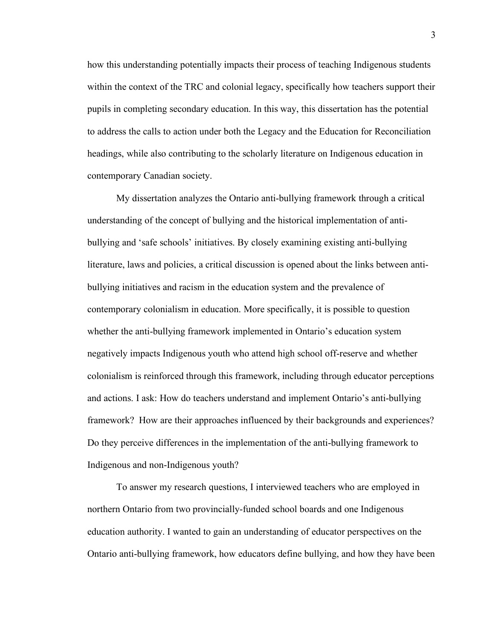how this understanding potentially impacts their process of teaching Indigenous students within the context of the TRC and colonial legacy, specifically how teachers support their pupils in completing secondary education. In this way, this dissertation has the potential to address the calls to action under both the Legacy and the Education for Reconciliation headings, while also contributing to the scholarly literature on Indigenous education in contemporary Canadian society.

My dissertation analyzes the Ontario anti-bullying framework through a critical understanding of the concept of bullying and the historical implementation of antibullying and 'safe schools' initiatives. By closely examining existing anti-bullying literature, laws and policies, a critical discussion is opened about the links between antibullying initiatives and racism in the education system and the prevalence of contemporary colonialism in education. More specifically, it is possible to question whether the anti-bullying framework implemented in Ontario's education system negatively impacts Indigenous youth who attend high school off-reserve and whether colonialism is reinforced through this framework, including through educator perceptions and actions. I ask: How do teachers understand and implement Ontario's anti-bullying framework? How are their approaches influenced by their backgrounds and experiences? Do they perceive differences in the implementation of the anti-bullying framework to Indigenous and non-Indigenous youth?

To answer my research questions, I interviewed teachers who are employed in northern Ontario from two provincially-funded school boards and one Indigenous education authority. I wanted to gain an understanding of educator perspectives on the Ontario anti-bullying framework, how educators define bullying, and how they have been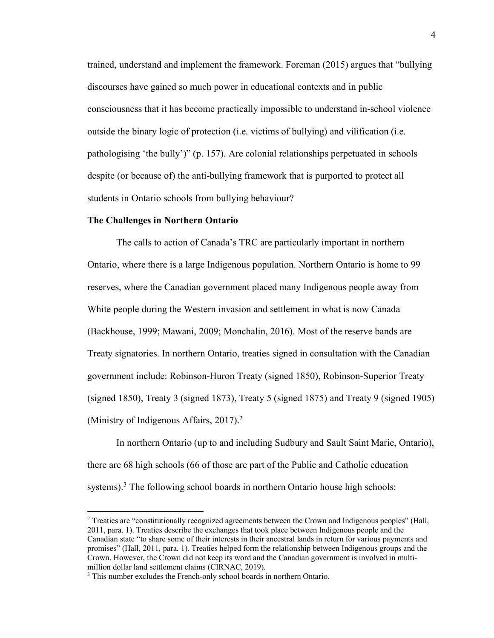trained, understand and implement the framework. Foreman (2015) argues that "bullying discourses have gained so much power in educational contexts and in public consciousness that it has become practically impossible to understand in-school violence outside the binary logic of protection (i.e. victims of bullying) and vilification (i.e. pathologising 'the bully')" (p. 157). Are colonial relationships perpetuated in schools despite (or because of) the anti-bullying framework that is purported to protect all students in Ontario schools from bullying behaviour?

#### **The Challenges in Northern Ontario**

The calls to action of Canada's TRC are particularly important in northern Ontario, where there is a large Indigenous population. Northern Ontario is home to 99 reserves, where the Canadian government placed many Indigenous people away from White people during the Western invasion and settlement in what is now Canada (Backhouse, 1999; Mawani, 2009; Monchalin, 2016). Most of the reserve bands are Treaty signatories. In northern Ontario, treaties signed in consultation with the Canadian government include: Robinson-Huron Treaty (signed 1850), Robinson-Superior Treaty (signed 1850), Treaty 3 (signed 1873), Treaty 5 (signed 1875) and Treaty 9 (signed 1905) (Ministry of Indigenous Affairs, 2017).<sup>2</sup>

In northern Ontario (up to and including Sudbury and Sault Saint Marie, Ontario), there are 68 high schools (66 of those are part of the Public and Catholic education systems).<sup>3</sup> The following school boards in northern Ontario house high schools:

 <sup>2</sup> Treaties are "constitutionally recognized agreements between the Crown and Indigenous peoples" (Hall, 2011, para. 1). Treaties describe the exchanges that took place between Indigenous people and the Canadian state "to share some of their interests in their ancestral lands in return for various payments and promises" (Hall, 2011, para. 1). Treaties helped form the relationship between Indigenous groups and the Crown. However, the Crown did not keep its word and the Canadian government is involved in multimillion dollar land settlement claims (CIRNAC, 2019).

<sup>&</sup>lt;sup>3</sup> This number excludes the French-only school boards in northern Ontario.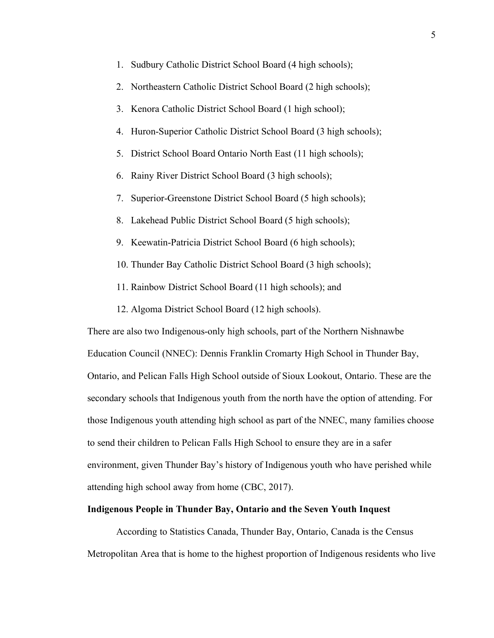- 1. Sudbury Catholic District School Board (4 high schools); 2. Northeastern Catholic District School Board (2 high schools); 3. Kenora Catholic District School Board (1 high school); 4. Huron-Superior Catholic District School Board (3 high schools); 5. District School Board Ontario North East (11 high schools); 6. Rainy River District School Board (3 high schools); 7. Superior-Greenstone District School Board (5 high schools); 8. Lakehead Public District School Board (5 high schools); 9. Keewatin-Patricia District School Board (6 high schools); 10. Thunder Bay Catholic District School Board (3 high schools);
- 11. Rainbow District School Board (11 high schools); and
- 12. Algoma District School Board (12 high schools).

There are also two Indigenous-only high schools, part of the Northern Nishnawbe Education Council (NNEC): Dennis Franklin Cromarty High School in Thunder Bay, Ontario, and Pelican Falls High School outside of Sioux Lookout, Ontario. These are the secondary schools that Indigenous youth from the north have the option of attending. For those Indigenous youth attending high school as part of the NNEC, many families choose to send their children to Pelican Falls High School to ensure they are in a safer environment, given Thunder Bay's history of Indigenous youth who have perished while attending high school away from home (CBC, 2017).

# **Indigenous People in Thunder Bay, Ontario and the Seven Youth Inquest**

According to Statistics Canada, Thunder Bay, Ontario, Canada is the Census Metropolitan Area that is home to the highest proportion of Indigenous residents who live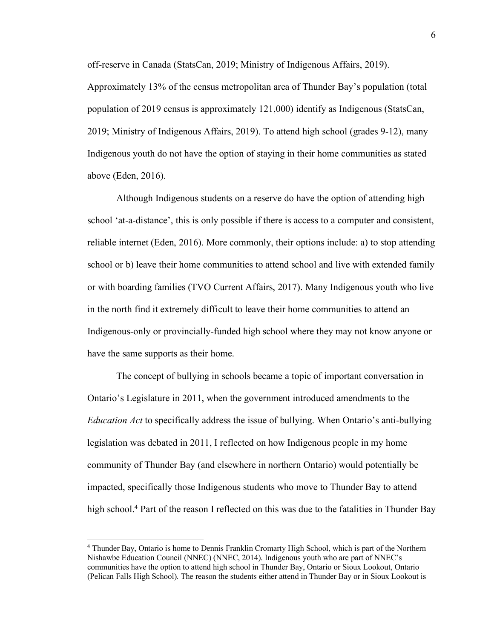off-reserve in Canada (StatsCan, 2019; Ministry of Indigenous Affairs, 2019).

Approximately 13% of the census metropolitan area of Thunder Bay's population (total population of 2019 census is approximately 121,000) identify as Indigenous (StatsCan, 2019; Ministry of Indigenous Affairs, 2019). To attend high school (grades 9-12), many Indigenous youth do not have the option of staying in their home communities as stated above (Eden, 2016).

Although Indigenous students on a reserve do have the option of attending high school 'at-a-distance', this is only possible if there is access to a computer and consistent, reliable internet (Eden, 2016). More commonly, their options include: a) to stop attending school or b) leave their home communities to attend school and live with extended family or with boarding families (TVO Current Affairs, 2017). Many Indigenous youth who live in the north find it extremely difficult to leave their home communities to attend an Indigenous-only or provincially-funded high school where they may not know anyone or have the same supports as their home.

The concept of bullying in schools became a topic of important conversation in Ontario's Legislature in 2011, when the government introduced amendments to the *Education Act* to specifically address the issue of bullying. When Ontario's anti-bullying legislation was debated in 2011, I reflected on how Indigenous people in my home community of Thunder Bay (and elsewhere in northern Ontario) would potentially be impacted, specifically those Indigenous students who move to Thunder Bay to attend high school.<sup>4</sup> Part of the reason I reflected on this was due to the fatalities in Thunder Bay

 <sup>4</sup> Thunder Bay, Ontario is home to Dennis Franklin Cromarty High School, which is part of the Northern Nishawbe Education Council (NNEC) (NNEC, 2014). Indigenous youth who are part of NNEC's communities have the option to attend high school in Thunder Bay, Ontario or Sioux Lookout, Ontario (Pelican Falls High School). The reason the students either attend in Thunder Bay or in Sioux Lookout is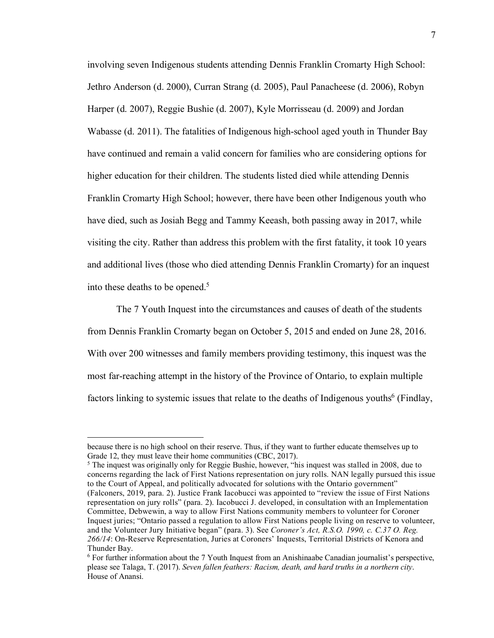involving seven Indigenous students attending Dennis Franklin Cromarty High School: Jethro Anderson (d. 2000), Curran Strang (d. 2005), Paul Panacheese (d. 2006), Robyn Harper (d. 2007), Reggie Bushie (d. 2007), Kyle Morrisseau (d. 2009) and Jordan Wabasse (d. 2011). The fatalities of Indigenous high-school aged youth in Thunder Bay have continued and remain a valid concern for families who are considering options for higher education for their children. The students listed died while attending Dennis Franklin Cromarty High School; however, there have been other Indigenous youth who have died, such as Josiah Begg and Tammy Keeash, both passing away in 2017, while visiting the city. Rather than address this problem with the first fatality, it took 10 years and additional lives (those who died attending Dennis Franklin Cromarty) for an inquest into these deaths to be opened.5

The 7 Youth Inquest into the circumstances and causes of death of the students from Dennis Franklin Cromarty began on October 5, 2015 and ended on June 28, 2016. With over 200 witnesses and family members providing testimony, this inquest was the most far-reaching attempt in the history of the Province of Ontario, to explain multiple factors linking to systemic issues that relate to the deaths of Indigenous youths $<sup>6</sup>$  (Findlay,</sup>

1

because there is no high school on their reserve. Thus, if they want to further educate themselves up to Grade 12, they must leave their home communities (CBC, 2017).<br><sup>5</sup> The inquest was originally only for Reggie Bushie, however, "his inquest was stalled in 2008, due to

concerns regarding the lack of First Nations representation on jury rolls. NAN legally pursued this issue to the Court of Appeal, and politically advocated for solutions with the Ontario government" (Falconers, 2019, para. 2). Justice Frank Iacobucci was appointed to "review the issue of First Nations representation on jury rolls" (para. 2). Iacobucci J. developed, in consultation with an Implementation Committee, Debwewin, a way to allow First Nations community members to volunteer for Coroner Inquest juries; "Ontario passed a regulation to allow First Nations people living on reserve to volunteer, and the Volunteer Jury Initiative began" (para. 3). See *Coroner's Act, R.S.O. 1990, c. C.37 O. Reg. 266/14*: On-Reserve Representation, Juries at Coroners' Inquests, Territorial Districts of Kenora and Thunder Bay.

<sup>6</sup> For further information about the 7 Youth Inquest from an Anishinaabe Canadian journalist's perspective, please see Talaga, T. (2017). *Seven fallen feathers: Racism, death, and hard truths in a northern city*. House of Anansi.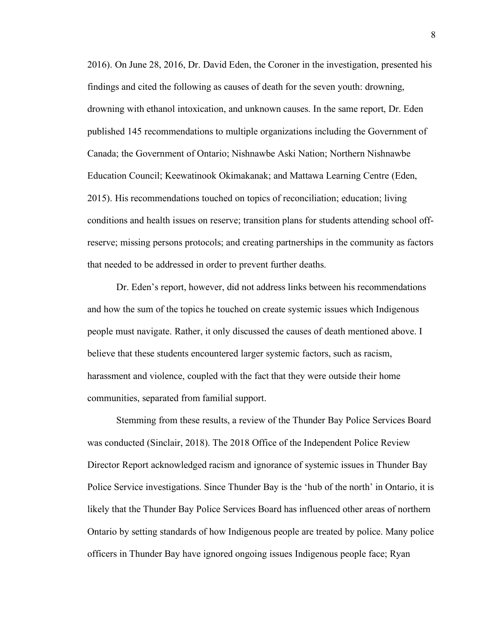2016). On June 28, 2016, Dr. David Eden, the Coroner in the investigation, presented his findings and cited the following as causes of death for the seven youth: drowning, drowning with ethanol intoxication, and unknown causes. In the same report, Dr. Eden published 145 recommendations to multiple organizations including the Government of Canada; the Government of Ontario; Nishnawbe Aski Nation; Northern Nishnawbe Education Council; Keewatinook Okimakanak; and Mattawa Learning Centre (Eden, 2015). His recommendations touched on topics of reconciliation; education; living conditions and health issues on reserve; transition plans for students attending school offreserve; missing persons protocols; and creating partnerships in the community as factors that needed to be addressed in order to prevent further deaths.

Dr. Eden's report, however, did not address links between his recommendations and how the sum of the topics he touched on create systemic issues which Indigenous people must navigate. Rather, it only discussed the causes of death mentioned above. I believe that these students encountered larger systemic factors, such as racism, harassment and violence, coupled with the fact that they were outside their home communities, separated from familial support.

Stemming from these results, a review of the Thunder Bay Police Services Board was conducted (Sinclair, 2018). The 2018 Office of the Independent Police Review Director Report acknowledged racism and ignorance of systemic issues in Thunder Bay Police Service investigations. Since Thunder Bay is the 'hub of the north' in Ontario, it is likely that the Thunder Bay Police Services Board has influenced other areas of northern Ontario by setting standards of how Indigenous people are treated by police. Many police officers in Thunder Bay have ignored ongoing issues Indigenous people face; Ryan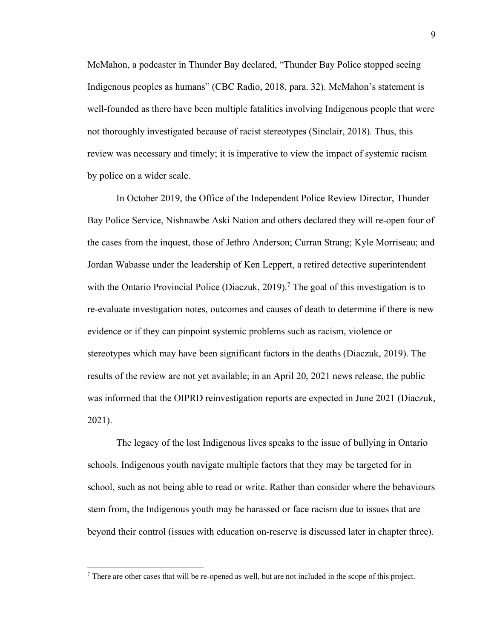McMahon, a podcaster in Thunder Bay declared, "Thunder Bay Police stopped seeing Indigenous peoples as humans" (CBC Radio, 2018, para. 32). McMahon's statement is well-founded as there have been multiple fatalities involving Indigenous people that were not thoroughly investigated because of racist stereotypes (Sinclair, 2018). Thus, this review was necessary and timely; it is imperative to view the impact of systemic racism by police on a wider scale.

In October 2019, the Office of the Independent Police Review Director, Thunder Bay Police Service, Nishnawbe Aski Nation and others declared they will re-open four of the cases from the inquest, those of Jethro Anderson; Curran Strang; Kyle Morriseau; and Jordan Wabasse under the leadership of Ken Leppert, a retired detective superintendent with the Ontario Provincial Police (Diaczuk, 2019).<sup>7</sup> The goal of this investigation is to re-evaluate investigation notes, outcomes and causes of death to determine if there is new evidence or if they can pinpoint systemic problems such as racism, violence or stereotypes which may have been significant factors in the deaths (Diaczuk, 2019). The results of the review are not yet available; in an April 20, 2021 news release, the public was informed that the OIPRD reinvestigation reports are expected in June 2021 (Diaczuk, 2021).

The legacy of the lost Indigenous lives speaks to the issue of bullying in Ontario schools. Indigenous youth navigate multiple factors that they may be targeted for in school, such as not being able to read or write. Rather than consider where the behaviours stem from, the Indigenous youth may be harassed or face racism due to issues that are beyond their control (issues with education on-reserve is discussed later in chapter three).

 $^7$  There are other cases that will be re-opened as well, but are not included in the scope of this project.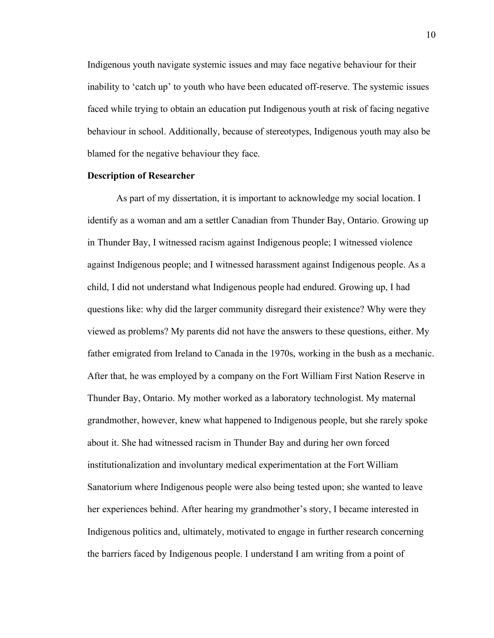Indigenous youth navigate systemic issues and may face negative behaviour for their inability to 'catch up' to youth who have been educated off-reserve. The systemic issues faced while trying to obtain an education put Indigenous youth at risk of facing negative behaviour in school. Additionally, because of stereotypes, Indigenous youth may also be blamed for the negative behaviour they face.

#### **Description of Researcher**

As part of my dissertation, it is important to acknowledge my social location. I identify as a woman and am a settler Canadian from Thunder Bay, Ontario. Growing up in Thunder Bay, I witnessed racism against Indigenous people; I witnessed violence against Indigenous people; and I witnessed harassment against Indigenous people. As a child, I did not understand what Indigenous people had endured. Growing up, I had questions like: why did the larger community disregard their existence? Why were they viewed as problems? My parents did not have the answers to these questions, either. My father emigrated from Ireland to Canada in the 1970s, working in the bush as a mechanic. After that, he was employed by a company on the Fort William First Nation Reserve in Thunder Bay, Ontario. My mother worked as a laboratory technologist. My maternal grandmother, however, knew what happened to Indigenous people, but she rarely spoke about it. She had witnessed racism in Thunder Bay and during her own forced institutionalization and involuntary medical experimentation at the Fort William Sanatorium where Indigenous people were also being tested upon; she wanted to leave her experiences behind. After hearing my grandmother's story, I became interested in Indigenous politics and, ultimately, motivated to engage in further research concerning the barriers faced by Indigenous people. I understand I am writing from a point of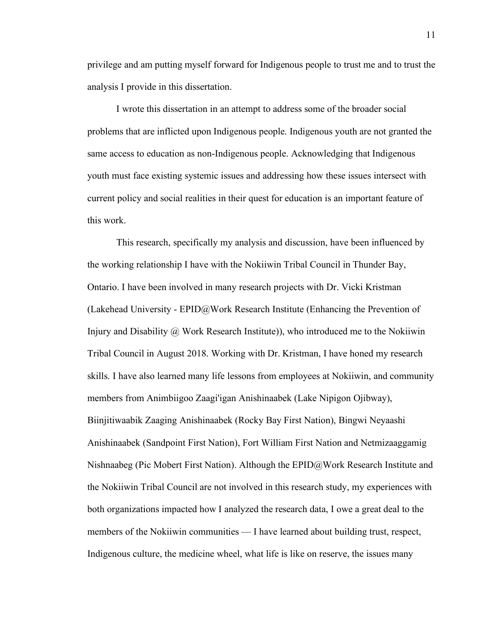privilege and am putting myself forward for Indigenous people to trust me and to trust the analysis I provide in this dissertation.

I wrote this dissertation in an attempt to address some of the broader social problems that are inflicted upon Indigenous people. Indigenous youth are not granted the same access to education as non-Indigenous people. Acknowledging that Indigenous youth must face existing systemic issues and addressing how these issues intersect with current policy and social realities in their quest for education is an important feature of this work.

This research, specifically my analysis and discussion, have been influenced by the working relationship I have with the Nokiiwin Tribal Council in Thunder Bay, Ontario. I have been involved in many research projects with Dr. Vicki Kristman (Lakehead University -  $EPID@Work Research Institute$  (Enhancing the Prevention of Injury and Disability  $\omega$  Work Research Institute), who introduced me to the Nokiiwin Tribal Council in August 2018. Working with Dr. Kristman, I have honed my research skills. I have also learned many life lessons from employees at Nokiiwin, and community members from Animbiigoo Zaagi'igan Anishinaabek (Lake Nipigon Ojibway), Biinjitiwaabik Zaaging Anishinaabek (Rocky Bay First Nation), Bingwi Neyaashi Anishinaabek (Sandpoint First Nation), Fort William First Nation and Netmizaaggamig Nishnaabeg (Pic Mobert First Nation). Although the EPID@Work Research Institute and the Nokiiwin Tribal Council are not involved in this research study, my experiences with both organizations impacted how I analyzed the research data, I owe a great deal to the members of the Nokiiwin communities — I have learned about building trust, respect, Indigenous culture, the medicine wheel, what life is like on reserve, the issues many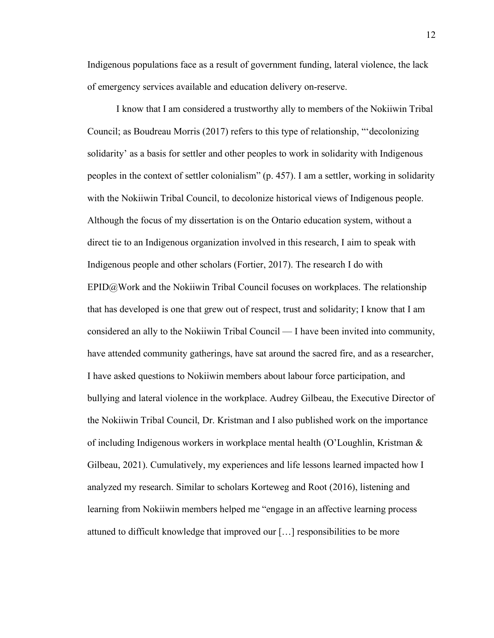Indigenous populations face as a result of government funding, lateral violence, the lack of emergency services available and education delivery on-reserve.

I know that I am considered a trustworthy ally to members of the Nokiiwin Tribal Council; as Boudreau Morris (2017) refers to this type of relationship, "'decolonizing solidarity' as a basis for settler and other peoples to work in solidarity with Indigenous peoples in the context of settler colonialism" (p. 457). I am a settler, working in solidarity with the Nokiiwin Tribal Council, to decolonize historical views of Indigenous people. Although the focus of my dissertation is on the Ontario education system, without a direct tie to an Indigenous organization involved in this research, I aim to speak with Indigenous people and other scholars (Fortier, 2017). The research I do with  $EPID@W$  ork and the Nokiiwin Tribal Council focuses on workplaces. The relationship that has developed is one that grew out of respect, trust and solidarity; I know that I am considered an ally to the Nokiiwin Tribal Council — I have been invited into community, have attended community gatherings, have sat around the sacred fire, and as a researcher, I have asked questions to Nokiiwin members about labour force participation, and bullying and lateral violence in the workplace. Audrey Gilbeau, the Executive Director of the Nokiiwin Tribal Council, Dr. Kristman and I also published work on the importance of including Indigenous workers in workplace mental health (O'Loughlin, Kristman & Gilbeau, 2021). Cumulatively, my experiences and life lessons learned impacted how I analyzed my research. Similar to scholars Korteweg and Root (2016), listening and learning from Nokiiwin members helped me "engage in an affective learning process attuned to difficult knowledge that improved our […] responsibilities to be more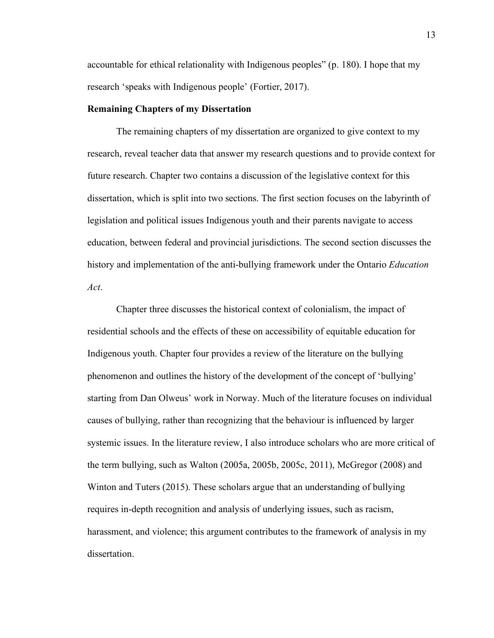accountable for ethical relationality with Indigenous peoples" (p. 180). I hope that my research 'speaks with Indigenous people' (Fortier, 2017).

# **Remaining Chapters of my Dissertation**

The remaining chapters of my dissertation are organized to give context to my research, reveal teacher data that answer my research questions and to provide context for future research. Chapter two contains a discussion of the legislative context for this dissertation, which is split into two sections. The first section focuses on the labyrinth of legislation and political issues Indigenous youth and their parents navigate to access education, between federal and provincial jurisdictions. The second section discusses the history and implementation of the anti-bullying framework under the Ontario *Education Act*.

Chapter three discusses the historical context of colonialism, the impact of residential schools and the effects of these on accessibility of equitable education for Indigenous youth. Chapter four provides a review of the literature on the bullying phenomenon and outlines the history of the development of the concept of 'bullying' starting from Dan Olweus' work in Norway. Much of the literature focuses on individual causes of bullying, rather than recognizing that the behaviour is influenced by larger systemic issues. In the literature review, I also introduce scholars who are more critical of the term bullying, such as Walton (2005a, 2005b, 2005c, 2011), McGregor (2008) and Winton and Tuters (2015). These scholars argue that an understanding of bullying requires in-depth recognition and analysis of underlying issues, such as racism, harassment, and violence; this argument contributes to the framework of analysis in my dissertation.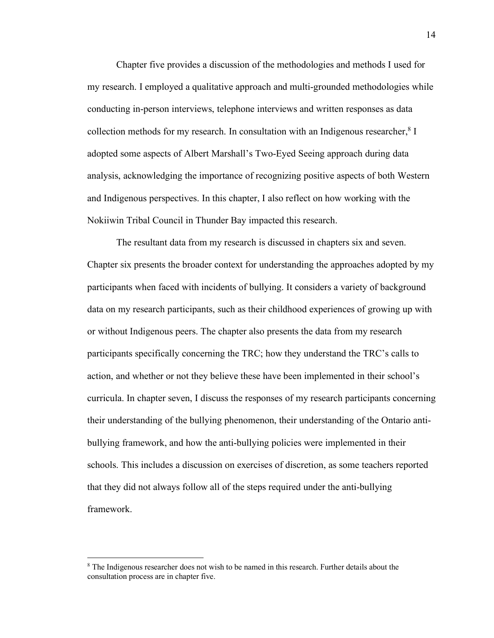Chapter five provides a discussion of the methodologies and methods I used for my research. I employed a qualitative approach and multi-grounded methodologies while conducting in-person interviews, telephone interviews and written responses as data collection methods for my research. In consultation with an Indigenous researcher, <sup>8</sup> I adopted some aspects of Albert Marshall's Two-Eyed Seeing approach during data analysis, acknowledging the importance of recognizing positive aspects of both Western and Indigenous perspectives. In this chapter, I also reflect on how working with the Nokiiwin Tribal Council in Thunder Bay impacted this research.

The resultant data from my research is discussed in chapters six and seven. Chapter six presents the broader context for understanding the approaches adopted by my participants when faced with incidents of bullying. It considers a variety of background data on my research participants, such as their childhood experiences of growing up with or without Indigenous peers. The chapter also presents the data from my research participants specifically concerning the TRC; how they understand the TRC's calls to action, and whether or not they believe these have been implemented in their school's curricula. In chapter seven, I discuss the responses of my research participants concerning their understanding of the bullying phenomenon, their understanding of the Ontario antibullying framework, and how the anti-bullying policies were implemented in their schools. This includes a discussion on exercises of discretion, as some teachers reported that they did not always follow all of the steps required under the anti-bullying framework.

<sup>&</sup>lt;sup>8</sup> The Indigenous researcher does not wish to be named in this research. Further details about the consultation process are in chapter five.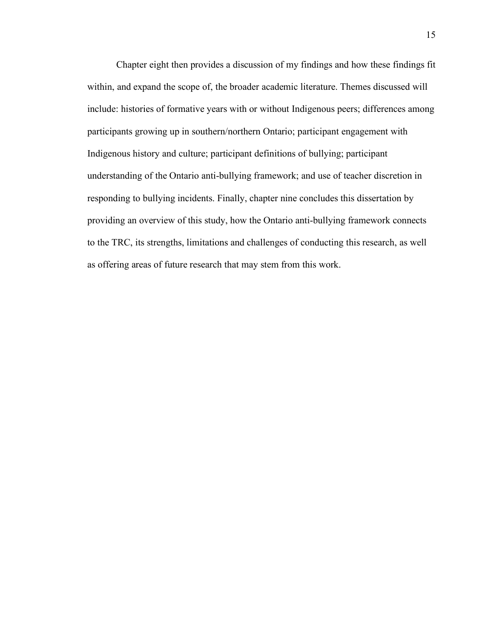Chapter eight then provides a discussion of my findings and how these findings fit within, and expand the scope of, the broader academic literature. Themes discussed will include: histories of formative years with or without Indigenous peers; differences among participants growing up in southern/northern Ontario; participant engagement with Indigenous history and culture; participant definitions of bullying; participant understanding of the Ontario anti-bullying framework; and use of teacher discretion in responding to bullying incidents. Finally, chapter nine concludes this dissertation by providing an overview of this study, how the Ontario anti-bullying framework connects to the TRC, its strengths, limitations and challenges of conducting this research, as well as offering areas of future research that may stem from this work.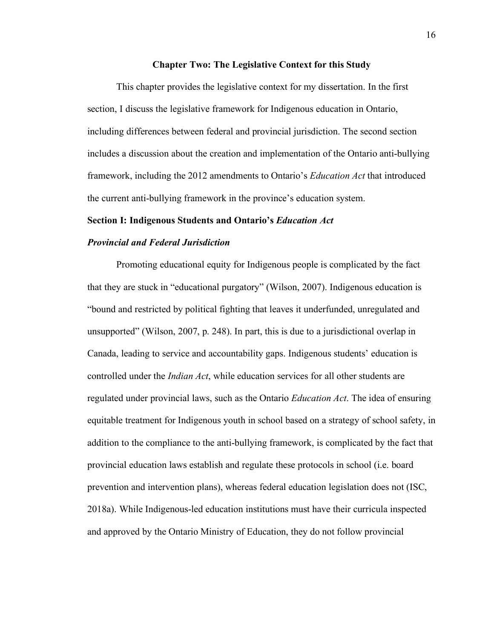#### **Chapter Two: The Legislative Context for this Study**

This chapter provides the legislative context for my dissertation. In the first section, I discuss the legislative framework for Indigenous education in Ontario, including differences between federal and provincial jurisdiction. The second section includes a discussion about the creation and implementation of the Ontario anti-bullying framework, including the 2012 amendments to Ontario's *Education Act* that introduced the current anti-bullying framework in the province's education system.

# **Section I: Indigenous Students and Ontario's** *Education Act*

#### *Provincial and Federal Jurisdiction*

Promoting educational equity for Indigenous people is complicated by the fact that they are stuck in "educational purgatory" (Wilson, 2007). Indigenous education is "bound and restricted by political fighting that leaves it underfunded, unregulated and unsupported" (Wilson, 2007, p. 248). In part, this is due to a jurisdictional overlap in Canada, leading to service and accountability gaps. Indigenous students' education is controlled under the *Indian Act*, while education services for all other students are regulated under provincial laws, such as the Ontario *Education Act*. The idea of ensuring equitable treatment for Indigenous youth in school based on a strategy of school safety, in addition to the compliance to the anti-bullying framework, is complicated by the fact that provincial education laws establish and regulate these protocols in school (i.e. board prevention and intervention plans), whereas federal education legislation does not (ISC, 2018a). While Indigenous-led education institutions must have their curricula inspected and approved by the Ontario Ministry of Education, they do not follow provincial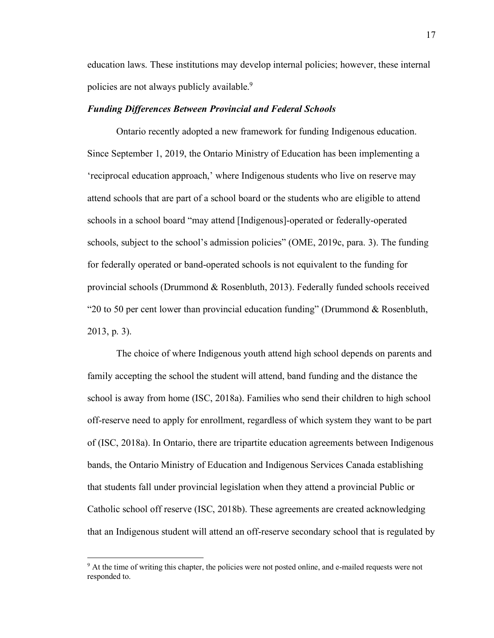education laws. These institutions may develop internal policies; however, these internal policies are not always publicly available.<sup>9</sup>

## *Funding Differences Between Provincial and Federal Schools*

Ontario recently adopted a new framework for funding Indigenous education. Since September 1, 2019, the Ontario Ministry of Education has been implementing a 'reciprocal education approach,' where Indigenous students who live on reserve may attend schools that are part of a school board or the students who are eligible to attend schools in a school board "may attend [Indigenous]-operated or federally-operated schools, subject to the school's admission policies" (OME, 2019c, para. 3). The funding for federally operated or band-operated schools is not equivalent to the funding for provincial schools (Drummond & Rosenbluth, 2013). Federally funded schools received "20 to 50 per cent lower than provincial education funding" (Drummond & Rosenbluth, 2013, p. 3).

The choice of where Indigenous youth attend high school depends on parents and family accepting the school the student will attend, band funding and the distance the school is away from home (ISC, 2018a). Families who send their children to high school off-reserve need to apply for enrollment, regardless of which system they want to be part of (ISC, 2018a). In Ontario, there are tripartite education agreements between Indigenous bands, the Ontario Ministry of Education and Indigenous Services Canada establishing that students fall under provincial legislation when they attend a provincial Public or Catholic school off reserve (ISC, 2018b). These agreements are created acknowledging that an Indigenous student will attend an off-reserve secondary school that is regulated by

<sup>&</sup>lt;sup>9</sup> At the time of writing this chapter, the policies were not posted online, and e-mailed requests were not responded to.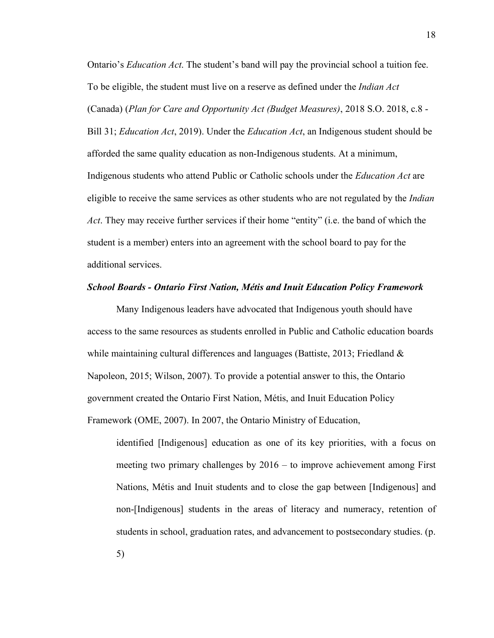Ontario's *Education Act*. The student's band will pay the provincial school a tuition fee. To be eligible, the student must live on a reserve as defined under the *Indian Act* (Canada) (*Plan for Care and Opportunity Act (Budget Measures)*, 2018 S.O. 2018, c.8 - Bill 31; *Education Act*, 2019). Under the *Education Act*, an Indigenous student should be afforded the same quality education as non-Indigenous students. At a minimum, Indigenous students who attend Public or Catholic schools under the *Education Act* are eligible to receive the same services as other students who are not regulated by the *Indian Act*. They may receive further services if their home "entity" (i.e. the band of which the student is a member) enters into an agreement with the school board to pay for the additional services.

#### *School Boards - Ontario First Nation, Métis and Inuit Education Policy Framework*

Many Indigenous leaders have advocated that Indigenous youth should have access to the same resources as students enrolled in Public and Catholic education boards while maintaining cultural differences and languages (Battiste, 2013; Friedland  $\&$ Napoleon, 2015; Wilson, 2007). To provide a potential answer to this, the Ontario government created the Ontario First Nation, Métis, and Inuit Education Policy Framework (OME, 2007). In 2007, the Ontario Ministry of Education,

identified [Indigenous] education as one of its key priorities, with a focus on meeting two primary challenges by 2016 – to improve achievement among First Nations, Métis and Inuit students and to close the gap between [Indigenous] and non-[Indigenous] students in the areas of literacy and numeracy, retention of students in school, graduation rates, and advancement to postsecondary studies. (p.

5)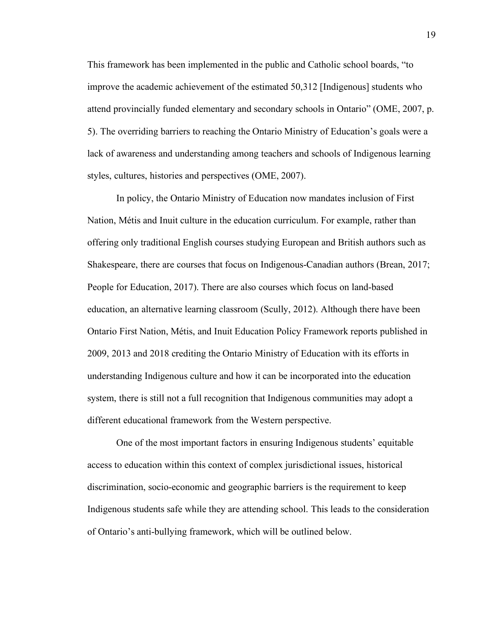This framework has been implemented in the public and Catholic school boards, "to improve the academic achievement of the estimated 50,312 [Indigenous] students who attend provincially funded elementary and secondary schools in Ontario" (OME, 2007, p. 5). The overriding barriers to reaching the Ontario Ministry of Education's goals were a lack of awareness and understanding among teachers and schools of Indigenous learning styles, cultures, histories and perspectives (OME, 2007).

In policy, the Ontario Ministry of Education now mandates inclusion of First Nation, Métis and Inuit culture in the education curriculum. For example, rather than offering only traditional English courses studying European and British authors such as Shakespeare, there are courses that focus on Indigenous-Canadian authors (Brean, 2017; People for Education, 2017). There are also courses which focus on land-based education, an alternative learning classroom (Scully, 2012). Although there have been Ontario First Nation, Métis, and Inuit Education Policy Framework reports published in 2009, 2013 and 2018 crediting the Ontario Ministry of Education with its efforts in understanding Indigenous culture and how it can be incorporated into the education system, there is still not a full recognition that Indigenous communities may adopt a different educational framework from the Western perspective.

One of the most important factors in ensuring Indigenous students' equitable access to education within this context of complex jurisdictional issues, historical discrimination, socio-economic and geographic barriers is the requirement to keep Indigenous students safe while they are attending school. This leads to the consideration of Ontario's anti-bullying framework, which will be outlined below.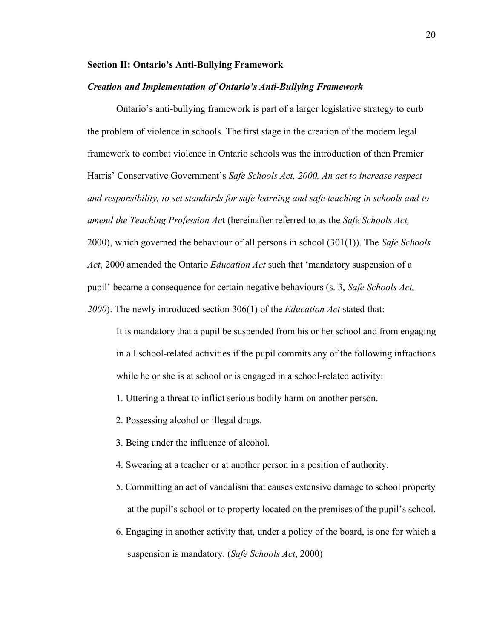#### **Section II: Ontario's Anti-Bullying Framework**

## *Creation and Implementation of Ontario's Anti-Bullying Framework*

Ontario's anti-bullying framework is part of a larger legislative strategy to curb the problem of violence in schools. The first stage in the creation of the modern legal framework to combat violence in Ontario schools was the introduction of then Premier Harris' Conservative Government's *Safe Schools Act, 2000, An act to increase respect and responsibility, to set standards for safe learning and safe teaching in schools and to amend the Teaching Profession Ac*t (hereinafter referred to as the *Safe Schools Act,* 2000), which governed the behaviour of all persons in school (301(1)). The *Safe Schools Act*, 2000 amended the Ontario *Education Act* such that 'mandatory suspension of a pupil' became a consequence for certain negative behaviours (s. 3, *Safe Schools Act, 2000*). The newly introduced section 306(1) of the *Education Act* stated that:

It is mandatory that a pupil be suspended from his or her school and from engaging in all school-related activities if the pupil commits any of the following infractions while he or she is at school or is engaged in a school-related activity:

- 1. Uttering a threat to inflict serious bodily harm on another person.
- 2. Possessing alcohol or illegal drugs.
- 3. Being under the influence of alcohol.
- 4. Swearing at a teacher or at another person in a position of authority.
- 5. Committing an act of vandalism that causes extensive damage to school property at the pupil's school or to property located on the premises of the pupil's school.
- 6. Engaging in another activity that, under a policy of the board, is one for which a suspension is mandatory. (*Safe Schools Act*, 2000)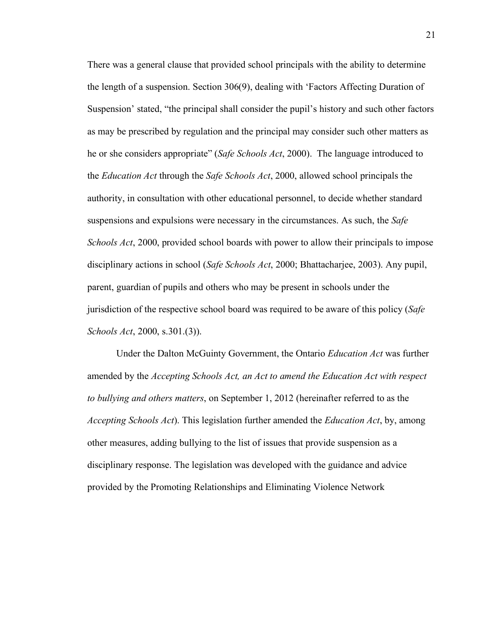There was a general clause that provided school principals with the ability to determine the length of a suspension. Section 306(9), dealing with 'Factors Affecting Duration of Suspension' stated, "the principal shall consider the pupil's history and such other factors as may be prescribed by regulation and the principal may consider such other matters as he or she considers appropriate" (*Safe Schools Act*, 2000). The language introduced to the *Education Act* through the *Safe Schools Act*, 2000, allowed school principals the authority, in consultation with other educational personnel, to decide whether standard suspensions and expulsions were necessary in the circumstances. As such, the *Safe Schools Act*, 2000, provided school boards with power to allow their principals to impose disciplinary actions in school (*Safe Schools Act*, 2000; Bhattacharjee, 2003). Any pupil, parent, guardian of pupils and others who may be present in schools under the jurisdiction of the respective school board was required to be aware of this policy (*Safe Schools Act*, 2000, s.301.(3)).

Under the Dalton McGuinty Government, the Ontario *Education Act* was further amended by the *Accepting Schools Act, an Act to amend the Education Act with respect to bullying and others matters*, on September 1, 2012 (hereinafter referred to as the *Accepting Schools Act*). This legislation further amended the *Education Act*, by, among other measures, adding bullying to the list of issues that provide suspension as a disciplinary response. The legislation was developed with the guidance and advice provided by the Promoting Relationships and Eliminating Violence Network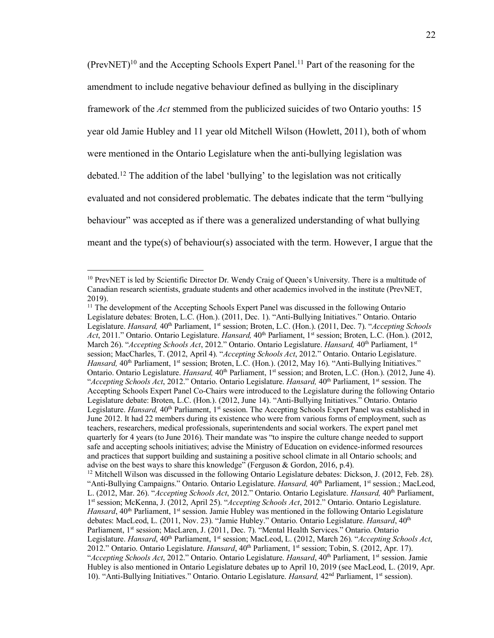$(PrevNET)^{10}$  and the Accepting Schools Expert Panel.<sup>11</sup> Part of the reasoning for the amendment to include negative behaviour defined as bullying in the disciplinary framework of the *Act* stemmed from the publicized suicides of two Ontario youths: 15 year old Jamie Hubley and 11 year old Mitchell Wilson (Howlett, 2011), both of whom were mentioned in the Ontario Legislature when the anti-bullying legislation was debated.12 The addition of the label 'bullying' to the legislation was not critically evaluated and not considered problematic. The debates indicate that the term "bullying behaviour" was accepted as if there was a generalized understanding of what bullying meant and the type(s) of behaviour(s) associated with the term. However, I argue that the

<sup>&</sup>lt;sup>10</sup> PrevNET is led by Scientific Director Dr. Wendy Craig of Queen's University. There is a multitude of Canadian research scientists, graduate students and other academics involved in the institute (PrevNET, 2019).

<sup>&</sup>lt;sup>11</sup> The development of the Accepting Schools Expert Panel was discussed in the following Ontario Legislature debates: Broten, L.C. (Hon.). (2011, Dec. 1). "Anti-Bullying Initiatives." Ontario. Ontario Legislature. *Hansard*, 40<sup>th</sup> Parliament, 1<sup>st</sup> session; Broten, L.C. (Hon.). (2011, Dec. 7). "*Accepting Schools Act*, 2011." Ontario. Ontario Legislature. *Hansard*, 40<sup>th</sup> Parliament, 1<sup>st</sup> session; Broten, L.C. (Hon.). (2012, March 26). "*Accepting Schools Act*, 2012." Ontario. Ontario Legislature. *Hansard*, 40<sup>th</sup> Parliament, 1<sup>st</sup> session; MacCharles, T. (2012, April 4). "*Accepting Schools Act*, 2012." Ontario. Ontario Legislature. Hansard, 40<sup>th</sup> Parliament, 1<sup>st</sup> session; Broten, L.C. (Hon.). (2012, May 16). "Anti-Bullying Initiatives." Ontario. Ontario Legislature. *Hansard*, 40<sup>th</sup> Parliament, 1<sup>st</sup> session; and Broten, L.C. (Hon.). (2012, June 4). "*Accepting Schools Act*, 2012." Ontario. Ontario Legislature. *Hansard*, 40<sup>th</sup> Parliament, 1<sup>st</sup> session. The Accepting Schools Expert Panel Co-Chairs were introduced to the Legislature during the following Ontario Legislature debate: Broten, L.C. (Hon.). (2012, June 14). "Anti-Bullying Initiatives." Ontario. Ontario Legislature. *Hansard*, 40<sup>th</sup> Parliament, 1<sup>st</sup> session. The Accepting Schools Expert Panel was established in June 2012. It had 22 members during its existence who were from various forms of employment, such as teachers, researchers, medical professionals, superintendents and social workers. The expert panel met quarterly for 4 years (to June 2016). Their mandate was "to inspire the culture change needed to support safe and accepting schools initiatives; advise the Ministry of Education on evidence-informed resources and practices that support building and sustaining a positive school climate in all Ontario schools; and advise on the best ways to share this knowledge" (Ferguson & Gordon, 2016, p.4). <sup>12</sup> Mitchell Wilson was discussed in the following Ontario Legislature debates: Dickson, J. (2012, Feb. 28). "Anti-Bullying Campaigns." Ontario. Ontario Legislature. *Hansard*, 40<sup>th</sup> Parliament, 1<sup>st</sup> session.; MacLeod, L. (2012, Mar. 26). "*Accepting Schools Act*, 2012." Ontario. Ontario Legislature. *Hansard,* 40th Parliament, 1st session; McKenna, J. (2012, April 25). "*Accepting Schools Act*, 2012." Ontario. Ontario Legislature. *Hansard*, 40<sup>th</sup> Parliament, 1<sup>st</sup> session. Jamie Hubley was mentioned in the following Ontario Legislature debates: MacLeod, L. (2011, Nov. 23). "Jamie Hubley." Ontario. Ontario Legislature. *Hansard*, 40<sup>th</sup> Parliament, 1<sup>st</sup> session; MacLaren, J. (2011, Dec. 7). "Mental Health Services." Ontario. Ontario Legislature. *Hansard*, 40<sup>th</sup> Parliament, 1<sup>st</sup> session; MacLeod, L. (2012, March 26). "*Accepting Schools Act*,

<sup>2012.&</sup>quot; Ontario. Ontario Legislature. *Hansard*, 40<sup>th</sup> Parliament, 1<sup>st</sup> session; Tobin, S. (2012, Apr. 17). "*Accepting Schools Act*, 2012." Ontario. Ontario Legislature. *Hansard*, 40th Parliament, 1st session. Jamie Hubley is also mentioned in Ontario Legislature debates up to April 10, 2019 (see MacLeod, L. (2019, Apr. 10). "Anti-Bullying Initiatives." Ontario. Ontario Legislature. *Hansard*, 42<sup>nd</sup> Parliament, 1<sup>st</sup> session).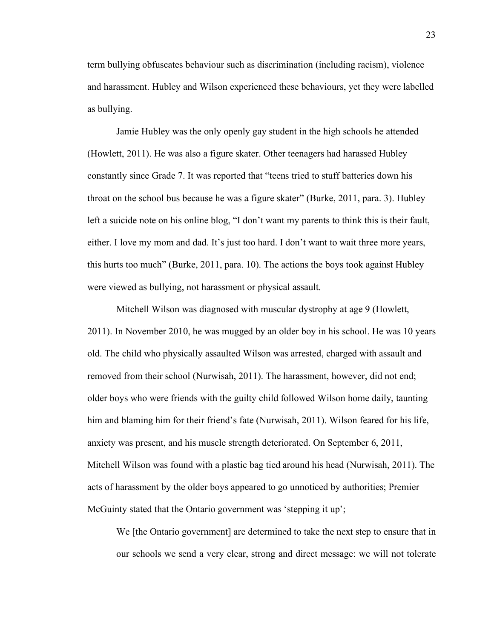term bullying obfuscates behaviour such as discrimination (including racism), violence and harassment. Hubley and Wilson experienced these behaviours, yet they were labelled as bullying.

Jamie Hubley was the only openly gay student in the high schools he attended (Howlett, 2011). He was also a figure skater. Other teenagers had harassed Hubley constantly since Grade 7. It was reported that "teens tried to stuff batteries down his throat on the school bus because he was a figure skater" (Burke, 2011, para. 3). Hubley left a suicide note on his online blog, "I don't want my parents to think this is their fault, either. I love my mom and dad. It's just too hard. I don't want to wait three more years, this hurts too much" (Burke, 2011, para. 10). The actions the boys took against Hubley were viewed as bullying, not harassment or physical assault.

Mitchell Wilson was diagnosed with muscular dystrophy at age 9 (Howlett, 2011). In November 2010, he was mugged by an older boy in his school. He was 10 years old. The child who physically assaulted Wilson was arrested, charged with assault and removed from their school (Nurwisah, 2011). The harassment, however, did not end; older boys who were friends with the guilty child followed Wilson home daily, taunting him and blaming him for their friend's fate (Nurwisah, 2011). Wilson feared for his life, anxiety was present, and his muscle strength deteriorated. On September 6, 2011, Mitchell Wilson was found with a plastic bag tied around his head (Nurwisah, 2011). The acts of harassment by the older boys appeared to go unnoticed by authorities; Premier McGuinty stated that the Ontario government was 'stepping it up';

We [the Ontario government] are determined to take the next step to ensure that in our schools we send a very clear, strong and direct message: we will not tolerate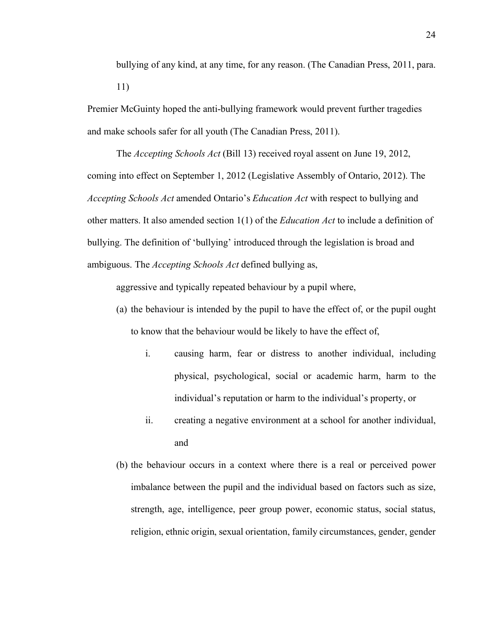bullying of any kind, at any time, for any reason. (The Canadian Press, 2011, para. 11)

Premier McGuinty hoped the anti-bullying framework would prevent further tragedies and make schools safer for all youth (The Canadian Press, 2011).

The *Accepting Schools Act* (Bill 13) received royal assent on June 19, 2012, coming into effect on September 1, 2012 (Legislative Assembly of Ontario, 2012). The *Accepting Schools Act* amended Ontario's *Education Act* with respect to bullying and other matters. It also amended section 1(1) of the *Education Act* to include a definition of bullying. The definition of 'bullying' introduced through the legislation is broad and ambiguous. The *Accepting Schools Act* defined bullying as,

aggressive and typically repeated behaviour by a pupil where,

- (a) the behaviour is intended by the pupil to have the effect of, or the pupil ought to know that the behaviour would be likely to have the effect of,
	- i. causing harm, fear or distress to another individual, including physical, psychological, social or academic harm, harm to the individual's reputation or harm to the individual's property, or
	- ii. creating a negative environment at a school for another individual, and
- (b) the behaviour occurs in a context where there is a real or perceived power imbalance between the pupil and the individual based on factors such as size, strength, age, intelligence, peer group power, economic status, social status, religion, ethnic origin, sexual orientation, family circumstances, gender, gender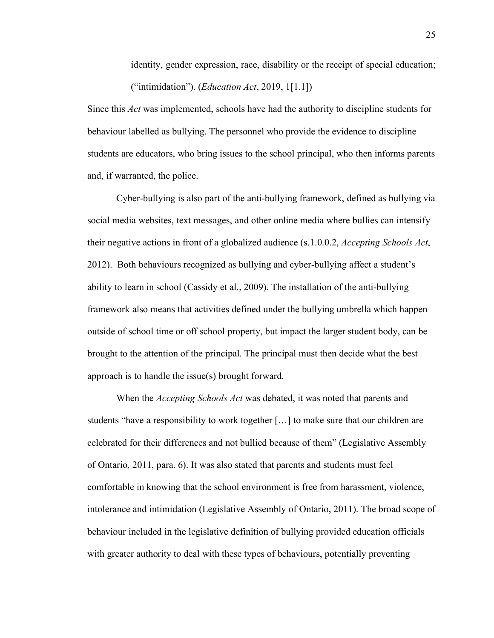identity, gender expression, race, disability or the receipt of special education; ("intimidation"). (*Education Act*, 2019, 1[1.1])

Since this *Act* was implemented, schools have had the authority to discipline students for behaviour labelled as bullying. The personnel who provide the evidence to discipline students are educators, who bring issues to the school principal, who then informs parents and, if warranted, the police.

Cyber-bullying is also part of the anti-bullying framework, defined as bullying via social media websites, text messages, and other online media where bullies can intensify their negative actions in front of a globalized audience (s.1.0.0.2, *Accepting Schools Act*, 2012). Both behaviours recognized as bullying and cyber-bullying affect a student's ability to learn in school (Cassidy et al., 2009). The installation of the anti-bullying framework also means that activities defined under the bullying umbrella which happen outside of school time or off school property, but impact the larger student body, can be brought to the attention of the principal. The principal must then decide what the best approach is to handle the issue(s) brought forward.

When the *Accepting Schools Act* was debated, it was noted that parents and students "have a responsibility to work together […] to make sure that our children are celebrated for their differences and not bullied because of them" (Legislative Assembly of Ontario, 2011, para. 6). It was also stated that parents and students must feel comfortable in knowing that the school environment is free from harassment, violence, intolerance and intimidation (Legislative Assembly of Ontario, 2011). The broad scope of behaviour included in the legislative definition of bullying provided education officials with greater authority to deal with these types of behaviours, potentially preventing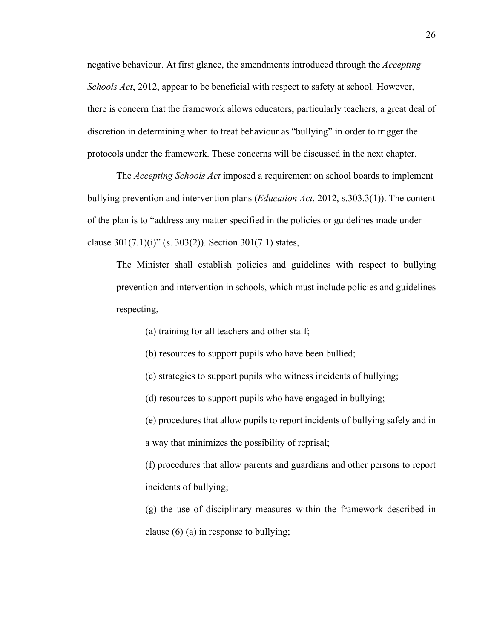negative behaviour. At first glance, the amendments introduced through the *Accepting Schools Act*, 2012, appear to be beneficial with respect to safety at school. However, there is concern that the framework allows educators, particularly teachers, a great deal of discretion in determining when to treat behaviour as "bullying" in order to trigger the protocols under the framework. These concerns will be discussed in the next chapter.

The *Accepting Schools Act* imposed a requirement on school boards to implement bullying prevention and intervention plans (*Education Act*, 2012, s.303.3(1)). The content of the plan is to "address any matter specified in the policies or guidelines made under clause  $301(7.1)(i)$ " (s.  $303(2)$ ). Section  $301(7.1)$  states,

The Minister shall establish policies and guidelines with respect to bullying prevention and intervention in schools, which must include policies and guidelines respecting,

(a) training for all teachers and other staff;

(b) resources to support pupils who have been bullied;

(c) strategies to support pupils who witness incidents of bullying;

(d) resources to support pupils who have engaged in bullying;

(e) procedures that allow pupils to report incidents of bullying safely and in a way that minimizes the possibility of reprisal;

(f) procedures that allow parents and guardians and other persons to report incidents of bullying;

(g) the use of disciplinary measures within the framework described in clause (6) (a) in response to bullying;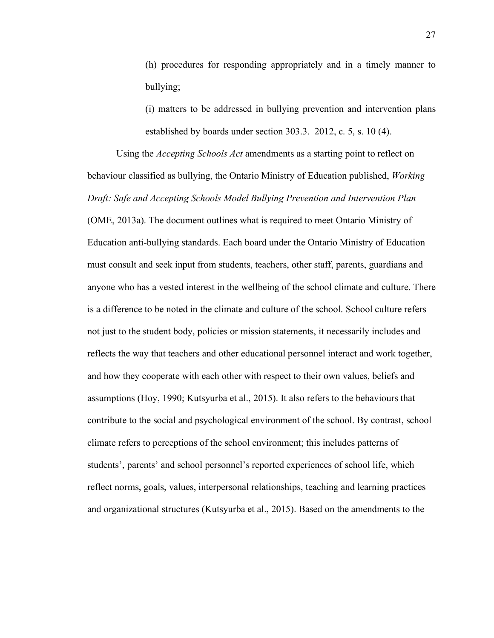(h) procedures for responding appropriately and in a timely manner to bullying;

(i) matters to be addressed in bullying prevention and intervention plans established by boards under section 303.3. 2012, c. 5, s. 10 (4).

Using the *Accepting Schools Act* amendments as a starting point to reflect on behaviour classified as bullying, the Ontario Ministry of Education published, *Working Draft: Safe and Accepting Schools Model Bullying Prevention and Intervention Plan* (OME, 2013a). The document outlines what is required to meet Ontario Ministry of Education anti-bullying standards. Each board under the Ontario Ministry of Education must consult and seek input from students, teachers, other staff, parents, guardians and anyone who has a vested interest in the wellbeing of the school climate and culture. There is a difference to be noted in the climate and culture of the school. School culture refers not just to the student body, policies or mission statements, it necessarily includes and reflects the way that teachers and other educational personnel interact and work together, and how they cooperate with each other with respect to their own values, beliefs and assumptions (Hoy, 1990; Kutsyurba et al., 2015). It also refers to the behaviours that contribute to the social and psychological environment of the school. By contrast, school climate refers to perceptions of the school environment; this includes patterns of students', parents' and school personnel's reported experiences of school life, which reflect norms, goals, values, interpersonal relationships, teaching and learning practices and organizational structures (Kutsyurba et al., 2015). Based on the amendments to the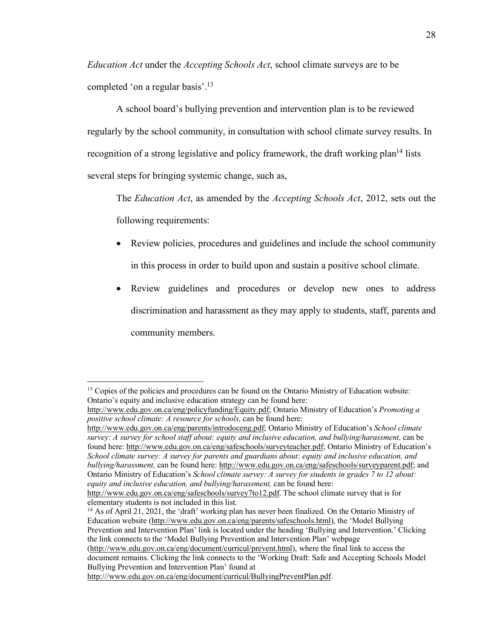*Education Act* under the *Accepting Schools Act*, school climate surveys are to be completed 'on a regular basis'.13

A school board's bullying prevention and intervention plan is to be reviewed regularly by the school community, in consultation with school climate survey results. In recognition of a strong legislative and policy framework, the draft working plan<sup>14</sup> lists several steps for bringing systemic change, such as,

The *Education Act*, as amended by the *Accepting Schools Act*, 2012, sets out the following requirements:

- Review policies, procedures and guidelines and include the school community in this process in order to build upon and sustain a positive school climate.
- Review guidelines and procedures or develop new ones to address discrimination and harassment as they may apply to students, staff, parents and community members.

http:///www.edu.gov.on.ca/eng/document/curricul/BullyingPreventPlan.pdf.

<sup>&</sup>lt;sup>13</sup> Copies of the policies and procedures can be found on the Ontario Ministry of Education website: Ontario's equity and inclusive education strategy can be found here:

http://www.edu.gov.on.ca/eng/policyfunding/Equity.pdf; Ontario Ministry of Education's *Promoting a positive school climate: A resource for schools,* can be found here:

http://www.edu.gov.on.ca/eng/parents/introdoceng.pdf; Ontario Ministry of Education's *School climate survey: A survey for school staff about: equity and inclusive education, and bullying/harassment,* can be found here: http://www.edu.gov.on.ca/eng/safeschools/surveyteacher.pdf; Ontario Ministry of Education's *School climate survey: A survey for parents and guardians about: equity and inclusive education, and bullying/harassment,* can be found here: http://www.edu.gov.on.ca/eng/safeschools/surveyparent.pdf; and Ontario Ministry of Education's *School climate survey: A survey for students in grades 7 to 12 about: equity and inclusive education, and bullying/harassment,* can be found here:

http://www.edu.gov.on.ca/eng/safeschools/survey7to12.pdf. The school climate survey that is for elementary students is not included in this list.

<sup>14</sup> As of April 21, 2021, the 'draft' working plan has never been finalized. On the Ontario Ministry of Education website (http://www.edu.gov.on.ca/eng/parents/safeschools.html), the 'Model Bullying Prevention and Intervention Plan' link is located under the heading 'Bullying and Intervention.' Clicking the link connects to the 'Model Bullying Prevention and Intervention Plan' webpage

<sup>(</sup>http://www.edu.gov.on.ca/eng/document/curricul/prevent.html), where the final link to access the document remains. Clicking the link connects to the 'Working Draft: Safe and Accepting Schools Model Bullying Prevention and Intervention Plan' found at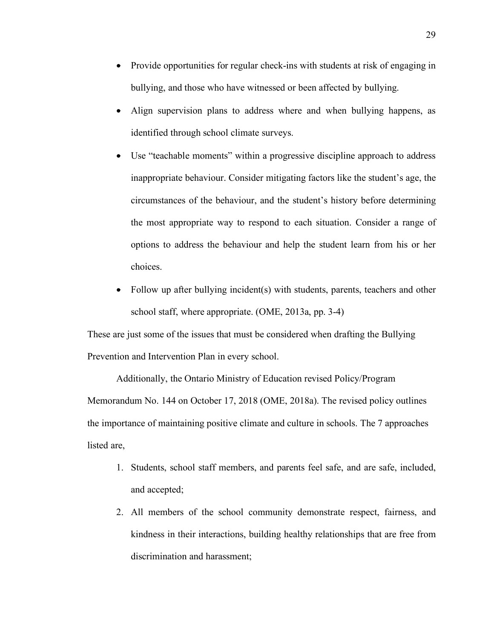- Provide opportunities for regular check-ins with students at risk of engaging in bullying, and those who have witnessed or been affected by bullying.
- Align supervision plans to address where and when bullying happens, as identified through school climate surveys.
- Use "teachable moments" within a progressive discipline approach to address inappropriate behaviour. Consider mitigating factors like the student's age, the circumstances of the behaviour, and the student's history before determining the most appropriate way to respond to each situation. Consider a range of options to address the behaviour and help the student learn from his or her choices.
- Follow up after bullying incident(s) with students, parents, teachers and other school staff, where appropriate. (OME, 2013a, pp. 3-4)

These are just some of the issues that must be considered when drafting the Bullying Prevention and Intervention Plan in every school.

Additionally, the Ontario Ministry of Education revised Policy/Program Memorandum No. 144 on October 17, 2018 (OME, 2018a). The revised policy outlines the importance of maintaining positive climate and culture in schools. The 7 approaches listed are,

- 1. Students, school staff members, and parents feel safe, and are safe, included, and accepted;
- 2. All members of the school community demonstrate respect, fairness, and kindness in their interactions, building healthy relationships that are free from discrimination and harassment;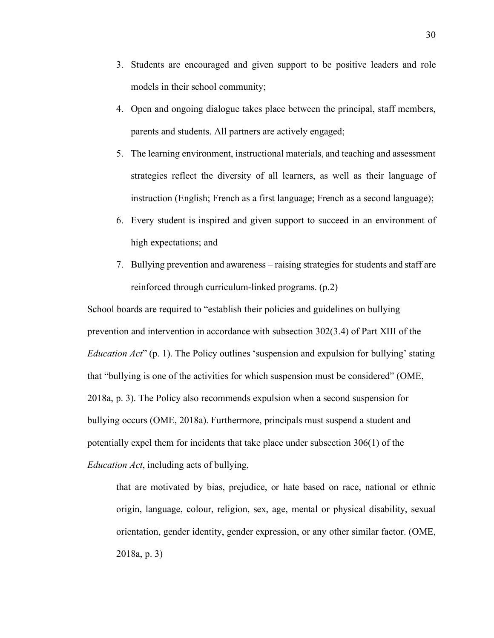- 3. Students are encouraged and given support to be positive leaders and role models in their school community;
- 4. Open and ongoing dialogue takes place between the principal, staff members, parents and students. All partners are actively engaged;
- 5. The learning environment, instructional materials, and teaching and assessment strategies reflect the diversity of all learners, as well as their language of instruction (English; French as a first language; French as a second language);
- 6. Every student is inspired and given support to succeed in an environment of high expectations; and
- 7. Bullying prevention and awareness raising strategies for students and staff are reinforced through curriculum-linked programs. (p.2)

School boards are required to "establish their policies and guidelines on bullying prevention and intervention in accordance with subsection 302(3.4) of Part XIII of the *Education Act*" (p. 1). The Policy outlines 'suspension and expulsion for bullying' stating that "bullying is one of the activities for which suspension must be considered" (OME, 2018a, p. 3). The Policy also recommends expulsion when a second suspension for bullying occurs (OME, 2018a). Furthermore, principals must suspend a student and potentially expel them for incidents that take place under subsection 306(1) of the *Education Act*, including acts of bullying,

that are motivated by bias, prejudice, or hate based on race, national or ethnic origin, language, colour, religion, sex, age, mental or physical disability, sexual orientation, gender identity, gender expression, or any other similar factor. (OME, 2018a, p. 3)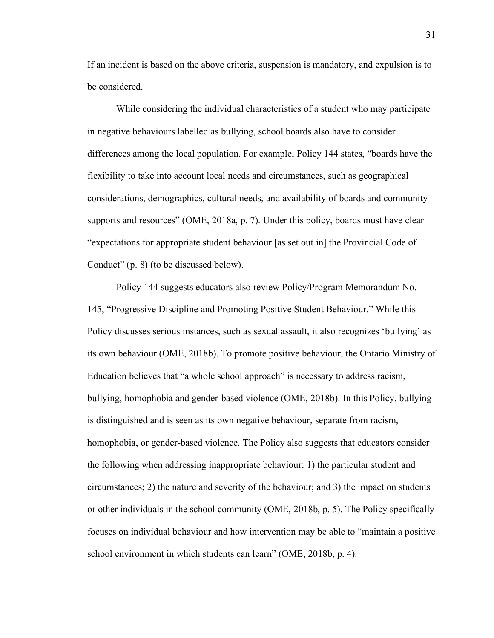If an incident is based on the above criteria, suspension is mandatory, and expulsion is to be considered.

While considering the individual characteristics of a student who may participate in negative behaviours labelled as bullying, school boards also have to consider differences among the local population. For example, Policy 144 states, "boards have the flexibility to take into account local needs and circumstances, such as geographical considerations, demographics, cultural needs, and availability of boards and community supports and resources" (OME, 2018a, p. 7). Under this policy, boards must have clear "expectations for appropriate student behaviour [as set out in] the Provincial Code of Conduct" (p. 8) (to be discussed below).

Policy 144 suggests educators also review Policy/Program Memorandum No. 145, "Progressive Discipline and Promoting Positive Student Behaviour." While this Policy discusses serious instances, such as sexual assault, it also recognizes 'bullying' as its own behaviour (OME, 2018b). To promote positive behaviour, the Ontario Ministry of Education believes that "a whole school approach" is necessary to address racism, bullying, homophobia and gender-based violence (OME, 2018b). In this Policy, bullying is distinguished and is seen as its own negative behaviour, separate from racism, homophobia, or gender-based violence. The Policy also suggests that educators consider the following when addressing inappropriate behaviour: 1) the particular student and circumstances; 2) the nature and severity of the behaviour; and 3) the impact on students or other individuals in the school community (OME, 2018b, p. 5). The Policy specifically focuses on individual behaviour and how intervention may be able to "maintain a positive school environment in which students can learn" (OME, 2018b, p. 4).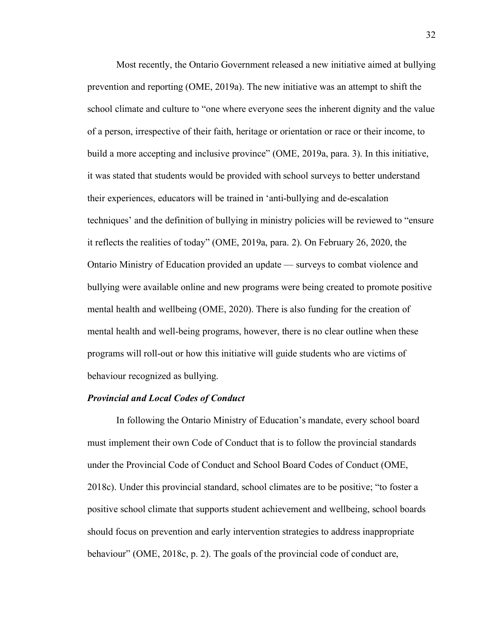Most recently, the Ontario Government released a new initiative aimed at bullying prevention and reporting (OME, 2019a). The new initiative was an attempt to shift the school climate and culture to "one where everyone sees the inherent dignity and the value of a person, irrespective of their faith, heritage or orientation or race or their income, to build a more accepting and inclusive province" (OME, 2019a, para. 3). In this initiative, it was stated that students would be provided with school surveys to better understand their experiences, educators will be trained in 'anti-bullying and de-escalation techniques' and the definition of bullying in ministry policies will be reviewed to "ensure it reflects the realities of today" (OME, 2019a, para. 2). On February 26, 2020, the Ontario Ministry of Education provided an update — surveys to combat violence and bullying were available online and new programs were being created to promote positive mental health and wellbeing (OME, 2020). There is also funding for the creation of mental health and well-being programs, however, there is no clear outline when these programs will roll-out or how this initiative will guide students who are victims of behaviour recognized as bullying.

### *Provincial and Local Codes of Conduct*

In following the Ontario Ministry of Education's mandate, every school board must implement their own Code of Conduct that is to follow the provincial standards under the Provincial Code of Conduct and School Board Codes of Conduct (OME, 2018c). Under this provincial standard, school climates are to be positive; "to foster a positive school climate that supports student achievement and wellbeing, school boards should focus on prevention and early intervention strategies to address inappropriate behaviour" (OME, 2018c, p. 2). The goals of the provincial code of conduct are,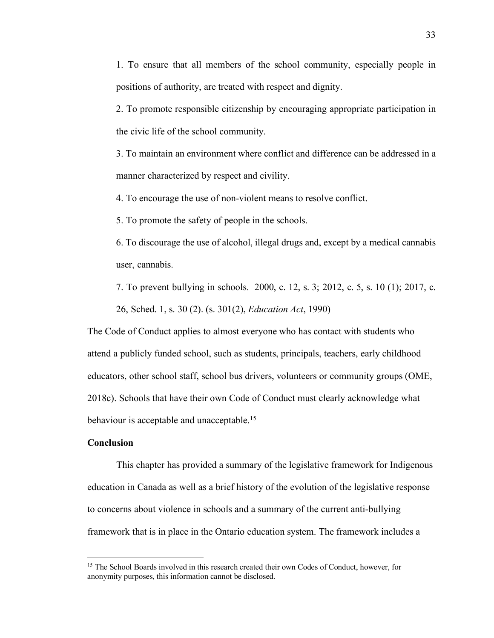1. To ensure that all members of the school community, especially people in positions of authority, are treated with respect and dignity.

2. To promote responsible citizenship by encouraging appropriate participation in the civic life of the school community.

3. To maintain an environment where conflict and difference can be addressed in a manner characterized by respect and civility.

4. To encourage the use of non-violent means to resolve conflict.

5. To promote the safety of people in the schools.

6. To discourage the use of alcohol, illegal drugs and, except by a medical cannabis user, cannabis.

7. To prevent bullying in schools. 2000, c. 12, s. 3; 2012, c. 5, s. 10 (1); 2017, c. 26, Sched. 1, s. 30 (2). (s. 301(2), *Education Act*, 1990)

The Code of Conduct applies to almost everyone who has contact with students who attend a publicly funded school, such as students, principals, teachers, early childhood educators, other school staff, school bus drivers, volunteers or community groups (OME, 2018c). Schools that have their own Code of Conduct must clearly acknowledge what behaviour is acceptable and unacceptable.<sup>15</sup>

## **Conclusion**

This chapter has provided a summary of the legislative framework for Indigenous education in Canada as well as a brief history of the evolution of the legislative response to concerns about violence in schools and a summary of the current anti-bullying framework that is in place in the Ontario education system. The framework includes a

<sup>&</sup>lt;sup>15</sup> The School Boards involved in this research created their own Codes of Conduct, however, for anonymity purposes, this information cannot be disclosed.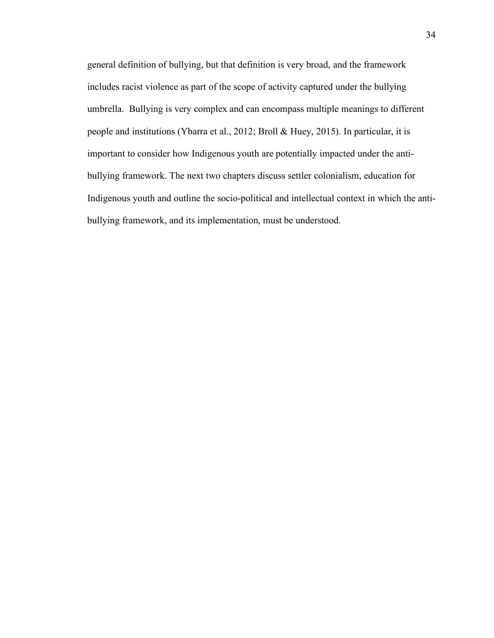general definition of bullying, but that definition is very broad, and the framework includes racist violence as part of the scope of activity captured under the bullying umbrella. Bullying is very complex and can encompass multiple meanings to different people and institutions (Ybarra et al., 2012; Broll & Huey, 2015). In particular, it is important to consider how Indigenous youth are potentially impacted under the antibullying framework. The next two chapters discuss settler colonialism, education for Indigenous youth and outline the socio-political and intellectual context in which the antibullying framework, and its implementation, must be understood.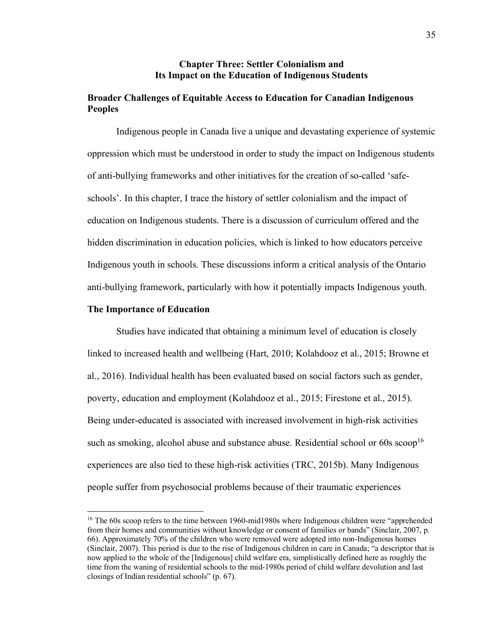## **Chapter Three: Settler Colonialism and Its Impact on the Education of Indigenous Students**

# **Broader Challenges of Equitable Access to Education for Canadian Indigenous Peoples**

Indigenous people in Canada live a unique and devastating experience of systemic oppression which must be understood in order to study the impact on Indigenous students of anti-bullying frameworks and other initiatives for the creation of so-called 'safeschools'. In this chapter, I trace the history of settler colonialism and the impact of education on Indigenous students. There is a discussion of curriculum offered and the hidden discrimination in education policies, which is linked to how educators perceive Indigenous youth in schools. These discussions inform a critical analysis of the Ontario anti-bullying framework, particularly with how it potentially impacts Indigenous youth.

#### **The Importance of Education**

Studies have indicated that obtaining a minimum level of education is closely linked to increased health and wellbeing (Hart, 2010; Kolahdooz et al., 2015; Browne et al., 2016). Individual health has been evaluated based on social factors such as gender, poverty, education and employment (Kolahdooz et al., 2015; Firestone et al., 2015). Being under-educated is associated with increased involvement in high-risk activities such as smoking, alcohol abuse and substance abuse. Residential school or  $60s$  scoop<sup>16</sup> experiences are also tied to these high-risk activities (TRC, 2015b). Many Indigenous people suffer from psychosocial problems because of their traumatic experiences

<sup>&</sup>lt;sup>16</sup> The 60s scoop refers to the time between 1960-mid1980s where Indigenous children were "apprehended" from their homes and communities without knowledge or consent of families or bands" (Sinclair, 2007, p. 66). Approximately 70% of the children who were removed were adopted into non-Indigenous homes (Sinclair, 2007). This period is due to the rise of Indigenous children in care in Canada; "a descriptor that is now applied to the whole of the [Indigenous] child welfare era, simplistically defined here as roughly the time from the waning of residential schools to the mid-1980s period of child welfare devolution and last closings of Indian residential schools" (p. 67).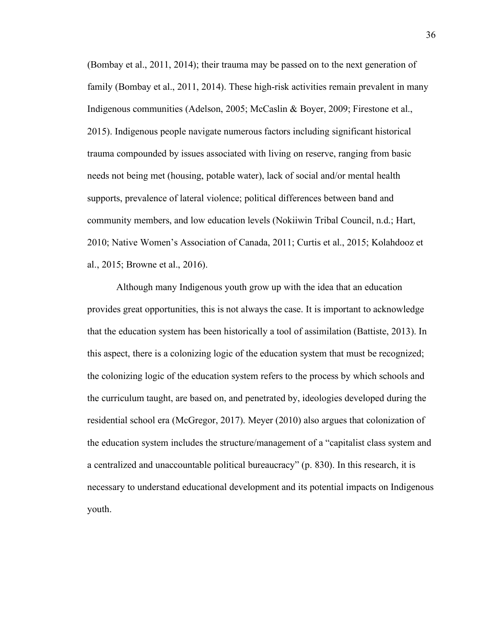(Bombay et al., 2011, 2014); their trauma may be passed on to the next generation of family (Bombay et al., 2011, 2014). These high-risk activities remain prevalent in many Indigenous communities (Adelson, 2005; McCaslin & Boyer, 2009; Firestone et al., 2015). Indigenous people navigate numerous factors including significant historical trauma compounded by issues associated with living on reserve, ranging from basic needs not being met (housing, potable water), lack of social and/or mental health supports, prevalence of lateral violence; political differences between band and community members, and low education levels (Nokiiwin Tribal Council, n.d.; Hart, 2010; Native Women's Association of Canada, 2011; Curtis et al., 2015; Kolahdooz et al., 2015; Browne et al., 2016).

Although many Indigenous youth grow up with the idea that an education provides great opportunities, this is not always the case. It is important to acknowledge that the education system has been historically a tool of assimilation (Battiste, 2013). In this aspect, there is a colonizing logic of the education system that must be recognized; the colonizing logic of the education system refers to the process by which schools and the curriculum taught, are based on, and penetrated by, ideologies developed during the residential school era (McGregor, 2017). Meyer (2010) also argues that colonization of the education system includes the structure/management of a "capitalist class system and a centralized and unaccountable political bureaucracy" (p. 830). In this research, it is necessary to understand educational development and its potential impacts on Indigenous youth.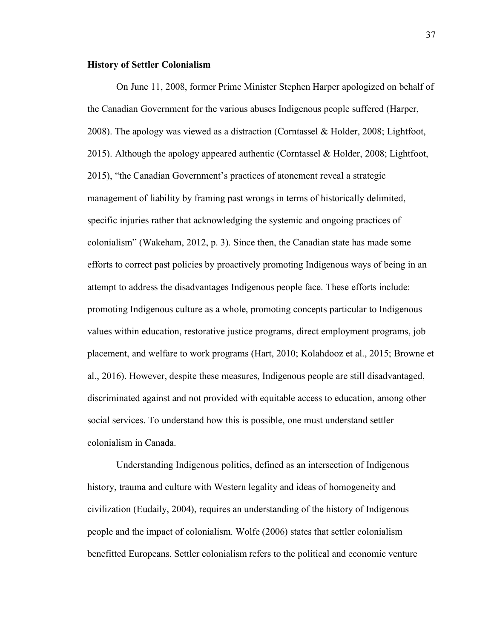### **History of Settler Colonialism**

On June 11, 2008, former Prime Minister Stephen Harper apologized on behalf of the Canadian Government for the various abuses Indigenous people suffered (Harper, 2008). The apology was viewed as a distraction (Corntassel & Holder, 2008; Lightfoot, 2015). Although the apology appeared authentic (Corntassel & Holder, 2008; Lightfoot, 2015), "the Canadian Government's practices of atonement reveal a strategic management of liability by framing past wrongs in terms of historically delimited, specific injuries rather that acknowledging the systemic and ongoing practices of colonialism" (Wakeham, 2012, p. 3). Since then, the Canadian state has made some efforts to correct past policies by proactively promoting Indigenous ways of being in an attempt to address the disadvantages Indigenous people face. These efforts include: promoting Indigenous culture as a whole, promoting concepts particular to Indigenous values within education, restorative justice programs, direct employment programs, job placement, and welfare to work programs (Hart, 2010; Kolahdooz et al., 2015; Browne et al., 2016). However, despite these measures, Indigenous people are still disadvantaged, discriminated against and not provided with equitable access to education, among other social services. To understand how this is possible, one must understand settler colonialism in Canada.

Understanding Indigenous politics, defined as an intersection of Indigenous history, trauma and culture with Western legality and ideas of homogeneity and civilization (Eudaily, 2004), requires an understanding of the history of Indigenous people and the impact of colonialism. Wolfe (2006) states that settler colonialism benefitted Europeans. Settler colonialism refers to the political and economic venture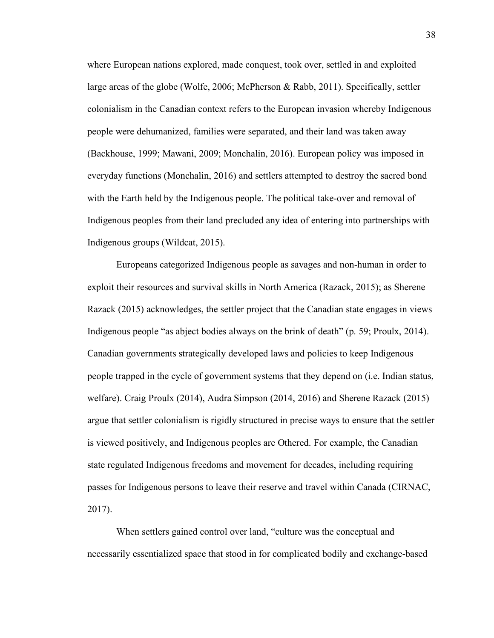where European nations explored, made conquest, took over, settled in and exploited large areas of the globe (Wolfe, 2006; McPherson & Rabb, 2011). Specifically, settler colonialism in the Canadian context refers to the European invasion whereby Indigenous people were dehumanized, families were separated, and their land was taken away (Backhouse, 1999; Mawani, 2009; Monchalin, 2016). European policy was imposed in everyday functions (Monchalin, 2016) and settlers attempted to destroy the sacred bond with the Earth held by the Indigenous people. The political take-over and removal of Indigenous peoples from their land precluded any idea of entering into partnerships with Indigenous groups (Wildcat, 2015).

Europeans categorized Indigenous people as savages and non-human in order to exploit their resources and survival skills in North America (Razack, 2015); as Sherene Razack (2015) acknowledges, the settler project that the Canadian state engages in views Indigenous people "as abject bodies always on the brink of death" (p. 59; Proulx, 2014). Canadian governments strategically developed laws and policies to keep Indigenous people trapped in the cycle of government systems that they depend on (i.e. Indian status, welfare). Craig Proulx (2014), Audra Simpson (2014, 2016) and Sherene Razack (2015) argue that settler colonialism is rigidly structured in precise ways to ensure that the settler is viewed positively, and Indigenous peoples are Othered. For example, the Canadian state regulated Indigenous freedoms and movement for decades, including requiring passes for Indigenous persons to leave their reserve and travel within Canada (CIRNAC, 2017).

When settlers gained control over land, "culture was the conceptual and necessarily essentialized space that stood in for complicated bodily and exchange-based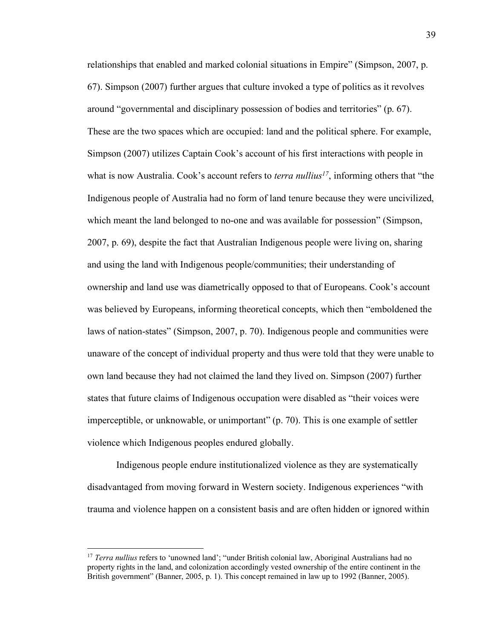relationships that enabled and marked colonial situations in Empire" (Simpson, 2007, p. 67). Simpson (2007) further argues that culture invoked a type of politics as it revolves around "governmental and disciplinary possession of bodies and territories" (p. 67). These are the two spaces which are occupied: land and the political sphere. For example, Simpson (2007) utilizes Captain Cook's account of his first interactions with people in what is now Australia. Cook's account refers to *terra nullius<sup>17</sup>*, informing others that "the Indigenous people of Australia had no form of land tenure because they were uncivilized, which meant the land belonged to no-one and was available for possession" (Simpson, 2007, p. 69), despite the fact that Australian Indigenous people were living on, sharing and using the land with Indigenous people/communities; their understanding of ownership and land use was diametrically opposed to that of Europeans. Cook's account was believed by Europeans, informing theoretical concepts, which then "emboldened the laws of nation-states" (Simpson, 2007, p. 70). Indigenous people and communities were unaware of the concept of individual property and thus were told that they were unable to own land because they had not claimed the land they lived on. Simpson (2007) further states that future claims of Indigenous occupation were disabled as "their voices were imperceptible, or unknowable, or unimportant" (p. 70). This is one example of settler violence which Indigenous peoples endured globally.

Indigenous people endure institutionalized violence as they are systematically disadvantaged from moving forward in Western society. Indigenous experiences "with trauma and violence happen on a consistent basis and are often hidden or ignored within

<sup>&</sup>lt;sup>17</sup> *Terra nullius* refers to 'unowned land'; "under British colonial law, Aboriginal Australians had no property rights in the land, and colonization accordingly vested ownership of the entire continent in the British government" (Banner, 2005, p. 1). This concept remained in law up to 1992 (Banner, 2005).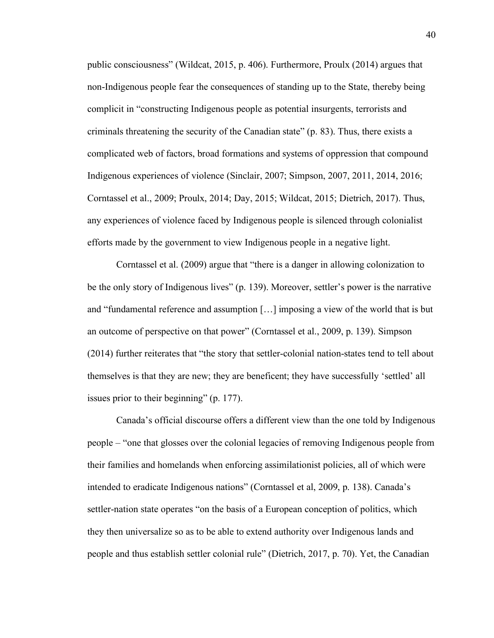public consciousness" (Wildcat, 2015, p. 406). Furthermore, Proulx (2014) argues that non-Indigenous people fear the consequences of standing up to the State, thereby being complicit in "constructing Indigenous people as potential insurgents, terrorists and criminals threatening the security of the Canadian state" (p. 83). Thus, there exists a complicated web of factors, broad formations and systems of oppression that compound Indigenous experiences of violence (Sinclair, 2007; Simpson, 2007, 2011, 2014, 2016; Corntassel et al., 2009; Proulx, 2014; Day, 2015; Wildcat, 2015; Dietrich, 2017). Thus, any experiences of violence faced by Indigenous people is silenced through colonialist efforts made by the government to view Indigenous people in a negative light.

Corntassel et al. (2009) argue that "there is a danger in allowing colonization to be the only story of Indigenous lives" (p. 139). Moreover, settler's power is the narrative and "fundamental reference and assumption […] imposing a view of the world that is but an outcome of perspective on that power" (Corntassel et al., 2009, p. 139). Simpson (2014) further reiterates that "the story that settler-colonial nation-states tend to tell about themselves is that they are new; they are beneficent; they have successfully 'settled' all issues prior to their beginning" (p. 177).

Canada's official discourse offers a different view than the one told by Indigenous people – "one that glosses over the colonial legacies of removing Indigenous people from their families and homelands when enforcing assimilationist policies, all of which were intended to eradicate Indigenous nations" (Corntassel et al, 2009, p. 138). Canada's settler-nation state operates "on the basis of a European conception of politics, which they then universalize so as to be able to extend authority over Indigenous lands and people and thus establish settler colonial rule" (Dietrich, 2017, p. 70). Yet, the Canadian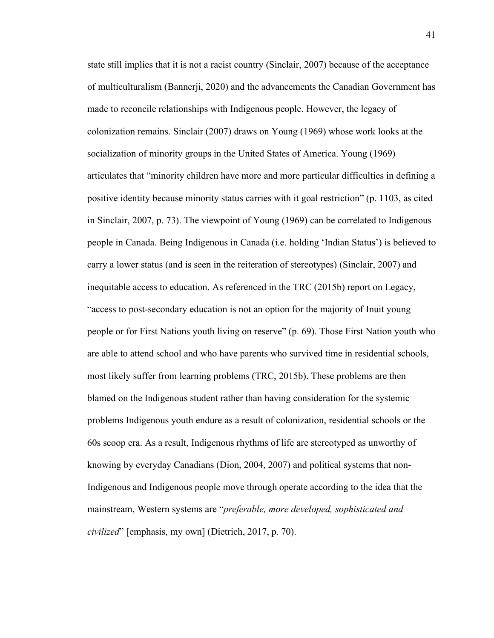state still implies that it is not a racist country (Sinclair, 2007) because of the acceptance of multiculturalism (Bannerji, 2020) and the advancements the Canadian Government has made to reconcile relationships with Indigenous people. However, the legacy of colonization remains. Sinclair (2007) draws on Young (1969) whose work looks at the socialization of minority groups in the United States of America. Young (1969) articulates that "minority children have more and more particular difficulties in defining a positive identity because minority status carries with it goal restriction" (p. 1103, as cited in Sinclair, 2007, p. 73). The viewpoint of Young (1969) can be correlated to Indigenous people in Canada. Being Indigenous in Canada (i.e. holding 'Indian Status') is believed to carry a lower status (and is seen in the reiteration of stereotypes) (Sinclair, 2007) and inequitable access to education. As referenced in the TRC (2015b) report on Legacy, "access to post-secondary education is not an option for the majority of Inuit young people or for First Nations youth living on reserve" (p. 69). Those First Nation youth who are able to attend school and who have parents who survived time in residential schools, most likely suffer from learning problems (TRC, 2015b). These problems are then blamed on the Indigenous student rather than having consideration for the systemic problems Indigenous youth endure as a result of colonization, residential schools or the 60s scoop era. As a result, Indigenous rhythms of life are stereotyped as unworthy of knowing by everyday Canadians (Dion, 2004, 2007) and political systems that non-Indigenous and Indigenous people move through operate according to the idea that the mainstream, Western systems are "*preferable, more developed, sophisticated and civilized*" [emphasis, my own] (Dietrich, 2017, p. 70).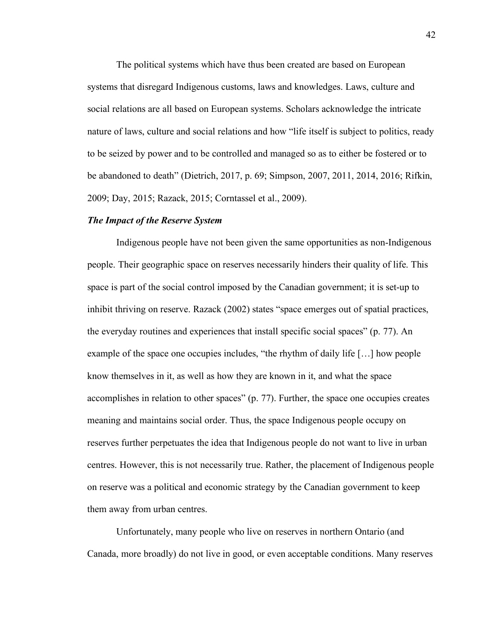The political systems which have thus been created are based on European systems that disregard Indigenous customs, laws and knowledges. Laws, culture and social relations are all based on European systems. Scholars acknowledge the intricate nature of laws, culture and social relations and how "life itself is subject to politics, ready to be seized by power and to be controlled and managed so as to either be fostered or to be abandoned to death" (Dietrich, 2017, p. 69; Simpson, 2007, 2011, 2014, 2016; Rifkin, 2009; Day, 2015; Razack, 2015; Corntassel et al., 2009).

#### *The Impact of the Reserve System*

Indigenous people have not been given the same opportunities as non-Indigenous people. Their geographic space on reserves necessarily hinders their quality of life. This space is part of the social control imposed by the Canadian government; it is set-up to inhibit thriving on reserve. Razack (2002) states "space emerges out of spatial practices, the everyday routines and experiences that install specific social spaces" (p. 77). An example of the space one occupies includes, "the rhythm of daily life […] how people know themselves in it, as well as how they are known in it, and what the space accomplishes in relation to other spaces" (p. 77). Further, the space one occupies creates meaning and maintains social order. Thus, the space Indigenous people occupy on reserves further perpetuates the idea that Indigenous people do not want to live in urban centres. However, this is not necessarily true. Rather, the placement of Indigenous people on reserve was a political and economic strategy by the Canadian government to keep them away from urban centres.

Unfortunately, many people who live on reserves in northern Ontario (and Canada, more broadly) do not live in good, or even acceptable conditions. Many reserves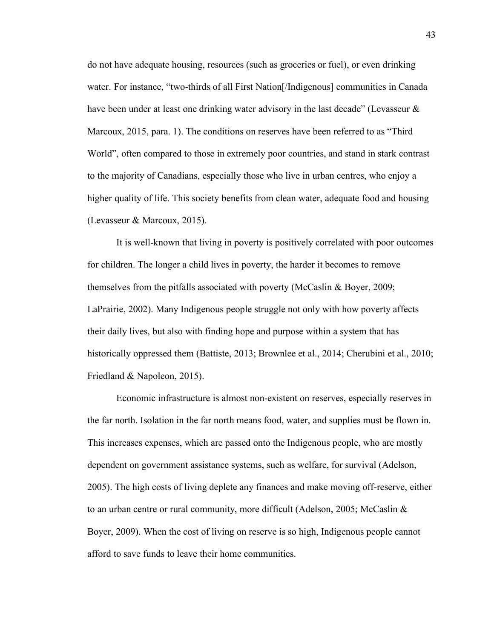do not have adequate housing, resources (such as groceries or fuel), or even drinking water. For instance, "two-thirds of all First Nation [*Indigenous*] communities in Canada have been under at least one drinking water advisory in the last decade" (Levasseur & Marcoux, 2015, para. 1). The conditions on reserves have been referred to as "Third World", often compared to those in extremely poor countries, and stand in stark contrast to the majority of Canadians, especially those who live in urban centres, who enjoy a higher quality of life. This society benefits from clean water, adequate food and housing (Levasseur & Marcoux, 2015).

It is well-known that living in poverty is positively correlated with poor outcomes for children. The longer a child lives in poverty, the harder it becomes to remove themselves from the pitfalls associated with poverty (McCaslin & Boyer, 2009; LaPrairie, 2002). Many Indigenous people struggle not only with how poverty affects their daily lives, but also with finding hope and purpose within a system that has historically oppressed them (Battiste, 2013; Brownlee et al., 2014; Cherubini et al., 2010; Friedland & Napoleon, 2015).

Economic infrastructure is almost non-existent on reserves, especially reserves in the far north. Isolation in the far north means food, water, and supplies must be flown in. This increases expenses, which are passed onto the Indigenous people, who are mostly dependent on government assistance systems, such as welfare, for survival (Adelson, 2005). The high costs of living deplete any finances and make moving off-reserve, either to an urban centre or rural community, more difficult (Adelson, 2005; McCaslin & Boyer, 2009). When the cost of living on reserve is so high, Indigenous people cannot afford to save funds to leave their home communities.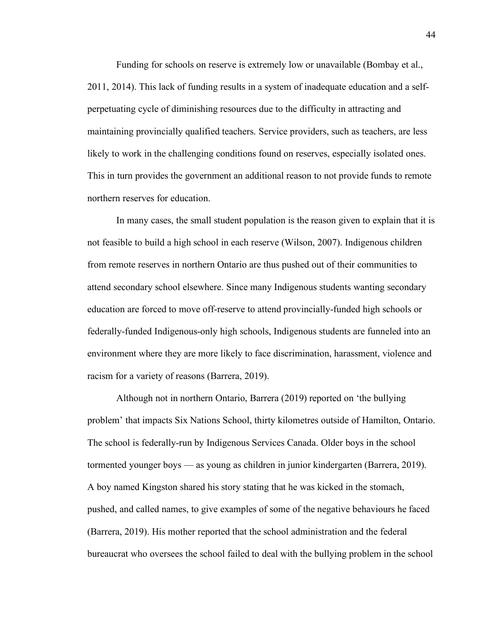Funding for schools on reserve is extremely low or unavailable (Bombay et al., 2011, 2014). This lack of funding results in a system of inadequate education and a selfperpetuating cycle of diminishing resources due to the difficulty in attracting and maintaining provincially qualified teachers. Service providers, such as teachers, are less likely to work in the challenging conditions found on reserves, especially isolated ones. This in turn provides the government an additional reason to not provide funds to remote northern reserves for education.

In many cases, the small student population is the reason given to explain that it is not feasible to build a high school in each reserve (Wilson, 2007). Indigenous children from remote reserves in northern Ontario are thus pushed out of their communities to attend secondary school elsewhere. Since many Indigenous students wanting secondary education are forced to move off-reserve to attend provincially-funded high schools or federally-funded Indigenous-only high schools, Indigenous students are funneled into an environment where they are more likely to face discrimination, harassment, violence and racism for a variety of reasons (Barrera, 2019).

Although not in northern Ontario, Barrera (2019) reported on 'the bullying problem' that impacts Six Nations School, thirty kilometres outside of Hamilton, Ontario. The school is federally-run by Indigenous Services Canada. Older boys in the school tormented younger boys — as young as children in junior kindergarten (Barrera, 2019). A boy named Kingston shared his story stating that he was kicked in the stomach, pushed, and called names, to give examples of some of the negative behaviours he faced (Barrera, 2019). His mother reported that the school administration and the federal bureaucrat who oversees the school failed to deal with the bullying problem in the school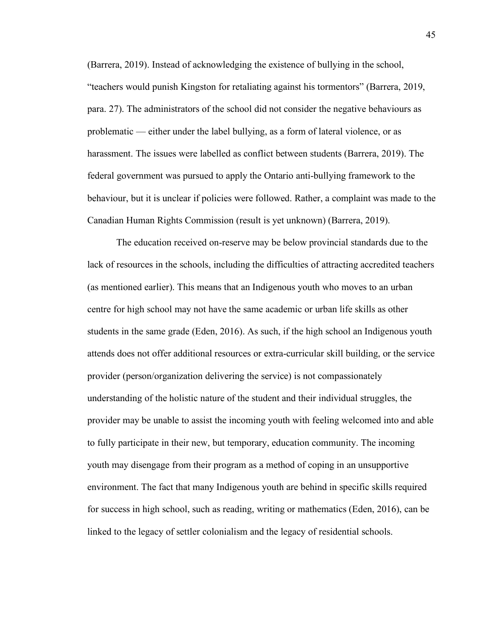(Barrera, 2019). Instead of acknowledging the existence of bullying in the school, "teachers would punish Kingston for retaliating against his tormentors" (Barrera, 2019, para. 27). The administrators of the school did not consider the negative behaviours as problematic — either under the label bullying, as a form of lateral violence, or as harassment. The issues were labelled as conflict between students (Barrera, 2019). The federal government was pursued to apply the Ontario anti-bullying framework to the behaviour, but it is unclear if policies were followed. Rather, a complaint was made to the Canadian Human Rights Commission (result is yet unknown) (Barrera, 2019).

The education received on-reserve may be below provincial standards due to the lack of resources in the schools, including the difficulties of attracting accredited teachers (as mentioned earlier). This means that an Indigenous youth who moves to an urban centre for high school may not have the same academic or urban life skills as other students in the same grade (Eden, 2016). As such, if the high school an Indigenous youth attends does not offer additional resources or extra-curricular skill building, or the service provider (person/organization delivering the service) is not compassionately understanding of the holistic nature of the student and their individual struggles, the provider may be unable to assist the incoming youth with feeling welcomed into and able to fully participate in their new, but temporary, education community. The incoming youth may disengage from their program as a method of coping in an unsupportive environment. The fact that many Indigenous youth are behind in specific skills required for success in high school, such as reading, writing or mathematics (Eden, 2016), can be linked to the legacy of settler colonialism and the legacy of residential schools.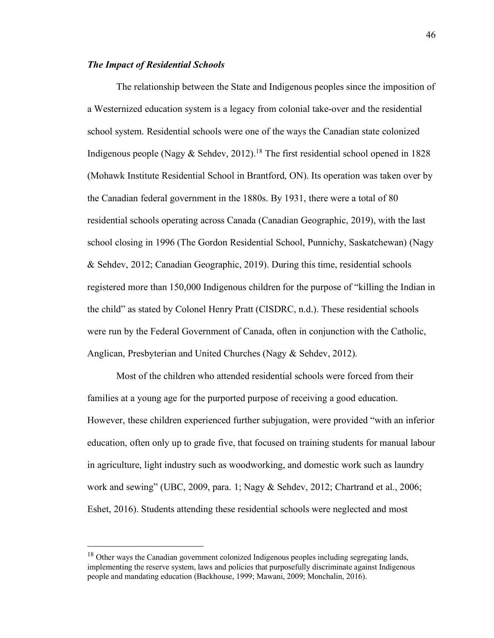## *The Impact of Residential Schools*

The relationship between the State and Indigenous peoples since the imposition of a Westernized education system is a legacy from colonial take-over and the residential school system. Residential schools were one of the ways the Canadian state colonized Indigenous people (Nagy & Sehdev, 2012).<sup>18</sup> The first residential school opened in 1828 (Mohawk Institute Residential School in Brantford, ON). Its operation was taken over by the Canadian federal government in the 1880s. By 1931, there were a total of 80 residential schools operating across Canada (Canadian Geographic, 2019), with the last school closing in 1996 (The Gordon Residential School, Punnichy, Saskatchewan) (Nagy & Sehdev, 2012; Canadian Geographic, 2019). During this time, residential schools registered more than 150,000 Indigenous children for the purpose of "killing the Indian in the child" as stated by Colonel Henry Pratt (CISDRC, n.d.). These residential schools were run by the Federal Government of Canada, often in conjunction with the Catholic, Anglican, Presbyterian and United Churches (Nagy & Sehdev, 2012).

Most of the children who attended residential schools were forced from their families at a young age for the purported purpose of receiving a good education. However, these children experienced further subjugation, were provided "with an inferior education, often only up to grade five, that focused on training students for manual labour in agriculture, light industry such as woodworking, and domestic work such as laundry work and sewing" (UBC, 2009, para. 1; Nagy & Sehdev, 2012; Chartrand et al., 2006; Eshet, 2016). Students attending these residential schools were neglected and most

<sup>&</sup>lt;sup>18</sup> Other ways the Canadian government colonized Indigenous peoples including segregating lands, implementing the reserve system, laws and policies that purposefully discriminate against Indigenous people and mandating education (Backhouse, 1999; Mawani, 2009; Monchalin, 2016).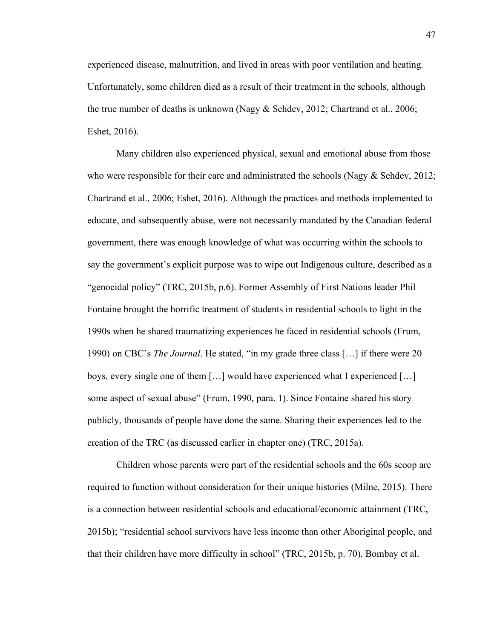experienced disease, malnutrition, and lived in areas with poor ventilation and heating. Unfortunately, some children died as a result of their treatment in the schools, although the true number of deaths is unknown (Nagy & Sehdev, 2012; Chartrand et al., 2006; Eshet, 2016).

Many children also experienced physical, sexual and emotional abuse from those who were responsible for their care and administrated the schools (Nagy & Sehdev, 2012; Chartrand et al., 2006; Eshet, 2016). Although the practices and methods implemented to educate, and subsequently abuse, were not necessarily mandated by the Canadian federal government, there was enough knowledge of what was occurring within the schools to say the government's explicit purpose was to wipe out Indigenous culture, described as a "genocidal policy" (TRC, 2015b, p.6). Former Assembly of First Nations leader Phil Fontaine brought the horrific treatment of students in residential schools to light in the 1990s when he shared traumatizing experiences he faced in residential schools (Frum, 1990) on CBC's *The Journal*. He stated, "in my grade three class […] if there were 20 boys, every single one of them […] would have experienced what I experienced […] some aspect of sexual abuse" (Frum, 1990, para. 1). Since Fontaine shared his story publicly, thousands of people have done the same. Sharing their experiences led to the creation of the TRC (as discussed earlier in chapter one) (TRC, 2015a).

Children whose parents were part of the residential schools and the 60s scoop are required to function without consideration for their unique histories (Milne, 2015). There is a connection between residential schools and educational/economic attainment (TRC, 2015b); "residential school survivors have less income than other Aboriginal people, and that their children have more difficulty in school" (TRC, 2015b, p. 70). Bombay et al.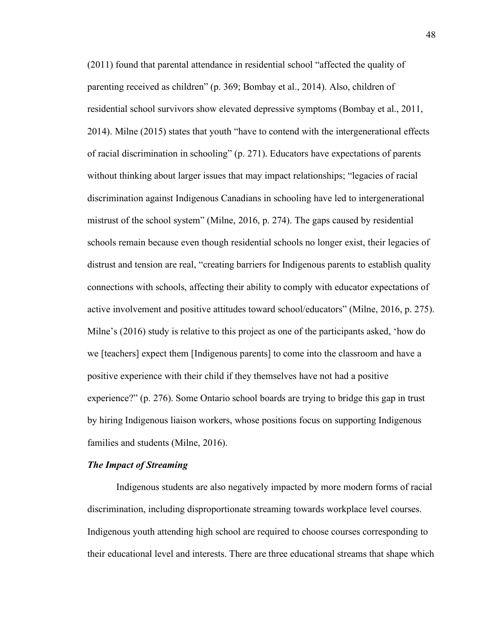(2011) found that parental attendance in residential school "affected the quality of parenting received as children" (p. 369; Bombay et al., 2014). Also, children of residential school survivors show elevated depressive symptoms (Bombay et al., 2011, 2014). Milne (2015) states that youth "have to contend with the intergenerational effects of racial discrimination in schooling" (p. 271). Educators have expectations of parents without thinking about larger issues that may impact relationships; "legacies of racial discrimination against Indigenous Canadians in schooling have led to intergenerational mistrust of the school system" (Milne, 2016, p. 274). The gaps caused by residential schools remain because even though residential schools no longer exist, their legacies of distrust and tension are real, "creating barriers for Indigenous parents to establish quality connections with schools, affecting their ability to comply with educator expectations of active involvement and positive attitudes toward school/educators" (Milne, 2016, p. 275). Milne's (2016) study is relative to this project as one of the participants asked, 'how do we [teachers] expect them [Indigenous parents] to come into the classroom and have a positive experience with their child if they themselves have not had a positive experience?" (p. 276). Some Ontario school boards are trying to bridge this gap in trust by hiring Indigenous liaison workers, whose positions focus on supporting Indigenous families and students (Milne, 2016).

# *The Impact of Streaming*

Indigenous students are also negatively impacted by more modern forms of racial discrimination, including disproportionate streaming towards workplace level courses. Indigenous youth attending high school are required to choose courses corresponding to their educational level and interests. There are three educational streams that shape which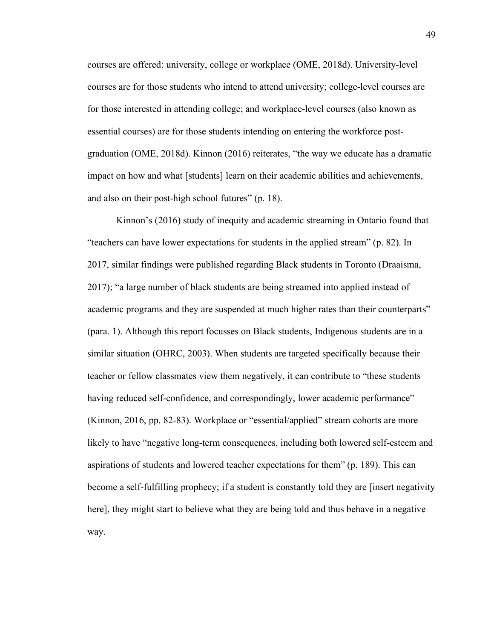courses are offered: university, college or workplace (OME, 2018d). University-level courses are for those students who intend to attend university; college-level courses are for those interested in attending college; and workplace-level courses (also known as essential courses) are for those students intending on entering the workforce postgraduation (OME, 2018d). Kinnon (2016) reiterates, "the way we educate has a dramatic impact on how and what [students] learn on their academic abilities and achievements, and also on their post-high school futures" (p. 18).

Kinnon's (2016) study of inequity and academic streaming in Ontario found that "teachers can have lower expectations for students in the applied stream" (p. 82). In 2017, similar findings were published regarding Black students in Toronto (Draaisma, 2017); "a large number of black students are being streamed into applied instead of academic programs and they are suspended at much higher rates than their counterparts" (para. 1). Although this report focusses on Black students, Indigenous students are in a similar situation (OHRC, 2003). When students are targeted specifically because their teacher or fellow classmates view them negatively, it can contribute to "these students having reduced self-confidence, and correspondingly, lower academic performance" (Kinnon, 2016, pp. 82-83). Workplace or "essential/applied" stream cohorts are more likely to have "negative long-term consequences, including both lowered self-esteem and aspirations of students and lowered teacher expectations for them" (p. 189). This can become a self-fulfilling prophecy; if a student is constantly told they are [insert negativity here], they might start to believe what they are being told and thus behave in a negative way.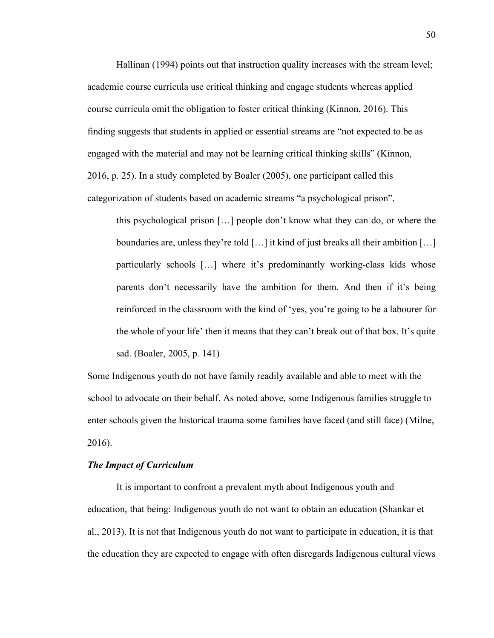Hallinan (1994) points out that instruction quality increases with the stream level; academic course curricula use critical thinking and engage students whereas applied course curricula omit the obligation to foster critical thinking (Kinnon, 2016). This finding suggests that students in applied or essential streams are "not expected to be as engaged with the material and may not be learning critical thinking skills" (Kinnon, 2016, p. 25). In a study completed by Boaler (2005), one participant called this categorization of students based on academic streams "a psychological prison",

this psychological prison […] people don't know what they can do, or where the boundaries are, unless they're told [...] it kind of just breaks all their ambition [...] particularly schools […] where it's predominantly working-class kids whose parents don't necessarily have the ambition for them. And then if it's being reinforced in the classroom with the kind of 'yes, you're going to be a labourer for the whole of your life' then it means that they can't break out of that box. It's quite sad. (Boaler, 2005, p. 141)

Some Indigenous youth do not have family readily available and able to meet with the school to advocate on their behalf. As noted above, some Indigenous families struggle to enter schools given the historical trauma some families have faced (and still face) (Milne, 2016).

# *The Impact of Curriculum*

It is important to confront a prevalent myth about Indigenous youth and education, that being: Indigenous youth do not want to obtain an education (Shankar et al., 2013). It is not that Indigenous youth do not want to participate in education, it is that the education they are expected to engage with often disregards Indigenous cultural views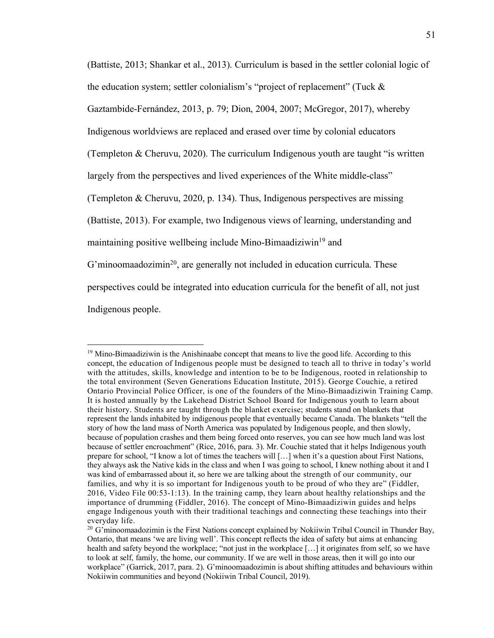(Battiste, 2013; Shankar et al., 2013). Curriculum is based in the settler colonial logic of the education system; settler colonialism's "project of replacement" (Tuck & Gaztambide-Fernández, 2013, p. 79; Dion, 2004, 2007; McGregor, 2017), whereby Indigenous worldviews are replaced and erased over time by colonial educators (Templeton & Cheruvu, 2020). The curriculum Indigenous youth are taught "is written largely from the perspectives and lived experiences of the White middle-class" (Templeton & Cheruvu, 2020, p. 134). Thus, Indigenous perspectives are missing (Battiste, 2013). For example, two Indigenous views of learning, understanding and maintaining positive wellbeing include Mino-Bimaadiziwin<sup>19</sup> and  $G'$ minoomaadozimin<sup>20</sup>, are generally not included in education curricula. These perspectives could be integrated into education curricula for the benefit of all, not just Indigenous people.

 $19$  Mino-Bimaadiziwin is the Anishinaabe concept that means to live the good life. According to this concept, the education of Indigenous people must be designed to teach all to thrive in today's world with the attitudes, skills, knowledge and intention to be to be Indigenous, rooted in relationship to the total environment (Seven Generations Education Institute, 2015). George Couchie, a retired Ontario Provincial Police Officer, is one of the founders of the Mino-Bimaadiziwin Training Camp. It is hosted annually by the Lakehead District School Board for Indigenous youth to learn about their history. Students are taught through the blanket exercise; students stand on blankets that represent the lands inhabited by indigenous people that eventually became Canada. The blankets "tell the story of how the land mass of North America was populated by Indigenous people, and then slowly, because of population crashes and them being forced onto reserves, you can see how much land was lost because of settler encroachment" (Rice, 2016, para. 3). Mr. Couchie stated that it helps Indigenous youth prepare for school, "I know a lot of times the teachers will […] when it's a question about First Nations, they always ask the Native kids in the class and when I was going to school, I knew nothing about it and I was kind of embarrassed about it, so here we are talking about the strength of our community, our families, and why it is so important for Indigenous youth to be proud of who they are" (Fiddler, 2016, Video File 00:53-1:13). In the training camp, they learn about healthy relationships and the importance of drumming (Fiddler, 2016). The concept of Mino-Bimaadiziwin guides and helps engage Indigenous youth with their traditional teachings and connecting these teachings into their everyday life.

 $20$  G'minoomaadozimin is the First Nations concept explained by Nokiiwin Tribal Council in Thunder Bay, Ontario, that means 'we are living well'. This concept reflects the idea of safety but aims at enhancing health and safety beyond the workplace; "not just in the workplace [...] it originates from self, so we have to look at self, family, the home, our community. If we are well in those areas, then it will go into our workplace" (Garrick, 2017, para. 2). G'minoomaadozimin is about shifting attitudes and behaviours within Nokiiwin communities and beyond (Nokiiwin Tribal Council, 2019).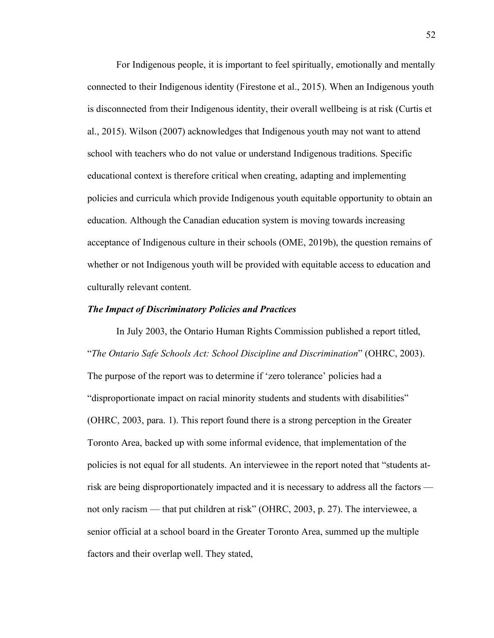For Indigenous people, it is important to feel spiritually, emotionally and mentally connected to their Indigenous identity (Firestone et al., 2015). When an Indigenous youth is disconnected from their Indigenous identity, their overall wellbeing is at risk (Curtis et al., 2015). Wilson (2007) acknowledges that Indigenous youth may not want to attend school with teachers who do not value or understand Indigenous traditions. Specific educational context is therefore critical when creating, adapting and implementing policies and curricula which provide Indigenous youth equitable opportunity to obtain an education. Although the Canadian education system is moving towards increasing acceptance of Indigenous culture in their schools (OME, 2019b), the question remains of whether or not Indigenous youth will be provided with equitable access to education and culturally relevant content.

#### *The Impact of Discriminatory Policies and Practices*

In July 2003, the Ontario Human Rights Commission published a report titled, "*The Ontario Safe Schools Act: School Discipline and Discrimination*" (OHRC, 2003). The purpose of the report was to determine if 'zero tolerance' policies had a "disproportionate impact on racial minority students and students with disabilities" (OHRC, 2003, para. 1). This report found there is a strong perception in the Greater Toronto Area, backed up with some informal evidence, that implementation of the policies is not equal for all students. An interviewee in the report noted that "students atrisk are being disproportionately impacted and it is necessary to address all the factors not only racism — that put children at risk" (OHRC, 2003, p. 27). The interviewee, a senior official at a school board in the Greater Toronto Area, summed up the multiple factors and their overlap well. They stated,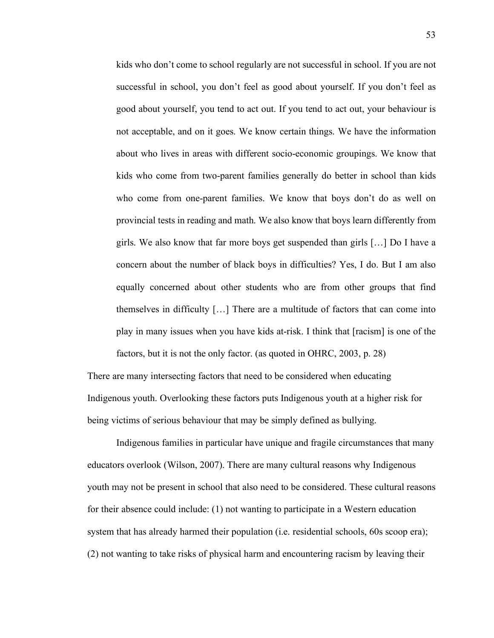kids who don't come to school regularly are not successful in school. If you are not successful in school, you don't feel as good about yourself. If you don't feel as good about yourself, you tend to act out. If you tend to act out, your behaviour is not acceptable, and on it goes. We know certain things. We have the information about who lives in areas with different socio-economic groupings. We know that kids who come from two-parent families generally do better in school than kids who come from one-parent families. We know that boys don't do as well on provincial tests in reading and math. We also know that boys learn differently from girls. We also know that far more boys get suspended than girls […] Do I have a concern about the number of black boys in difficulties? Yes, I do. But I am also equally concerned about other students who are from other groups that find themselves in difficulty […] There are a multitude of factors that can come into play in many issues when you have kids at-risk. I think that [racism] is one of the factors, but it is not the only factor. (as quoted in OHRC, 2003, p. 28)

There are many intersecting factors that need to be considered when educating Indigenous youth. Overlooking these factors puts Indigenous youth at a higher risk for being victims of serious behaviour that may be simply defined as bullying.

Indigenous families in particular have unique and fragile circumstances that many educators overlook (Wilson, 2007). There are many cultural reasons why Indigenous youth may not be present in school that also need to be considered. These cultural reasons for their absence could include: (1) not wanting to participate in a Western education system that has already harmed their population (i.e. residential schools, 60s scoop era); (2) not wanting to take risks of physical harm and encountering racism by leaving their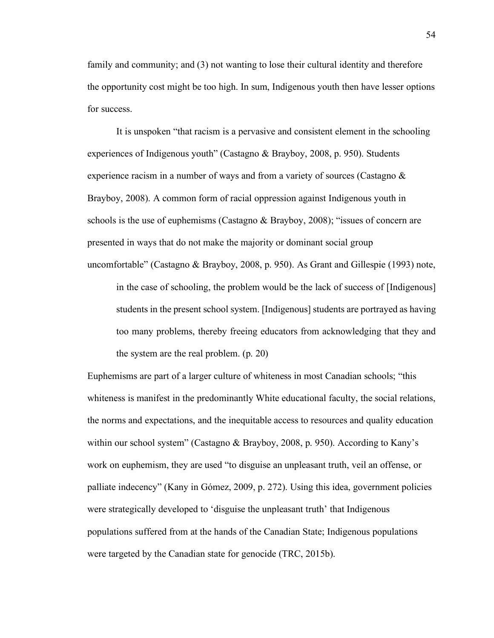family and community; and (3) not wanting to lose their cultural identity and therefore the opportunity cost might be too high. In sum, Indigenous youth then have lesser options for success.

It is unspoken "that racism is a pervasive and consistent element in the schooling experiences of Indigenous youth" (Castagno & Brayboy, 2008, p. 950). Students experience racism in a number of ways and from a variety of sources (Castagno & Brayboy, 2008). A common form of racial oppression against Indigenous youth in schools is the use of euphemisms (Castagno & Brayboy, 2008); "issues of concern are presented in ways that do not make the majority or dominant social group uncomfortable" (Castagno & Brayboy, 2008, p. 950). As Grant and Gillespie (1993) note,

in the case of schooling, the problem would be the lack of success of [Indigenous] students in the present school system. [Indigenous] students are portrayed as having too many problems, thereby freeing educators from acknowledging that they and the system are the real problem. (p. 20)

Euphemisms are part of a larger culture of whiteness in most Canadian schools; "this whiteness is manifest in the predominantly White educational faculty, the social relations, the norms and expectations, and the inequitable access to resources and quality education within our school system" (Castagno & Brayboy, 2008, p. 950). According to Kany's work on euphemism, they are used "to disguise an unpleasant truth, veil an offense, or palliate indecency" (Kany in Gómez, 2009, p. 272). Using this idea, government policies were strategically developed to 'disguise the unpleasant truth' that Indigenous populations suffered from at the hands of the Canadian State; Indigenous populations were targeted by the Canadian state for genocide (TRC, 2015b).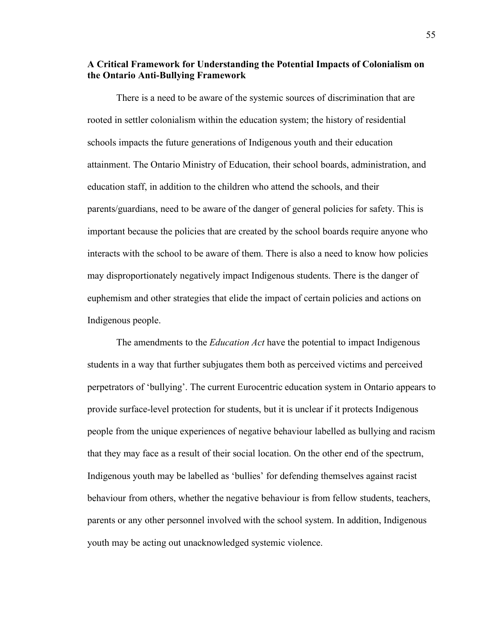# **A Critical Framework for Understanding the Potential Impacts of Colonialism on the Ontario Anti-Bullying Framework**

There is a need to be aware of the systemic sources of discrimination that are rooted in settler colonialism within the education system; the history of residential schools impacts the future generations of Indigenous youth and their education attainment. The Ontario Ministry of Education, their school boards, administration, and education staff, in addition to the children who attend the schools, and their parents/guardians, need to be aware of the danger of general policies for safety. This is important because the policies that are created by the school boards require anyone who interacts with the school to be aware of them. There is also a need to know how policies may disproportionately negatively impact Indigenous students. There is the danger of euphemism and other strategies that elide the impact of certain policies and actions on Indigenous people.

The amendments to the *Education Act* have the potential to impact Indigenous students in a way that further subjugates them both as perceived victims and perceived perpetrators of 'bullying'. The current Eurocentric education system in Ontario appears to provide surface-level protection for students, but it is unclear if it protects Indigenous people from the unique experiences of negative behaviour labelled as bullying and racism that they may face as a result of their social location. On the other end of the spectrum, Indigenous youth may be labelled as 'bullies' for defending themselves against racist behaviour from others, whether the negative behaviour is from fellow students, teachers, parents or any other personnel involved with the school system. In addition, Indigenous youth may be acting out unacknowledged systemic violence.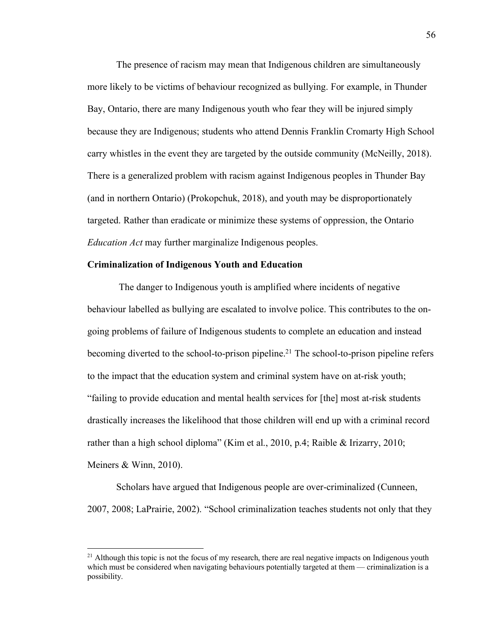The presence of racism may mean that Indigenous children are simultaneously more likely to be victims of behaviour recognized as bullying. For example, in Thunder Bay, Ontario, there are many Indigenous youth who fear they will be injured simply because they are Indigenous; students who attend Dennis Franklin Cromarty High School carry whistles in the event they are targeted by the outside community (McNeilly, 2018). There is a generalized problem with racism against Indigenous peoples in Thunder Bay (and in northern Ontario) (Prokopchuk, 2018), and youth may be disproportionately targeted. Rather than eradicate or minimize these systems of oppression, the Ontario *Education Act* may further marginalize Indigenous peoples.

## **Criminalization of Indigenous Youth and Education**

The danger to Indigenous youth is amplified where incidents of negative behaviour labelled as bullying are escalated to involve police. This contributes to the ongoing problems of failure of Indigenous students to complete an education and instead becoming diverted to the school-to-prison pipeline.<sup>21</sup> The school-to-prison pipeline refers to the impact that the education system and criminal system have on at-risk youth; "failing to provide education and mental health services for [the] most at-risk students drastically increases the likelihood that those children will end up with a criminal record rather than a high school diploma" (Kim et al., 2010, p.4; Raible & Irizarry, 2010; Meiners & Winn, 2010).

Scholars have argued that Indigenous people are over-criminalized (Cunneen, 2007, 2008; LaPrairie, 2002). "School criminalization teaches students not only that they

 $21$  Although this topic is not the focus of my research, there are real negative impacts on Indigenous youth which must be considered when navigating behaviours potentially targeted at them — criminalization is a possibility.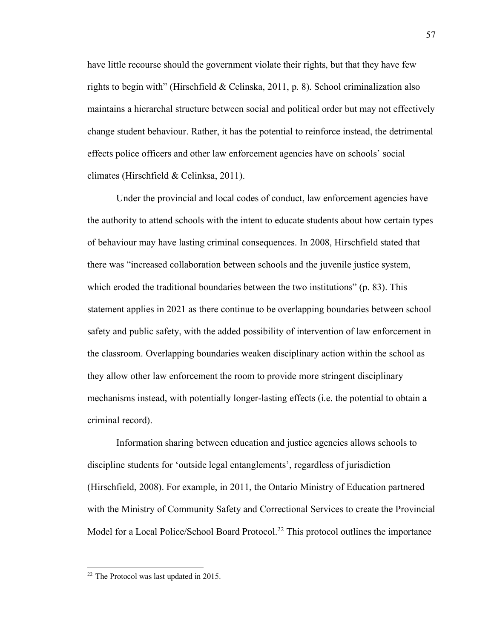have little recourse should the government violate their rights, but that they have few rights to begin with" (Hirschfield & Celinska, 2011, p. 8). School criminalization also maintains a hierarchal structure between social and political order but may not effectively change student behaviour. Rather, it has the potential to reinforce instead, the detrimental effects police officers and other law enforcement agencies have on schools' social climates (Hirschfield & Celinksa, 2011).

Under the provincial and local codes of conduct, law enforcement agencies have the authority to attend schools with the intent to educate students about how certain types of behaviour may have lasting criminal consequences. In 2008, Hirschfield stated that there was "increased collaboration between schools and the juvenile justice system, which eroded the traditional boundaries between the two institutions" (p. 83). This statement applies in 2021 as there continue to be overlapping boundaries between school safety and public safety, with the added possibility of intervention of law enforcement in the classroom. Overlapping boundaries weaken disciplinary action within the school as they allow other law enforcement the room to provide more stringent disciplinary mechanisms instead, with potentially longer-lasting effects (i.e. the potential to obtain a criminal record).

Information sharing between education and justice agencies allows schools to discipline students for 'outside legal entanglements', regardless of jurisdiction (Hirschfield, 2008). For example, in 2011, the Ontario Ministry of Education partnered with the Ministry of Community Safety and Correctional Services to create the Provincial Model for a Local Police/School Board Protocol.<sup>22</sup> This protocol outlines the importance

 <sup>22</sup> The Protocol was last updated in 2015.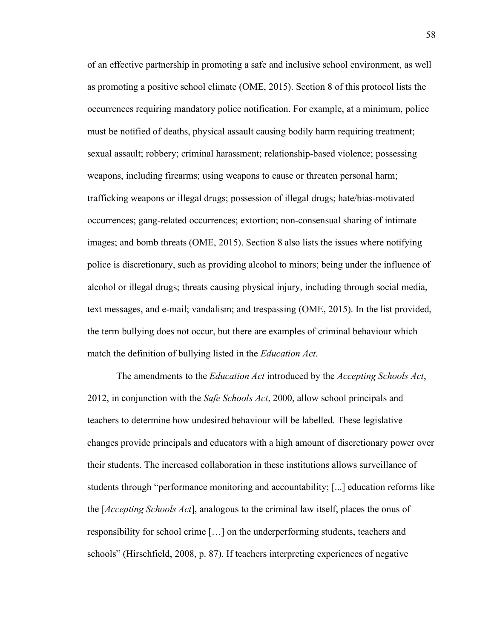of an effective partnership in promoting a safe and inclusive school environment, as well as promoting a positive school climate (OME, 2015). Section 8 of this protocol lists the occurrences requiring mandatory police notification. For example, at a minimum, police must be notified of deaths, physical assault causing bodily harm requiring treatment; sexual assault; robbery; criminal harassment; relationship-based violence; possessing weapons, including firearms; using weapons to cause or threaten personal harm; trafficking weapons or illegal drugs; possession of illegal drugs; hate/bias-motivated occurrences; gang-related occurrences; extortion; non-consensual sharing of intimate images; and bomb threats (OME, 2015). Section 8 also lists the issues where notifying police is discretionary, such as providing alcohol to minors; being under the influence of alcohol or illegal drugs; threats causing physical injury, including through social media, text messages, and e-mail; vandalism; and trespassing (OME, 2015). In the list provided, the term bullying does not occur, but there are examples of criminal behaviour which match the definition of bullying listed in the *Education Act*.

The amendments to the *Education Act* introduced by the *Accepting Schools Act*, 2012, in conjunction with the *Safe Schools Act*, 2000, allow school principals and teachers to determine how undesired behaviour will be labelled. These legislative changes provide principals and educators with a high amount of discretionary power over their students. The increased collaboration in these institutions allows surveillance of students through "performance monitoring and accountability; [...] education reforms like the [*Accepting Schools Act*], analogous to the criminal law itself, places the onus of responsibility for school crime […] on the underperforming students, teachers and schools" (Hirschfield, 2008, p. 87). If teachers interpreting experiences of negative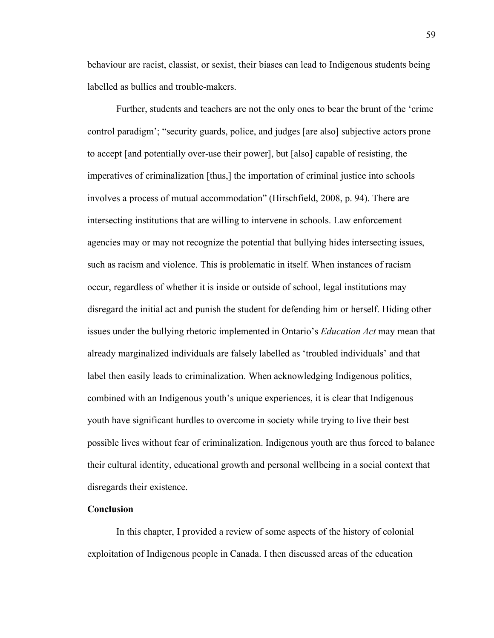behaviour are racist, classist, or sexist, their biases can lead to Indigenous students being labelled as bullies and trouble-makers.

Further, students and teachers are not the only ones to bear the brunt of the 'crime control paradigm'; "security guards, police, and judges [are also] subjective actors prone to accept [and potentially over-use their power], but [also] capable of resisting, the imperatives of criminalization [thus,] the importation of criminal justice into schools involves a process of mutual accommodation" (Hirschfield, 2008, p. 94). There are intersecting institutions that are willing to intervene in schools. Law enforcement agencies may or may not recognize the potential that bullying hides intersecting issues, such as racism and violence. This is problematic in itself. When instances of racism occur, regardless of whether it is inside or outside of school, legal institutions may disregard the initial act and punish the student for defending him or herself. Hiding other issues under the bullying rhetoric implemented in Ontario's *Education Act* may mean that already marginalized individuals are falsely labelled as 'troubled individuals' and that label then easily leads to criminalization. When acknowledging Indigenous politics, combined with an Indigenous youth's unique experiences, it is clear that Indigenous youth have significant hurdles to overcome in society while trying to live their best possible lives without fear of criminalization. Indigenous youth are thus forced to balance their cultural identity, educational growth and personal wellbeing in a social context that disregards their existence.

# **Conclusion**

In this chapter, I provided a review of some aspects of the history of colonial exploitation of Indigenous people in Canada. I then discussed areas of the education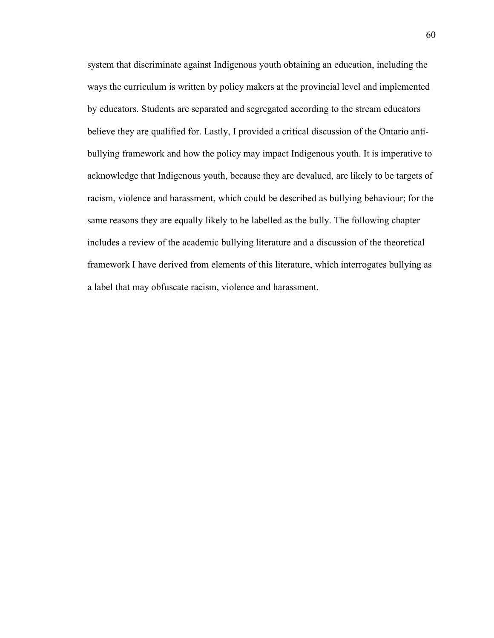system that discriminate against Indigenous youth obtaining an education, including the ways the curriculum is written by policy makers at the provincial level and implemented by educators. Students are separated and segregated according to the stream educators believe they are qualified for. Lastly, I provided a critical discussion of the Ontario antibullying framework and how the policy may impact Indigenous youth. It is imperative to acknowledge that Indigenous youth, because they are devalued, are likely to be targets of racism, violence and harassment, which could be described as bullying behaviour; for the same reasons they are equally likely to be labelled as the bully. The following chapter includes a review of the academic bullying literature and a discussion of the theoretical framework I have derived from elements of this literature, which interrogates bullying as a label that may obfuscate racism, violence and harassment.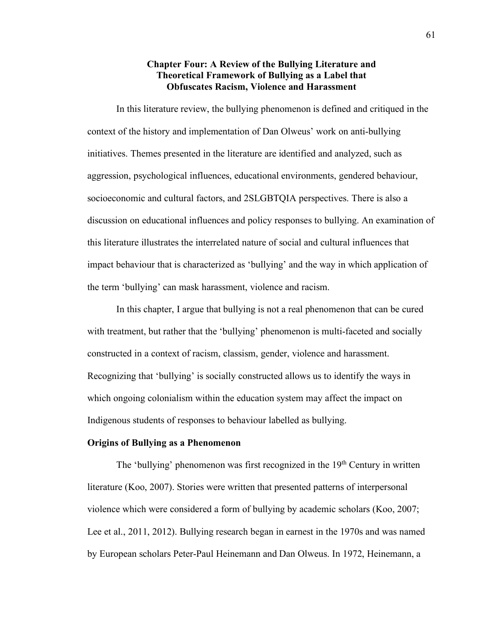# **Chapter Four: A Review of the Bullying Literature and Theoretical Framework of Bullying as a Label that Obfuscates Racism, Violence and Harassment**

In this literature review, the bullying phenomenon is defined and critiqued in the context of the history and implementation of Dan Olweus' work on anti-bullying initiatives. Themes presented in the literature are identified and analyzed, such as aggression, psychological influences, educational environments, gendered behaviour, socioeconomic and cultural factors, and 2SLGBTQIA perspectives. There is also a discussion on educational influences and policy responses to bullying. An examination of this literature illustrates the interrelated nature of social and cultural influences that impact behaviour that is characterized as 'bullying' and the way in which application of the term 'bullying' can mask harassment, violence and racism.

In this chapter, I argue that bullying is not a real phenomenon that can be cured with treatment, but rather that the 'bullying' phenomenon is multi-faceted and socially constructed in a context of racism, classism, gender, violence and harassment. Recognizing that 'bullying' is socially constructed allows us to identify the ways in which ongoing colonialism within the education system may affect the impact on Indigenous students of responses to behaviour labelled as bullying.

## **Origins of Bullying as a Phenomenon**

The 'bullying' phenomenon was first recognized in the  $19<sup>th</sup>$  Century in written literature (Koo, 2007). Stories were written that presented patterns of interpersonal violence which were considered a form of bullying by academic scholars (Koo, 2007; Lee et al., 2011, 2012). Bullying research began in earnest in the 1970s and was named by European scholars Peter-Paul Heinemann and Dan Olweus. In 1972, Heinemann, a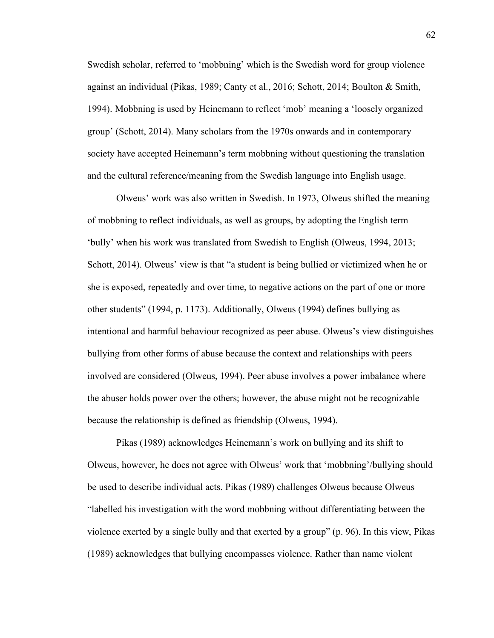Swedish scholar, referred to 'mobbning' which is the Swedish word for group violence against an individual (Pikas, 1989; Canty et al., 2016; Schott, 2014; Boulton & Smith, 1994). Mobbning is used by Heinemann to reflect 'mob' meaning a 'loosely organized group' (Schott, 2014). Many scholars from the 1970s onwards and in contemporary society have accepted Heinemann's term mobbning without questioning the translation and the cultural reference/meaning from the Swedish language into English usage.

Olweus' work was also written in Swedish. In 1973, Olweus shifted the meaning of mobbning to reflect individuals, as well as groups, by adopting the English term 'bully' when his work was translated from Swedish to English (Olweus, 1994, 2013; Schott, 2014). Olweus' view is that "a student is being bullied or victimized when he or she is exposed, repeatedly and over time, to negative actions on the part of one or more other students" (1994, p. 1173). Additionally, Olweus (1994) defines bullying as intentional and harmful behaviour recognized as peer abuse. Olweus's view distinguishes bullying from other forms of abuse because the context and relationships with peers involved are considered (Olweus, 1994). Peer abuse involves a power imbalance where the abuser holds power over the others; however, the abuse might not be recognizable because the relationship is defined as friendship (Olweus, 1994).

Pikas (1989) acknowledges Heinemann's work on bullying and its shift to Olweus, however, he does not agree with Olweus' work that 'mobbning'/bullying should be used to describe individual acts. Pikas (1989) challenges Olweus because Olweus "labelled his investigation with the word mobbning without differentiating between the violence exerted by a single bully and that exerted by a group" (p. 96). In this view, Pikas (1989) acknowledges that bullying encompasses violence. Rather than name violent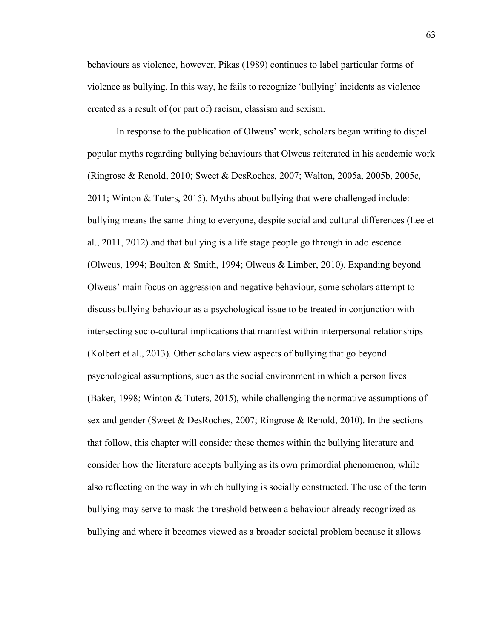behaviours as violence, however, Pikas (1989) continues to label particular forms of violence as bullying. In this way, he fails to recognize 'bullying' incidents as violence created as a result of (or part of) racism, classism and sexism.

In response to the publication of Olweus' work, scholars began writing to dispel popular myths regarding bullying behaviours that Olweus reiterated in his academic work (Ringrose & Renold, 2010; Sweet & DesRoches, 2007; Walton, 2005a, 2005b, 2005c, 2011; Winton & Tuters, 2015). Myths about bullying that were challenged include: bullying means the same thing to everyone, despite social and cultural differences (Lee et al., 2011, 2012) and that bullying is a life stage people go through in adolescence (Olweus, 1994; Boulton & Smith, 1994; Olweus & Limber, 2010). Expanding beyond Olweus' main focus on aggression and negative behaviour, some scholars attempt to discuss bullying behaviour as a psychological issue to be treated in conjunction with intersecting socio-cultural implications that manifest within interpersonal relationships (Kolbert et al., 2013). Other scholars view aspects of bullying that go beyond psychological assumptions, such as the social environment in which a person lives (Baker, 1998; Winton & Tuters, 2015), while challenging the normative assumptions of sex and gender (Sweet & DesRoches, 2007; Ringrose & Renold, 2010). In the sections that follow, this chapter will consider these themes within the bullying literature and consider how the literature accepts bullying as its own primordial phenomenon, while also reflecting on the way in which bullying is socially constructed. The use of the term bullying may serve to mask the threshold between a behaviour already recognized as bullying and where it becomes viewed as a broader societal problem because it allows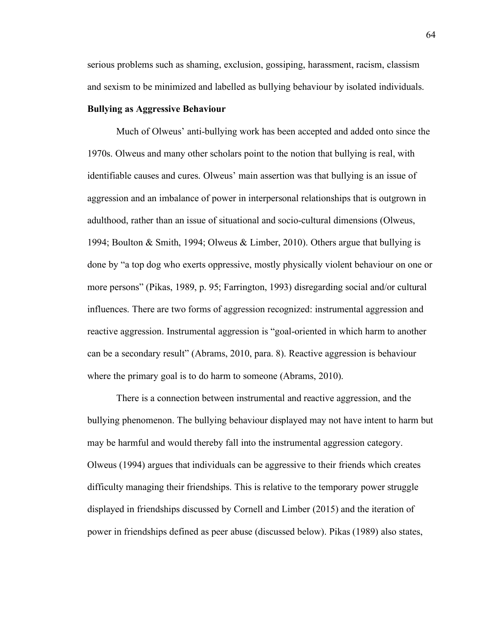serious problems such as shaming, exclusion, gossiping, harassment, racism, classism and sexism to be minimized and labelled as bullying behaviour by isolated individuals.

### **Bullying as Aggressive Behaviour**

Much of Olweus' anti-bullying work has been accepted and added onto since the 1970s. Olweus and many other scholars point to the notion that bullying is real, with identifiable causes and cures. Olweus' main assertion was that bullying is an issue of aggression and an imbalance of power in interpersonal relationships that is outgrown in adulthood, rather than an issue of situational and socio-cultural dimensions (Olweus, 1994; Boulton & Smith, 1994; Olweus & Limber, 2010). Others argue that bullying is done by "a top dog who exerts oppressive, mostly physically violent behaviour on one or more persons" (Pikas, 1989, p. 95; Farrington, 1993) disregarding social and/or cultural influences. There are two forms of aggression recognized: instrumental aggression and reactive aggression. Instrumental aggression is "goal-oriented in which harm to another can be a secondary result" (Abrams, 2010, para. 8). Reactive aggression is behaviour where the primary goal is to do harm to someone (Abrams, 2010).

There is a connection between instrumental and reactive aggression, and the bullying phenomenon. The bullying behaviour displayed may not have intent to harm but may be harmful and would thereby fall into the instrumental aggression category. Olweus (1994) argues that individuals can be aggressive to their friends which creates difficulty managing their friendships. This is relative to the temporary power struggle displayed in friendships discussed by Cornell and Limber (2015) and the iteration of power in friendships defined as peer abuse (discussed below). Pikas (1989) also states,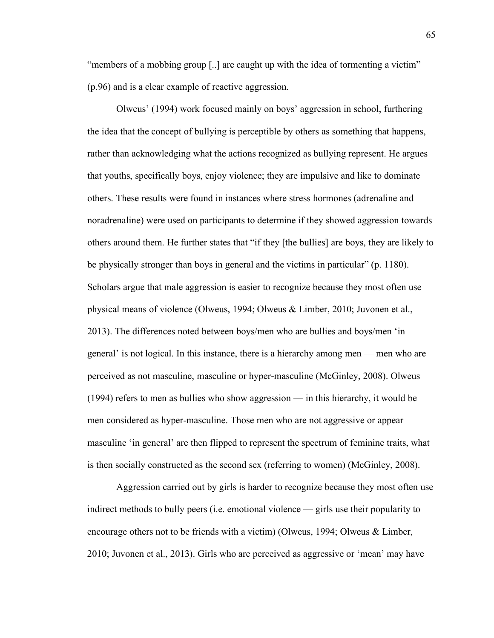"members of a mobbing group [..] are caught up with the idea of tormenting a victim" (p.96) and is a clear example of reactive aggression.

Olweus' (1994) work focused mainly on boys' aggression in school, furthering the idea that the concept of bullying is perceptible by others as something that happens, rather than acknowledging what the actions recognized as bullying represent. He argues that youths, specifically boys, enjoy violence; they are impulsive and like to dominate others. These results were found in instances where stress hormones (adrenaline and noradrenaline) were used on participants to determine if they showed aggression towards others around them. He further states that "if they [the bullies] are boys, they are likely to be physically stronger than boys in general and the victims in particular" (p. 1180). Scholars argue that male aggression is easier to recognize because they most often use physical means of violence (Olweus, 1994; Olweus & Limber, 2010; Juvonen et al., 2013). The differences noted between boys/men who are bullies and boys/men 'in general' is not logical. In this instance, there is a hierarchy among men — men who are perceived as not masculine, masculine or hyper-masculine (McGinley, 2008). Olweus (1994) refers to men as bullies who show aggression — in this hierarchy, it would be men considered as hyper-masculine. Those men who are not aggressive or appear masculine 'in general' are then flipped to represent the spectrum of feminine traits, what is then socially constructed as the second sex (referring to women) (McGinley, 2008).

Aggression carried out by girls is harder to recognize because they most often use indirect methods to bully peers (i.e. emotional violence — girls use their popularity to encourage others not to be friends with a victim) (Olweus, 1994; Olweus & Limber, 2010; Juvonen et al., 2013). Girls who are perceived as aggressive or 'mean' may have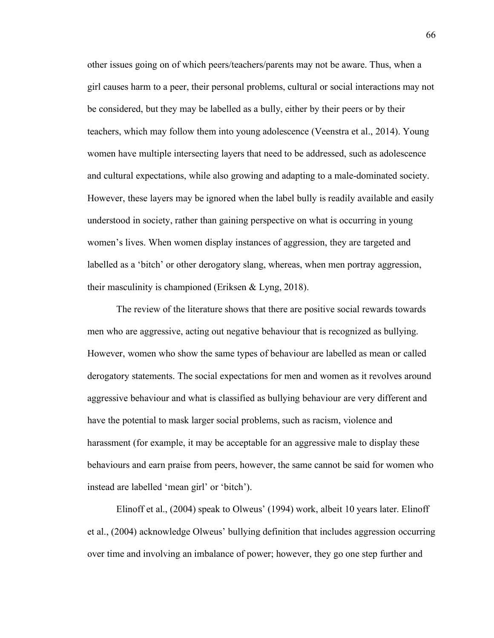other issues going on of which peers/teachers/parents may not be aware. Thus, when a girl causes harm to a peer, their personal problems, cultural or social interactions may not be considered, but they may be labelled as a bully, either by their peers or by their teachers, which may follow them into young adolescence (Veenstra et al., 2014). Young women have multiple intersecting layers that need to be addressed, such as adolescence and cultural expectations, while also growing and adapting to a male-dominated society. However, these layers may be ignored when the label bully is readily available and easily understood in society, rather than gaining perspective on what is occurring in young women's lives. When women display instances of aggression, they are targeted and labelled as a 'bitch' or other derogatory slang, whereas, when men portray aggression, their masculinity is championed (Eriksen  $&$  Lyng, 2018).

The review of the literature shows that there are positive social rewards towards men who are aggressive, acting out negative behaviour that is recognized as bullying. However, women who show the same types of behaviour are labelled as mean or called derogatory statements. The social expectations for men and women as it revolves around aggressive behaviour and what is classified as bullying behaviour are very different and have the potential to mask larger social problems, such as racism, violence and harassment (for example, it may be acceptable for an aggressive male to display these behaviours and earn praise from peers, however, the same cannot be said for women who instead are labelled 'mean girl' or 'bitch').

Elinoff et al., (2004) speak to Olweus' (1994) work, albeit 10 years later. Elinoff et al., (2004) acknowledge Olweus' bullying definition that includes aggression occurring over time and involving an imbalance of power; however, they go one step further and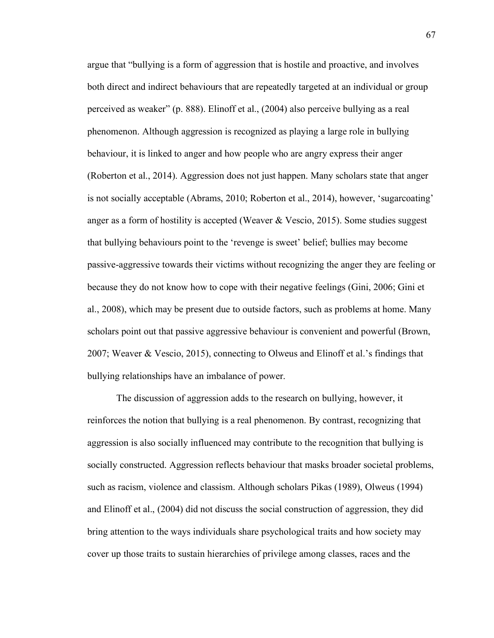argue that "bullying is a form of aggression that is hostile and proactive, and involves both direct and indirect behaviours that are repeatedly targeted at an individual or group perceived as weaker" (p. 888). Elinoff et al., (2004) also perceive bullying as a real phenomenon. Although aggression is recognized as playing a large role in bullying behaviour, it is linked to anger and how people who are angry express their anger (Roberton et al., 2014). Aggression does not just happen. Many scholars state that anger is not socially acceptable (Abrams, 2010; Roberton et al., 2014), however, 'sugarcoating' anger as a form of hostility is accepted (Weaver & Vescio, 2015). Some studies suggest that bullying behaviours point to the 'revenge is sweet' belief; bullies may become passive-aggressive towards their victims without recognizing the anger they are feeling or because they do not know how to cope with their negative feelings (Gini, 2006; Gini et al., 2008), which may be present due to outside factors, such as problems at home. Many scholars point out that passive aggressive behaviour is convenient and powerful (Brown, 2007; Weaver & Vescio, 2015), connecting to Olweus and Elinoff et al.'s findings that bullying relationships have an imbalance of power.

The discussion of aggression adds to the research on bullying, however, it reinforces the notion that bullying is a real phenomenon. By contrast, recognizing that aggression is also socially influenced may contribute to the recognition that bullying is socially constructed. Aggression reflects behaviour that masks broader societal problems, such as racism, violence and classism. Although scholars Pikas (1989), Olweus (1994) and Elinoff et al., (2004) did not discuss the social construction of aggression, they did bring attention to the ways individuals share psychological traits and how society may cover up those traits to sustain hierarchies of privilege among classes, races and the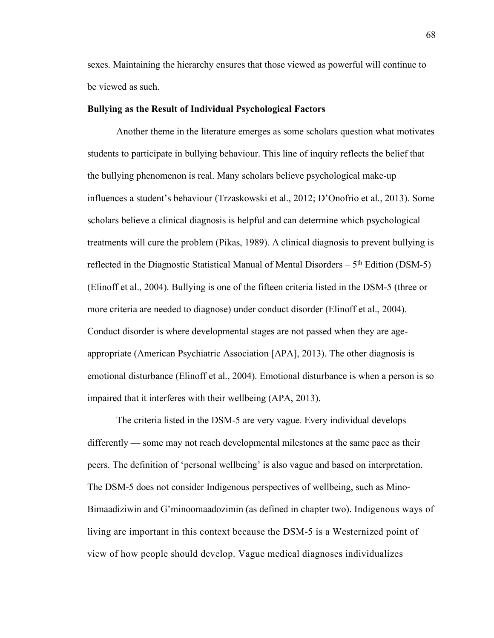sexes. Maintaining the hierarchy ensures that those viewed as powerful will continue to be viewed as such.

### **Bullying as the Result of Individual Psychological Factors**

Another theme in the literature emerges as some scholars question what motivates students to participate in bullying behaviour. This line of inquiry reflects the belief that the bullying phenomenon is real. Many scholars believe psychological make-up influences a student's behaviour (Trzaskowski et al., 2012; D'Onofrio et al., 2013). Some scholars believe a clinical diagnosis is helpful and can determine which psychological treatments will cure the problem (Pikas, 1989). A clinical diagnosis to prevent bullying is reflected in the Diagnostic Statistical Manual of Mental Disorders  $-5<sup>th</sup>$  Edition (DSM-5) (Elinoff et al., 2004). Bullying is one of the fifteen criteria listed in the DSM-5 (three or more criteria are needed to diagnose) under conduct disorder (Elinoff et al., 2004). Conduct disorder is where developmental stages are not passed when they are ageappropriate (American Psychiatric Association [APA], 2013). The other diagnosis is emotional disturbance (Elinoff et al., 2004). Emotional disturbance is when a person is so impaired that it interferes with their wellbeing (APA, 2013).

The criteria listed in the DSM-5 are very vague. Every individual develops differently — some may not reach developmental milestones at the same pace as their peers. The definition of 'personal wellbeing' is also vague and based on interpretation. The DSM-5 does not consider Indigenous perspectives of wellbeing, such as Mino-Bimaadiziwin and G'minoomaadozimin (as defined in chapter two). Indigenous ways of living are important in this context because the DSM-5 is a Westernized point of view of how people should develop. Vague medical diagnoses individualizes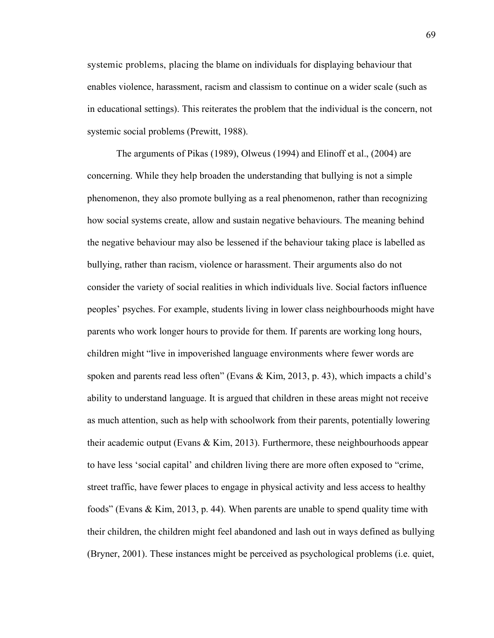systemic problems, placing the blame on individuals for displaying behaviour that enables violence, harassment, racism and classism to continue on a wider scale (such as in educational settings). This reiterates the problem that the individual is the concern, not systemic social problems (Prewitt, 1988).

The arguments of Pikas (1989), Olweus (1994) and Elinoff et al., (2004) are concerning. While they help broaden the understanding that bullying is not a simple phenomenon, they also promote bullying as a real phenomenon, rather than recognizing how social systems create, allow and sustain negative behaviours. The meaning behind the negative behaviour may also be lessened if the behaviour taking place is labelled as bullying, rather than racism, violence or harassment. Their arguments also do not consider the variety of social realities in which individuals live. Social factors influence peoples' psyches. For example, students living in lower class neighbourhoods might have parents who work longer hours to provide for them. If parents are working long hours, children might "live in impoverished language environments where fewer words are spoken and parents read less often" (Evans & Kim, 2013, p. 43), which impacts a child's ability to understand language. It is argued that children in these areas might not receive as much attention, such as help with schoolwork from their parents, potentially lowering their academic output (Evans & Kim, 2013). Furthermore, these neighbourhoods appear to have less 'social capital' and children living there are more often exposed to "crime, street traffic, have fewer places to engage in physical activity and less access to healthy foods" (Evans & Kim, 2013, p. 44). When parents are unable to spend quality time with their children, the children might feel abandoned and lash out in ways defined as bullying (Bryner, 2001). These instances might be perceived as psychological problems (i.e. quiet,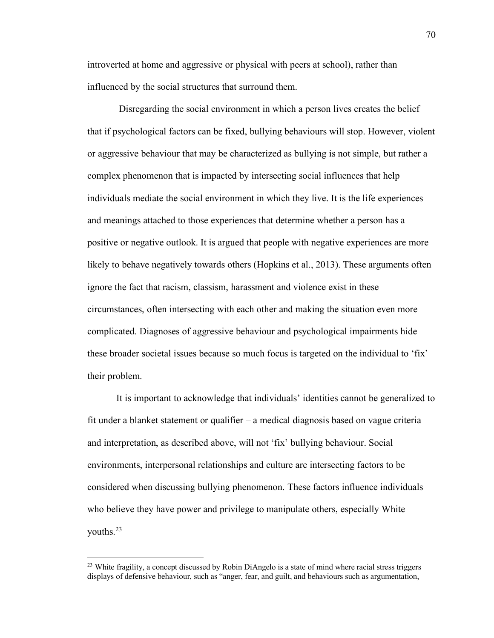introverted at home and aggressive or physical with peers at school), rather than influenced by the social structures that surround them.

Disregarding the social environment in which a person lives creates the belief that if psychological factors can be fixed, bullying behaviours will stop. However, violent or aggressive behaviour that may be characterized as bullying is not simple, but rather a complex phenomenon that is impacted by intersecting social influences that help individuals mediate the social environment in which they live. It is the life experiences and meanings attached to those experiences that determine whether a person has a positive or negative outlook. It is argued that people with negative experiences are more likely to behave negatively towards others (Hopkins et al., 2013). These arguments often ignore the fact that racism, classism, harassment and violence exist in these circumstances, often intersecting with each other and making the situation even more complicated. Diagnoses of aggressive behaviour and psychological impairments hide these broader societal issues because so much focus is targeted on the individual to 'fix' their problem.

It is important to acknowledge that individuals' identities cannot be generalized to fit under a blanket statement or qualifier – a medical diagnosis based on vague criteria and interpretation, as described above, will not 'fix' bullying behaviour. Social environments, interpersonal relationships and culture are intersecting factors to be considered when discussing bullying phenomenon. These factors influence individuals who believe they have power and privilege to manipulate others, especially White youths.23

<sup>&</sup>lt;sup>23</sup> White fragility, a concept discussed by Robin DiAngelo is a state of mind where racial stress triggers displays of defensive behaviour, such as "anger, fear, and guilt, and behaviours such as argumentation,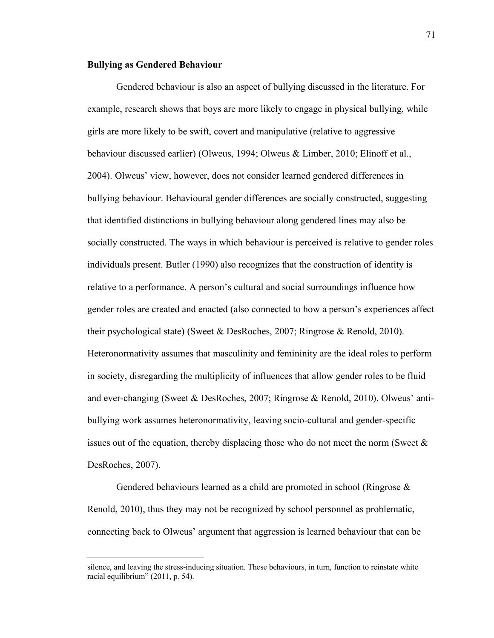## **Bullying as Gendered Behaviour**

Gendered behaviour is also an aspect of bullying discussed in the literature. For example, research shows that boys are more likely to engage in physical bullying, while girls are more likely to be swift, covert and manipulative (relative to aggressive behaviour discussed earlier) (Olweus, 1994; Olweus & Limber, 2010; Elinoff et al., 2004). Olweus' view, however, does not consider learned gendered differences in bullying behaviour. Behavioural gender differences are socially constructed, suggesting that identified distinctions in bullying behaviour along gendered lines may also be socially constructed. The ways in which behaviour is perceived is relative to gender roles individuals present. Butler (1990) also recognizes that the construction of identity is relative to a performance. A person's cultural and social surroundings influence how gender roles are created and enacted (also connected to how a person's experiences affect their psychological state) (Sweet & DesRoches, 2007; Ringrose & Renold, 2010). Heteronormativity assumes that masculinity and femininity are the ideal roles to perform in society, disregarding the multiplicity of influences that allow gender roles to be fluid and ever-changing (Sweet & DesRoches, 2007; Ringrose & Renold, 2010). Olweus' antibullying work assumes heteronormativity, leaving socio-cultural and gender-specific issues out of the equation, thereby displacing those who do not meet the norm (Sweet  $\&$ DesRoches, 2007).

Gendered behaviours learned as a child are promoted in school (Ringrose & Renold, 2010), thus they may not be recognized by school personnel as problematic, connecting back to Olweus' argument that aggression is learned behaviour that can be

silence, and leaving the stress-inducing situation. These behaviours, in turn, function to reinstate white racial equilibrium" (2011, p. 54).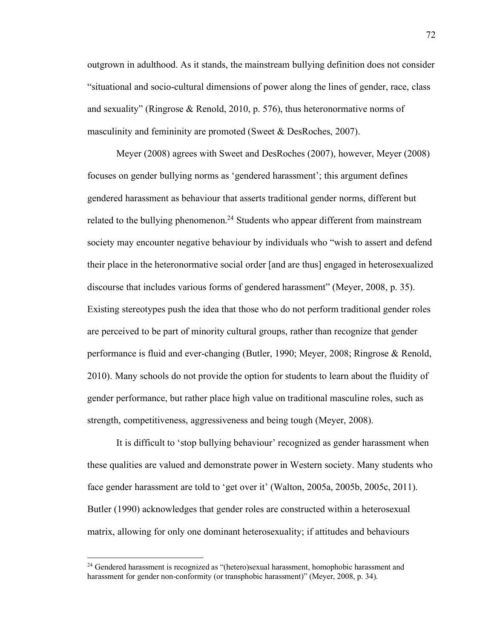outgrown in adulthood. As it stands, the mainstream bullying definition does not consider "situational and socio-cultural dimensions of power along the lines of gender, race, class and sexuality" (Ringrose & Renold, 2010, p. 576), thus heteronormative norms of masculinity and femininity are promoted (Sweet & DesRoches, 2007).

Meyer (2008) agrees with Sweet and DesRoches (2007), however, Meyer (2008) focuses on gender bullying norms as 'gendered harassment'; this argument defines gendered harassment as behaviour that asserts traditional gender norms, different but related to the bullying phenomenon.<sup>24</sup> Students who appear different from mainstream society may encounter negative behaviour by individuals who "wish to assert and defend their place in the heteronormative social order [and are thus] engaged in heterosexualized discourse that includes various forms of gendered harassment" (Meyer, 2008, p. 35). Existing stereotypes push the idea that those who do not perform traditional gender roles are perceived to be part of minority cultural groups, rather than recognize that gender performance is fluid and ever-changing (Butler, 1990; Meyer, 2008; Ringrose & Renold, 2010). Many schools do not provide the option for students to learn about the fluidity of gender performance, but rather place high value on traditional masculine roles, such as strength, competitiveness, aggressiveness and being tough (Meyer, 2008).

It is difficult to 'stop bullying behaviour' recognized as gender harassment when these qualities are valued and demonstrate power in Western society. Many students who face gender harassment are told to 'get over it' (Walton, 2005a, 2005b, 2005c, 2011). Butler (1990) acknowledges that gender roles are constructed within a heterosexual matrix, allowing for only one dominant heterosexuality; if attitudes and behaviours

<sup>&</sup>lt;sup>24</sup> Gendered harassment is recognized as "(hetero)sexual harassment, homophobic harassment and harassment for gender non-conformity (or transphobic harassment)" (Meyer, 2008, p. 34).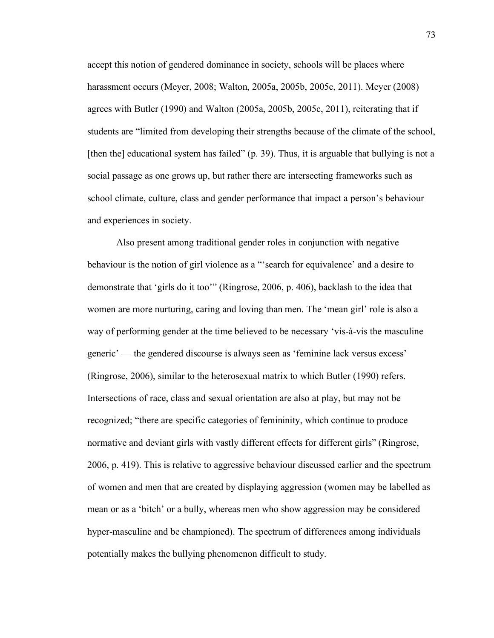accept this notion of gendered dominance in society, schools will be places where harassment occurs (Meyer, 2008; Walton, 2005a, 2005b, 2005c, 2011). Meyer (2008) agrees with Butler (1990) and Walton (2005a, 2005b, 2005c, 2011), reiterating that if students are "limited from developing their strengths because of the climate of the school, [then the] educational system has failed" (p. 39). Thus, it is arguable that bullying is not a social passage as one grows up, but rather there are intersecting frameworks such as school climate, culture, class and gender performance that impact a person's behaviour and experiences in society.

Also present among traditional gender roles in conjunction with negative behaviour is the notion of girl violence as a "'search for equivalence' and a desire to demonstrate that 'girls do it too'" (Ringrose, 2006, p. 406), backlash to the idea that women are more nurturing, caring and loving than men. The 'mean girl' role is also a way of performing gender at the time believed to be necessary 'vis-à-vis the masculine generic' — the gendered discourse is always seen as 'feminine lack versus excess' (Ringrose, 2006), similar to the heterosexual matrix to which Butler (1990) refers. Intersections of race, class and sexual orientation are also at play, but may not be recognized; "there are specific categories of femininity, which continue to produce normative and deviant girls with vastly different effects for different girls" (Ringrose, 2006, p. 419). This is relative to aggressive behaviour discussed earlier and the spectrum of women and men that are created by displaying aggression (women may be labelled as mean or as a 'bitch' or a bully, whereas men who show aggression may be considered hyper-masculine and be championed). The spectrum of differences among individuals potentially makes the bullying phenomenon difficult to study.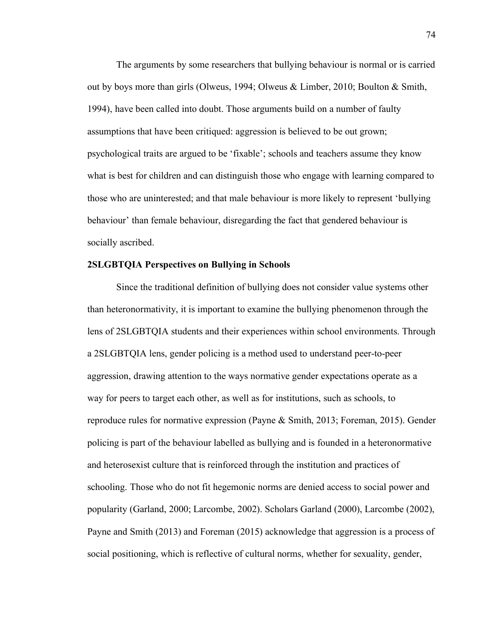The arguments by some researchers that bullying behaviour is normal or is carried out by boys more than girls (Olweus, 1994; Olweus & Limber, 2010; Boulton & Smith, 1994), have been called into doubt. Those arguments build on a number of faulty assumptions that have been critiqued: aggression is believed to be out grown; psychological traits are argued to be 'fixable'; schools and teachers assume they know what is best for children and can distinguish those who engage with learning compared to those who are uninterested; and that male behaviour is more likely to represent 'bullying behaviour' than female behaviour, disregarding the fact that gendered behaviour is socially ascribed.

#### **2SLGBTQIA Perspectives on Bullying in Schools**

Since the traditional definition of bullying does not consider value systems other than heteronormativity, it is important to examine the bullying phenomenon through the lens of 2SLGBTQIA students and their experiences within school environments. Through a 2SLGBTQIA lens, gender policing is a method used to understand peer-to-peer aggression, drawing attention to the ways normative gender expectations operate as a way for peers to target each other, as well as for institutions, such as schools, to reproduce rules for normative expression (Payne & Smith, 2013; Foreman, 2015). Gender policing is part of the behaviour labelled as bullying and is founded in a heteronormative and heterosexist culture that is reinforced through the institution and practices of schooling. Those who do not fit hegemonic norms are denied access to social power and popularity (Garland, 2000; Larcombe, 2002). Scholars Garland (2000), Larcombe (2002), Payne and Smith (2013) and Foreman (2015) acknowledge that aggression is a process of social positioning, which is reflective of cultural norms, whether for sexuality, gender,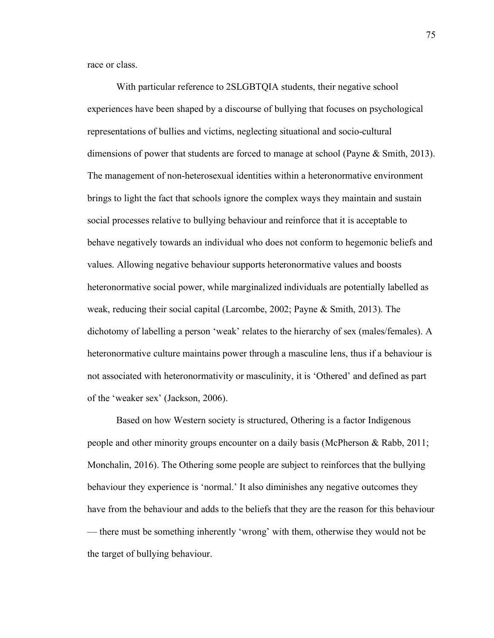race or class.

With particular reference to 2SLGBTQIA students, their negative school experiences have been shaped by a discourse of bullying that focuses on psychological representations of bullies and victims, neglecting situational and socio-cultural dimensions of power that students are forced to manage at school (Payne & Smith, 2013). The management of non-heterosexual identities within a heteronormative environment brings to light the fact that schools ignore the complex ways they maintain and sustain social processes relative to bullying behaviour and reinforce that it is acceptable to behave negatively towards an individual who does not conform to hegemonic beliefs and values. Allowing negative behaviour supports heteronormative values and boosts heteronormative social power, while marginalized individuals are potentially labelled as weak, reducing their social capital (Larcombe, 2002; Payne & Smith, 2013). The dichotomy of labelling a person 'weak' relates to the hierarchy of sex (males/females). A heteronormative culture maintains power through a masculine lens, thus if a behaviour is not associated with heteronormativity or masculinity, it is 'Othered' and defined as part of the 'weaker sex' (Jackson, 2006).

Based on how Western society is structured, Othering is a factor Indigenous people and other minority groups encounter on a daily basis (McPherson & Rabb, 2011; Monchalin, 2016). The Othering some people are subject to reinforces that the bullying behaviour they experience is 'normal.' It also diminishes any negative outcomes they have from the behaviour and adds to the beliefs that they are the reason for this behaviour — there must be something inherently 'wrong' with them, otherwise they would not be the target of bullying behaviour.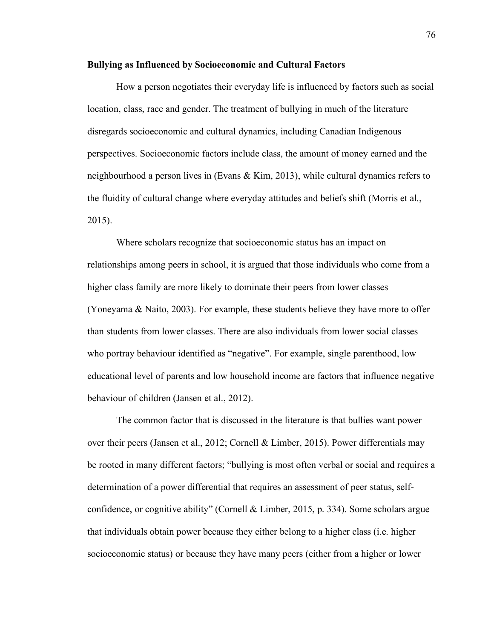### **Bullying as Influenced by Socioeconomic and Cultural Factors**

How a person negotiates their everyday life is influenced by factors such as social location, class, race and gender. The treatment of bullying in much of the literature disregards socioeconomic and cultural dynamics, including Canadian Indigenous perspectives. Socioeconomic factors include class, the amount of money earned and the neighbourhood a person lives in (Evans & Kim, 2013), while cultural dynamics refers to the fluidity of cultural change where everyday attitudes and beliefs shift (Morris et al., 2015).

Where scholars recognize that socioeconomic status has an impact on relationships among peers in school, it is argued that those individuals who come from a higher class family are more likely to dominate their peers from lower classes (Yoneyama & Naito, 2003). For example, these students believe they have more to offer than students from lower classes. There are also individuals from lower social classes who portray behaviour identified as "negative". For example, single parenthood, low educational level of parents and low household income are factors that influence negative behaviour of children (Jansen et al., 2012).

The common factor that is discussed in the literature is that bullies want power over their peers (Jansen et al., 2012; Cornell & Limber, 2015). Power differentials may be rooted in many different factors; "bullying is most often verbal or social and requires a determination of a power differential that requires an assessment of peer status, selfconfidence, or cognitive ability" (Cornell & Limber, 2015, p. 334). Some scholars argue that individuals obtain power because they either belong to a higher class (i.e. higher socioeconomic status) or because they have many peers (either from a higher or lower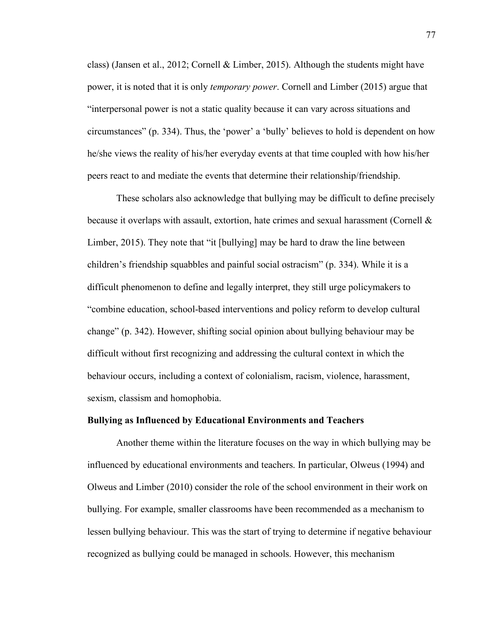class) (Jansen et al., 2012; Cornell & Limber, 2015). Although the students might have power, it is noted that it is only *temporary power*. Cornell and Limber (2015) argue that "interpersonal power is not a static quality because it can vary across situations and circumstances" (p. 334). Thus, the 'power' a 'bully' believes to hold is dependent on how he/she views the reality of his/her everyday events at that time coupled with how his/her peers react to and mediate the events that determine their relationship/friendship.

These scholars also acknowledge that bullying may be difficult to define precisely because it overlaps with assault, extortion, hate crimes and sexual harassment (Cornell  $\&$ Limber, 2015). They note that "it [bullying] may be hard to draw the line between children's friendship squabbles and painful social ostracism" (p. 334). While it is a difficult phenomenon to define and legally interpret, they still urge policymakers to "combine education, school-based interventions and policy reform to develop cultural change" (p. 342). However, shifting social opinion about bullying behaviour may be difficult without first recognizing and addressing the cultural context in which the behaviour occurs, including a context of colonialism, racism, violence, harassment, sexism, classism and homophobia.

### **Bullying as Influenced by Educational Environments and Teachers**

Another theme within the literature focuses on the way in which bullying may be influenced by educational environments and teachers. In particular, Olweus (1994) and Olweus and Limber (2010) consider the role of the school environment in their work on bullying. For example, smaller classrooms have been recommended as a mechanism to lessen bullying behaviour. This was the start of trying to determine if negative behaviour recognized as bullying could be managed in schools. However, this mechanism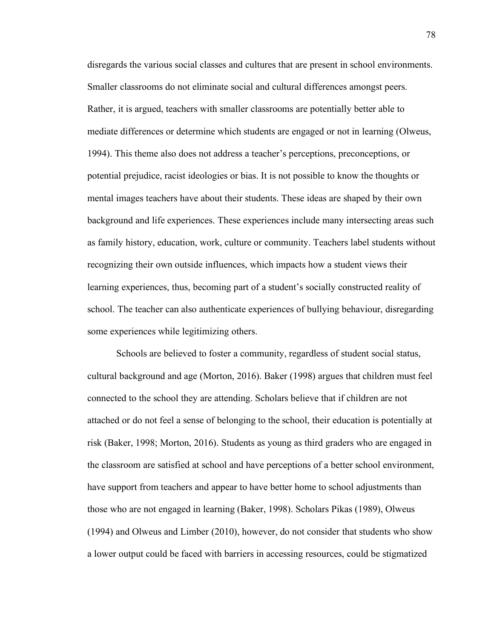disregards the various social classes and cultures that are present in school environments. Smaller classrooms do not eliminate social and cultural differences amongst peers. Rather, it is argued, teachers with smaller classrooms are potentially better able to mediate differences or determine which students are engaged or not in learning (Olweus, 1994). This theme also does not address a teacher's perceptions, preconceptions, or potential prejudice, racist ideologies or bias. It is not possible to know the thoughts or mental images teachers have about their students. These ideas are shaped by their own background and life experiences. These experiences include many intersecting areas such as family history, education, work, culture or community. Teachers label students without recognizing their own outside influences, which impacts how a student views their learning experiences, thus, becoming part of a student's socially constructed reality of school. The teacher can also authenticate experiences of bullying behaviour, disregarding some experiences while legitimizing others.

Schools are believed to foster a community, regardless of student social status, cultural background and age (Morton, 2016). Baker (1998) argues that children must feel connected to the school they are attending. Scholars believe that if children are not attached or do not feel a sense of belonging to the school, their education is potentially at risk (Baker, 1998; Morton, 2016). Students as young as third graders who are engaged in the classroom are satisfied at school and have perceptions of a better school environment, have support from teachers and appear to have better home to school adjustments than those who are not engaged in learning (Baker, 1998). Scholars Pikas (1989), Olweus (1994) and Olweus and Limber (2010), however, do not consider that students who show a lower output could be faced with barriers in accessing resources, could be stigmatized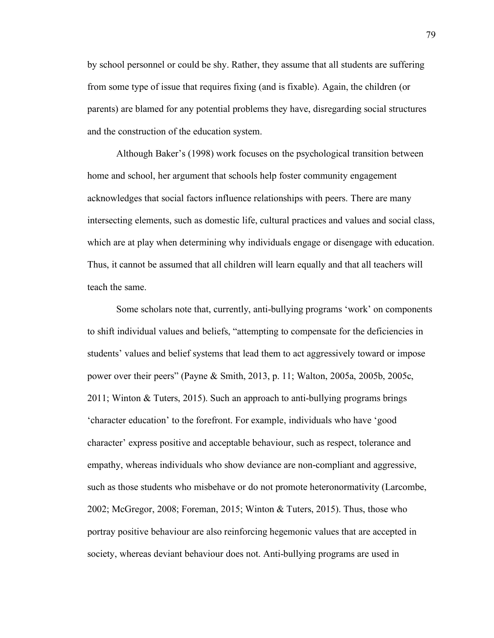by school personnel or could be shy. Rather, they assume that all students are suffering from some type of issue that requires fixing (and is fixable). Again, the children (or parents) are blamed for any potential problems they have, disregarding social structures and the construction of the education system.

Although Baker's (1998) work focuses on the psychological transition between home and school, her argument that schools help foster community engagement acknowledges that social factors influence relationships with peers. There are many intersecting elements, such as domestic life, cultural practices and values and social class, which are at play when determining why individuals engage or disengage with education. Thus, it cannot be assumed that all children will learn equally and that all teachers will teach the same.

Some scholars note that, currently, anti-bullying programs 'work' on components to shift individual values and beliefs, "attempting to compensate for the deficiencies in students' values and belief systems that lead them to act aggressively toward or impose power over their peers" (Payne & Smith, 2013, p. 11; Walton, 2005a, 2005b, 2005c, 2011; Winton & Tuters, 2015). Such an approach to anti-bullying programs brings 'character education' to the forefront. For example, individuals who have 'good character' express positive and acceptable behaviour, such as respect, tolerance and empathy, whereas individuals who show deviance are non-compliant and aggressive, such as those students who misbehave or do not promote heteronormativity (Larcombe, 2002; McGregor, 2008; Foreman, 2015; Winton & Tuters, 2015). Thus, those who portray positive behaviour are also reinforcing hegemonic values that are accepted in society, whereas deviant behaviour does not. Anti-bullying programs are used in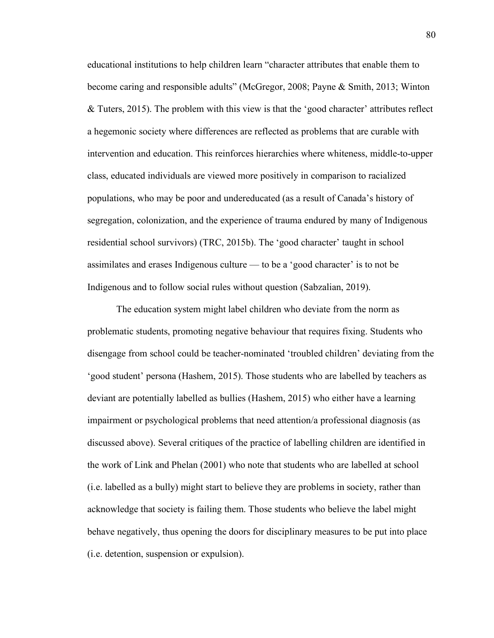educational institutions to help children learn "character attributes that enable them to become caring and responsible adults" (McGregor, 2008; Payne & Smith, 2013; Winton & Tuters, 2015). The problem with this view is that the 'good character' attributes reflect a hegemonic society where differences are reflected as problems that are curable with intervention and education. This reinforces hierarchies where whiteness, middle-to-upper class, educated individuals are viewed more positively in comparison to racialized populations, who may be poor and undereducated (as a result of Canada's history of segregation, colonization, and the experience of trauma endured by many of Indigenous residential school survivors) (TRC, 2015b). The 'good character' taught in school assimilates and erases Indigenous culture — to be a 'good character' is to not be Indigenous and to follow social rules without question (Sabzalian, 2019).

The education system might label children who deviate from the norm as problematic students, promoting negative behaviour that requires fixing. Students who disengage from school could be teacher-nominated 'troubled children' deviating from the 'good student' persona (Hashem, 2015). Those students who are labelled by teachers as deviant are potentially labelled as bullies (Hashem, 2015) who either have a learning impairment or psychological problems that need attention/a professional diagnosis (as discussed above). Several critiques of the practice of labelling children are identified in the work of Link and Phelan (2001) who note that students who are labelled at school (i.e. labelled as a bully) might start to believe they are problems in society, rather than acknowledge that society is failing them. Those students who believe the label might behave negatively, thus opening the doors for disciplinary measures to be put into place (i.e. detention, suspension or expulsion).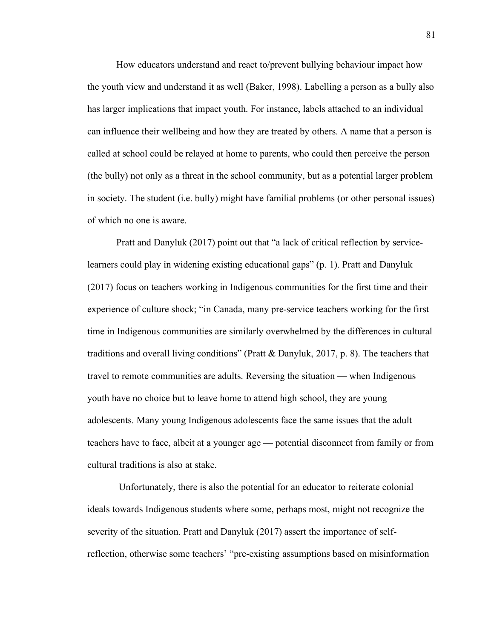How educators understand and react to/prevent bullying behaviour impact how the youth view and understand it as well (Baker, 1998). Labelling a person as a bully also has larger implications that impact youth. For instance, labels attached to an individual can influence their wellbeing and how they are treated by others. A name that a person is called at school could be relayed at home to parents, who could then perceive the person (the bully) not only as a threat in the school community, but as a potential larger problem in society. The student (i.e. bully) might have familial problems (or other personal issues) of which no one is aware.

Pratt and Danyluk (2017) point out that "a lack of critical reflection by servicelearners could play in widening existing educational gaps" (p. 1). Pratt and Danyluk (2017) focus on teachers working in Indigenous communities for the first time and their experience of culture shock; "in Canada, many pre-service teachers working for the first time in Indigenous communities are similarly overwhelmed by the differences in cultural traditions and overall living conditions" (Pratt & Danyluk, 2017, p. 8). The teachers that travel to remote communities are adults. Reversing the situation — when Indigenous youth have no choice but to leave home to attend high school, they are young adolescents. Many young Indigenous adolescents face the same issues that the adult teachers have to face, albeit at a younger age — potential disconnect from family or from cultural traditions is also at stake.

Unfortunately, there is also the potential for an educator to reiterate colonial ideals towards Indigenous students where some, perhaps most, might not recognize the severity of the situation. Pratt and Danyluk (2017) assert the importance of selfreflection, otherwise some teachers' "pre-existing assumptions based on misinformation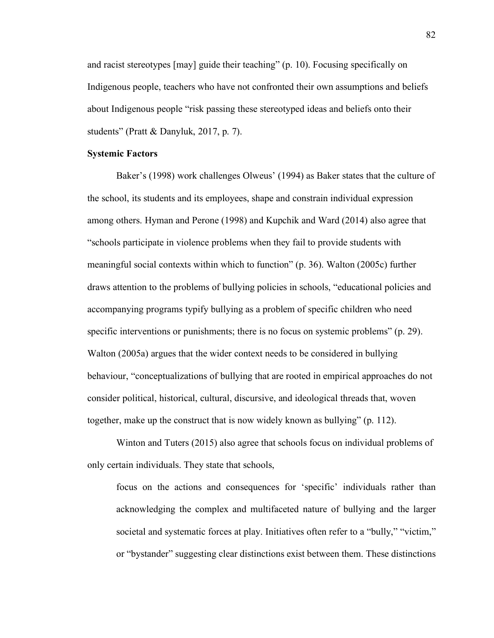and racist stereotypes [may] guide their teaching" (p. 10). Focusing specifically on Indigenous people, teachers who have not confronted their own assumptions and beliefs about Indigenous people "risk passing these stereotyped ideas and beliefs onto their students" (Pratt & Danyluk, 2017, p. 7).

#### **Systemic Factors**

Baker's (1998) work challenges Olweus' (1994) as Baker states that the culture of the school, its students and its employees, shape and constrain individual expression among others. Hyman and Perone (1998) and Kupchik and Ward (2014) also agree that "schools participate in violence problems when they fail to provide students with meaningful social contexts within which to function" (p. 36). Walton (2005c) further draws attention to the problems of bullying policies in schools, "educational policies and accompanying programs typify bullying as a problem of specific children who need specific interventions or punishments; there is no focus on systemic problems" (p. 29). Walton (2005a) argues that the wider context needs to be considered in bullying behaviour, "conceptualizations of bullying that are rooted in empirical approaches do not consider political, historical, cultural, discursive, and ideological threads that, woven together, make up the construct that is now widely known as bullying" (p. 112).

Winton and Tuters (2015) also agree that schools focus on individual problems of only certain individuals. They state that schools,

focus on the actions and consequences for 'specific' individuals rather than acknowledging the complex and multifaceted nature of bullying and the larger societal and systematic forces at play. Initiatives often refer to a "bully," "victim," or "bystander" suggesting clear distinctions exist between them. These distinctions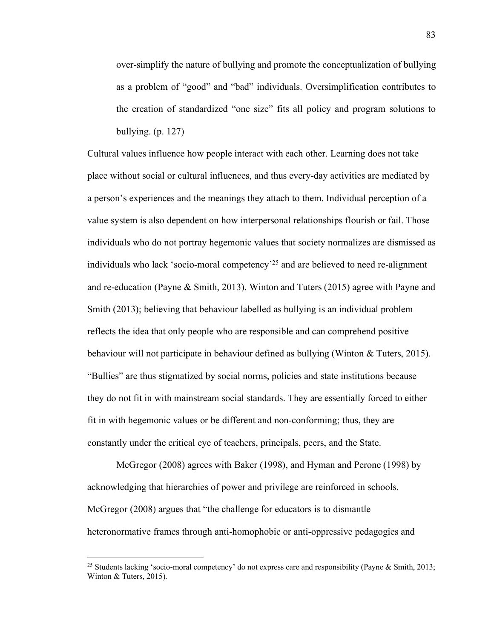over-simplify the nature of bullying and promote the conceptualization of bullying as a problem of "good" and "bad" individuals. Oversimplification contributes to the creation of standardized "one size" fits all policy and program solutions to bullying. (p. 127)

Cultural values influence how people interact with each other. Learning does not take place without social or cultural influences, and thus every-day activities are mediated by a person's experiences and the meanings they attach to them. Individual perception of a value system is also dependent on how interpersonal relationships flourish or fail. Those individuals who do not portray hegemonic values that society normalizes are dismissed as individuals who lack 'socio-moral competency'25 and are believed to need re-alignment and re-education (Payne & Smith, 2013). Winton and Tuters (2015) agree with Payne and Smith (2013); believing that behaviour labelled as bullying is an individual problem reflects the idea that only people who are responsible and can comprehend positive behaviour will not participate in behaviour defined as bullying (Winton & Tuters, 2015). "Bullies" are thus stigmatized by social norms, policies and state institutions because they do not fit in with mainstream social standards. They are essentially forced to either fit in with hegemonic values or be different and non-conforming; thus, they are constantly under the critical eye of teachers, principals, peers, and the State.

McGregor (2008) agrees with Baker (1998), and Hyman and Perone (1998) by acknowledging that hierarchies of power and privilege are reinforced in schools. McGregor (2008) argues that "the challenge for educators is to dismantle heteronormative frames through anti-homophobic or anti-oppressive pedagogies and

<sup>&</sup>lt;sup>25</sup> Students lacking 'socio-moral competency' do not express care and responsibility (Payne & Smith, 2013; Winton & Tuters, 2015).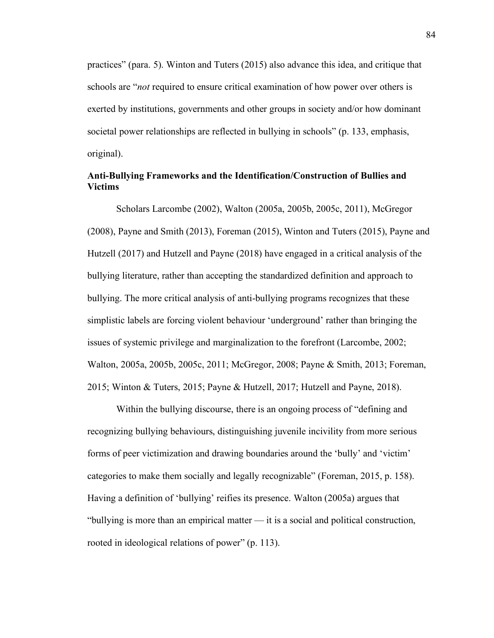practices" (para. 5). Winton and Tuters (2015) also advance this idea, and critique that schools are "*not* required to ensure critical examination of how power over others is exerted by institutions, governments and other groups in society and/or how dominant societal power relationships are reflected in bullying in schools" (p. 133, emphasis, original).

# **Anti-Bullying Frameworks and the Identification/Construction of Bullies and Victims**

Scholars Larcombe (2002), Walton (2005a, 2005b, 2005c, 2011), McGregor (2008), Payne and Smith (2013), Foreman (2015), Winton and Tuters (2015), Payne and Hutzell (2017) and Hutzell and Payne (2018) have engaged in a critical analysis of the bullying literature, rather than accepting the standardized definition and approach to bullying. The more critical analysis of anti-bullying programs recognizes that these simplistic labels are forcing violent behaviour 'underground' rather than bringing the issues of systemic privilege and marginalization to the forefront (Larcombe, 2002; Walton, 2005a, 2005b, 2005c, 2011; McGregor, 2008; Payne & Smith, 2013; Foreman, 2015; Winton & Tuters, 2015; Payne & Hutzell, 2017; Hutzell and Payne, 2018).

Within the bullying discourse, there is an ongoing process of "defining and recognizing bullying behaviours, distinguishing juvenile incivility from more serious forms of peer victimization and drawing boundaries around the 'bully' and 'victim' categories to make them socially and legally recognizable" (Foreman, 2015, p. 158). Having a definition of 'bullying' reifies its presence. Walton (2005a) argues that "bullying is more than an empirical matter — it is a social and political construction, rooted in ideological relations of power" (p. 113).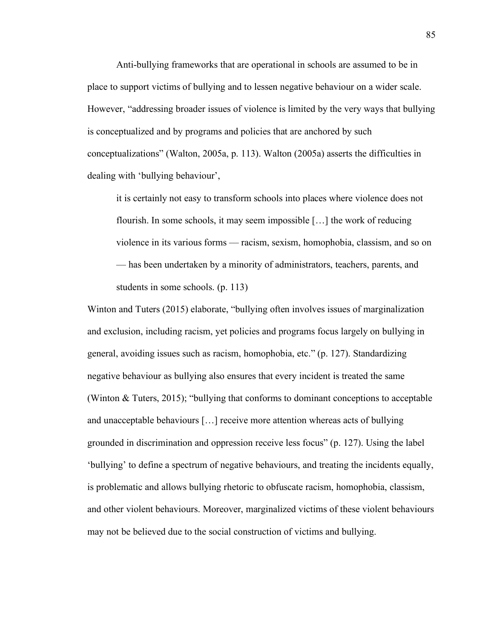Anti-bullying frameworks that are operational in schools are assumed to be in place to support victims of bullying and to lessen negative behaviour on a wider scale. However, "addressing broader issues of violence is limited by the very ways that bullying is conceptualized and by programs and policies that are anchored by such conceptualizations" (Walton, 2005a, p. 113). Walton (2005a) asserts the difficulties in dealing with 'bullying behaviour',

it is certainly not easy to transform schools into places where violence does not flourish. In some schools, it may seem impossible […] the work of reducing violence in its various forms — racism, sexism, homophobia, classism, and so on — has been undertaken by a minority of administrators, teachers, parents, and students in some schools. (p. 113)

Winton and Tuters (2015) elaborate, "bullying often involves issues of marginalization and exclusion, including racism, yet policies and programs focus largely on bullying in general, avoiding issues such as racism, homophobia, etc." (p. 127). Standardizing negative behaviour as bullying also ensures that every incident is treated the same (Winton & Tuters, 2015); "bullying that conforms to dominant conceptions to acceptable and unacceptable behaviours […] receive more attention whereas acts of bullying grounded in discrimination and oppression receive less focus" (p. 127). Using the label 'bullying' to define a spectrum of negative behaviours, and treating the incidents equally, is problematic and allows bullying rhetoric to obfuscate racism, homophobia, classism, and other violent behaviours. Moreover, marginalized victims of these violent behaviours may not be believed due to the social construction of victims and bullying.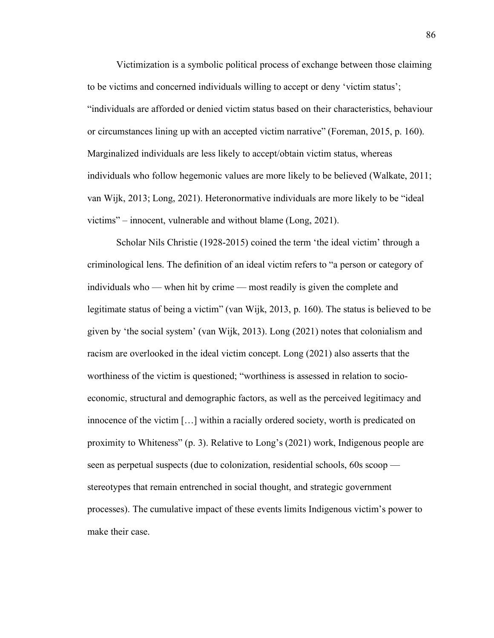Victimization is a symbolic political process of exchange between those claiming to be victims and concerned individuals willing to accept or deny 'victim status'; "individuals are afforded or denied victim status based on their characteristics, behaviour or circumstances lining up with an accepted victim narrative" (Foreman, 2015, p. 160). Marginalized individuals are less likely to accept/obtain victim status, whereas individuals who follow hegemonic values are more likely to be believed (Walkate, 2011; van Wijk, 2013; Long, 2021). Heteronormative individuals are more likely to be "ideal victims" – innocent, vulnerable and without blame (Long, 2021).

Scholar Nils Christie (1928-2015) coined the term 'the ideal victim' through a criminological lens. The definition of an ideal victim refers to "a person or category of individuals who — when hit by crime — most readily is given the complete and legitimate status of being a victim" (van Wijk, 2013, p. 160). The status is believed to be given by 'the social system' (van Wijk, 2013). Long (2021) notes that colonialism and racism are overlooked in the ideal victim concept. Long (2021) also asserts that the worthiness of the victim is questioned; "worthiness is assessed in relation to socioeconomic, structural and demographic factors, as well as the perceived legitimacy and innocence of the victim […] within a racially ordered society, worth is predicated on proximity to Whiteness" (p. 3). Relative to Long's (2021) work, Indigenous people are seen as perpetual suspects (due to colonization, residential schools, 60s scoop stereotypes that remain entrenched in social thought, and strategic government processes). The cumulative impact of these events limits Indigenous victim's power to make their case.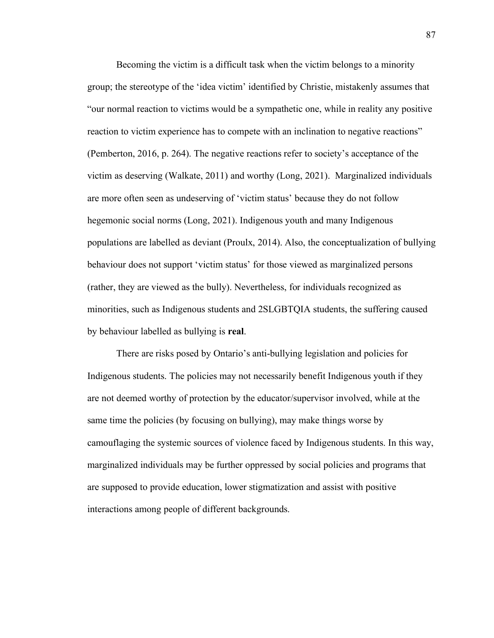Becoming the victim is a difficult task when the victim belongs to a minority group; the stereotype of the 'idea victim' identified by Christie, mistakenly assumes that "our normal reaction to victims would be a sympathetic one, while in reality any positive reaction to victim experience has to compete with an inclination to negative reactions" (Pemberton, 2016, p. 264). The negative reactions refer to society's acceptance of the victim as deserving (Walkate, 2011) and worthy (Long, 2021). Marginalized individuals are more often seen as undeserving of 'victim status' because they do not follow hegemonic social norms (Long, 2021). Indigenous youth and many Indigenous populations are labelled as deviant (Proulx, 2014). Also, the conceptualization of bullying behaviour does not support 'victim status' for those viewed as marginalized persons (rather, they are viewed as the bully). Nevertheless, for individuals recognized as minorities, such as Indigenous students and 2SLGBTQIA students, the suffering caused by behaviour labelled as bullying is **real**.

There are risks posed by Ontario's anti-bullying legislation and policies for Indigenous students. The policies may not necessarily benefit Indigenous youth if they are not deemed worthy of protection by the educator/supervisor involved, while at the same time the policies (by focusing on bullying), may make things worse by camouflaging the systemic sources of violence faced by Indigenous students. In this way, marginalized individuals may be further oppressed by social policies and programs that are supposed to provide education, lower stigmatization and assist with positive interactions among people of different backgrounds.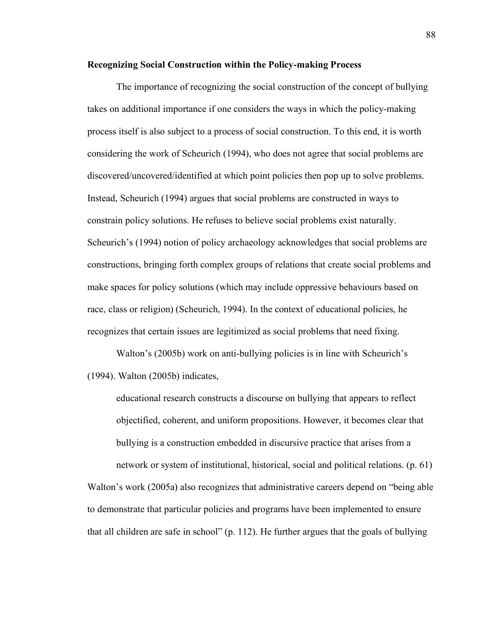### **Recognizing Social Construction within the Policy-making Process**

The importance of recognizing the social construction of the concept of bullying takes on additional importance if one considers the ways in which the policy-making process itself is also subject to a process of social construction. To this end, it is worth considering the work of Scheurich (1994), who does not agree that social problems are discovered/uncovered/identified at which point policies then pop up to solve problems. Instead, Scheurich (1994) argues that social problems are constructed in ways to constrain policy solutions. He refuses to believe social problems exist naturally. Scheurich's (1994) notion of policy archaeology acknowledges that social problems are constructions, bringing forth complex groups of relations that create social problems and make spaces for policy solutions (which may include oppressive behaviours based on race, class or religion) (Scheurich, 1994). In the context of educational policies, he recognizes that certain issues are legitimized as social problems that need fixing.

Walton's (2005b) work on anti-bullying policies is in line with Scheurich's (1994). Walton (2005b) indicates,

educational research constructs a discourse on bullying that appears to reflect objectified, coherent, and uniform propositions. However, it becomes clear that bullying is a construction embedded in discursive practice that arises from a network or system of institutional, historical, social and political relations. (p. 61) Walton's work (2005a) also recognizes that administrative careers depend on "being able to demonstrate that particular policies and programs have been implemented to ensure that all children are safe in school" (p. 112). He further argues that the goals of bullying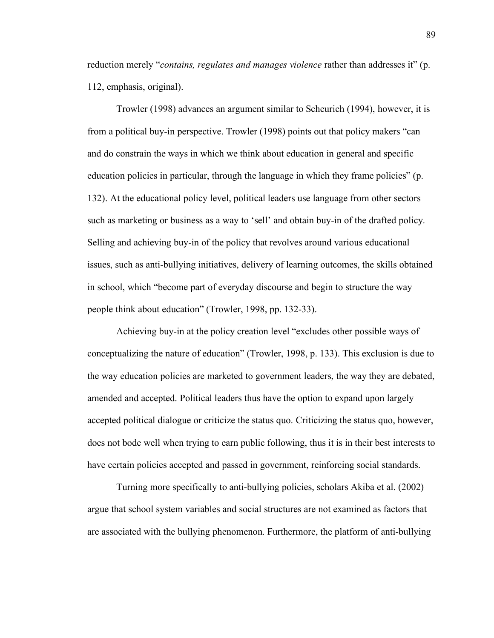reduction merely "*contains, regulates and manages violence* rather than addresses it" (p. 112, emphasis, original).

Trowler (1998) advances an argument similar to Scheurich (1994), however, it is from a political buy-in perspective. Trowler (1998) points out that policy makers "can and do constrain the ways in which we think about education in general and specific education policies in particular, through the language in which they frame policies" (p. 132). At the educational policy level, political leaders use language from other sectors such as marketing or business as a way to 'sell' and obtain buy-in of the drafted policy. Selling and achieving buy-in of the policy that revolves around various educational issues, such as anti-bullying initiatives, delivery of learning outcomes, the skills obtained in school, which "become part of everyday discourse and begin to structure the way people think about education" (Trowler, 1998, pp. 132-33).

Achieving buy-in at the policy creation level "excludes other possible ways of conceptualizing the nature of education" (Trowler, 1998, p. 133). This exclusion is due to the way education policies are marketed to government leaders, the way they are debated, amended and accepted. Political leaders thus have the option to expand upon largely accepted political dialogue or criticize the status quo. Criticizing the status quo, however, does not bode well when trying to earn public following, thus it is in their best interests to have certain policies accepted and passed in government, reinforcing social standards.

Turning more specifically to anti-bullying policies, scholars Akiba et al. (2002) argue that school system variables and social structures are not examined as factors that are associated with the bullying phenomenon. Furthermore, the platform of anti-bullying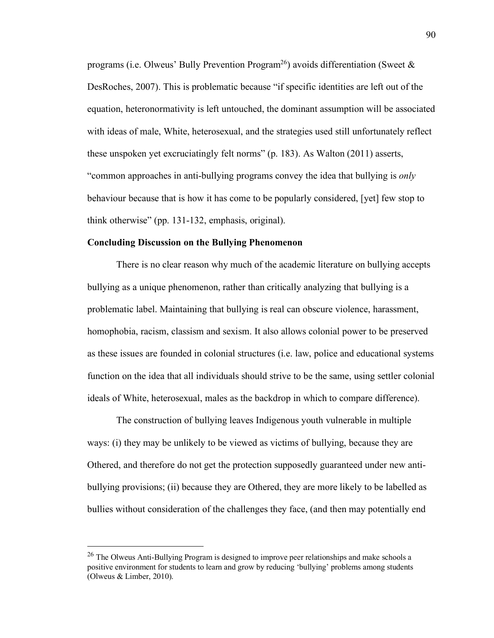programs (i.e. Olweus' Bully Prevention Program<sup>26</sup>) avoids differentiation (Sweet  $\&$ DesRoches, 2007). This is problematic because "if specific identities are left out of the equation, heteronormativity is left untouched, the dominant assumption will be associated with ideas of male, White, heterosexual, and the strategies used still unfortunately reflect these unspoken yet excruciatingly felt norms" (p. 183). As Walton (2011) asserts, "common approaches in anti-bullying programs convey the idea that bullying is *only* behaviour because that is how it has come to be popularly considered, [yet] few stop to think otherwise" (pp. 131-132, emphasis, original).

#### **Concluding Discussion on the Bullying Phenomenon**

There is no clear reason why much of the academic literature on bullying accepts bullying as a unique phenomenon, rather than critically analyzing that bullying is a problematic label. Maintaining that bullying is real can obscure violence, harassment, homophobia, racism, classism and sexism. It also allows colonial power to be preserved as these issues are founded in colonial structures (i.e. law, police and educational systems function on the idea that all individuals should strive to be the same, using settler colonial ideals of White, heterosexual, males as the backdrop in which to compare difference).

The construction of bullying leaves Indigenous youth vulnerable in multiple ways: (i) they may be unlikely to be viewed as victims of bullying, because they are Othered, and therefore do not get the protection supposedly guaranteed under new antibullying provisions; (ii) because they are Othered, they are more likely to be labelled as bullies without consideration of the challenges they face, (and then may potentially end

 $26$  The Olweus Anti-Bullying Program is designed to improve peer relationships and make schools a positive environment for students to learn and grow by reducing 'bullying' problems among students (Olweus & Limber, 2010).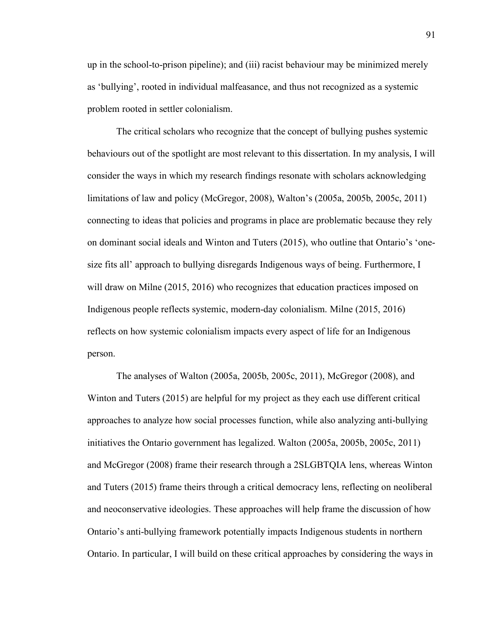up in the school-to-prison pipeline); and (iii) racist behaviour may be minimized merely as 'bullying', rooted in individual malfeasance, and thus not recognized as a systemic problem rooted in settler colonialism.

The critical scholars who recognize that the concept of bullying pushes systemic behaviours out of the spotlight are most relevant to this dissertation. In my analysis, I will consider the ways in which my research findings resonate with scholars acknowledging limitations of law and policy (McGregor, 2008), Walton's (2005a, 2005b, 2005c, 2011) connecting to ideas that policies and programs in place are problematic because they rely on dominant social ideals and Winton and Tuters (2015), who outline that Ontario's 'onesize fits all' approach to bullying disregards Indigenous ways of being. Furthermore, I will draw on Milne (2015, 2016) who recognizes that education practices imposed on Indigenous people reflects systemic, modern-day colonialism. Milne (2015, 2016) reflects on how systemic colonialism impacts every aspect of life for an Indigenous person.

The analyses of Walton (2005a, 2005b, 2005c, 2011), McGregor (2008), and Winton and Tuters (2015) are helpful for my project as they each use different critical approaches to analyze how social processes function, while also analyzing anti-bullying initiatives the Ontario government has legalized. Walton (2005a, 2005b, 2005c, 2011) and McGregor (2008) frame their research through a 2SLGBTQIA lens, whereas Winton and Tuters (2015) frame theirs through a critical democracy lens, reflecting on neoliberal and neoconservative ideologies. These approaches will help frame the discussion of how Ontario's anti-bullying framework potentially impacts Indigenous students in northern Ontario. In particular, I will build on these critical approaches by considering the ways in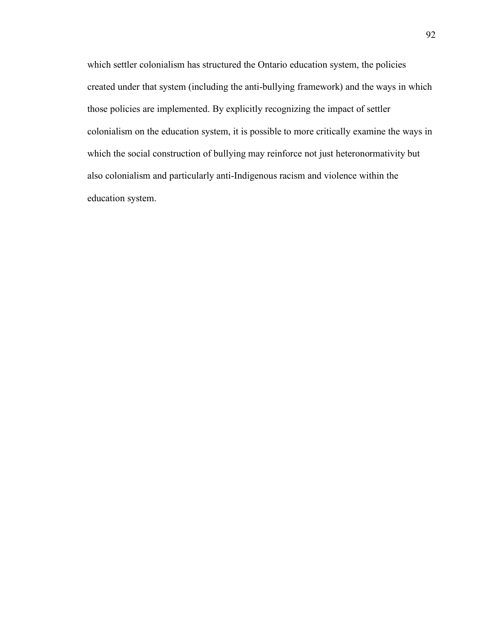which settler colonialism has structured the Ontario education system, the policies created under that system (including the anti-bullying framework) and the ways in which those policies are implemented. By explicitly recognizing the impact of settler colonialism on the education system, it is possible to more critically examine the ways in which the social construction of bullying may reinforce not just heteronormativity but also colonialism and particularly anti-Indigenous racism and violence within the education system.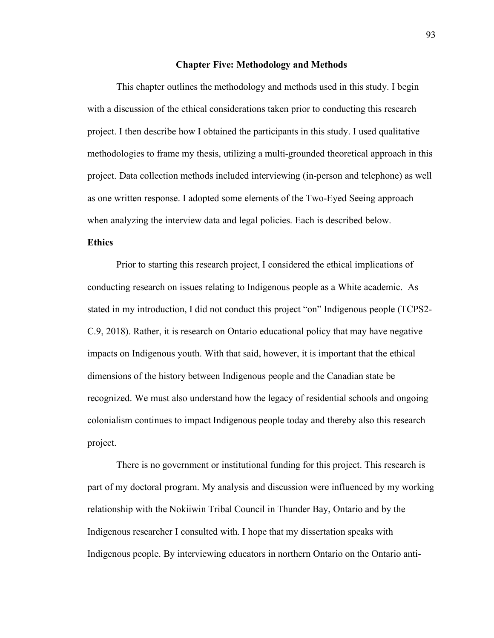#### **Chapter Five: Methodology and Methods**

This chapter outlines the methodology and methods used in this study. I begin with a discussion of the ethical considerations taken prior to conducting this research project. I then describe how I obtained the participants in this study. I used qualitative methodologies to frame my thesis, utilizing a multi-grounded theoretical approach in this project. Data collection methods included interviewing (in-person and telephone) as well as one written response. I adopted some elements of the Two-Eyed Seeing approach when analyzing the interview data and legal policies. Each is described below.

### **Ethics**

Prior to starting this research project, I considered the ethical implications of conducting research on issues relating to Indigenous people as a White academic. As stated in my introduction, I did not conduct this project "on" Indigenous people (TCPS2- C.9, 2018). Rather, it is research on Ontario educational policy that may have negative impacts on Indigenous youth. With that said, however, it is important that the ethical dimensions of the history between Indigenous people and the Canadian state be recognized. We must also understand how the legacy of residential schools and ongoing colonialism continues to impact Indigenous people today and thereby also this research project.

There is no government or institutional funding for this project. This research is part of my doctoral program. My analysis and discussion were influenced by my working relationship with the Nokiiwin Tribal Council in Thunder Bay, Ontario and by the Indigenous researcher I consulted with. I hope that my dissertation speaks with Indigenous people. By interviewing educators in northern Ontario on the Ontario anti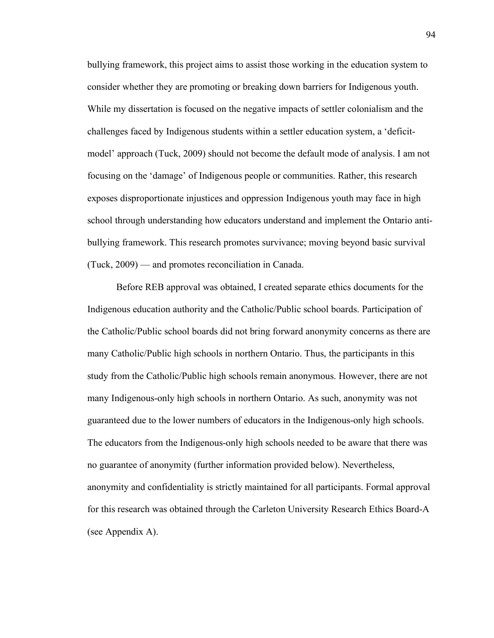bullying framework, this project aims to assist those working in the education system to consider whether they are promoting or breaking down barriers for Indigenous youth. While my dissertation is focused on the negative impacts of settler colonialism and the challenges faced by Indigenous students within a settler education system, a 'deficitmodel' approach (Tuck, 2009) should not become the default mode of analysis. I am not focusing on the 'damage' of Indigenous people or communities. Rather, this research exposes disproportionate injustices and oppression Indigenous youth may face in high school through understanding how educators understand and implement the Ontario antibullying framework. This research promotes survivance; moving beyond basic survival (Tuck, 2009) — and promotes reconciliation in Canada.

Before REB approval was obtained, I created separate ethics documents for the Indigenous education authority and the Catholic/Public school boards. Participation of the Catholic/Public school boards did not bring forward anonymity concerns as there are many Catholic/Public high schools in northern Ontario. Thus, the participants in this study from the Catholic/Public high schools remain anonymous. However, there are not many Indigenous-only high schools in northern Ontario. As such, anonymity was not guaranteed due to the lower numbers of educators in the Indigenous-only high schools. The educators from the Indigenous-only high schools needed to be aware that there was no guarantee of anonymity (further information provided below). Nevertheless, anonymity and confidentiality is strictly maintained for all participants. Formal approval for this research was obtained through the Carleton University Research Ethics Board-A (see Appendix A).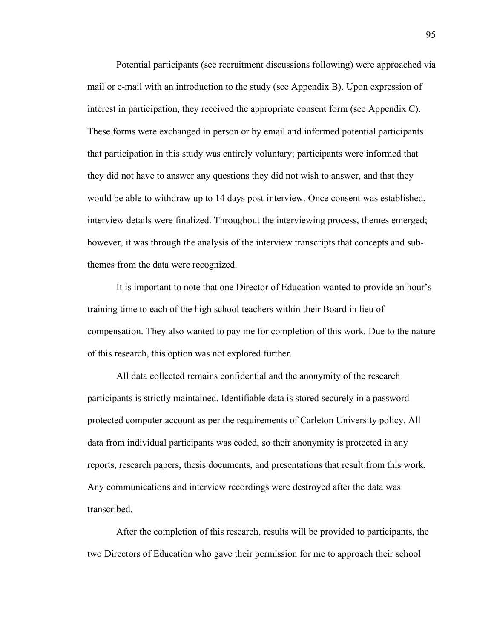Potential participants (see recruitment discussions following) were approached via mail or e-mail with an introduction to the study (see Appendix B). Upon expression of interest in participation, they received the appropriate consent form (see Appendix C). These forms were exchanged in person or by email and informed potential participants that participation in this study was entirely voluntary; participants were informed that they did not have to answer any questions they did not wish to answer, and that they would be able to withdraw up to 14 days post-interview. Once consent was established, interview details were finalized. Throughout the interviewing process, themes emerged; however, it was through the analysis of the interview transcripts that concepts and subthemes from the data were recognized.

It is important to note that one Director of Education wanted to provide an hour's training time to each of the high school teachers within their Board in lieu of compensation. They also wanted to pay me for completion of this work. Due to the nature of this research, this option was not explored further.

All data collected remains confidential and the anonymity of the research participants is strictly maintained. Identifiable data is stored securely in a password protected computer account as per the requirements of Carleton University policy. All data from individual participants was coded, so their anonymity is protected in any reports, research papers, thesis documents, and presentations that result from this work. Any communications and interview recordings were destroyed after the data was transcribed.

After the completion of this research, results will be provided to participants, the two Directors of Education who gave their permission for me to approach their school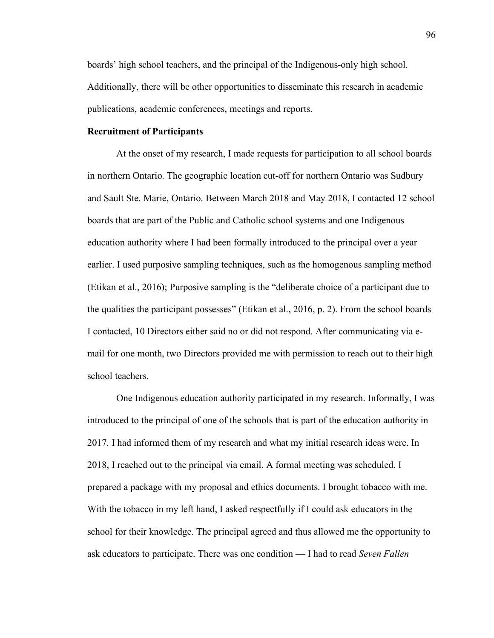boards' high school teachers, and the principal of the Indigenous-only high school. Additionally, there will be other opportunities to disseminate this research in academic publications, academic conferences, meetings and reports.

#### **Recruitment of Participants**

At the onset of my research, I made requests for participation to all school boards in northern Ontario. The geographic location cut-off for northern Ontario was Sudbury and Sault Ste. Marie, Ontario. Between March 2018 and May 2018, I contacted 12 school boards that are part of the Public and Catholic school systems and one Indigenous education authority where I had been formally introduced to the principal over a year earlier. I used purposive sampling techniques, such as the homogenous sampling method (Etikan et al., 2016); Purposive sampling is the "deliberate choice of a participant due to the qualities the participant possesses" (Etikan et al., 2016, p. 2). From the school boards I contacted, 10 Directors either said no or did not respond. After communicating via email for one month, two Directors provided me with permission to reach out to their high school teachers.

One Indigenous education authority participated in my research. Informally, I was introduced to the principal of one of the schools that is part of the education authority in 2017. I had informed them of my research and what my initial research ideas were. In 2018, I reached out to the principal via email. A formal meeting was scheduled. I prepared a package with my proposal and ethics documents. I brought tobacco with me. With the tobacco in my left hand, I asked respectfully if I could ask educators in the school for their knowledge. The principal agreed and thus allowed me the opportunity to ask educators to participate. There was one condition — I had to read *Seven Fallen*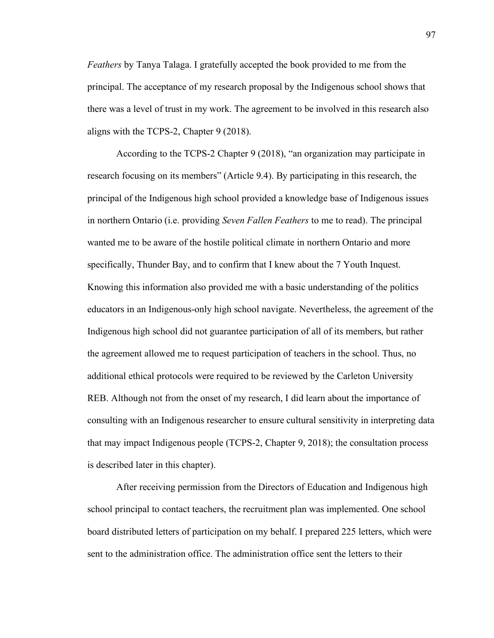*Feathers* by Tanya Talaga. I gratefully accepted the book provided to me from the principal. The acceptance of my research proposal by the Indigenous school shows that there was a level of trust in my work. The agreement to be involved in this research also aligns with the TCPS-2, Chapter 9 (2018).

According to the TCPS-2 Chapter 9 (2018), "an organization may participate in research focusing on its members" (Article 9.4). By participating in this research, the principal of the Indigenous high school provided a knowledge base of Indigenous issues in northern Ontario (i.e. providing *Seven Fallen Feathers* to me to read). The principal wanted me to be aware of the hostile political climate in northern Ontario and more specifically, Thunder Bay, and to confirm that I knew about the 7 Youth Inquest. Knowing this information also provided me with a basic understanding of the politics educators in an Indigenous-only high school navigate. Nevertheless, the agreement of the Indigenous high school did not guarantee participation of all of its members, but rather the agreement allowed me to request participation of teachers in the school. Thus, no additional ethical protocols were required to be reviewed by the Carleton University REB. Although not from the onset of my research, I did learn about the importance of consulting with an Indigenous researcher to ensure cultural sensitivity in interpreting data that may impact Indigenous people (TCPS-2, Chapter 9, 2018); the consultation process is described later in this chapter).

After receiving permission from the Directors of Education and Indigenous high school principal to contact teachers, the recruitment plan was implemented. One school board distributed letters of participation on my behalf. I prepared 225 letters, which were sent to the administration office. The administration office sent the letters to their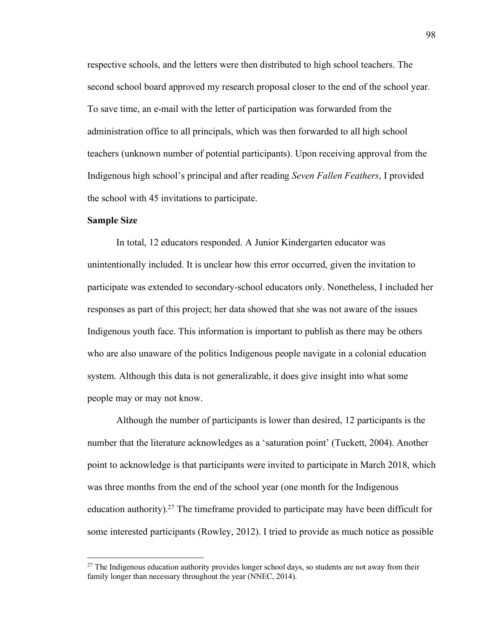respective schools, and the letters were then distributed to high school teachers. The second school board approved my research proposal closer to the end of the school year. To save time, an e-mail with the letter of participation was forwarded from the administration office to all principals, which was then forwarded to all high school teachers (unknown number of potential participants). Upon receiving approval from the Indigenous high school's principal and after reading *Seven Fallen Feathers*, I provided the school with 45 invitations to participate.

#### **Sample Size**

In total, 12 educators responded. A Junior Kindergarten educator was unintentionally included. It is unclear how this error occurred, given the invitation to participate was extended to secondary-school educators only. Nonetheless, I included her responses as part of this project; her data showed that she was not aware of the issues Indigenous youth face. This information is important to publish as there may be others who are also unaware of the politics Indigenous people navigate in a colonial education system. Although this data is not generalizable, it does give insight into what some people may or may not know.

Although the number of participants is lower than desired, 12 participants is the number that the literature acknowledges as a 'saturation point' (Tuckett, 2004). Another point to acknowledge is that participants were invited to participate in March 2018, which was three months from the end of the school year (one month for the Indigenous education authority).<sup>27</sup> The timeframe provided to participate may have been difficult for some interested participants (Rowley, 2012). I tried to provide as much notice as possible

 $27$  The Indigenous education authority provides longer school days, so students are not away from their family longer than necessary throughout the year (NNEC, 2014).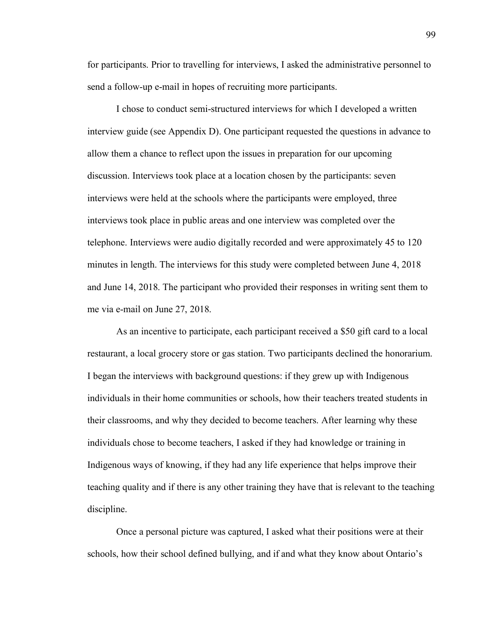for participants. Prior to travelling for interviews, I asked the administrative personnel to send a follow-up e-mail in hopes of recruiting more participants.

I chose to conduct semi-structured interviews for which I developed a written interview guide (see Appendix D). One participant requested the questions in advance to allow them a chance to reflect upon the issues in preparation for our upcoming discussion. Interviews took place at a location chosen by the participants: seven interviews were held at the schools where the participants were employed, three interviews took place in public areas and one interview was completed over the telephone. Interviews were audio digitally recorded and were approximately 45 to 120 minutes in length. The interviews for this study were completed between June 4, 2018 and June 14, 2018. The participant who provided their responses in writing sent them to me via e-mail on June 27, 2018.

As an incentive to participate, each participant received a \$50 gift card to a local restaurant, a local grocery store or gas station. Two participants declined the honorarium. I began the interviews with background questions: if they grew up with Indigenous individuals in their home communities or schools, how their teachers treated students in their classrooms, and why they decided to become teachers. After learning why these individuals chose to become teachers, I asked if they had knowledge or training in Indigenous ways of knowing, if they had any life experience that helps improve their teaching quality and if there is any other training they have that is relevant to the teaching discipline.

Once a personal picture was captured, I asked what their positions were at their schools, how their school defined bullying, and if and what they know about Ontario's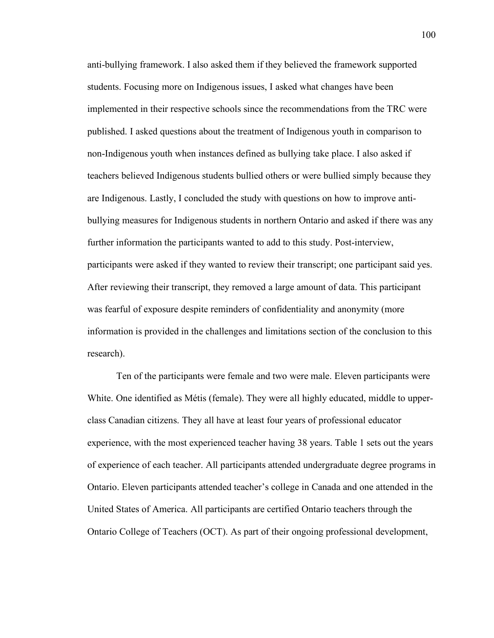anti-bullying framework. I also asked them if they believed the framework supported students. Focusing more on Indigenous issues, I asked what changes have been implemented in their respective schools since the recommendations from the TRC were published. I asked questions about the treatment of Indigenous youth in comparison to non-Indigenous youth when instances defined as bullying take place. I also asked if teachers believed Indigenous students bullied others or were bullied simply because they are Indigenous. Lastly, I concluded the study with questions on how to improve antibullying measures for Indigenous students in northern Ontario and asked if there was any further information the participants wanted to add to this study. Post-interview, participants were asked if they wanted to review their transcript; one participant said yes. After reviewing their transcript, they removed a large amount of data. This participant was fearful of exposure despite reminders of confidentiality and anonymity (more information is provided in the challenges and limitations section of the conclusion to this research).

Ten of the participants were female and two were male. Eleven participants were White. One identified as Métis (female). They were all highly educated, middle to upperclass Canadian citizens. They all have at least four years of professional educator experience, with the most experienced teacher having 38 years. Table 1 sets out the years of experience of each teacher. All participants attended undergraduate degree programs in Ontario. Eleven participants attended teacher's college in Canada and one attended in the United States of America. All participants are certified Ontario teachers through the Ontario College of Teachers (OCT). As part of their ongoing professional development,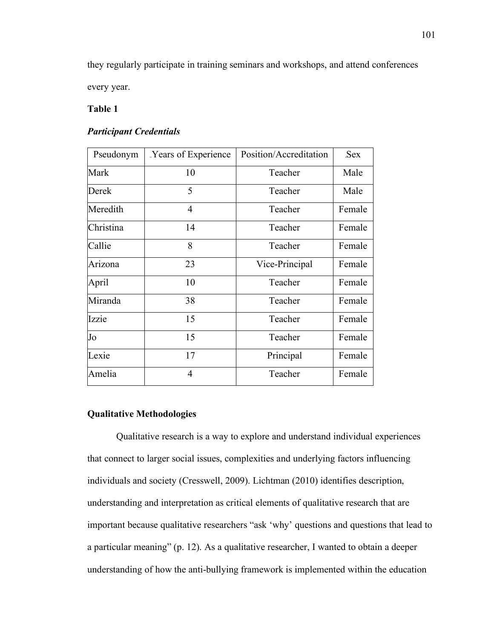they regularly participate in training seminars and workshops, and attend conferences

every year.

# **Table 1**

### *Participant Credentials*

| Pseudonym      | Years of Experience | Position/Accreditation | Sex    |
|----------------|---------------------|------------------------|--------|
| Mark           | 10                  | Teacher                | Male   |
| Derek          | 5                   | Teacher                | Male   |
| Meredith       | $\overline{4}$      | Teacher                | Female |
| Christina      | 14                  | Teacher                | Female |
| Callie         | 8                   | Teacher                | Female |
| Arizona        | 23                  | Vice-Principal         | Female |
| April          | 10                  | Teacher                | Female |
| Miranda        | 38                  | Teacher                | Female |
| Izzie          | 15                  | Teacher                | Female |
| J <sub>0</sub> | 15                  | Teacher                | Female |
| Lexie          | 17                  | Principal              | Female |
| Amelia         | 4                   | Teacher                | Female |

## **Qualitative Methodologies**

Qualitative research is a way to explore and understand individual experiences that connect to larger social issues, complexities and underlying factors influencing individuals and society (Cresswell, 2009). Lichtman (2010) identifies description, understanding and interpretation as critical elements of qualitative research that are important because qualitative researchers "ask 'why' questions and questions that lead to a particular meaning" (p. 12). As a qualitative researcher, I wanted to obtain a deeper understanding of how the anti-bullying framework is implemented within the education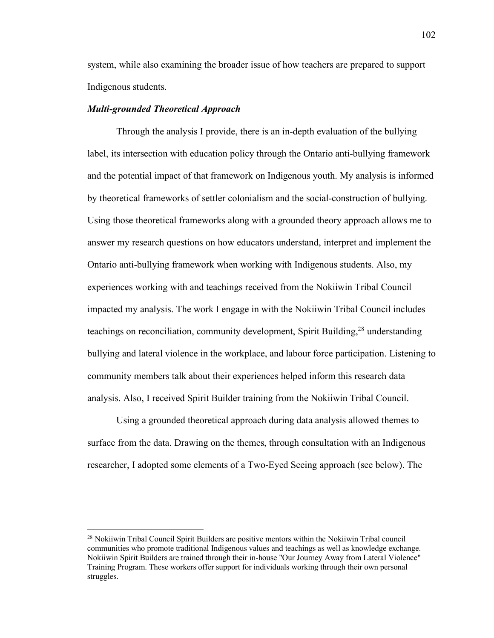system, while also examining the broader issue of how teachers are prepared to support Indigenous students.

### *Multi-grounded Theoretical Approach*

Through the analysis I provide, there is an in-depth evaluation of the bullying label, its intersection with education policy through the Ontario anti-bullying framework and the potential impact of that framework on Indigenous youth. My analysis is informed by theoretical frameworks of settler colonialism and the social-construction of bullying. Using those theoretical frameworks along with a grounded theory approach allows me to answer my research questions on how educators understand, interpret and implement the Ontario anti-bullying framework when working with Indigenous students. Also, my experiences working with and teachings received from the Nokiiwin Tribal Council impacted my analysis. The work I engage in with the Nokiiwin Tribal Council includes teachings on reconciliation, community development, Spirit Building, <sup>28</sup> understanding bullying and lateral violence in the workplace, and labour force participation. Listening to community members talk about their experiences helped inform this research data analysis. Also, I received Spirit Builder training from the Nokiiwin Tribal Council.

Using a grounded theoretical approach during data analysis allowed themes to surface from the data. Drawing on the themes, through consultation with an Indigenous researcher, I adopted some elements of a Two-Eyed Seeing approach (see below). The

<sup>&</sup>lt;sup>28</sup> Nokiiwin Tribal Council Spirit Builders are positive mentors within the Nokiiwin Tribal council communities who promote traditional Indigenous values and teachings as well as knowledge exchange. Nokiiwin Spirit Builders are trained through their in-house "Our Journey Away from Lateral Violence" Training Program. These workers offer support for individuals working through their own personal struggles.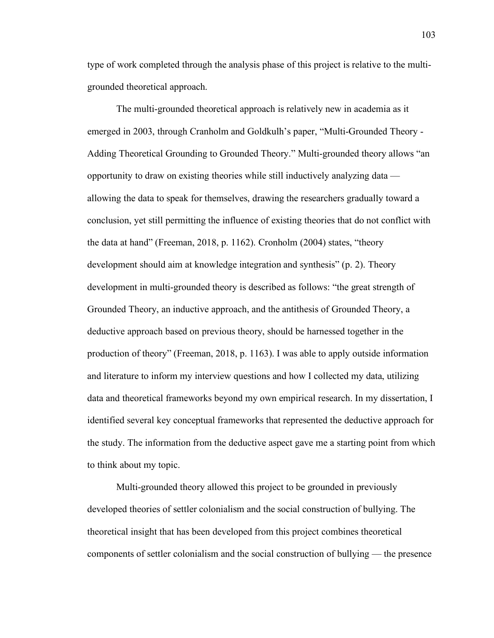type of work completed through the analysis phase of this project is relative to the multigrounded theoretical approach.

The multi-grounded theoretical approach is relatively new in academia as it emerged in 2003, through Cranholm and Goldkulh's paper, "Multi-Grounded Theory - Adding Theoretical Grounding to Grounded Theory." Multi-grounded theory allows "an opportunity to draw on existing theories while still inductively analyzing data allowing the data to speak for themselves, drawing the researchers gradually toward a conclusion, yet still permitting the influence of existing theories that do not conflict with the data at hand" (Freeman, 2018, p. 1162). Cronholm (2004) states, "theory development should aim at knowledge integration and synthesis" (p. 2). Theory development in multi-grounded theory is described as follows: "the great strength of Grounded Theory, an inductive approach, and the antithesis of Grounded Theory, a deductive approach based on previous theory, should be harnessed together in the production of theory" (Freeman, 2018, p. 1163). I was able to apply outside information and literature to inform my interview questions and how I collected my data, utilizing data and theoretical frameworks beyond my own empirical research. In my dissertation, I identified several key conceptual frameworks that represented the deductive approach for the study. The information from the deductive aspect gave me a starting point from which to think about my topic.

Multi-grounded theory allowed this project to be grounded in previously developed theories of settler colonialism and the social construction of bullying. The theoretical insight that has been developed from this project combines theoretical components of settler colonialism and the social construction of bullying — the presence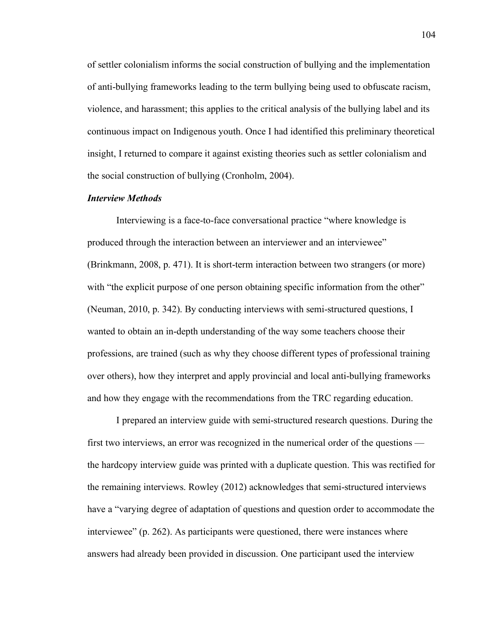of settler colonialism informs the social construction of bullying and the implementation of anti-bullying frameworks leading to the term bullying being used to obfuscate racism, violence, and harassment; this applies to the critical analysis of the bullying label and its continuous impact on Indigenous youth. Once I had identified this preliminary theoretical insight, I returned to compare it against existing theories such as settler colonialism and the social construction of bullying (Cronholm, 2004).

#### *Interview Methods*

Interviewing is a face-to-face conversational practice "where knowledge is produced through the interaction between an interviewer and an interviewee" (Brinkmann, 2008, p. 471). It is short-term interaction between two strangers (or more) with "the explicit purpose of one person obtaining specific information from the other" (Neuman, 2010, p. 342). By conducting interviews with semi-structured questions, I wanted to obtain an in-depth understanding of the way some teachers choose their professions, are trained (such as why they choose different types of professional training over others), how they interpret and apply provincial and local anti-bullying frameworks and how they engage with the recommendations from the TRC regarding education.

I prepared an interview guide with semi-structured research questions. During the first two interviews, an error was recognized in the numerical order of the questions the hardcopy interview guide was printed with a duplicate question. This was rectified for the remaining interviews. Rowley (2012) acknowledges that semi-structured interviews have a "varying degree of adaptation of questions and question order to accommodate the interviewee" (p. 262). As participants were questioned, there were instances where answers had already been provided in discussion. One participant used the interview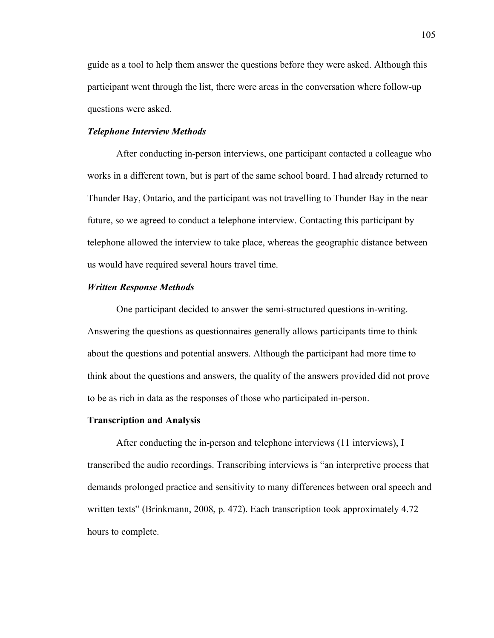guide as a tool to help them answer the questions before they were asked. Although this participant went through the list, there were areas in the conversation where follow-up questions were asked.

### *Telephone Interview Methods*

After conducting in-person interviews, one participant contacted a colleague who works in a different town, but is part of the same school board. I had already returned to Thunder Bay, Ontario, and the participant was not travelling to Thunder Bay in the near future, so we agreed to conduct a telephone interview. Contacting this participant by telephone allowed the interview to take place, whereas the geographic distance between us would have required several hours travel time.

#### *Written Response Methods*

One participant decided to answer the semi-structured questions in-writing. Answering the questions as questionnaires generally allows participants time to think about the questions and potential answers. Although the participant had more time to think about the questions and answers, the quality of the answers provided did not prove to be as rich in data as the responses of those who participated in-person.

### **Transcription and Analysis**

After conducting the in-person and telephone interviews (11 interviews), I transcribed the audio recordings. Transcribing interviews is "an interpretive process that demands prolonged practice and sensitivity to many differences between oral speech and written texts" (Brinkmann, 2008, p. 472). Each transcription took approximately 4.72 hours to complete.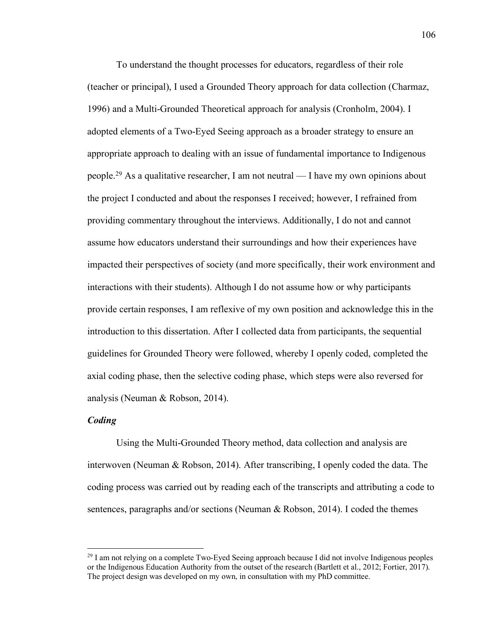To understand the thought processes for educators, regardless of their role (teacher or principal), I used a Grounded Theory approach for data collection (Charmaz, 1996) and a Multi-Grounded Theoretical approach for analysis (Cronholm, 2004). I adopted elements of a Two-Eyed Seeing approach as a broader strategy to ensure an appropriate approach to dealing with an issue of fundamental importance to Indigenous people.<sup>29</sup> As a qualitative researcher, I am not neutral — I have my own opinions about the project I conducted and about the responses I received; however, I refrained from providing commentary throughout the interviews. Additionally, I do not and cannot assume how educators understand their surroundings and how their experiences have impacted their perspectives of society (and more specifically, their work environment and interactions with their students). Although I do not assume how or why participants provide certain responses, I am reflexive of my own position and acknowledge this in the introduction to this dissertation. After I collected data from participants, the sequential guidelines for Grounded Theory were followed, whereby I openly coded, completed the axial coding phase, then the selective coding phase, which steps were also reversed for analysis (Neuman & Robson, 2014).

### *Coding*

Using the Multi-Grounded Theory method, data collection and analysis are interwoven (Neuman & Robson, 2014). After transcribing, I openly coded the data. The coding process was carried out by reading each of the transcripts and attributing a code to sentences, paragraphs and/or sections (Neuman & Robson, 2014). I coded the themes

<sup>&</sup>lt;sup>29</sup> I am not relying on a complete Two-Eyed Seeing approach because I did not involve Indigenous peoples or the Indigenous Education Authority from the outset of the research (Bartlett et al., 2012; Fortier, 2017). The project design was developed on my own, in consultation with my PhD committee.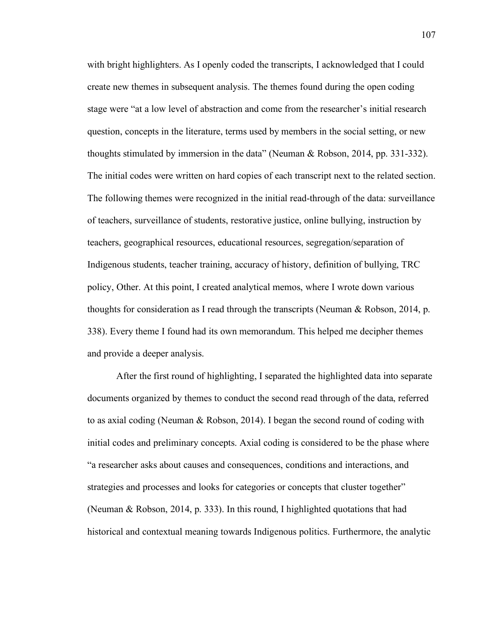with bright highlighters. As I openly coded the transcripts, I acknowledged that I could create new themes in subsequent analysis. The themes found during the open coding stage were "at a low level of abstraction and come from the researcher's initial research question, concepts in the literature, terms used by members in the social setting, or new thoughts stimulated by immersion in the data" (Neuman & Robson, 2014, pp. 331-332). The initial codes were written on hard copies of each transcript next to the related section. The following themes were recognized in the initial read-through of the data: surveillance of teachers, surveillance of students, restorative justice, online bullying, instruction by teachers, geographical resources, educational resources, segregation/separation of Indigenous students, teacher training, accuracy of history, definition of bullying, TRC policy, Other. At this point, I created analytical memos, where I wrote down various thoughts for consideration as I read through the transcripts (Neuman & Robson, 2014, p. 338). Every theme I found had its own memorandum. This helped me decipher themes and provide a deeper analysis.

After the first round of highlighting, I separated the highlighted data into separate documents organized by themes to conduct the second read through of the data, referred to as axial coding (Neuman & Robson, 2014). I began the second round of coding with initial codes and preliminary concepts. Axial coding is considered to be the phase where "a researcher asks about causes and consequences, conditions and interactions, and strategies and processes and looks for categories or concepts that cluster together" (Neuman & Robson, 2014, p. 333). In this round, I highlighted quotations that had historical and contextual meaning towards Indigenous politics. Furthermore, the analytic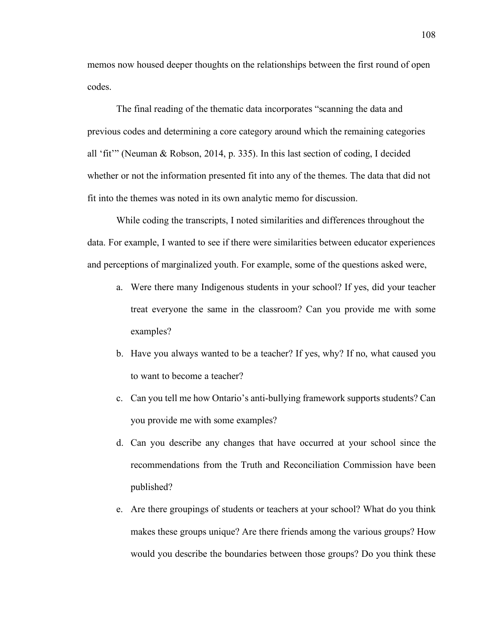memos now housed deeper thoughts on the relationships between the first round of open codes.

The final reading of the thematic data incorporates "scanning the data and previous codes and determining a core category around which the remaining categories all 'fit'" (Neuman & Robson, 2014, p. 335). In this last section of coding, I decided whether or not the information presented fit into any of the themes. The data that did not fit into the themes was noted in its own analytic memo for discussion.

While coding the transcripts, I noted similarities and differences throughout the data. For example, I wanted to see if there were similarities between educator experiences and perceptions of marginalized youth. For example, some of the questions asked were,

- a. Were there many Indigenous students in your school? If yes, did your teacher treat everyone the same in the classroom? Can you provide me with some examples?
- b. Have you always wanted to be a teacher? If yes, why? If no, what caused you to want to become a teacher?
- c. Can you tell me how Ontario's anti-bullying framework supports students? Can you provide me with some examples?
- d. Can you describe any changes that have occurred at your school since the recommendations from the Truth and Reconciliation Commission have been published?
- e. Are there groupings of students or teachers at your school? What do you think makes these groups unique? Are there friends among the various groups? How would you describe the boundaries between those groups? Do you think these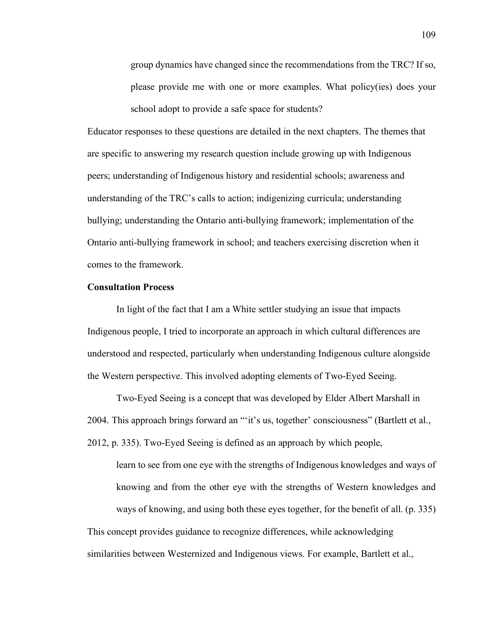group dynamics have changed since the recommendations from the TRC? If so, please provide me with one or more examples. What policy(ies) does your school adopt to provide a safe space for students?

Educator responses to these questions are detailed in the next chapters. The themes that are specific to answering my research question include growing up with Indigenous peers; understanding of Indigenous history and residential schools; awareness and understanding of the TRC's calls to action; indigenizing curricula; understanding bullying; understanding the Ontario anti-bullying framework; implementation of the Ontario anti-bullying framework in school; and teachers exercising discretion when it comes to the framework.

#### **Consultation Process**

In light of the fact that I am a White settler studying an issue that impacts Indigenous people, I tried to incorporate an approach in which cultural differences are understood and respected, particularly when understanding Indigenous culture alongside the Western perspective. This involved adopting elements of Two-Eyed Seeing.

Two-Eyed Seeing is a concept that was developed by Elder Albert Marshall in 2004. This approach brings forward an "'it's us, together' consciousness" (Bartlett et al., 2012, p. 335). Two-Eyed Seeing is defined as an approach by which people,

learn to see from one eye with the strengths of Indigenous knowledges and ways of knowing and from the other eye with the strengths of Western knowledges and ways of knowing, and using both these eyes together, for the benefit of all. (p. 335) This concept provides guidance to recognize differences, while acknowledging similarities between Westernized and Indigenous views. For example, Bartlett et al.,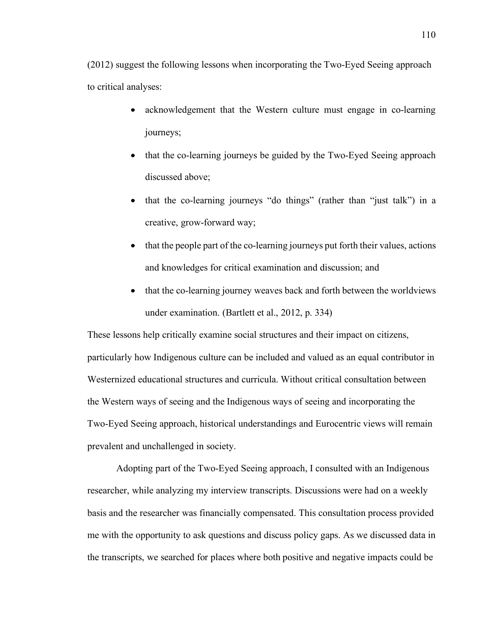(2012) suggest the following lessons when incorporating the Two-Eyed Seeing approach to critical analyses:

- acknowledgement that the Western culture must engage in co-learning journeys;
- that the co-learning journeys be guided by the Two-Eyed Seeing approach discussed above;
- that the co-learning journeys "do things" (rather than "just talk") in a creative, grow-forward way;
- that the people part of the co-learning journeys put forth their values, actions and knowledges for critical examination and discussion; and
- that the co-learning journey weaves back and forth between the worldviews under examination. (Bartlett et al., 2012, p. 334)

These lessons help critically examine social structures and their impact on citizens, particularly how Indigenous culture can be included and valued as an equal contributor in Westernized educational structures and curricula. Without critical consultation between the Western ways of seeing and the Indigenous ways of seeing and incorporating the Two-Eyed Seeing approach, historical understandings and Eurocentric views will remain prevalent and unchallenged in society.

Adopting part of the Two-Eyed Seeing approach, I consulted with an Indigenous researcher, while analyzing my interview transcripts. Discussions were had on a weekly basis and the researcher was financially compensated. This consultation process provided me with the opportunity to ask questions and discuss policy gaps. As we discussed data in the transcripts, we searched for places where both positive and negative impacts could be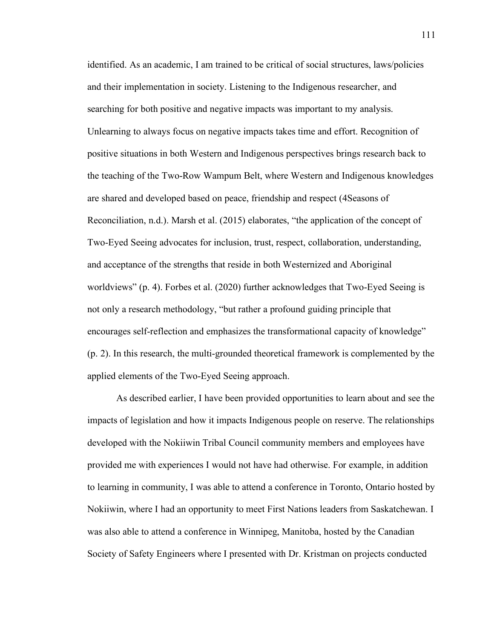identified. As an academic, I am trained to be critical of social structures, laws/policies and their implementation in society. Listening to the Indigenous researcher, and searching for both positive and negative impacts was important to my analysis. Unlearning to always focus on negative impacts takes time and effort. Recognition of positive situations in both Western and Indigenous perspectives brings research back to the teaching of the Two-Row Wampum Belt, where Western and Indigenous knowledges are shared and developed based on peace, friendship and respect (4Seasons of Reconciliation, n.d.). Marsh et al. (2015) elaborates, "the application of the concept of Two-Eyed Seeing advocates for inclusion, trust, respect, collaboration, understanding, and acceptance of the strengths that reside in both Westernized and Aboriginal worldviews" (p. 4). Forbes et al. (2020) further acknowledges that Two-Eyed Seeing is not only a research methodology, "but rather a profound guiding principle that encourages self-reflection and emphasizes the transformational capacity of knowledge" (p. 2). In this research, the multi-grounded theoretical framework is complemented by the applied elements of the Two-Eyed Seeing approach.

As described earlier, I have been provided opportunities to learn about and see the impacts of legislation and how it impacts Indigenous people on reserve. The relationships developed with the Nokiiwin Tribal Council community members and employees have provided me with experiences I would not have had otherwise. For example, in addition to learning in community, I was able to attend a conference in Toronto, Ontario hosted by Nokiiwin, where I had an opportunity to meet First Nations leaders from Saskatchewan. I was also able to attend a conference in Winnipeg, Manitoba, hosted by the Canadian Society of Safety Engineers where I presented with Dr. Kristman on projects conducted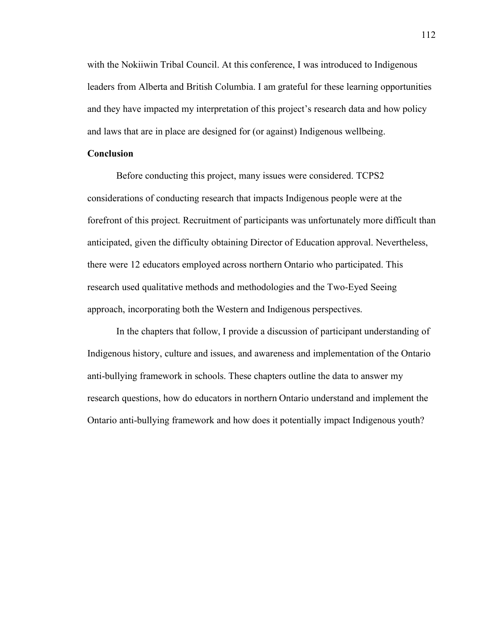with the Nokiiwin Tribal Council. At this conference, I was introduced to Indigenous leaders from Alberta and British Columbia. I am grateful for these learning opportunities and they have impacted my interpretation of this project's research data and how policy and laws that are in place are designed for (or against) Indigenous wellbeing.

### **Conclusion**

Before conducting this project, many issues were considered. TCPS2 considerations of conducting research that impacts Indigenous people were at the forefront of this project. Recruitment of participants was unfortunately more difficult than anticipated, given the difficulty obtaining Director of Education approval. Nevertheless, there were 12 educators employed across northern Ontario who participated. This research used qualitative methods and methodologies and the Two-Eyed Seeing approach, incorporating both the Western and Indigenous perspectives.

In the chapters that follow, I provide a discussion of participant understanding of Indigenous history, culture and issues, and awareness and implementation of the Ontario anti-bullying framework in schools. These chapters outline the data to answer my research questions, how do educators in northern Ontario understand and implement the Ontario anti-bullying framework and how does it potentially impact Indigenous youth?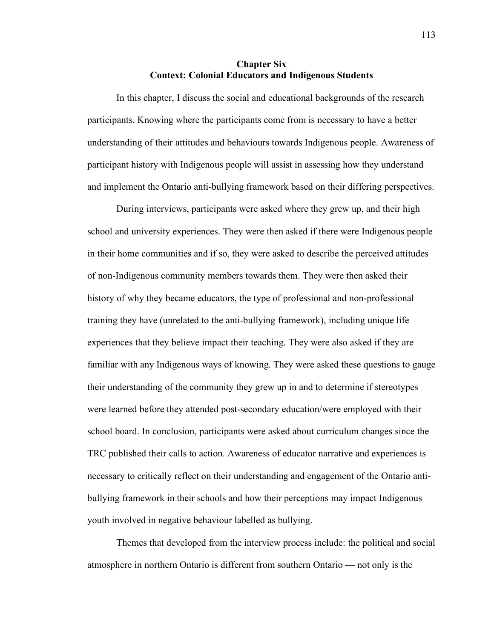### **Chapter Six Context: Colonial Educators and Indigenous Students**

In this chapter, I discuss the social and educational backgrounds of the research participants. Knowing where the participants come from is necessary to have a better understanding of their attitudes and behaviours towards Indigenous people. Awareness of participant history with Indigenous people will assist in assessing how they understand and implement the Ontario anti-bullying framework based on their differing perspectives.

During interviews, participants were asked where they grew up, and their high school and university experiences. They were then asked if there were Indigenous people in their home communities and if so, they were asked to describe the perceived attitudes of non-Indigenous community members towards them. They were then asked their history of why they became educators, the type of professional and non-professional training they have (unrelated to the anti-bullying framework), including unique life experiences that they believe impact their teaching. They were also asked if they are familiar with any Indigenous ways of knowing. They were asked these questions to gauge their understanding of the community they grew up in and to determine if stereotypes were learned before they attended post-secondary education/were employed with their school board. In conclusion, participants were asked about curriculum changes since the TRC published their calls to action. Awareness of educator narrative and experiences is necessary to critically reflect on their understanding and engagement of the Ontario antibullying framework in their schools and how their perceptions may impact Indigenous youth involved in negative behaviour labelled as bullying.

Themes that developed from the interview process include: the political and social atmosphere in northern Ontario is different from southern Ontario — not only is the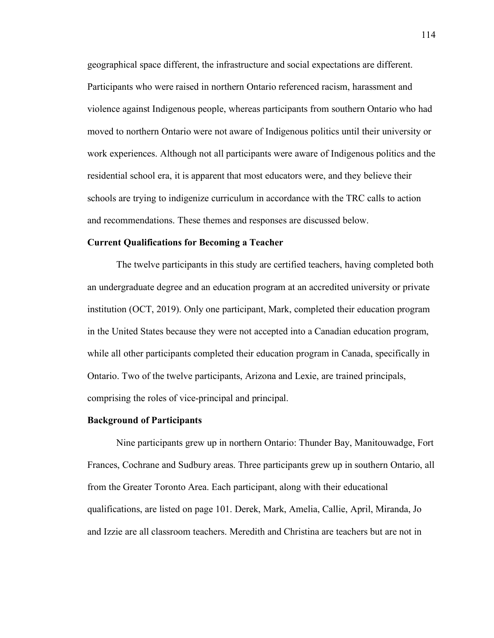geographical space different, the infrastructure and social expectations are different. Participants who were raised in northern Ontario referenced racism, harassment and violence against Indigenous people, whereas participants from southern Ontario who had moved to northern Ontario were not aware of Indigenous politics until their university or work experiences. Although not all participants were aware of Indigenous politics and the residential school era, it is apparent that most educators were, and they believe their schools are trying to indigenize curriculum in accordance with the TRC calls to action and recommendations. These themes and responses are discussed below.

### **Current Qualifications for Becoming a Teacher**

The twelve participants in this study are certified teachers, having completed both an undergraduate degree and an education program at an accredited university or private institution (OCT, 2019). Only one participant, Mark, completed their education program in the United States because they were not accepted into a Canadian education program, while all other participants completed their education program in Canada, specifically in Ontario. Two of the twelve participants, Arizona and Lexie, are trained principals, comprising the roles of vice-principal and principal.

### **Background of Participants**

Nine participants grew up in northern Ontario: Thunder Bay, Manitouwadge, Fort Frances, Cochrane and Sudbury areas. Three participants grew up in southern Ontario, all from the Greater Toronto Area. Each participant, along with their educational qualifications, are listed on page 101. Derek, Mark, Amelia, Callie, April, Miranda, Jo and Izzie are all classroom teachers. Meredith and Christina are teachers but are not in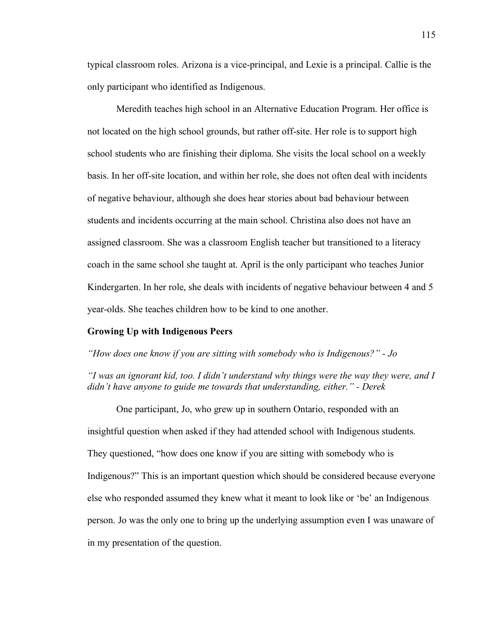typical classroom roles. Arizona is a vice-principal, and Lexie is a principal. Callie is the only participant who identified as Indigenous.

Meredith teaches high school in an Alternative Education Program. Her office is not located on the high school grounds, but rather off-site. Her role is to support high school students who are finishing their diploma. She visits the local school on a weekly basis. In her off-site location, and within her role, she does not often deal with incidents of negative behaviour, although she does hear stories about bad behaviour between students and incidents occurring at the main school. Christina also does not have an assigned classroom. She was a classroom English teacher but transitioned to a literacy coach in the same school she taught at. April is the only participant who teaches Junior Kindergarten. In her role, she deals with incidents of negative behaviour between 4 and 5 year-olds. She teaches children how to be kind to one another.

### **Growing Up with Indigenous Peers**

*"How does one know if you are sitting with somebody who is Indigenous?" - Jo*

*"I was an ignorant kid, too. I didn't understand why things were the way they were, and I didn't have anyone to guide me towards that understanding, either." - Derek*

One participant, Jo, who grew up in southern Ontario, responded with an insightful question when asked if they had attended school with Indigenous students. They questioned, "how does one know if you are sitting with somebody who is Indigenous?" This is an important question which should be considered because everyone else who responded assumed they knew what it meant to look like or 'be' an Indigenous person. Jo was the only one to bring up the underlying assumption even I was unaware of in my presentation of the question.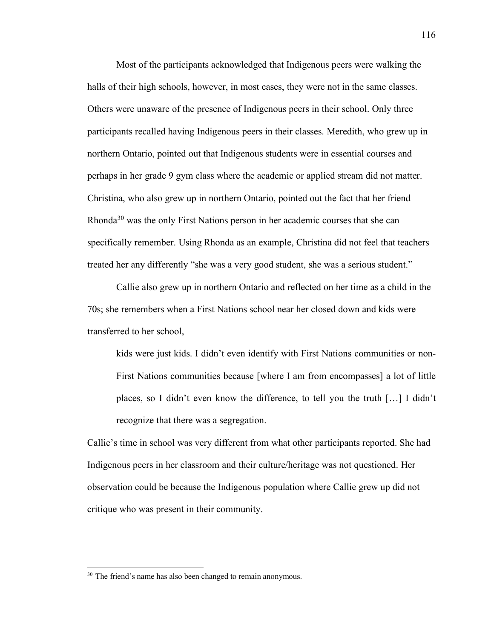Most of the participants acknowledged that Indigenous peers were walking the halls of their high schools, however, in most cases, they were not in the same classes. Others were unaware of the presence of Indigenous peers in their school. Only three participants recalled having Indigenous peers in their classes. Meredith, who grew up in northern Ontario, pointed out that Indigenous students were in essential courses and perhaps in her grade 9 gym class where the academic or applied stream did not matter. Christina, who also grew up in northern Ontario, pointed out the fact that her friend Rhonda30 was the only First Nations person in her academic courses that she can specifically remember. Using Rhonda as an example, Christina did not feel that teachers treated her any differently "she was a very good student, she was a serious student."

Callie also grew up in northern Ontario and reflected on her time as a child in the 70s; she remembers when a First Nations school near her closed down and kids were transferred to her school,

kids were just kids. I didn't even identify with First Nations communities or non-First Nations communities because [where I am from encompasses] a lot of little places, so I didn't even know the difference, to tell you the truth […] I didn't recognize that there was a segregation.

Callie's time in school was very different from what other participants reported. She had Indigenous peers in her classroom and their culture/heritage was not questioned. Her observation could be because the Indigenous population where Callie grew up did not critique who was present in their community.

<sup>&</sup>lt;sup>30</sup> The friend's name has also been changed to remain anonymous.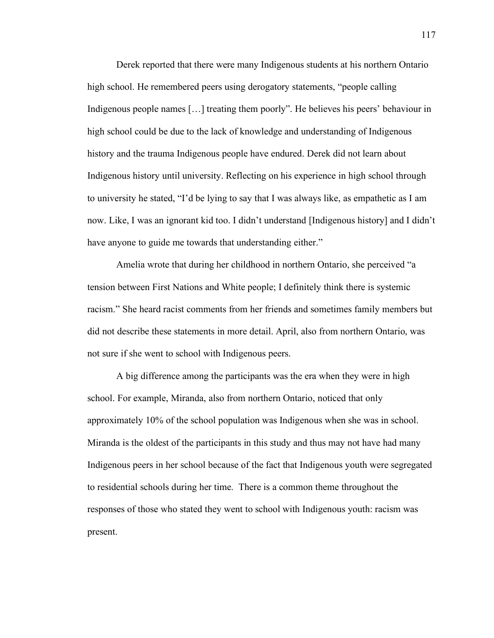Derek reported that there were many Indigenous students at his northern Ontario high school. He remembered peers using derogatory statements, "people calling Indigenous people names [...] treating them poorly". He believes his peers' behaviour in high school could be due to the lack of knowledge and understanding of Indigenous history and the trauma Indigenous people have endured. Derek did not learn about Indigenous history until university. Reflecting on his experience in high school through to university he stated, "I'd be lying to say that I was always like, as empathetic as I am now. Like, I was an ignorant kid too. I didn't understand [Indigenous history] and I didn't have anyone to guide me towards that understanding either."

Amelia wrote that during her childhood in northern Ontario, she perceived "a tension between First Nations and White people; I definitely think there is systemic racism." She heard racist comments from her friends and sometimes family members but did not describe these statements in more detail. April, also from northern Ontario, was not sure if she went to school with Indigenous peers.

A big difference among the participants was the era when they were in high school. For example, Miranda, also from northern Ontario, noticed that only approximately 10% of the school population was Indigenous when she was in school. Miranda is the oldest of the participants in this study and thus may not have had many Indigenous peers in her school because of the fact that Indigenous youth were segregated to residential schools during her time. There is a common theme throughout the responses of those who stated they went to school with Indigenous youth: racism was present.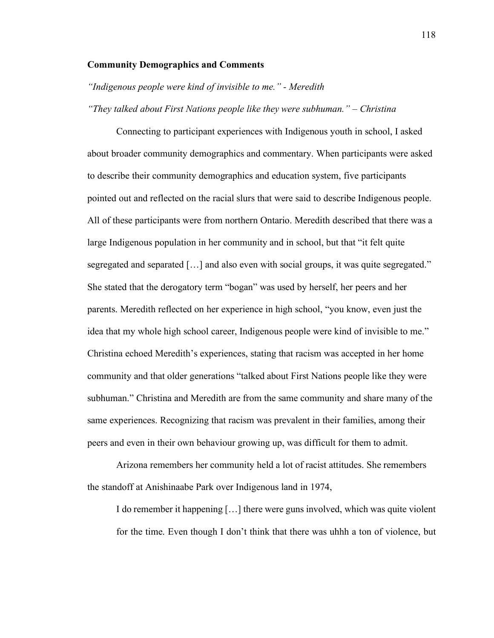### **Community Demographics and Comments**

*"Indigenous people were kind of invisible to me." - Meredith "They talked about First Nations people like they were subhuman." – Christina*

Connecting to participant experiences with Indigenous youth in school, I asked about broader community demographics and commentary. When participants were asked to describe their community demographics and education system, five participants pointed out and reflected on the racial slurs that were said to describe Indigenous people. All of these participants were from northern Ontario. Meredith described that there was a large Indigenous population in her community and in school, but that "it felt quite segregated and separated […] and also even with social groups, it was quite segregated." She stated that the derogatory term "bogan" was used by herself, her peers and her parents. Meredith reflected on her experience in high school, "you know, even just the idea that my whole high school career, Indigenous people were kind of invisible to me." Christina echoed Meredith's experiences, stating that racism was accepted in her home community and that older generations "talked about First Nations people like they were subhuman." Christina and Meredith are from the same community and share many of the same experiences. Recognizing that racism was prevalent in their families, among their peers and even in their own behaviour growing up, was difficult for them to admit.

Arizona remembers her community held a lot of racist attitudes. She remembers the standoff at Anishinaabe Park over Indigenous land in 1974,

I do remember it happening […] there were guns involved, which was quite violent for the time. Even though I don't think that there was uhhh a ton of violence, but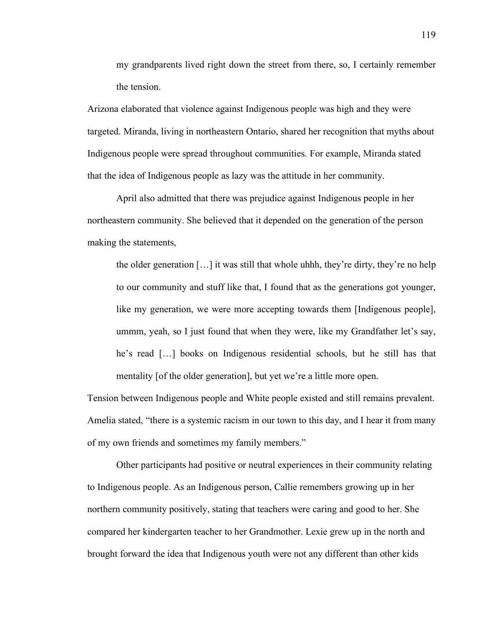my grandparents lived right down the street from there, so, I certainly remember the tension.

Arizona elaborated that violence against Indigenous people was high and they were targeted. Miranda, living in northeastern Ontario, shared her recognition that myths about Indigenous people were spread throughout communities. For example, Miranda stated that the idea of Indigenous people as lazy was the attitude in her community.

April also admitted that there was prejudice against Indigenous people in her northeastern community. She believed that it depended on the generation of the person making the statements,

the older generation […] it was still that whole uhhh, they're dirty, they're no help to our community and stuff like that, I found that as the generations got younger, like my generation, we were more accepting towards them [Indigenous people], ummm, yeah, so I just found that when they were, like my Grandfather let's say, he's read […] books on Indigenous residential schools, but he still has that mentality [of the older generation], but yet we're a little more open.

Tension between Indigenous people and White people existed and still remains prevalent. Amelia stated, "there is a systemic racism in our town to this day, and I hear it from many of my own friends and sometimes my family members."

Other participants had positive or neutral experiences in their community relating to Indigenous people. As an Indigenous person, Callie remembers growing up in her northern community positively, stating that teachers were caring and good to her. She compared her kindergarten teacher to her Grandmother. Lexie grew up in the north and brought forward the idea that Indigenous youth were not any different than other kids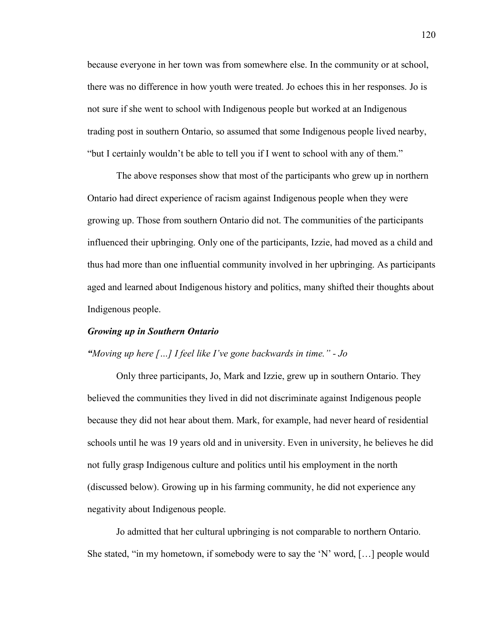because everyone in her town was from somewhere else. In the community or at school, there was no difference in how youth were treated. Jo echoes this in her responses. Jo is not sure if she went to school with Indigenous people but worked at an Indigenous trading post in southern Ontario, so assumed that some Indigenous people lived nearby, "but I certainly wouldn't be able to tell you if I went to school with any of them."

The above responses show that most of the participants who grew up in northern Ontario had direct experience of racism against Indigenous people when they were growing up. Those from southern Ontario did not. The communities of the participants influenced their upbringing. Only one of the participants, Izzie, had moved as a child and thus had more than one influential community involved in her upbringing. As participants aged and learned about Indigenous history and politics, many shifted their thoughts about Indigenous people.

### *Growing up in Southern Ontario*

### *"Moving up here […] I feel like I've gone backwards in time." - Jo*

Only three participants, Jo, Mark and Izzie, grew up in southern Ontario. They believed the communities they lived in did not discriminate against Indigenous people because they did not hear about them. Mark, for example, had never heard of residential schools until he was 19 years old and in university. Even in university, he believes he did not fully grasp Indigenous culture and politics until his employment in the north (discussed below). Growing up in his farming community, he did not experience any negativity about Indigenous people.

Jo admitted that her cultural upbringing is not comparable to northern Ontario. She stated, "in my hometown, if somebody were to say the 'N' word, […] people would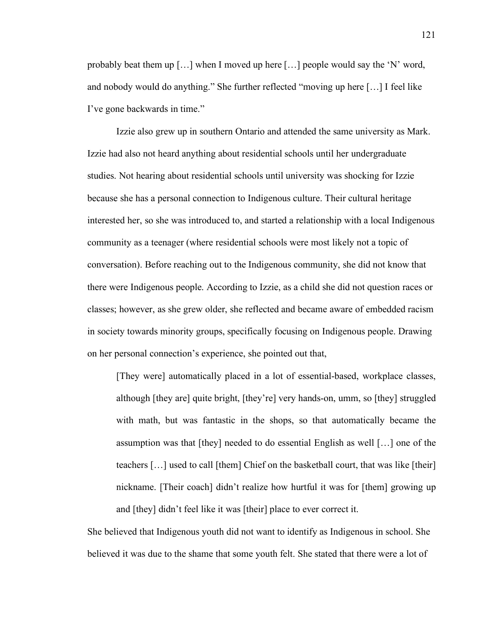probably beat them up […] when I moved up here […] people would say the 'N' word, and nobody would do anything." She further reflected "moving up here […] I feel like I've gone backwards in time."

Izzie also grew up in southern Ontario and attended the same university as Mark. Izzie had also not heard anything about residential schools until her undergraduate studies. Not hearing about residential schools until university was shocking for Izzie because she has a personal connection to Indigenous culture. Their cultural heritage interested her, so she was introduced to, and started a relationship with a local Indigenous community as a teenager (where residential schools were most likely not a topic of conversation). Before reaching out to the Indigenous community, she did not know that there were Indigenous people. According to Izzie, as a child she did not question races or classes; however, as she grew older, she reflected and became aware of embedded racism in society towards minority groups, specifically focusing on Indigenous people. Drawing on her personal connection's experience, she pointed out that,

[They were] automatically placed in a lot of essential-based, workplace classes, although [they are] quite bright, [they're] very hands-on, umm, so [they] struggled with math, but was fantastic in the shops, so that automatically became the assumption was that [they] needed to do essential English as well […] one of the teachers […] used to call [them] Chief on the basketball court, that was like [their] nickname. [Their coach] didn't realize how hurtful it was for [them] growing up and [they] didn't feel like it was [their] place to ever correct it.

She believed that Indigenous youth did not want to identify as Indigenous in school. She believed it was due to the shame that some youth felt. She stated that there were a lot of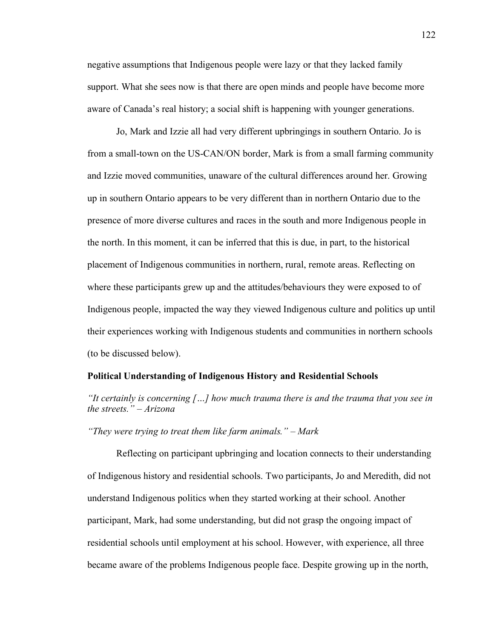negative assumptions that Indigenous people were lazy or that they lacked family support. What she sees now is that there are open minds and people have become more aware of Canada's real history; a social shift is happening with younger generations.

Jo, Mark and Izzie all had very different upbringings in southern Ontario. Jo is from a small-town on the US-CAN/ON border, Mark is from a small farming community and Izzie moved communities, unaware of the cultural differences around her. Growing up in southern Ontario appears to be very different than in northern Ontario due to the presence of more diverse cultures and races in the south and more Indigenous people in the north. In this moment, it can be inferred that this is due, in part, to the historical placement of Indigenous communities in northern, rural, remote areas. Reflecting on where these participants grew up and the attitudes/behaviours they were exposed to of Indigenous people, impacted the way they viewed Indigenous culture and politics up until their experiences working with Indigenous students and communities in northern schools (to be discussed below).

### **Political Understanding of Indigenous History and Residential Schools**

*"It certainly is concerning […] how much trauma there is and the trauma that you see in the streets." – Arizona*

*"They were trying to treat them like farm animals." – Mark* 

Reflecting on participant upbringing and location connects to their understanding of Indigenous history and residential schools. Two participants, Jo and Meredith, did not understand Indigenous politics when they started working at their school. Another participant, Mark, had some understanding, but did not grasp the ongoing impact of residential schools until employment at his school. However, with experience, all three became aware of the problems Indigenous people face. Despite growing up in the north,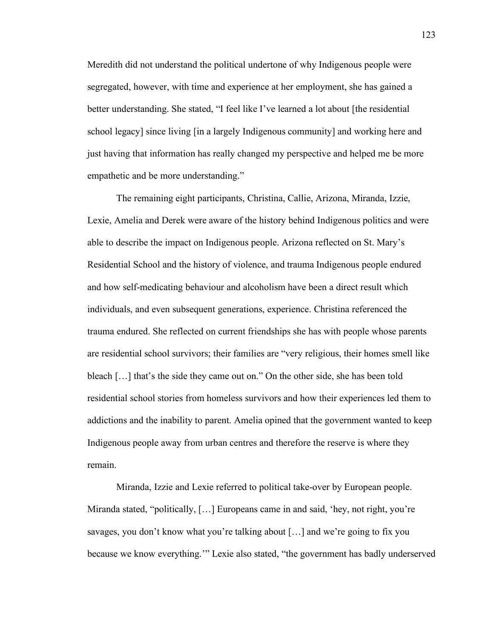Meredith did not understand the political undertone of why Indigenous people were segregated, however, with time and experience at her employment, she has gained a better understanding. She stated, "I feel like I've learned a lot about [the residential school legacy] since living [in a largely Indigenous community] and working here and just having that information has really changed my perspective and helped me be more empathetic and be more understanding."

The remaining eight participants, Christina, Callie, Arizona, Miranda, Izzie, Lexie, Amelia and Derek were aware of the history behind Indigenous politics and were able to describe the impact on Indigenous people. Arizona reflected on St. Mary's Residential School and the history of violence, and trauma Indigenous people endured and how self-medicating behaviour and alcoholism have been a direct result which individuals, and even subsequent generations, experience. Christina referenced the trauma endured. She reflected on current friendships she has with people whose parents are residential school survivors; their families are "very religious, their homes smell like bleach […] that's the side they came out on." On the other side, she has been told residential school stories from homeless survivors and how their experiences led them to addictions and the inability to parent. Amelia opined that the government wanted to keep Indigenous people away from urban centres and therefore the reserve is where they remain.

Miranda, Izzie and Lexie referred to political take-over by European people. Miranda stated, "politically, […] Europeans came in and said, 'hey, not right, you're savages, you don't know what you're talking about […] and we're going to fix you because we know everything.'" Lexie also stated, "the government has badly underserved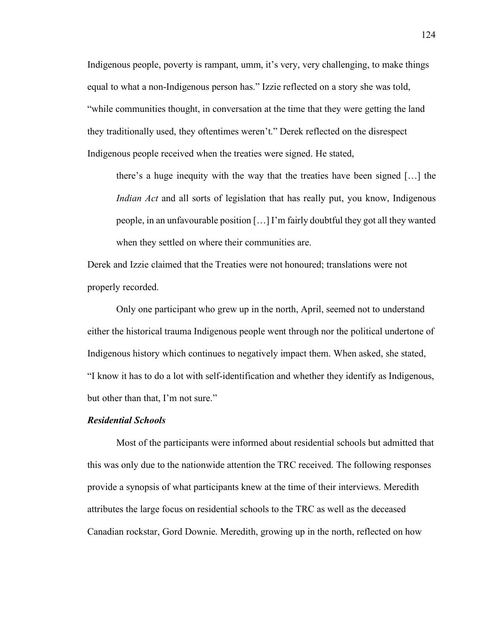Indigenous people, poverty is rampant, umm, it's very, very challenging, to make things equal to what a non-Indigenous person has." Izzie reflected on a story she was told, "while communities thought, in conversation at the time that they were getting the land they traditionally used, they oftentimes weren't." Derek reflected on the disrespect Indigenous people received when the treaties were signed. He stated,

there's a huge inequity with the way that the treaties have been signed […] the *Indian Act* and all sorts of legislation that has really put, you know, Indigenous people, in an unfavourable position […] I'm fairly doubtful they got all they wanted when they settled on where their communities are.

Derek and Izzie claimed that the Treaties were not honoured; translations were not properly recorded.

Only one participant who grew up in the north, April, seemed not to understand either the historical trauma Indigenous people went through nor the political undertone of Indigenous history which continues to negatively impact them. When asked, she stated, "I know it has to do a lot with self-identification and whether they identify as Indigenous, but other than that, I'm not sure."

### *Residential Schools*

Most of the participants were informed about residential schools but admitted that this was only due to the nationwide attention the TRC received. The following responses provide a synopsis of what participants knew at the time of their interviews. Meredith attributes the large focus on residential schools to the TRC as well as the deceased Canadian rockstar, Gord Downie. Meredith, growing up in the north, reflected on how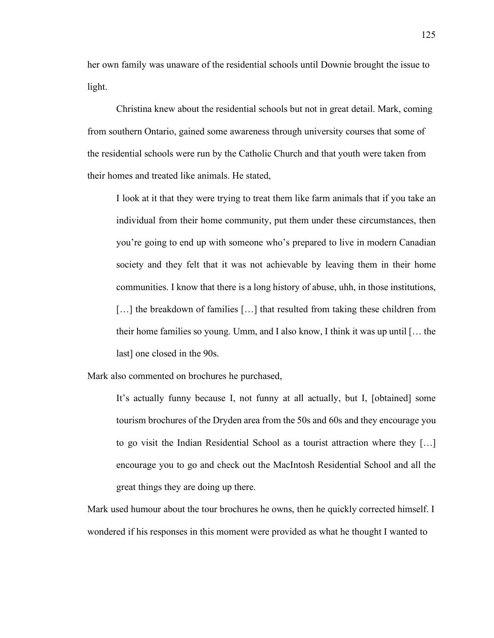her own family was unaware of the residential schools until Downie brought the issue to light.

Christina knew about the residential schools but not in great detail. Mark, coming from southern Ontario, gained some awareness through university courses that some of the residential schools were run by the Catholic Church and that youth were taken from their homes and treated like animals. He stated,

I look at it that they were trying to treat them like farm animals that if you take an individual from their home community, put them under these circumstances, then you're going to end up with someone who's prepared to live in modern Canadian society and they felt that it was not achievable by leaving them in their home communities. I know that there is a long history of abuse, uhh, in those institutions, [...] the breakdown of families [...] that resulted from taking these children from their home families so young. Umm, and I also know, I think it was up until [… the last] one closed in the 90s.

Mark also commented on brochures he purchased,

It's actually funny because I, not funny at all actually, but I, [obtained] some tourism brochures of the Dryden area from the 50s and 60s and they encourage you to go visit the Indian Residential School as a tourist attraction where they […] encourage you to go and check out the MacIntosh Residential School and all the great things they are doing up there.

Mark used humour about the tour brochures he owns, then he quickly corrected himself. I wondered if his responses in this moment were provided as what he thought I wanted to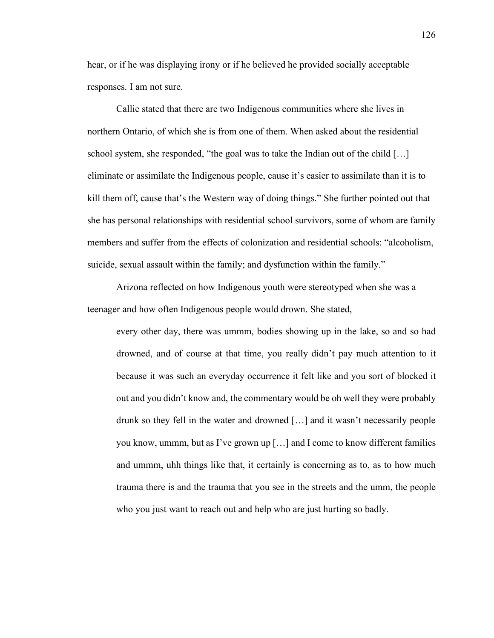hear, or if he was displaying irony or if he believed he provided socially acceptable responses. I am not sure.

Callie stated that there are two Indigenous communities where she lives in northern Ontario, of which she is from one of them. When asked about the residential school system, she responded, "the goal was to take the Indian out of the child […] eliminate or assimilate the Indigenous people, cause it's easier to assimilate than it is to kill them off, cause that's the Western way of doing things." She further pointed out that she has personal relationships with residential school survivors, some of whom are family members and suffer from the effects of colonization and residential schools: "alcoholism, suicide, sexual assault within the family; and dysfunction within the family."

Arizona reflected on how Indigenous youth were stereotyped when she was a teenager and how often Indigenous people would drown. She stated,

every other day, there was ummm, bodies showing up in the lake, so and so had drowned, and of course at that time, you really didn't pay much attention to it because it was such an everyday occurrence it felt like and you sort of blocked it out and you didn't know and, the commentary would be oh well they were probably drunk so they fell in the water and drowned […] and it wasn't necessarily people you know, ummm, but as I've grown up […] and I come to know different families and ummm, uhh things like that, it certainly is concerning as to, as to how much trauma there is and the trauma that you see in the streets and the umm, the people who you just want to reach out and help who are just hurting so badly.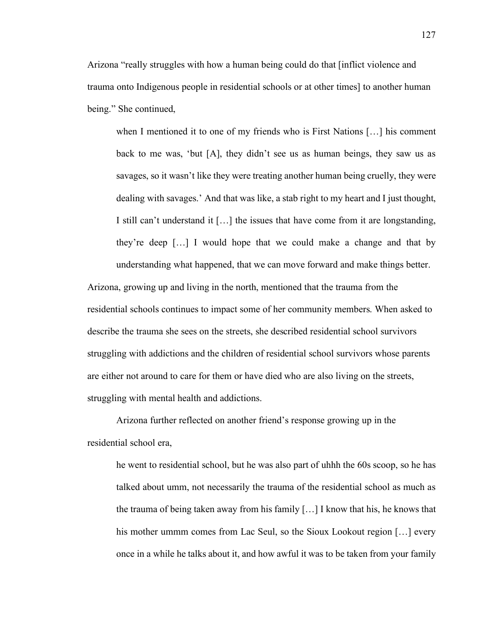Arizona "really struggles with how a human being could do that [inflict violence and trauma onto Indigenous people in residential schools or at other times] to another human being." She continued,

when I mentioned it to one of my friends who is First Nations […] his comment back to me was, 'but [A], they didn't see us as human beings, they saw us as savages, so it wasn't like they were treating another human being cruelly, they were dealing with savages.' And that was like, a stab right to my heart and I just thought, I still can't understand it […] the issues that have come from it are longstanding, they're deep […] I would hope that we could make a change and that by understanding what happened, that we can move forward and make things better.

Arizona, growing up and living in the north, mentioned that the trauma from the residential schools continues to impact some of her community members. When asked to describe the trauma she sees on the streets, she described residential school survivors struggling with addictions and the children of residential school survivors whose parents are either not around to care for them or have died who are also living on the streets, struggling with mental health and addictions.

Arizona further reflected on another friend's response growing up in the residential school era,

he went to residential school, but he was also part of uhhh the 60s scoop, so he has talked about umm, not necessarily the trauma of the residential school as much as the trauma of being taken away from his family […] I know that his, he knows that his mother ummm comes from Lac Seul, so the Sioux Lookout region [...] every once in a while he talks about it, and how awful it was to be taken from your family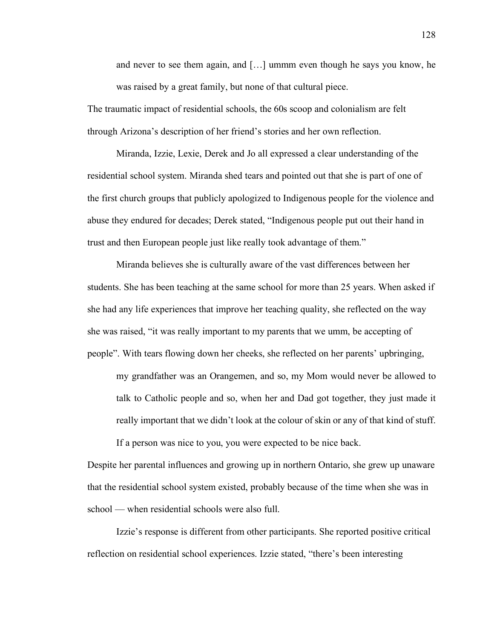and never to see them again, and […] ummm even though he says you know, he was raised by a great family, but none of that cultural piece.

The traumatic impact of residential schools, the 60s scoop and colonialism are felt through Arizona's description of her friend's stories and her own reflection.

Miranda, Izzie, Lexie, Derek and Jo all expressed a clear understanding of the residential school system. Miranda shed tears and pointed out that she is part of one of the first church groups that publicly apologized to Indigenous people for the violence and abuse they endured for decades; Derek stated, "Indigenous people put out their hand in trust and then European people just like really took advantage of them."

Miranda believes she is culturally aware of the vast differences between her students. She has been teaching at the same school for more than 25 years. When asked if she had any life experiences that improve her teaching quality, she reflected on the way she was raised, "it was really important to my parents that we umm, be accepting of people". With tears flowing down her cheeks, she reflected on her parents' upbringing,

my grandfather was an Orangemen, and so, my Mom would never be allowed to talk to Catholic people and so, when her and Dad got together, they just made it really important that we didn't look at the colour of skin or any of that kind of stuff. If a person was nice to you, you were expected to be nice back.

Despite her parental influences and growing up in northern Ontario, she grew up unaware that the residential school system existed, probably because of the time when she was in school — when residential schools were also full.

Izzie's response is different from other participants. She reported positive critical reflection on residential school experiences. Izzie stated, "there's been interesting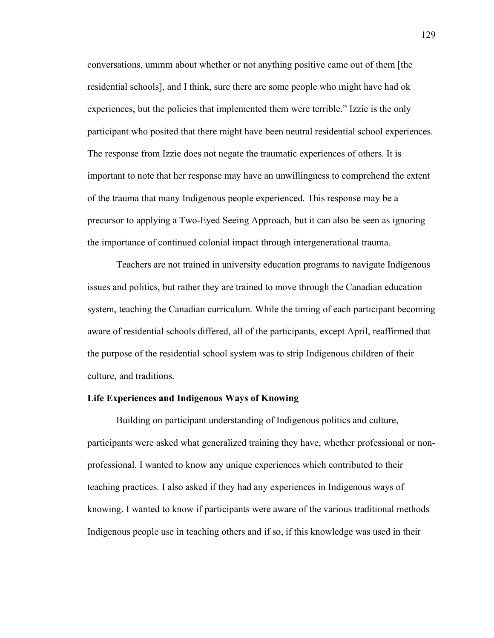conversations, ummm about whether or not anything positive came out of them [the residential schools], and I think, sure there are some people who might have had ok experiences, but the policies that implemented them were terrible." Izzie is the only participant who posited that there might have been neutral residential school experiences. The response from Izzie does not negate the traumatic experiences of others. It is important to note that her response may have an unwillingness to comprehend the extent of the trauma that many Indigenous people experienced. This response may be a precursor to applying a Two-Eyed Seeing Approach, but it can also be seen as ignoring the importance of continued colonial impact through intergenerational trauma.

Teachers are not trained in university education programs to navigate Indigenous issues and politics, but rather they are trained to move through the Canadian education system, teaching the Canadian curriculum. While the timing of each participant becoming aware of residential schools differed, all of the participants, except April, reaffirmed that the purpose of the residential school system was to strip Indigenous children of their culture, and traditions.

### **Life Experiences and Indigenous Ways of Knowing**

Building on participant understanding of Indigenous politics and culture, participants were asked what generalized training they have, whether professional or nonprofessional. I wanted to know any unique experiences which contributed to their teaching practices. I also asked if they had any experiences in Indigenous ways of knowing. I wanted to know if participants were aware of the various traditional methods Indigenous people use in teaching others and if so, if this knowledge was used in their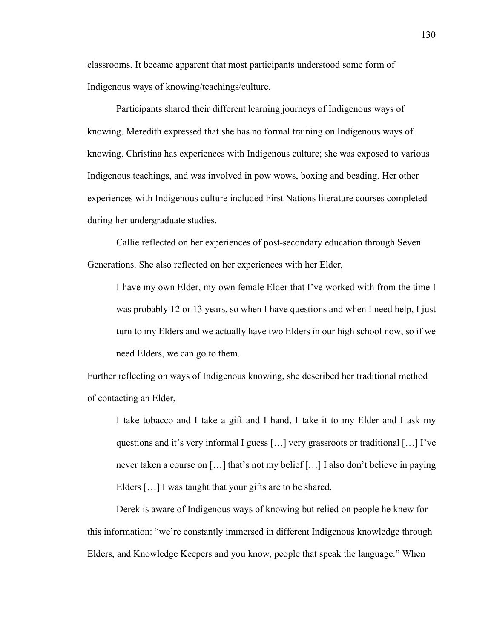classrooms. It became apparent that most participants understood some form of Indigenous ways of knowing/teachings/culture.

Participants shared their different learning journeys of Indigenous ways of knowing. Meredith expressed that she has no formal training on Indigenous ways of knowing. Christina has experiences with Indigenous culture; she was exposed to various Indigenous teachings, and was involved in pow wows, boxing and beading. Her other experiences with Indigenous culture included First Nations literature courses completed during her undergraduate studies.

Callie reflected on her experiences of post-secondary education through Seven Generations. She also reflected on her experiences with her Elder,

I have my own Elder, my own female Elder that I've worked with from the time I was probably 12 or 13 years, so when I have questions and when I need help, I just turn to my Elders and we actually have two Elders in our high school now, so if we need Elders, we can go to them.

Further reflecting on ways of Indigenous knowing, she described her traditional method of contacting an Elder,

I take tobacco and I take a gift and I hand, I take it to my Elder and I ask my questions and it's very informal I guess […] very grassroots or traditional […] I've never taken a course on […] that's not my belief […] I also don't believe in paying Elders [...] I was taught that your gifts are to be shared.

Derek is aware of Indigenous ways of knowing but relied on people he knew for this information: "we're constantly immersed in different Indigenous knowledge through Elders, and Knowledge Keepers and you know, people that speak the language." When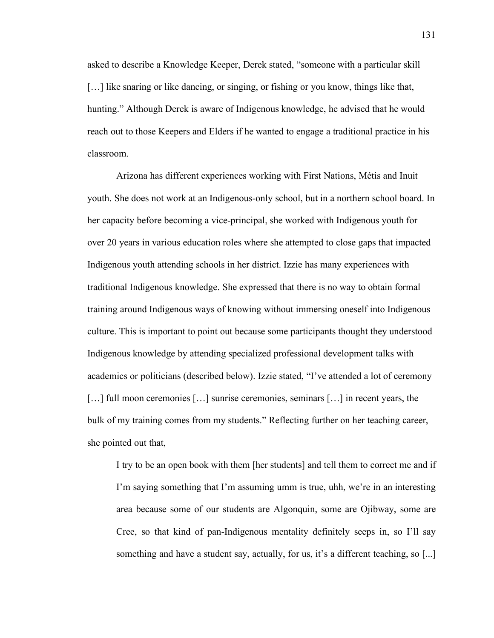asked to describe a Knowledge Keeper, Derek stated, "someone with a particular skill [...] like snaring or like dancing, or singing, or fishing or you know, things like that, hunting." Although Derek is aware of Indigenous knowledge, he advised that he would reach out to those Keepers and Elders if he wanted to engage a traditional practice in his classroom.

Arizona has different experiences working with First Nations, Métis and Inuit youth. She does not work at an Indigenous-only school, but in a northern school board. In her capacity before becoming a vice-principal, she worked with Indigenous youth for over 20 years in various education roles where she attempted to close gaps that impacted Indigenous youth attending schools in her district. Izzie has many experiences with traditional Indigenous knowledge. She expressed that there is no way to obtain formal training around Indigenous ways of knowing without immersing oneself into Indigenous culture. This is important to point out because some participants thought they understood Indigenous knowledge by attending specialized professional development talks with academics or politicians (described below). Izzie stated, "I've attended a lot of ceremony [...] full moon ceremonies [...] sunrise ceremonies, seminars [...] in recent years, the bulk of my training comes from my students." Reflecting further on her teaching career, she pointed out that,

I try to be an open book with them [her students] and tell them to correct me and if I'm saying something that I'm assuming umm is true, uhh, we're in an interesting area because some of our students are Algonquin, some are Ojibway, some are Cree, so that kind of pan-Indigenous mentality definitely seeps in, so I'll say something and have a student say, actually, for us, it's a different teaching, so [...]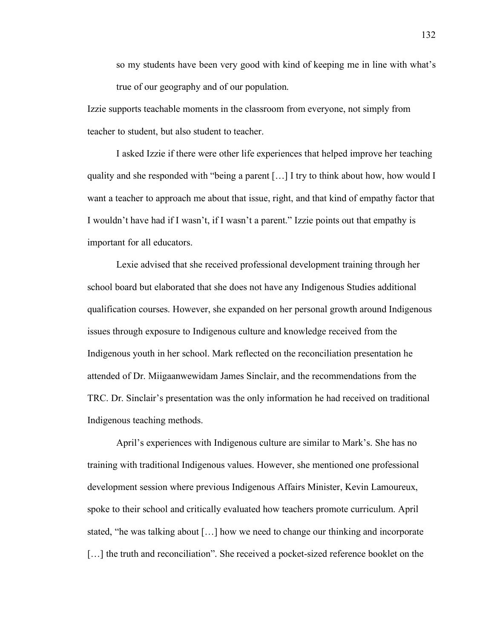so my students have been very good with kind of keeping me in line with what's true of our geography and of our population.

Izzie supports teachable moments in the classroom from everyone, not simply from teacher to student, but also student to teacher.

I asked Izzie if there were other life experiences that helped improve her teaching quality and she responded with "being a parent […] I try to think about how, how would I want a teacher to approach me about that issue, right, and that kind of empathy factor that I wouldn't have had if I wasn't, if I wasn't a parent." Izzie points out that empathy is important for all educators.

Lexie advised that she received professional development training through her school board but elaborated that she does not have any Indigenous Studies additional qualification courses. However, she expanded on her personal growth around Indigenous issues through exposure to Indigenous culture and knowledge received from the Indigenous youth in her school. Mark reflected on the reconciliation presentation he attended of Dr. Miigaanwewidam James Sinclair, and the recommendations from the TRC. Dr. Sinclair's presentation was the only information he had received on traditional Indigenous teaching methods.

April's experiences with Indigenous culture are similar to Mark's. She has no training with traditional Indigenous values. However, she mentioned one professional development session where previous Indigenous Affairs Minister, Kevin Lamoureux, spoke to their school and critically evaluated how teachers promote curriculum. April stated, "he was talking about […] how we need to change our thinking and incorporate [...] the truth and reconciliation". She received a pocket-sized reference booklet on the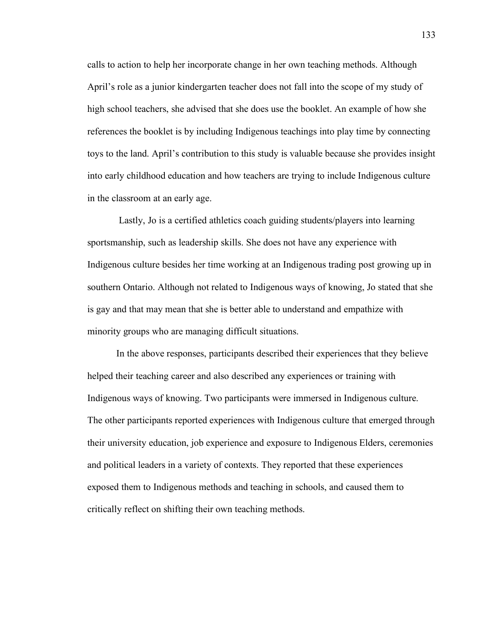calls to action to help her incorporate change in her own teaching methods. Although April's role as a junior kindergarten teacher does not fall into the scope of my study of high school teachers, she advised that she does use the booklet. An example of how she references the booklet is by including Indigenous teachings into play time by connecting toys to the land. April's contribution to this study is valuable because she provides insight into early childhood education and how teachers are trying to include Indigenous culture in the classroom at an early age.

Lastly, Jo is a certified athletics coach guiding students/players into learning sportsmanship, such as leadership skills. She does not have any experience with Indigenous culture besides her time working at an Indigenous trading post growing up in southern Ontario. Although not related to Indigenous ways of knowing, Jo stated that she is gay and that may mean that she is better able to understand and empathize with minority groups who are managing difficult situations.

In the above responses, participants described their experiences that they believe helped their teaching career and also described any experiences or training with Indigenous ways of knowing. Two participants were immersed in Indigenous culture. The other participants reported experiences with Indigenous culture that emerged through their university education, job experience and exposure to Indigenous Elders, ceremonies and political leaders in a variety of contexts. They reported that these experiences exposed them to Indigenous methods and teaching in schools, and caused them to critically reflect on shifting their own teaching methods.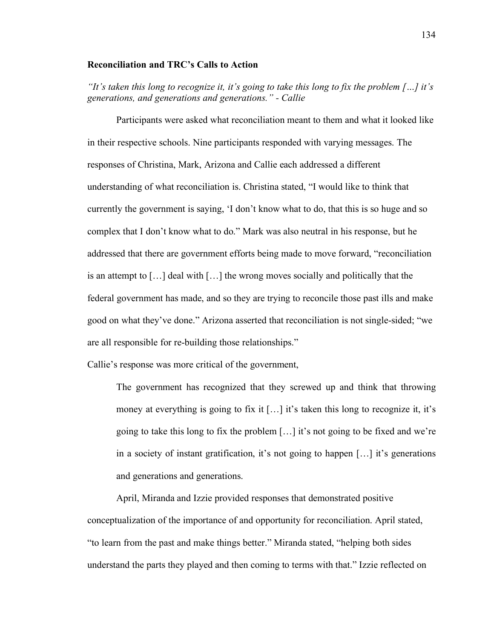### **Reconciliation and TRC's Calls to Action**

*"It's taken this long to recognize it, it's going to take this long to fix the problem […] it's generations, and generations and generations." - Callie*

Participants were asked what reconciliation meant to them and what it looked like in their respective schools. Nine participants responded with varying messages. The responses of Christina, Mark, Arizona and Callie each addressed a different understanding of what reconciliation is. Christina stated, "I would like to think that currently the government is saying, 'I don't know what to do, that this is so huge and so complex that I don't know what to do." Mark was also neutral in his response, but he addressed that there are government efforts being made to move forward, "reconciliation is an attempt to […] deal with […] the wrong moves socially and politically that the federal government has made, and so they are trying to reconcile those past ills and make good on what they've done." Arizona asserted that reconciliation is not single-sided; "we are all responsible for re-building those relationships."

Callie's response was more critical of the government,

The government has recognized that they screwed up and think that throwing money at everything is going to fix it [...] it's taken this long to recognize it, it's going to take this long to fix the problem […] it's not going to be fixed and we're in a society of instant gratification, it's not going to happen […] it's generations and generations and generations.

April, Miranda and Izzie provided responses that demonstrated positive conceptualization of the importance of and opportunity for reconciliation. April stated, "to learn from the past and make things better." Miranda stated, "helping both sides understand the parts they played and then coming to terms with that." Izzie reflected on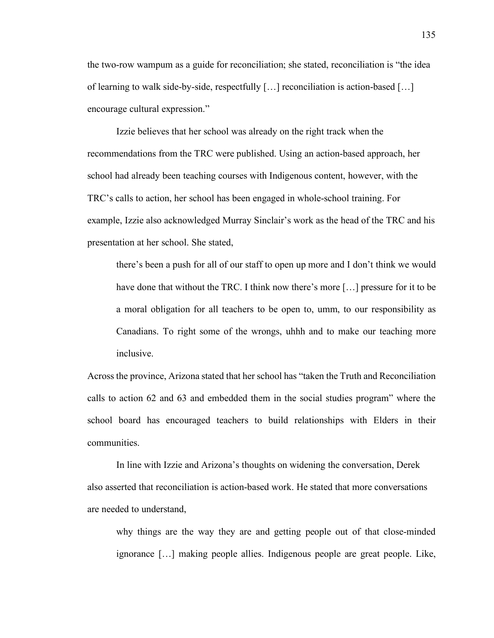the two-row wampum as a guide for reconciliation; she stated, reconciliation is "the idea of learning to walk side-by-side, respectfully […] reconciliation is action-based […] encourage cultural expression."

Izzie believes that her school was already on the right track when the recommendations from the TRC were published. Using an action-based approach, her school had already been teaching courses with Indigenous content, however, with the TRC's calls to action, her school has been engaged in whole-school training. For example, Izzie also acknowledged Murray Sinclair's work as the head of the TRC and his presentation at her school. She stated,

there's been a push for all of our staff to open up more and I don't think we would have done that without the TRC. I think now there's more [...] pressure for it to be a moral obligation for all teachers to be open to, umm, to our responsibility as Canadians. To right some of the wrongs, uhhh and to make our teaching more inclusive.

Across the province, Arizona stated that her school has "taken the Truth and Reconciliation calls to action 62 and 63 and embedded them in the social studies program" where the school board has encouraged teachers to build relationships with Elders in their communities.

In line with Izzie and Arizona's thoughts on widening the conversation, Derek also asserted that reconciliation is action-based work. He stated that more conversations are needed to understand,

why things are the way they are and getting people out of that close-minded ignorance […] making people allies. Indigenous people are great people. Like,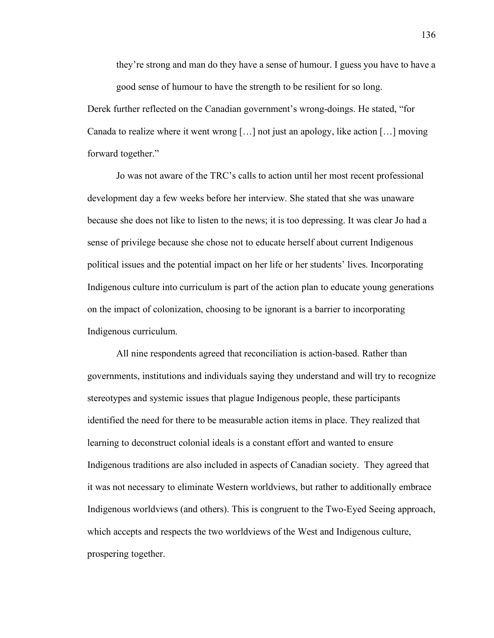they're strong and man do they have a sense of humour. I guess you have to have a good sense of humour to have the strength to be resilient for so long.

Derek further reflected on the Canadian government's wrong-doings. He stated, "for Canada to realize where it went wrong […] not just an apology, like action […] moving forward together."

Jo was not aware of the TRC's calls to action until her most recent professional development day a few weeks before her interview. She stated that she was unaware because she does not like to listen to the news; it is too depressing. It was clear Jo had a sense of privilege because she chose not to educate herself about current Indigenous political issues and the potential impact on her life or her students' lives. Incorporating Indigenous culture into curriculum is part of the action plan to educate young generations on the impact of colonization, choosing to be ignorant is a barrier to incorporating Indigenous curriculum.

All nine respondents agreed that reconciliation is action-based. Rather than governments, institutions and individuals saying they understand and will try to recognize stereotypes and systemic issues that plague Indigenous people, these participants identified the need for there to be measurable action items in place. They realized that learning to deconstruct colonial ideals is a constant effort and wanted to ensure Indigenous traditions are also included in aspects of Canadian society. They agreed that it was not necessary to eliminate Western worldviews, but rather to additionally embrace Indigenous worldviews (and others). This is congruent to the Two-Eyed Seeing approach, which accepts and respects the two worldviews of the West and Indigenous culture, prospering together.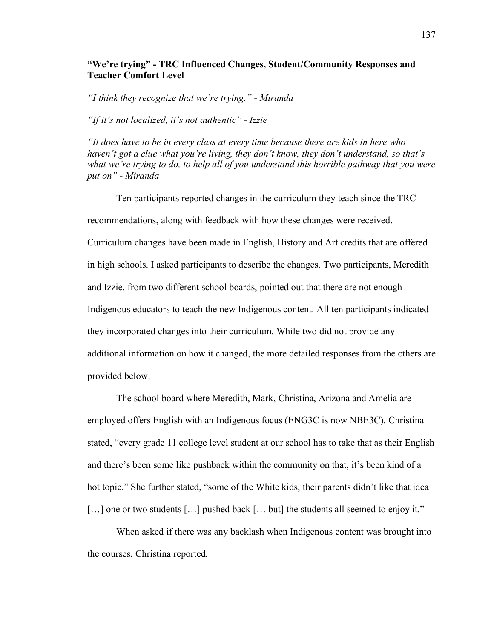# **"We're trying" - TRC Influenced Changes, Student/Community Responses and Teacher Comfort Level**

*"I think they recognize that we're trying." - Miranda* 

*"If it's not localized, it's not authentic" - Izzie*

*"It does have to be in every class at every time because there are kids in here who haven't got a clue what you're living, they don't know, they don't understand, so that's what we're trying to do, to help all of you understand this horrible pathway that you were put on" - Miranda*

Ten participants reported changes in the curriculum they teach since the TRC recommendations, along with feedback with how these changes were received. Curriculum changes have been made in English, History and Art credits that are offered in high schools. I asked participants to describe the changes. Two participants, Meredith and Izzie, from two different school boards, pointed out that there are not enough Indigenous educators to teach the new Indigenous content. All ten participants indicated they incorporated changes into their curriculum. While two did not provide any additional information on how it changed, the more detailed responses from the others are provided below.

The school board where Meredith, Mark, Christina, Arizona and Amelia are employed offers English with an Indigenous focus (ENG3C is now NBE3C). Christina stated, "every grade 11 college level student at our school has to take that as their English and there's been some like pushback within the community on that, it's been kind of a hot topic." She further stated, "some of the White kids, their parents didn't like that idea [...] one or two students [...] pushed back [... but] the students all seemed to enjoy it."

When asked if there was any backlash when Indigenous content was brought into the courses, Christina reported,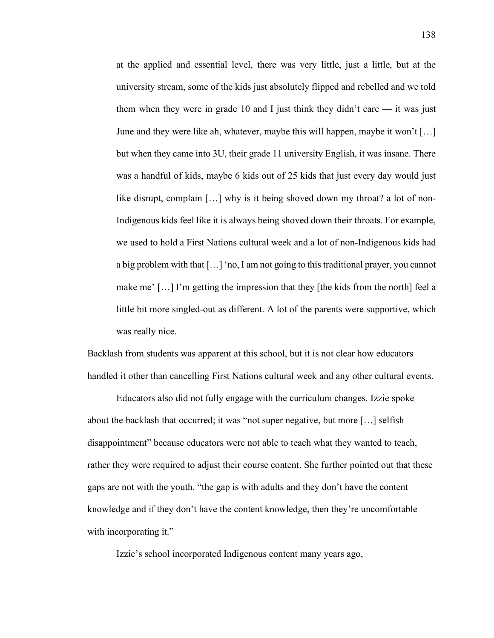at the applied and essential level, there was very little, just a little, but at the university stream, some of the kids just absolutely flipped and rebelled and we told them when they were in grade 10 and I just think they didn't care  $-$  it was just June and they were like ah, whatever, maybe this will happen, maybe it won't  $[\ldots]$ but when they came into 3U, their grade 11 university English, it was insane. There was a handful of kids, maybe 6 kids out of 25 kids that just every day would just like disrupt, complain [...] why is it being shoved down my throat? a lot of non-Indigenous kids feel like it is always being shoved down their throats. For example, we used to hold a First Nations cultural week and a lot of non-Indigenous kids had a big problem with that  $[\ldots]$  'no, I am not going to this traditional prayer, you cannot make me' […] I'm getting the impression that they [the kids from the north] feel a little bit more singled-out as different. A lot of the parents were supportive, which was really nice.

Backlash from students was apparent at this school, but it is not clear how educators handled it other than cancelling First Nations cultural week and any other cultural events.

Educators also did not fully engage with the curriculum changes. Izzie spoke about the backlash that occurred; it was "not super negative, but more […] selfish disappointment" because educators were not able to teach what they wanted to teach, rather they were required to adjust their course content. She further pointed out that these gaps are not with the youth, "the gap is with adults and they don't have the content knowledge and if they don't have the content knowledge, then they're uncomfortable with incorporating it."

Izzie's school incorporated Indigenous content many years ago,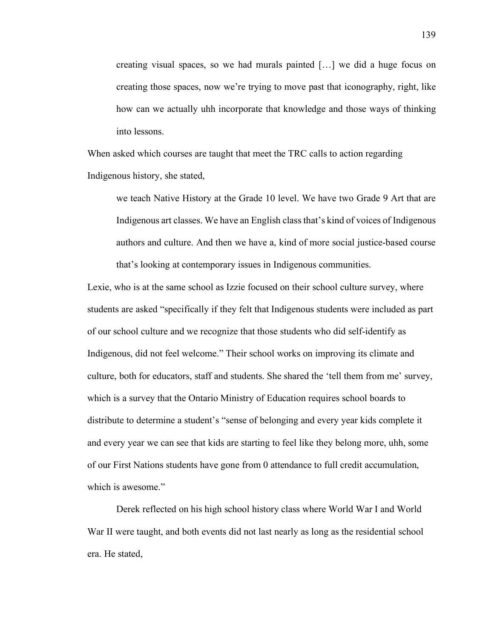creating visual spaces, so we had murals painted […] we did a huge focus on creating those spaces, now we're trying to move past that iconography, right, like how can we actually uhh incorporate that knowledge and those ways of thinking into lessons.

When asked which courses are taught that meet the TRC calls to action regarding Indigenous history, she stated,

we teach Native History at the Grade 10 level. We have two Grade 9 Art that are Indigenous art classes. We have an English class that's kind of voices of Indigenous authors and culture. And then we have a, kind of more social justice-based course that's looking at contemporary issues in Indigenous communities.

Lexie, who is at the same school as Izzie focused on their school culture survey, where students are asked "specifically if they felt that Indigenous students were included as part of our school culture and we recognize that those students who did self-identify as Indigenous, did not feel welcome." Their school works on improving its climate and culture, both for educators, staff and students. She shared the 'tell them from me' survey, which is a survey that the Ontario Ministry of Education requires school boards to distribute to determine a student's "sense of belonging and every year kids complete it and every year we can see that kids are starting to feel like they belong more, uhh, some of our First Nations students have gone from 0 attendance to full credit accumulation, which is awesome."

Derek reflected on his high school history class where World War I and World War II were taught, and both events did not last nearly as long as the residential school era. He stated,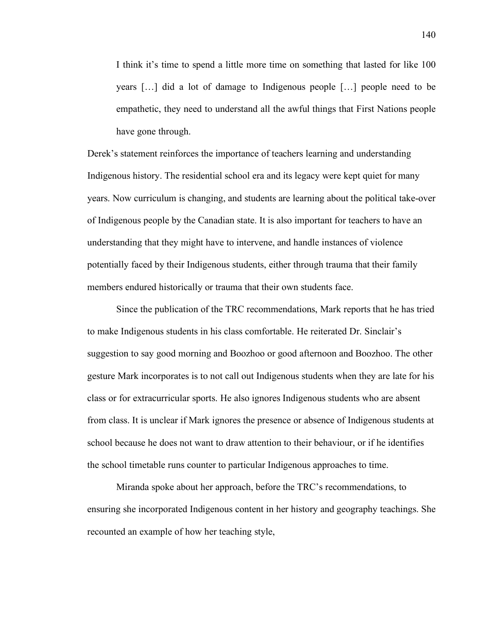I think it's time to spend a little more time on something that lasted for like 100 years […] did a lot of damage to Indigenous people […] people need to be empathetic, they need to understand all the awful things that First Nations people have gone through.

Derek's statement reinforces the importance of teachers learning and understanding Indigenous history. The residential school era and its legacy were kept quiet for many years. Now curriculum is changing, and students are learning about the political take-over of Indigenous people by the Canadian state. It is also important for teachers to have an understanding that they might have to intervene, and handle instances of violence potentially faced by their Indigenous students, either through trauma that their family members endured historically or trauma that their own students face.

Since the publication of the TRC recommendations, Mark reports that he has tried to make Indigenous students in his class comfortable. He reiterated Dr. Sinclair's suggestion to say good morning and Boozhoo or good afternoon and Boozhoo. The other gesture Mark incorporates is to not call out Indigenous students when they are late for his class or for extracurricular sports. He also ignores Indigenous students who are absent from class. It is unclear if Mark ignores the presence or absence of Indigenous students at school because he does not want to draw attention to their behaviour, or if he identifies the school timetable runs counter to particular Indigenous approaches to time.

Miranda spoke about her approach, before the TRC's recommendations, to ensuring she incorporated Indigenous content in her history and geography teachings. She recounted an example of how her teaching style,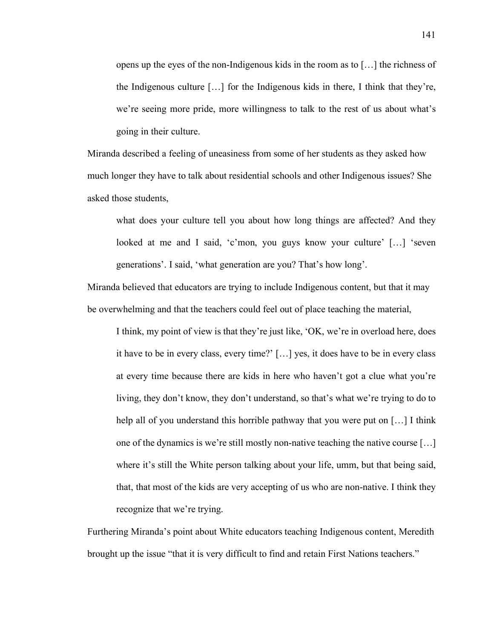opens up the eyes of the non-Indigenous kids in the room as to […] the richness of the Indigenous culture […] for the Indigenous kids in there, I think that they're, we're seeing more pride, more willingness to talk to the rest of us about what's going in their culture.

Miranda described a feeling of uneasiness from some of her students as they asked how much longer they have to talk about residential schools and other Indigenous issues? She asked those students,

what does your culture tell you about how long things are affected? And they looked at me and I said, 'c'mon, you guys know your culture' […] 'seven generations'. I said, 'what generation are you? That's how long'.

Miranda believed that educators are trying to include Indigenous content, but that it may be overwhelming and that the teachers could feel out of place teaching the material,

I think, my point of view is that they're just like, 'OK, we're in overload here, does it have to be in every class, every time?' […] yes, it does have to be in every class at every time because there are kids in here who haven't got a clue what you're living, they don't know, they don't understand, so that's what we're trying to do to help all of you understand this horrible pathway that you were put on [...] I think one of the dynamics is we're still mostly non-native teaching the native course […] where it's still the White person talking about your life, umm, but that being said, that, that most of the kids are very accepting of us who are non-native. I think they recognize that we're trying.

Furthering Miranda's point about White educators teaching Indigenous content, Meredith brought up the issue "that it is very difficult to find and retain First Nations teachers."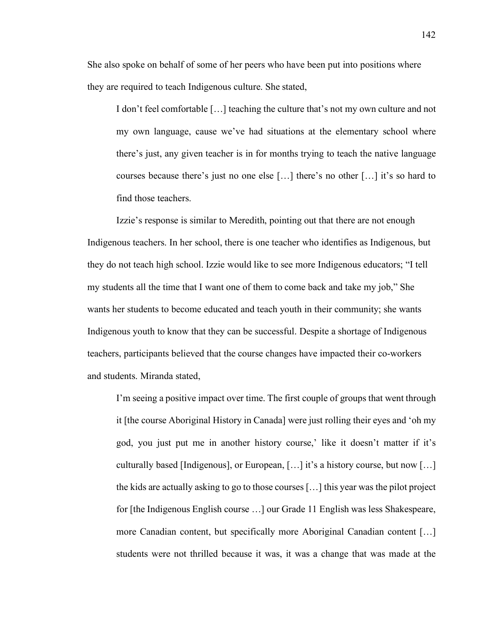She also spoke on behalf of some of her peers who have been put into positions where they are required to teach Indigenous culture. She stated,

I don't feel comfortable […] teaching the culture that's not my own culture and not my own language, cause we've had situations at the elementary school where there's just, any given teacher is in for months trying to teach the native language courses because there's just no one else  $[\dots]$  there's no other  $[\dots]$  it's so hard to find those teachers.

Izzie's response is similar to Meredith, pointing out that there are not enough Indigenous teachers. In her school, there is one teacher who identifies as Indigenous, but they do not teach high school. Izzie would like to see more Indigenous educators; "I tell my students all the time that I want one of them to come back and take my job," She wants her students to become educated and teach youth in their community; she wants Indigenous youth to know that they can be successful. Despite a shortage of Indigenous teachers, participants believed that the course changes have impacted their co-workers and students. Miranda stated,

I'm seeing a positive impact over time. The first couple of groups that went through it [the course Aboriginal History in Canada] were just rolling their eyes and 'oh my god, you just put me in another history course,' like it doesn't matter if it's culturally based [Indigenous], or European, […] it's a history course, but now […] the kids are actually asking to go to those courses […] this year was the pilot project for [the Indigenous English course …] our Grade 11 English was less Shakespeare, more Canadian content, but specifically more Aboriginal Canadian content […] students were not thrilled because it was, it was a change that was made at the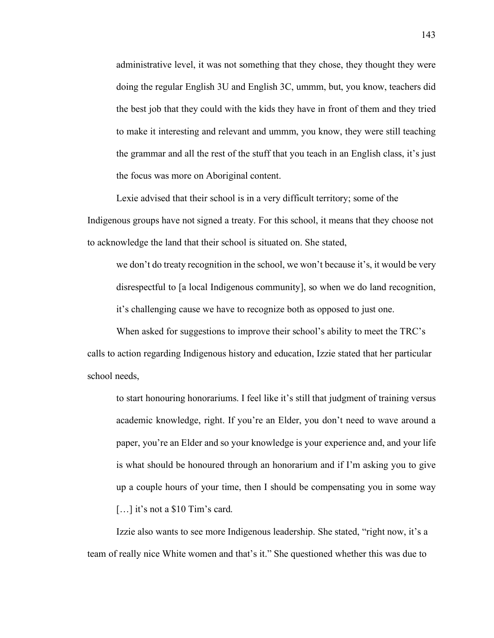administrative level, it was not something that they chose, they thought they were doing the regular English 3U and English 3C, ummm, but, you know, teachers did the best job that they could with the kids they have in front of them and they tried to make it interesting and relevant and ummm, you know, they were still teaching the grammar and all the rest of the stuff that you teach in an English class, it's just the focus was more on Aboriginal content.

Lexie advised that their school is in a very difficult territory; some of the Indigenous groups have not signed a treaty. For this school, it means that they choose not to acknowledge the land that their school is situated on. She stated,

we don't do treaty recognition in the school, we won't because it's, it would be very disrespectful to [a local Indigenous community], so when we do land recognition, it's challenging cause we have to recognize both as opposed to just one.

When asked for suggestions to improve their school's ability to meet the TRC's calls to action regarding Indigenous history and education, Izzie stated that her particular school needs,

to start honouring honorariums. I feel like it's still that judgment of training versus academic knowledge, right. If you're an Elder, you don't need to wave around a paper, you're an Elder and so your knowledge is your experience and, and your life is what should be honoured through an honorarium and if I'm asking you to give up a couple hours of your time, then I should be compensating you in some way [...] it's not a \$10 Tim's card.

Izzie also wants to see more Indigenous leadership. She stated, "right now, it's a team of really nice White women and that's it." She questioned whether this was due to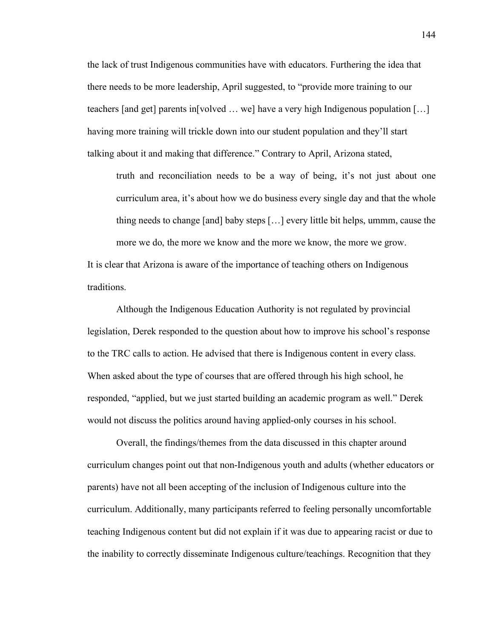the lack of trust Indigenous communities have with educators. Furthering the idea that there needs to be more leadership, April suggested, to "provide more training to our teachers [and get] parents in[volved … we] have a very high Indigenous population […] having more training will trickle down into our student population and they'll start talking about it and making that difference." Contrary to April, Arizona stated,

truth and reconciliation needs to be a way of being, it's not just about one curriculum area, it's about how we do business every single day and that the whole thing needs to change [and] baby steps […] every little bit helps, ummm, cause the more we do, the more we know and the more we know, the more we grow.

It is clear that Arizona is aware of the importance of teaching others on Indigenous traditions.

Although the Indigenous Education Authority is not regulated by provincial legislation, Derek responded to the question about how to improve his school's response to the TRC calls to action. He advised that there is Indigenous content in every class. When asked about the type of courses that are offered through his high school, he responded, "applied, but we just started building an academic program as well." Derek would not discuss the politics around having applied-only courses in his school.

Overall, the findings/themes from the data discussed in this chapter around curriculum changes point out that non-Indigenous youth and adults (whether educators or parents) have not all been accepting of the inclusion of Indigenous culture into the curriculum. Additionally, many participants referred to feeling personally uncomfortable teaching Indigenous content but did not explain if it was due to appearing racist or due to the inability to correctly disseminate Indigenous culture/teachings. Recognition that they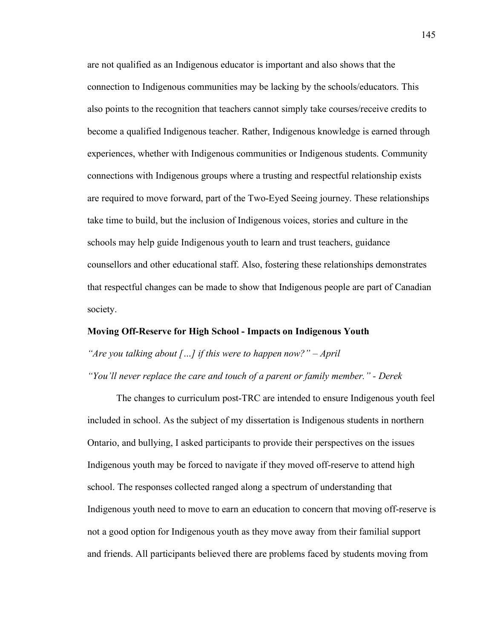are not qualified as an Indigenous educator is important and also shows that the connection to Indigenous communities may be lacking by the schools/educators. This also points to the recognition that teachers cannot simply take courses/receive credits to become a qualified Indigenous teacher. Rather, Indigenous knowledge is earned through experiences, whether with Indigenous communities or Indigenous students. Community connections with Indigenous groups where a trusting and respectful relationship exists are required to move forward, part of the Two-Eyed Seeing journey. These relationships take time to build, but the inclusion of Indigenous voices, stories and culture in the schools may help guide Indigenous youth to learn and trust teachers, guidance counsellors and other educational staff. Also, fostering these relationships demonstrates that respectful changes can be made to show that Indigenous people are part of Canadian society.

### **Moving Off-Reserve for High School - Impacts on Indigenous Youth**

*"Are you talking about […] if this were to happen now?" – April "You'll never replace the care and touch of a parent or family member." - Derek*

The changes to curriculum post-TRC are intended to ensure Indigenous youth feel included in school. As the subject of my dissertation is Indigenous students in northern Ontario, and bullying, I asked participants to provide their perspectives on the issues Indigenous youth may be forced to navigate if they moved off-reserve to attend high school. The responses collected ranged along a spectrum of understanding that Indigenous youth need to move to earn an education to concern that moving off-reserve is not a good option for Indigenous youth as they move away from their familial support and friends. All participants believed there are problems faced by students moving from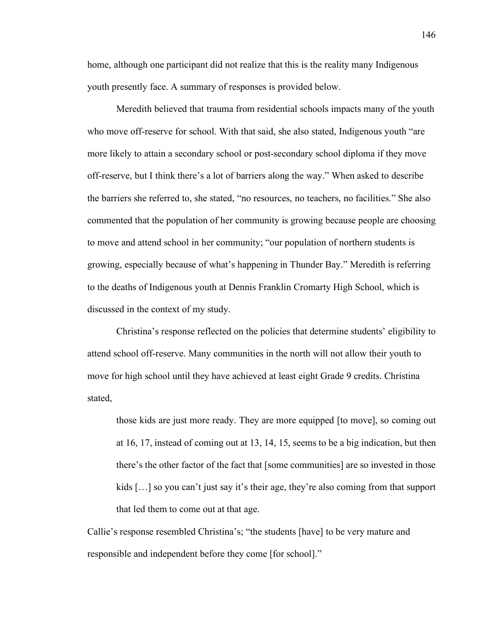home, although one participant did not realize that this is the reality many Indigenous youth presently face. A summary of responses is provided below.

Meredith believed that trauma from residential schools impacts many of the youth who move off-reserve for school. With that said, she also stated, Indigenous youth "are more likely to attain a secondary school or post-secondary school diploma if they move off-reserve, but I think there's a lot of barriers along the way." When asked to describe the barriers she referred to, she stated, "no resources, no teachers, no facilities." She also commented that the population of her community is growing because people are choosing to move and attend school in her community; "our population of northern students is growing, especially because of what's happening in Thunder Bay." Meredith is referring to the deaths of Indigenous youth at Dennis Franklin Cromarty High School, which is discussed in the context of my study.

Christina's response reflected on the policies that determine students' eligibility to attend school off-reserve. Many communities in the north will not allow their youth to move for high school until they have achieved at least eight Grade 9 credits. Christina stated,

those kids are just more ready. They are more equipped [to move], so coming out at 16, 17, instead of coming out at 13, 14, 15, seems to be a big indication, but then there's the other factor of the fact that [some communities] are so invested in those kids […] so you can't just say it's their age, they're also coming from that support that led them to come out at that age.

Callie's response resembled Christina's; "the students [have] to be very mature and responsible and independent before they come [for school]."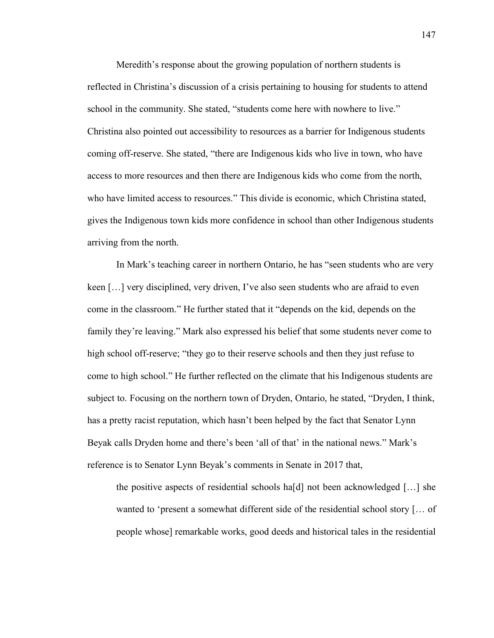Meredith's response about the growing population of northern students is reflected in Christina's discussion of a crisis pertaining to housing for students to attend school in the community. She stated, "students come here with nowhere to live." Christina also pointed out accessibility to resources as a barrier for Indigenous students coming off-reserve. She stated, "there are Indigenous kids who live in town, who have access to more resources and then there are Indigenous kids who come from the north, who have limited access to resources." This divide is economic, which Christina stated, gives the Indigenous town kids more confidence in school than other Indigenous students arriving from the north.

In Mark's teaching career in northern Ontario, he has "seen students who are very keen […] very disciplined, very driven, I've also seen students who are afraid to even come in the classroom." He further stated that it "depends on the kid, depends on the family they're leaving." Mark also expressed his belief that some students never come to high school off-reserve; "they go to their reserve schools and then they just refuse to come to high school." He further reflected on the climate that his Indigenous students are subject to. Focusing on the northern town of Dryden, Ontario, he stated, "Dryden, I think, has a pretty racist reputation, which hasn't been helped by the fact that Senator Lynn Beyak calls Dryden home and there's been 'all of that' in the national news." Mark's reference is to Senator Lynn Beyak's comments in Senate in 2017 that,

the positive aspects of residential schools ha[d] not been acknowledged […] she wanted to 'present a somewhat different side of the residential school story [… of people whose] remarkable works, good deeds and historical tales in the residential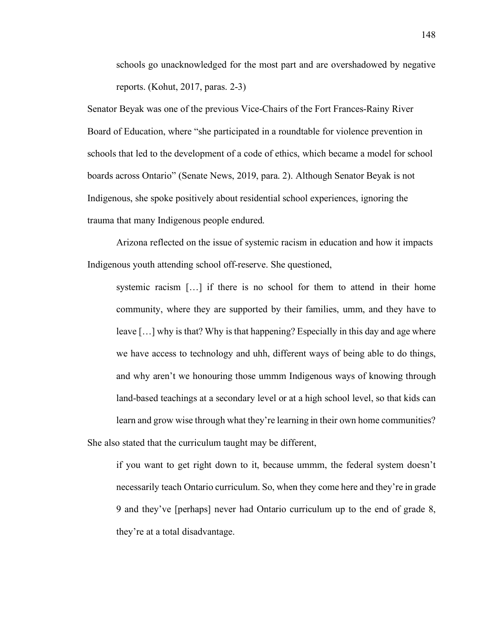schools go unacknowledged for the most part and are overshadowed by negative reports. (Kohut, 2017, paras. 2-3)

Senator Beyak was one of the previous Vice-Chairs of the Fort Frances-Rainy River Board of Education, where "she participated in a roundtable for violence prevention in schools that led to the development of a code of ethics, which became a model for school boards across Ontario" (Senate News, 2019, para. 2). Although Senator Beyak is not Indigenous, she spoke positively about residential school experiences, ignoring the trauma that many Indigenous people endured.

Arizona reflected on the issue of systemic racism in education and how it impacts Indigenous youth attending school off-reserve. She questioned,

systemic racism […] if there is no school for them to attend in their home community, where they are supported by their families, umm, and they have to leave […] why is that? Why is that happening? Especially in this day and age where we have access to technology and uhh, different ways of being able to do things, and why aren't we honouring those ummm Indigenous ways of knowing through land-based teachings at a secondary level or at a high school level, so that kids can learn and grow wise through what they're learning in their own home communities? She also stated that the curriculum taught may be different,

if you want to get right down to it, because ummm, the federal system doesn't necessarily teach Ontario curriculum. So, when they come here and they're in grade 9 and they've [perhaps] never had Ontario curriculum up to the end of grade 8, they're at a total disadvantage.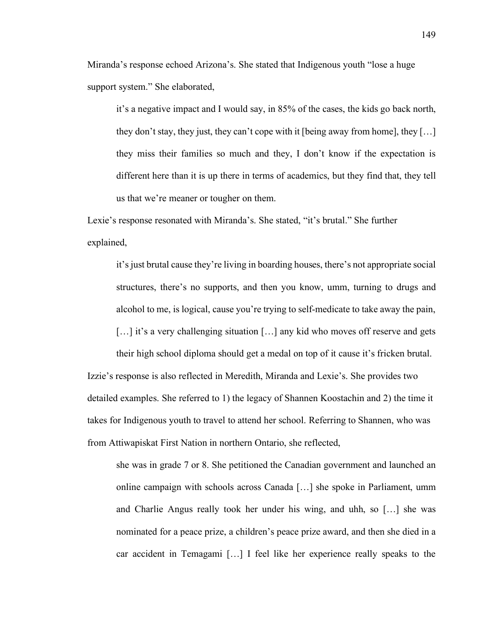Miranda's response echoed Arizona's. She stated that Indigenous youth "lose a huge support system." She elaborated,

it's a negative impact and I would say, in 85% of the cases, the kids go back north, they don't stay, they just, they can't cope with it [being away from home], they  $[\ldots]$ they miss their families so much and they, I don't know if the expectation is different here than it is up there in terms of academics, but they find that, they tell us that we're meaner or tougher on them.

Lexie's response resonated with Miranda's. She stated, "it's brutal." She further explained,

it's just brutal cause they're living in boarding houses, there's not appropriate social structures, there's no supports, and then you know, umm, turning to drugs and alcohol to me, is logical, cause you're trying to self-medicate to take away the pain,

[...] it's a very challenging situation [...] any kid who moves off reserve and gets

their high school diploma should get a medal on top of it cause it's fricken brutal. Izzie's response is also reflected in Meredith, Miranda and Lexie's. She provides two detailed examples. She referred to 1) the legacy of Shannen Koostachin and 2) the time it takes for Indigenous youth to travel to attend her school. Referring to Shannen, who was from Attiwapiskat First Nation in northern Ontario, she reflected,

she was in grade 7 or 8. She petitioned the Canadian government and launched an online campaign with schools across Canada […] she spoke in Parliament, umm and Charlie Angus really took her under his wing, and uhh, so […] she was nominated for a peace prize, a children's peace prize award, and then she died in a car accident in Temagami […] I feel like her experience really speaks to the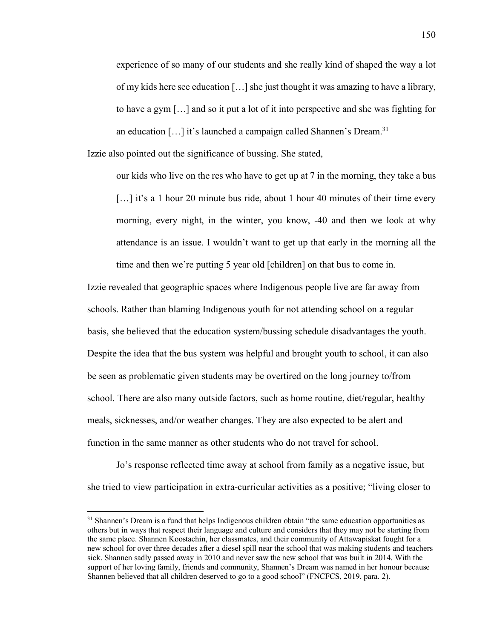experience of so many of our students and she really kind of shaped the way a lot of my kids here see education […] she just thought it was amazing to have a library, to have a gym […] and so it put a lot of it into perspective and she was fighting for an education  $[\dots]$  it's launched a campaign called Shannen's Dream.<sup>31</sup>

Izzie also pointed out the significance of bussing. She stated,

our kids who live on the res who have to get up at 7 in the morning, they take a bus [...] it's a 1 hour 20 minute bus ride, about 1 hour 40 minutes of their time every morning, every night, in the winter, you know, -40 and then we look at why attendance is an issue. I wouldn't want to get up that early in the morning all the time and then we're putting 5 year old [children] on that bus to come in.

Izzie revealed that geographic spaces where Indigenous people live are far away from schools. Rather than blaming Indigenous youth for not attending school on a regular basis, she believed that the education system/bussing schedule disadvantages the youth. Despite the idea that the bus system was helpful and brought youth to school, it can also be seen as problematic given students may be overtired on the long journey to/from school. There are also many outside factors, such as home routine, diet/regular, healthy meals, sicknesses, and/or weather changes. They are also expected to be alert and function in the same manner as other students who do not travel for school.

Jo's response reflected time away at school from family as a negative issue, but she tried to view participation in extra-curricular activities as a positive; "living closer to

<sup>&</sup>lt;sup>31</sup> Shannen's Dream is a fund that helps Indigenous children obtain "the same education opportunities as others but in ways that respect their language and culture and considers that they may not be starting from the same place. Shannen Koostachin, her classmates, and their community of Attawapiskat fought for a new school for over three decades after a diesel spill near the school that was making students and teachers sick. Shannen sadly passed away in 2010 and never saw the new school that was built in 2014. With the support of her loving family, friends and community, Shannen's Dream was named in her honour because Shannen believed that all children deserved to go to a good school" (FNCFCS, 2019, para. 2).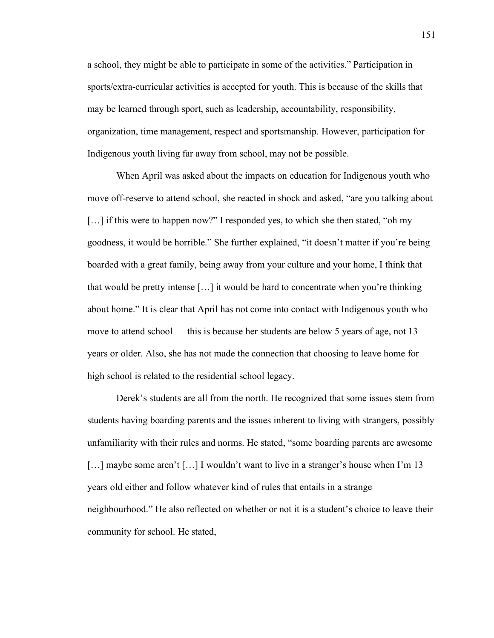a school, they might be able to participate in some of the activities." Participation in sports/extra-curricular activities is accepted for youth. This is because of the skills that may be learned through sport, such as leadership, accountability, responsibility, organization, time management, respect and sportsmanship. However, participation for Indigenous youth living far away from school, may not be possible.

When April was asked about the impacts on education for Indigenous youth who move off-reserve to attend school, she reacted in shock and asked, "are you talking about [...] if this were to happen now?" I responded yes, to which she then stated, "oh my goodness, it would be horrible." She further explained, "it doesn't matter if you're being boarded with a great family, being away from your culture and your home, I think that that would be pretty intense […] it would be hard to concentrate when you're thinking about home." It is clear that April has not come into contact with Indigenous youth who move to attend school — this is because her students are below 5 years of age, not 13 years or older. Also, she has not made the connection that choosing to leave home for high school is related to the residential school legacy.

Derek's students are all from the north. He recognized that some issues stem from students having boarding parents and the issues inherent to living with strangers, possibly unfamiliarity with their rules and norms. He stated, "some boarding parents are awesome [...] maybe some aren't [...] I wouldn't want to live in a stranger's house when I'm 13 years old either and follow whatever kind of rules that entails in a strange neighbourhood." He also reflected on whether or not it is a student's choice to leave their community for school. He stated,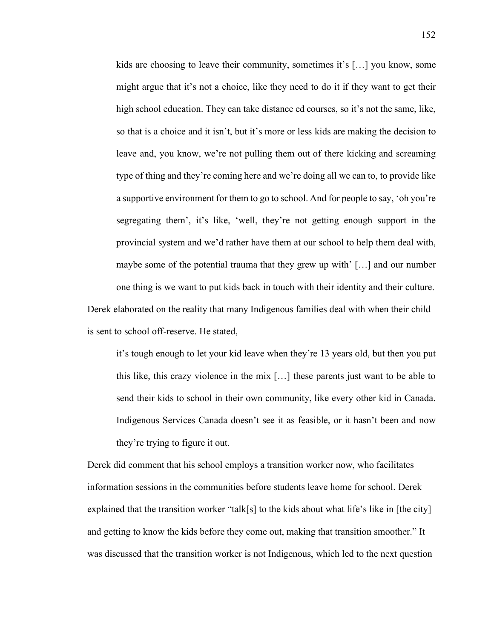kids are choosing to leave their community, sometimes it's […] you know, some might argue that it's not a choice, like they need to do it if they want to get their high school education. They can take distance ed courses, so it's not the same, like, so that is a choice and it isn't, but it's more or less kids are making the decision to leave and, you know, we're not pulling them out of there kicking and screaming type of thing and they're coming here and we're doing all we can to, to provide like a supportive environment for them to go to school. And for people to say, 'oh you're segregating them', it's like, 'well, they're not getting enough support in the provincial system and we'd rather have them at our school to help them deal with, maybe some of the potential trauma that they grew up with' […] and our number one thing is we want to put kids back in touch with their identity and their culture. Derek elaborated on the reality that many Indigenous families deal with when their child is sent to school off-reserve. He stated,

it's tough enough to let your kid leave when they're 13 years old, but then you put this like, this crazy violence in the mix […] these parents just want to be able to send their kids to school in their own community, like every other kid in Canada. Indigenous Services Canada doesn't see it as feasible, or it hasn't been and now they're trying to figure it out.

Derek did comment that his school employs a transition worker now, who facilitates information sessions in the communities before students leave home for school. Derek explained that the transition worker "talk[s] to the kids about what life's like in [the city] and getting to know the kids before they come out, making that transition smoother." It was discussed that the transition worker is not Indigenous, which led to the next question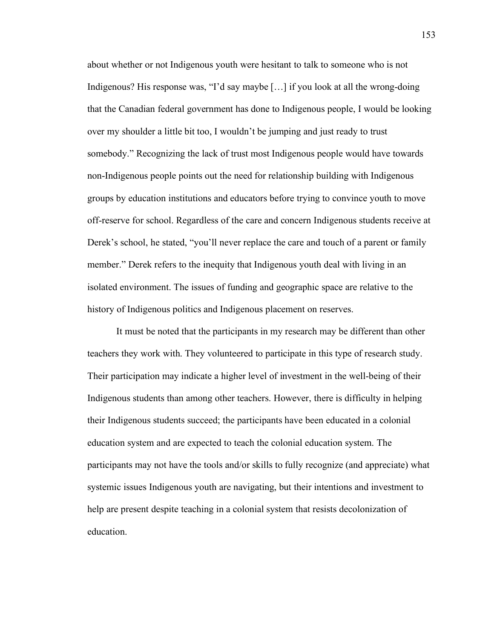about whether or not Indigenous youth were hesitant to talk to someone who is not Indigenous? His response was, "I'd say maybe [...] if you look at all the wrong-doing that the Canadian federal government has done to Indigenous people, I would be looking over my shoulder a little bit too, I wouldn't be jumping and just ready to trust somebody." Recognizing the lack of trust most Indigenous people would have towards non-Indigenous people points out the need for relationship building with Indigenous groups by education institutions and educators before trying to convince youth to move off-reserve for school. Regardless of the care and concern Indigenous students receive at Derek's school, he stated, "you'll never replace the care and touch of a parent or family member." Derek refers to the inequity that Indigenous youth deal with living in an isolated environment. The issues of funding and geographic space are relative to the history of Indigenous politics and Indigenous placement on reserves.

It must be noted that the participants in my research may be different than other teachers they work with. They volunteered to participate in this type of research study. Their participation may indicate a higher level of investment in the well-being of their Indigenous students than among other teachers. However, there is difficulty in helping their Indigenous students succeed; the participants have been educated in a colonial education system and are expected to teach the colonial education system. The participants may not have the tools and/or skills to fully recognize (and appreciate) what systemic issues Indigenous youth are navigating, but their intentions and investment to help are present despite teaching in a colonial system that resists decolonization of education.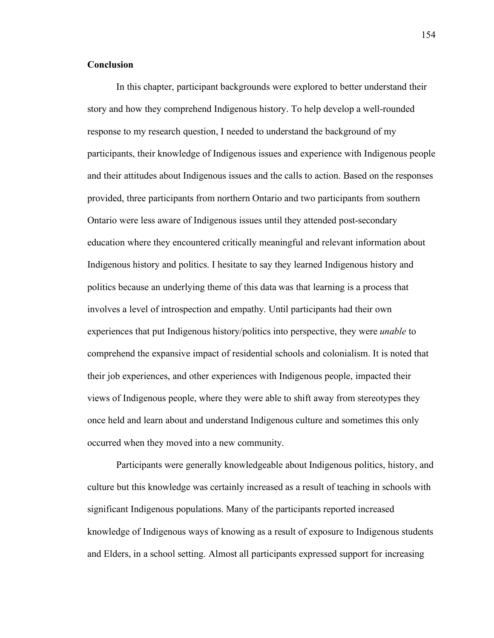### **Conclusion**

In this chapter, participant backgrounds were explored to better understand their story and how they comprehend Indigenous history. To help develop a well-rounded response to my research question, I needed to understand the background of my participants, their knowledge of Indigenous issues and experience with Indigenous people and their attitudes about Indigenous issues and the calls to action. Based on the responses provided, three participants from northern Ontario and two participants from southern Ontario were less aware of Indigenous issues until they attended post-secondary education where they encountered critically meaningful and relevant information about Indigenous history and politics. I hesitate to say they learned Indigenous history and politics because an underlying theme of this data was that learning is a process that involves a level of introspection and empathy. Until participants had their own experiences that put Indigenous history/politics into perspective, they were *unable* to comprehend the expansive impact of residential schools and colonialism. It is noted that their job experiences, and other experiences with Indigenous people, impacted their views of Indigenous people, where they were able to shift away from stereotypes they once held and learn about and understand Indigenous culture and sometimes this only occurred when they moved into a new community.

Participants were generally knowledgeable about Indigenous politics, history, and culture but this knowledge was certainly increased as a result of teaching in schools with significant Indigenous populations. Many of the participants reported increased knowledge of Indigenous ways of knowing as a result of exposure to Indigenous students and Elders, in a school setting. Almost all participants expressed support for increasing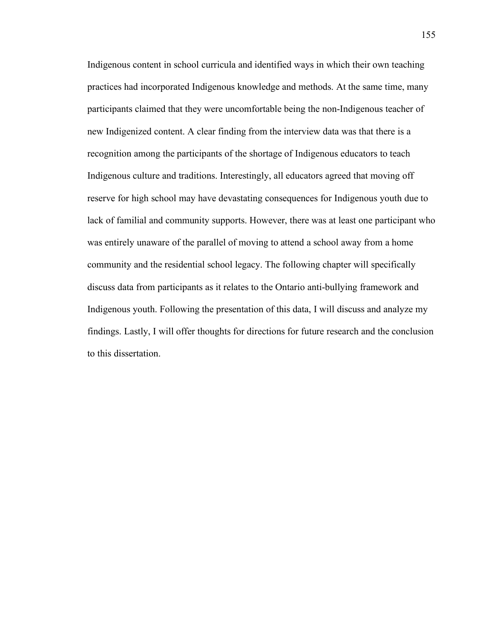Indigenous content in school curricula and identified ways in which their own teaching practices had incorporated Indigenous knowledge and methods. At the same time, many participants claimed that they were uncomfortable being the non-Indigenous teacher of new Indigenized content. A clear finding from the interview data was that there is a recognition among the participants of the shortage of Indigenous educators to teach Indigenous culture and traditions. Interestingly, all educators agreed that moving off reserve for high school may have devastating consequences for Indigenous youth due to lack of familial and community supports. However, there was at least one participant who was entirely unaware of the parallel of moving to attend a school away from a home community and the residential school legacy. The following chapter will specifically discuss data from participants as it relates to the Ontario anti-bullying framework and Indigenous youth. Following the presentation of this data, I will discuss and analyze my findings. Lastly, I will offer thoughts for directions for future research and the conclusion to this dissertation.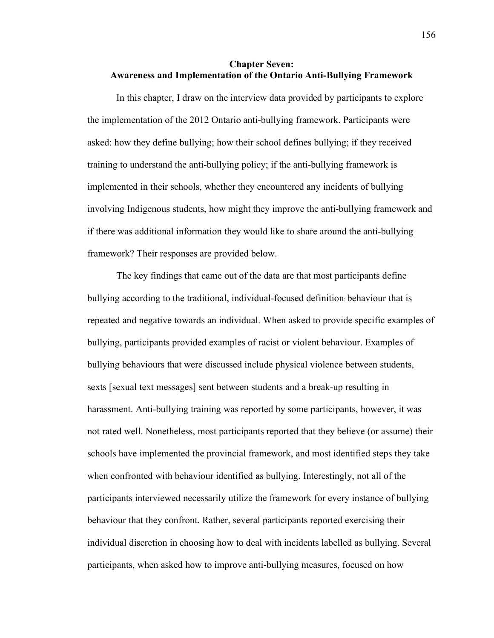## **Chapter Seven: Awareness and Implementation of the Ontario Anti-Bullying Framework**

In this chapter, I draw on the interview data provided by participants to explore the implementation of the 2012 Ontario anti-bullying framework. Participants were asked: how they define bullying; how their school defines bullying; if they received training to understand the anti-bullying policy; if the anti-bullying framework is implemented in their schools, whether they encountered any incidents of bullying involving Indigenous students, how might they improve the anti-bullying framework and if there was additional information they would like to share around the anti-bullying framework? Their responses are provided below.

The key findings that came out of the data are that most participants define bullying according to the traditional, individual-focused definition: behaviour that is repeated and negative towards an individual. When asked to provide specific examples of bullying, participants provided examples of racist or violent behaviour. Examples of bullying behaviours that were discussed include physical violence between students, sexts [sexual text messages] sent between students and a break-up resulting in harassment. Anti-bullying training was reported by some participants, however, it was not rated well. Nonetheless, most participants reported that they believe (or assume) their schools have implemented the provincial framework, and most identified steps they take when confronted with behaviour identified as bullying. Interestingly, not all of the participants interviewed necessarily utilize the framework for every instance of bullying behaviour that they confront. Rather, several participants reported exercising their individual discretion in choosing how to deal with incidents labelled as bullying. Several participants, when asked how to improve anti-bullying measures, focused on how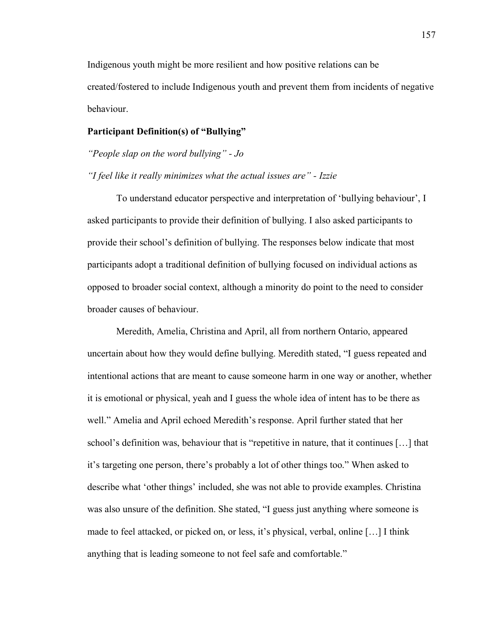Indigenous youth might be more resilient and how positive relations can be created/fostered to include Indigenous youth and prevent them from incidents of negative behaviour.

### **Participant Definition(s) of "Bullying"**

*"People slap on the word bullying" - Jo*

*"I feel like it really minimizes what the actual issues are" - Izzie*

To understand educator perspective and interpretation of 'bullying behaviour', I asked participants to provide their definition of bullying. I also asked participants to provide their school's definition of bullying. The responses below indicate that most participants adopt a traditional definition of bullying focused on individual actions as opposed to broader social context, although a minority do point to the need to consider broader causes of behaviour.

Meredith, Amelia, Christina and April, all from northern Ontario, appeared uncertain about how they would define bullying. Meredith stated, "I guess repeated and intentional actions that are meant to cause someone harm in one way or another, whether it is emotional or physical, yeah and I guess the whole idea of intent has to be there as well." Amelia and April echoed Meredith's response. April further stated that her school's definition was, behaviour that is "repetitive in nature, that it continues […] that it's targeting one person, there's probably a lot of other things too." When asked to describe what 'other things' included, she was not able to provide examples. Christina was also unsure of the definition. She stated, "I guess just anything where someone is made to feel attacked, or picked on, or less, it's physical, verbal, online […] I think anything that is leading someone to not feel safe and comfortable."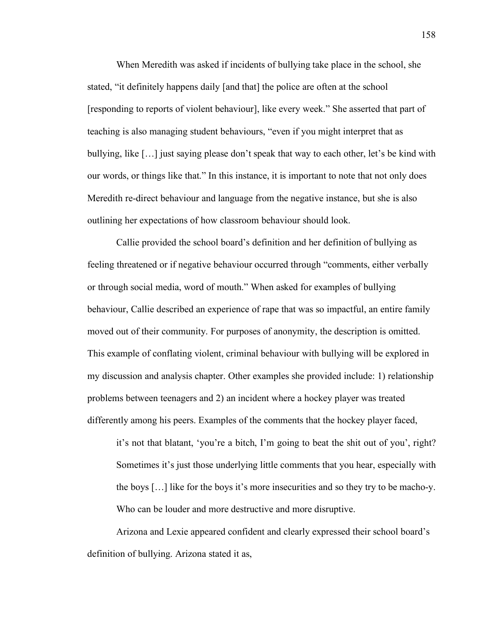When Meredith was asked if incidents of bullying take place in the school, she stated, "it definitely happens daily [and that] the police are often at the school [responding to reports of violent behaviour], like every week." She asserted that part of teaching is also managing student behaviours, "even if you might interpret that as bullying, like […] just saying please don't speak that way to each other, let's be kind with our words, or things like that." In this instance, it is important to note that not only does Meredith re-direct behaviour and language from the negative instance, but she is also outlining her expectations of how classroom behaviour should look.

Callie provided the school board's definition and her definition of bullying as feeling threatened or if negative behaviour occurred through "comments, either verbally or through social media, word of mouth." When asked for examples of bullying behaviour, Callie described an experience of rape that was so impactful, an entire family moved out of their community. For purposes of anonymity, the description is omitted. This example of conflating violent, criminal behaviour with bullying will be explored in my discussion and analysis chapter. Other examples she provided include: 1) relationship problems between teenagers and 2) an incident where a hockey player was treated differently among his peers. Examples of the comments that the hockey player faced,

it's not that blatant, 'you're a bitch, I'm going to beat the shit out of you', right? Sometimes it's just those underlying little comments that you hear, especially with the boys […] like for the boys it's more insecurities and so they try to be macho-y. Who can be louder and more destructive and more disruptive.

Arizona and Lexie appeared confident and clearly expressed their school board's definition of bullying. Arizona stated it as,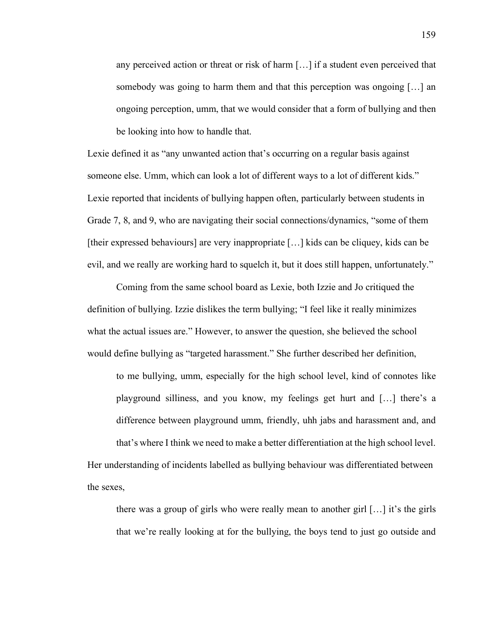any perceived action or threat or risk of harm […] if a student even perceived that somebody was going to harm them and that this perception was ongoing […] an ongoing perception, umm, that we would consider that a form of bullying and then be looking into how to handle that.

Lexie defined it as "any unwanted action that's occurring on a regular basis against someone else. Umm, which can look a lot of different ways to a lot of different kids." Lexie reported that incidents of bullying happen often, particularly between students in Grade 7, 8, and 9, who are navigating their social connections/dynamics, "some of them [their expressed behaviours] are very inappropriate […] kids can be cliquey, kids can be evil, and we really are working hard to squelch it, but it does still happen, unfortunately."

Coming from the same school board as Lexie, both Izzie and Jo critiqued the definition of bullying. Izzie dislikes the term bullying; "I feel like it really minimizes what the actual issues are." However, to answer the question, she believed the school would define bullying as "targeted harassment." She further described her definition,

to me bullying, umm, especially for the high school level, kind of connotes like playground silliness, and you know, my feelings get hurt and […] there's a difference between playground umm, friendly, uhh jabs and harassment and, and that's where I think we need to make a better differentiation at the high school level. Her understanding of incidents labelled as bullying behaviour was differentiated between the sexes,

there was a group of girls who were really mean to another girl […] it's the girls that we're really looking at for the bullying, the boys tend to just go outside and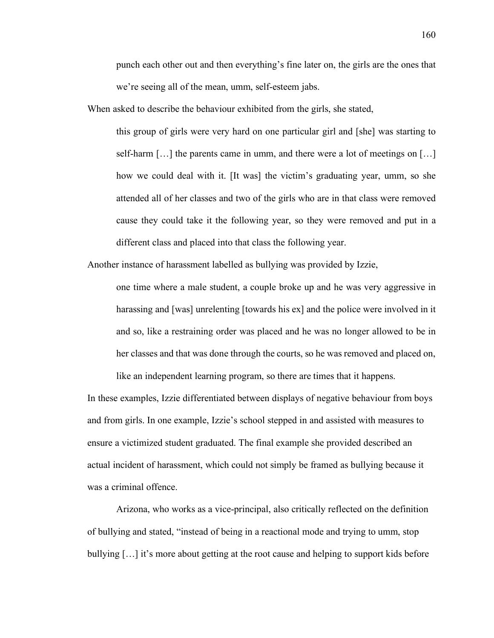punch each other out and then everything's fine later on, the girls are the ones that we're seeing all of the mean, umm, self-esteem jabs.

When asked to describe the behaviour exhibited from the girls, she stated,

this group of girls were very hard on one particular girl and [she] was starting to self-harm […] the parents came in umm, and there were a lot of meetings on […] how we could deal with it. [It was] the victim's graduating year, umm, so she attended all of her classes and two of the girls who are in that class were removed cause they could take it the following year, so they were removed and put in a different class and placed into that class the following year.

Another instance of harassment labelled as bullying was provided by Izzie,

one time where a male student, a couple broke up and he was very aggressive in harassing and [was] unrelenting [towards his ex] and the police were involved in it and so, like a restraining order was placed and he was no longer allowed to be in her classes and that was done through the courts, so he was removed and placed on, like an independent learning program, so there are times that it happens.

In these examples, Izzie differentiated between displays of negative behaviour from boys and from girls. In one example, Izzie's school stepped in and assisted with measures to ensure a victimized student graduated. The final example she provided described an actual incident of harassment, which could not simply be framed as bullying because it was a criminal offence.

Arizona, who works as a vice-principal, also critically reflected on the definition of bullying and stated, "instead of being in a reactional mode and trying to umm, stop bullying […] it's more about getting at the root cause and helping to support kids before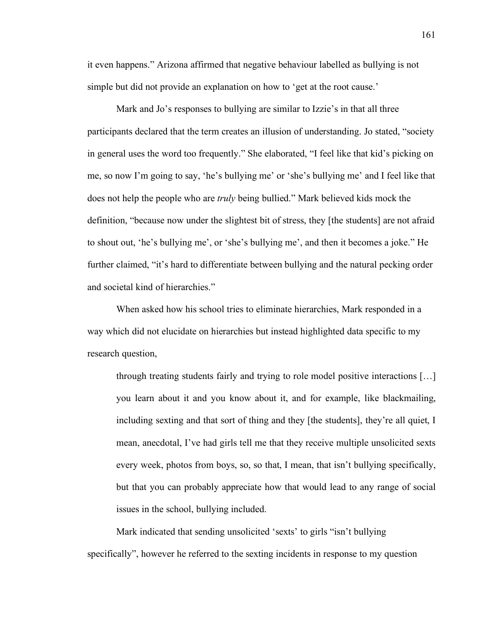it even happens." Arizona affirmed that negative behaviour labelled as bullying is not simple but did not provide an explanation on how to 'get at the root cause.'

Mark and Jo's responses to bullying are similar to Izzie's in that all three participants declared that the term creates an illusion of understanding. Jo stated, "society in general uses the word too frequently." She elaborated, "I feel like that kid's picking on me, so now I'm going to say, 'he's bullying me' or 'she's bullying me' and I feel like that does not help the people who are *truly* being bullied." Mark believed kids mock the definition, "because now under the slightest bit of stress, they [the students] are not afraid to shout out, 'he's bullying me', or 'she's bullying me', and then it becomes a joke." He further claimed, "it's hard to differentiate between bullying and the natural pecking order and societal kind of hierarchies."

When asked how his school tries to eliminate hierarchies, Mark responded in a way which did not elucidate on hierarchies but instead highlighted data specific to my research question,

through treating students fairly and trying to role model positive interactions […] you learn about it and you know about it, and for example, like blackmailing, including sexting and that sort of thing and they [the students], they're all quiet, I mean, anecdotal, I've had girls tell me that they receive multiple unsolicited sexts every week, photos from boys, so, so that, I mean, that isn't bullying specifically, but that you can probably appreciate how that would lead to any range of social issues in the school, bullying included.

Mark indicated that sending unsolicited 'sexts' to girls "isn't bullying specifically", however he referred to the sexting incidents in response to my question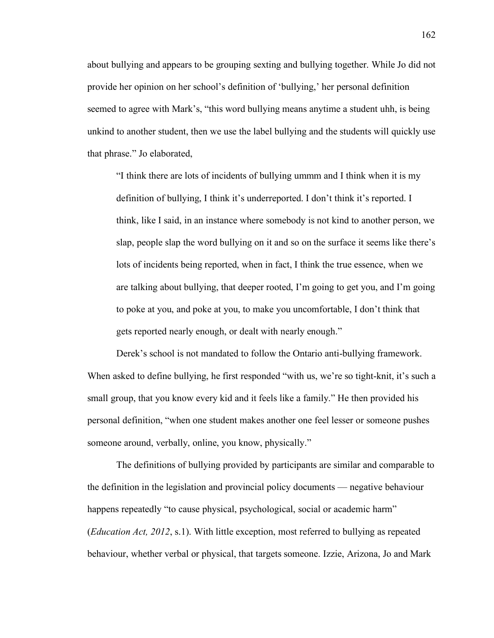about bullying and appears to be grouping sexting and bullying together. While Jo did not provide her opinion on her school's definition of 'bullying,' her personal definition seemed to agree with Mark's, "this word bullying means anytime a student uhh, is being unkind to another student, then we use the label bullying and the students will quickly use that phrase." Jo elaborated,

"I think there are lots of incidents of bullying ummm and I think when it is my definition of bullying, I think it's underreported. I don't think it's reported. I think, like I said, in an instance where somebody is not kind to another person, we slap, people slap the word bullying on it and so on the surface it seems like there's lots of incidents being reported, when in fact, I think the true essence, when we are talking about bullying, that deeper rooted, I'm going to get you, and I'm going to poke at you, and poke at you, to make you uncomfortable, I don't think that gets reported nearly enough, or dealt with nearly enough."

Derek's school is not mandated to follow the Ontario anti-bullying framework. When asked to define bullying, he first responded "with us, we're so tight-knit, it's such a small group, that you know every kid and it feels like a family." He then provided his personal definition, "when one student makes another one feel lesser or someone pushes someone around, verbally, online, you know, physically."

The definitions of bullying provided by participants are similar and comparable to the definition in the legislation and provincial policy documents — negative behaviour happens repeatedly "to cause physical, psychological, social or academic harm" (*Education Act, 2012*, s.1). With little exception, most referred to bullying as repeated behaviour, whether verbal or physical, that targets someone. Izzie, Arizona, Jo and Mark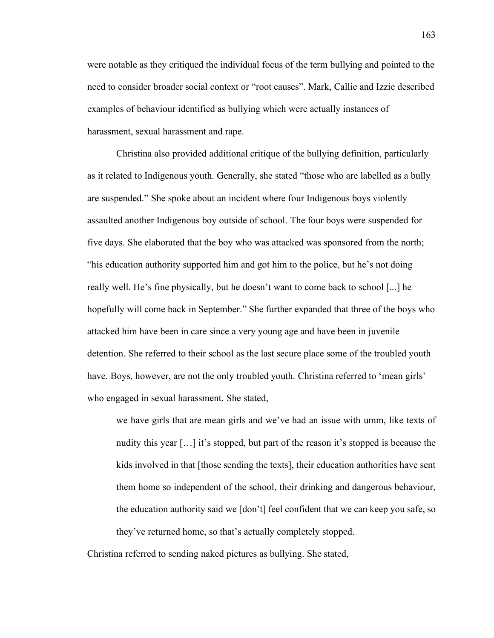were notable as they critiqued the individual focus of the term bullying and pointed to the need to consider broader social context or "root causes". Mark, Callie and Izzie described examples of behaviour identified as bullying which were actually instances of harassment, sexual harassment and rape.

Christina also provided additional critique of the bullying definition, particularly as it related to Indigenous youth. Generally, she stated "those who are labelled as a bully are suspended." She spoke about an incident where four Indigenous boys violently assaulted another Indigenous boy outside of school. The four boys were suspended for five days. She elaborated that the boy who was attacked was sponsored from the north; "his education authority supported him and got him to the police, but he's not doing really well. He's fine physically, but he doesn't want to come back to school [...] he hopefully will come back in September." She further expanded that three of the boys who attacked him have been in care since a very young age and have been in juvenile detention. She referred to their school as the last secure place some of the troubled youth have. Boys, however, are not the only troubled youth. Christina referred to 'mean girls' who engaged in sexual harassment. She stated,

we have girls that are mean girls and we've had an issue with umm, like texts of nudity this year […] it's stopped, but part of the reason it's stopped is because the kids involved in that [those sending the texts], their education authorities have sent them home so independent of the school, their drinking and dangerous behaviour, the education authority said we [don't] feel confident that we can keep you safe, so they've returned home, so that's actually completely stopped.

Christina referred to sending naked pictures as bullying. She stated,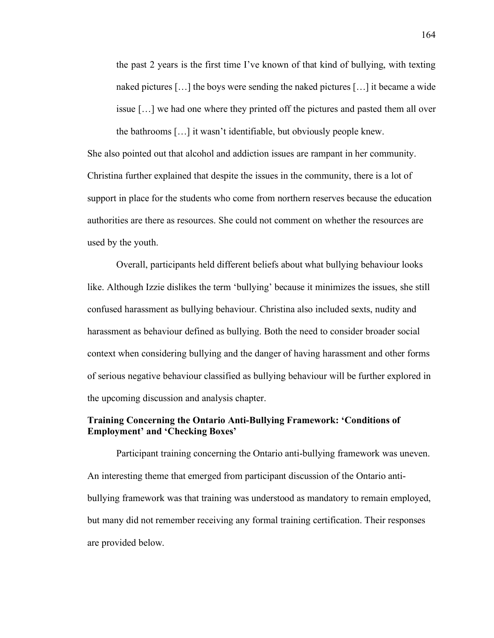the past 2 years is the first time I've known of that kind of bullying, with texting naked pictures […] the boys were sending the naked pictures […] it became a wide issue […] we had one where they printed off the pictures and pasted them all over the bathrooms […] it wasn't identifiable, but obviously people knew.

She also pointed out that alcohol and addiction issues are rampant in her community. Christina further explained that despite the issues in the community, there is a lot of support in place for the students who come from northern reserves because the education authorities are there as resources. She could not comment on whether the resources are used by the youth.

Overall, participants held different beliefs about what bullying behaviour looks like. Although Izzie dislikes the term 'bullying' because it minimizes the issues, she still confused harassment as bullying behaviour. Christina also included sexts, nudity and harassment as behaviour defined as bullying. Both the need to consider broader social context when considering bullying and the danger of having harassment and other forms of serious negative behaviour classified as bullying behaviour will be further explored in the upcoming discussion and analysis chapter.

# **Training Concerning the Ontario Anti-Bullying Framework: 'Conditions of Employment' and 'Checking Boxes'**

Participant training concerning the Ontario anti-bullying framework was uneven. An interesting theme that emerged from participant discussion of the Ontario antibullying framework was that training was understood as mandatory to remain employed, but many did not remember receiving any formal training certification. Their responses are provided below.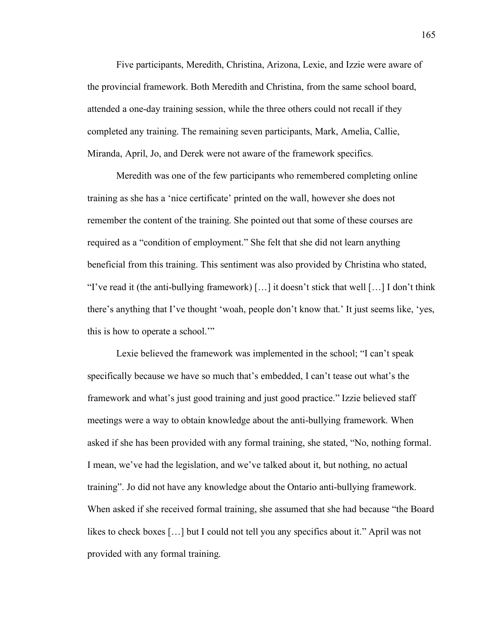Five participants, Meredith, Christina, Arizona, Lexie, and Izzie were aware of the provincial framework. Both Meredith and Christina, from the same school board, attended a one-day training session, while the three others could not recall if they completed any training. The remaining seven participants, Mark, Amelia, Callie, Miranda, April, Jo, and Derek were not aware of the framework specifics.

Meredith was one of the few participants who remembered completing online training as she has a 'nice certificate' printed on the wall, however she does not remember the content of the training. She pointed out that some of these courses are required as a "condition of employment." She felt that she did not learn anything beneficial from this training. This sentiment was also provided by Christina who stated, "I've read it (the anti-bullying framework)  $[\dots]$  it doesn't stick that well  $[\dots]$  I don't think there's anything that I've thought 'woah, people don't know that.' It just seems like, 'yes, this is how to operate a school.'"

Lexie believed the framework was implemented in the school; "I can't speak specifically because we have so much that's embedded, I can't tease out what's the framework and what's just good training and just good practice." Izzie believed staff meetings were a way to obtain knowledge about the anti-bullying framework. When asked if she has been provided with any formal training, she stated, "No, nothing formal. I mean, we've had the legislation, and we've talked about it, but nothing, no actual training". Jo did not have any knowledge about the Ontario anti-bullying framework. When asked if she received formal training, she assumed that she had because "the Board likes to check boxes […] but I could not tell you any specifics about it." April was not provided with any formal training.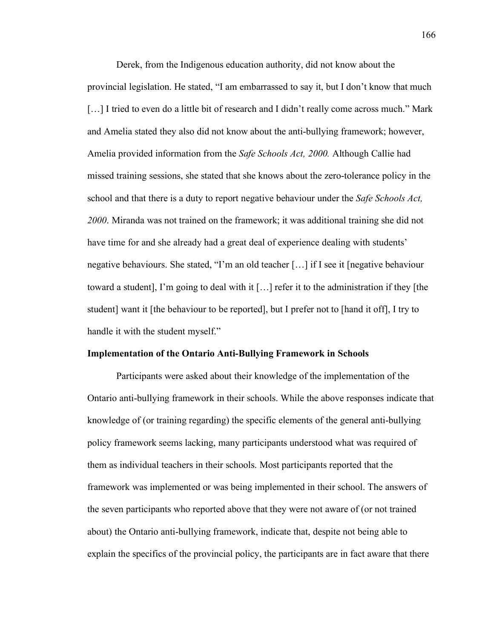Derek, from the Indigenous education authority, did not know about the provincial legislation. He stated, "I am embarrassed to say it, but I don't know that much [...] I tried to even do a little bit of research and I didn't really come across much." Mark and Amelia stated they also did not know about the anti-bullying framework; however, Amelia provided information from the *Safe Schools Act, 2000.* Although Callie had missed training sessions, she stated that she knows about the zero-tolerance policy in the school and that there is a duty to report negative behaviour under the *Safe Schools Act, 2000*. Miranda was not trained on the framework; it was additional training she did not have time for and she already had a great deal of experience dealing with students' negative behaviours. She stated, "I'm an old teacher […] if I see it [negative behaviour toward a student], I'm going to deal with it […] refer it to the administration if they [the student] want it [the behaviour to be reported], but I prefer not to [hand it off], I try to handle it with the student myself."

### **Implementation of the Ontario Anti-Bullying Framework in Schools**

Participants were asked about their knowledge of the implementation of the Ontario anti-bullying framework in their schools. While the above responses indicate that knowledge of (or training regarding) the specific elements of the general anti-bullying policy framework seems lacking, many participants understood what was required of them as individual teachers in their schools. Most participants reported that the framework was implemented or was being implemented in their school. The answers of the seven participants who reported above that they were not aware of (or not trained about) the Ontario anti-bullying framework, indicate that, despite not being able to explain the specifics of the provincial policy, the participants are in fact aware that there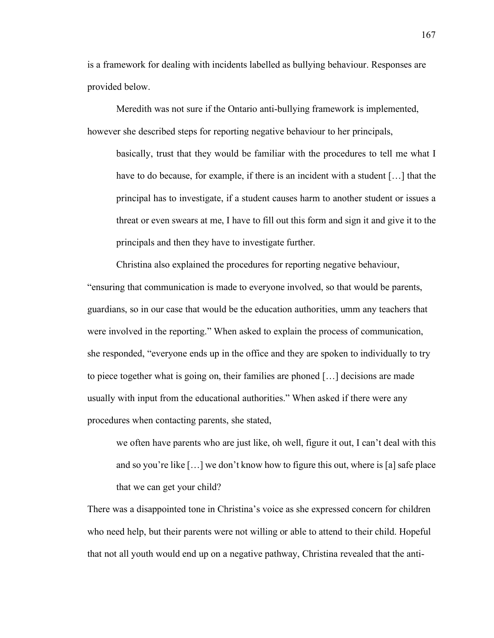is a framework for dealing with incidents labelled as bullying behaviour. Responses are provided below.

Meredith was not sure if the Ontario anti-bullying framework is implemented, however she described steps for reporting negative behaviour to her principals,

basically, trust that they would be familiar with the procedures to tell me what I have to do because, for example, if there is an incident with a student [...] that the principal has to investigate, if a student causes harm to another student or issues a threat or even swears at me, I have to fill out this form and sign it and give it to the principals and then they have to investigate further.

Christina also explained the procedures for reporting negative behaviour, "ensuring that communication is made to everyone involved, so that would be parents, guardians, so in our case that would be the education authorities, umm any teachers that were involved in the reporting." When asked to explain the process of communication, she responded, "everyone ends up in the office and they are spoken to individually to try to piece together what is going on, their families are phoned […] decisions are made usually with input from the educational authorities." When asked if there were any procedures when contacting parents, she stated,

we often have parents who are just like, oh well, figure it out, I can't deal with this and so you're like […] we don't know how to figure this out, where is [a] safe place that we can get your child?

There was a disappointed tone in Christina's voice as she expressed concern for children who need help, but their parents were not willing or able to attend to their child. Hopeful that not all youth would end up on a negative pathway, Christina revealed that the anti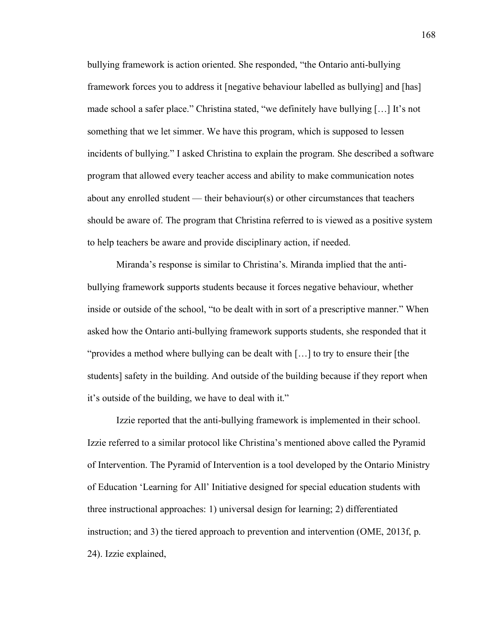bullying framework is action oriented. She responded, "the Ontario anti-bullying framework forces you to address it [negative behaviour labelled as bullying] and [has] made school a safer place." Christina stated, "we definitely have bullying […] It's not something that we let simmer. We have this program, which is supposed to lessen incidents of bullying." I asked Christina to explain the program. She described a software program that allowed every teacher access and ability to make communication notes about any enrolled student — their behaviour(s) or other circumstances that teachers should be aware of. The program that Christina referred to is viewed as a positive system to help teachers be aware and provide disciplinary action, if needed.

Miranda's response is similar to Christina's. Miranda implied that the antibullying framework supports students because it forces negative behaviour, whether inside or outside of the school, "to be dealt with in sort of a prescriptive manner." When asked how the Ontario anti-bullying framework supports students, she responded that it "provides a method where bullying can be dealt with […] to try to ensure their [the students] safety in the building. And outside of the building because if they report when it's outside of the building, we have to deal with it."

Izzie reported that the anti-bullying framework is implemented in their school. Izzie referred to a similar protocol like Christina's mentioned above called the Pyramid of Intervention. The Pyramid of Intervention is a tool developed by the Ontario Ministry of Education 'Learning for All' Initiative designed for special education students with three instructional approaches: 1) universal design for learning; 2) differentiated instruction; and 3) the tiered approach to prevention and intervention (OME, 2013f, p. 24). Izzie explained,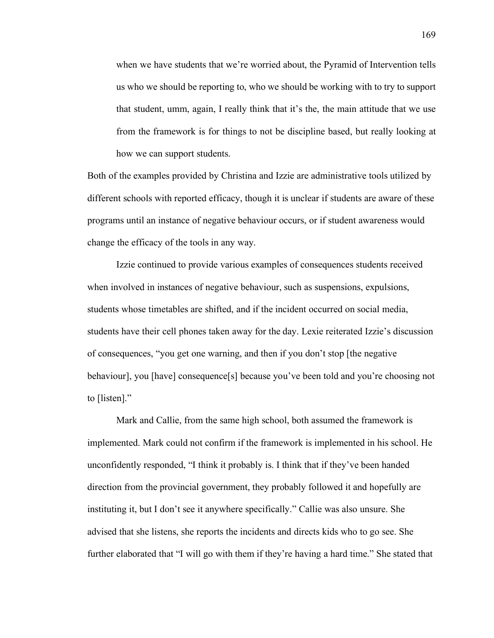when we have students that we're worried about, the Pyramid of Intervention tells us who we should be reporting to, who we should be working with to try to support that student, umm, again, I really think that it's the, the main attitude that we use from the framework is for things to not be discipline based, but really looking at how we can support students.

Both of the examples provided by Christina and Izzie are administrative tools utilized by different schools with reported efficacy, though it is unclear if students are aware of these programs until an instance of negative behaviour occurs, or if student awareness would change the efficacy of the tools in any way.

Izzie continued to provide various examples of consequences students received when involved in instances of negative behaviour, such as suspensions, expulsions, students whose timetables are shifted, and if the incident occurred on social media, students have their cell phones taken away for the day. Lexie reiterated Izzie's discussion of consequences, "you get one warning, and then if you don't stop [the negative behaviour], you [have] consequence[s] because you've been told and you're choosing not to [listen]."

Mark and Callie, from the same high school, both assumed the framework is implemented. Mark could not confirm if the framework is implemented in his school. He unconfidently responded, "I think it probably is. I think that if they've been handed direction from the provincial government, they probably followed it and hopefully are instituting it, but I don't see it anywhere specifically." Callie was also unsure. She advised that she listens, she reports the incidents and directs kids who to go see. She further elaborated that "I will go with them if they're having a hard time." She stated that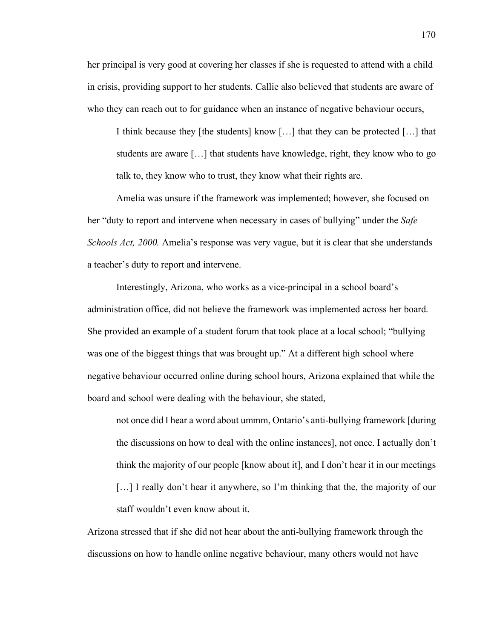her principal is very good at covering her classes if she is requested to attend with a child in crisis, providing support to her students. Callie also believed that students are aware of who they can reach out to for guidance when an instance of negative behaviour occurs,

I think because they [the students] know […] that they can be protected […] that students are aware […] that students have knowledge, right, they know who to go talk to, they know who to trust, they know what their rights are.

Amelia was unsure if the framework was implemented; however, she focused on her "duty to report and intervene when necessary in cases of bullying" under the *Safe Schools Act, 2000.* Amelia's response was very vague, but it is clear that she understands a teacher's duty to report and intervene.

Interestingly, Arizona, who works as a vice-principal in a school board's administration office, did not believe the framework was implemented across her board. She provided an example of a student forum that took place at a local school; "bullying was one of the biggest things that was brought up." At a different high school where negative behaviour occurred online during school hours, Arizona explained that while the board and school were dealing with the behaviour, she stated,

not once did I hear a word about ummm, Ontario's anti-bullying framework [during the discussions on how to deal with the online instances], not once. I actually don't think the majority of our people [know about it], and I don't hear it in our meetings [...] I really don't hear it anywhere, so I'm thinking that the, the majority of our staff wouldn't even know about it.

Arizona stressed that if she did not hear about the anti-bullying framework through the discussions on how to handle online negative behaviour, many others would not have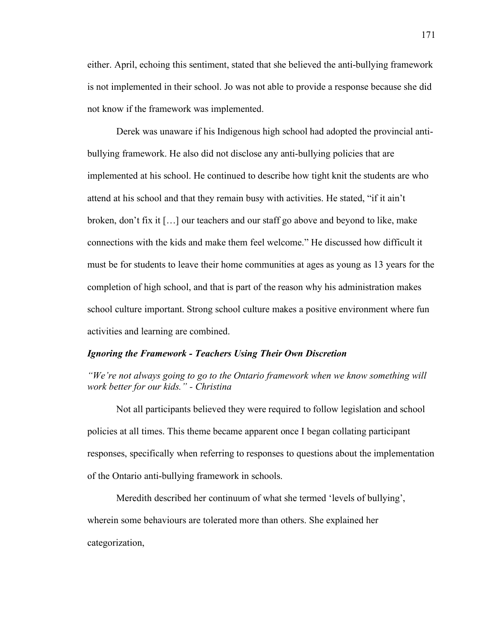either. April, echoing this sentiment, stated that she believed the anti-bullying framework is not implemented in their school. Jo was not able to provide a response because she did not know if the framework was implemented.

Derek was unaware if his Indigenous high school had adopted the provincial antibullying framework. He also did not disclose any anti-bullying policies that are implemented at his school. He continued to describe how tight knit the students are who attend at his school and that they remain busy with activities. He stated, "if it ain't broken, don't fix it […] our teachers and our staff go above and beyond to like, make connections with the kids and make them feel welcome." He discussed how difficult it must be for students to leave their home communities at ages as young as 13 years for the completion of high school, and that is part of the reason why his administration makes school culture important. Strong school culture makes a positive environment where fun activities and learning are combined.

#### *Ignoring the Framework - Teachers Using Their Own Discretion*

# *"We're not always going to go to the Ontario framework when we know something will work better for our kids." - Christina*

Not all participants believed they were required to follow legislation and school policies at all times. This theme became apparent once I began collating participant responses, specifically when referring to responses to questions about the implementation of the Ontario anti-bullying framework in schools.

Meredith described her continuum of what she termed 'levels of bullying', wherein some behaviours are tolerated more than others. She explained her categorization,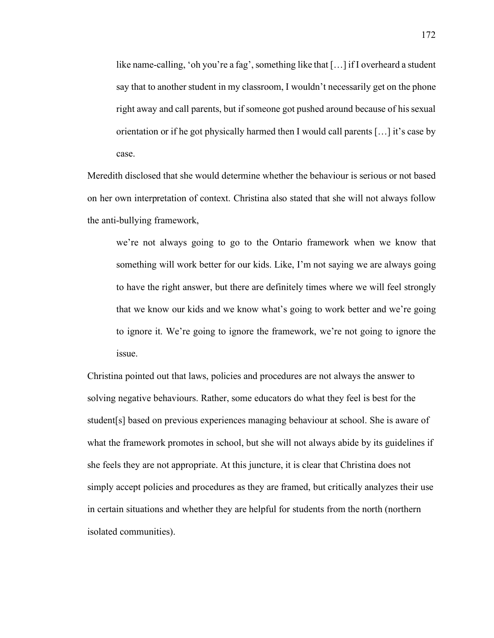like name-calling, 'oh you're a fag', something like that […] if I overheard a student say that to another student in my classroom, I wouldn't necessarily get on the phone right away and call parents, but if someone got pushed around because of his sexual orientation or if he got physically harmed then I would call parents […] it's case by case.

Meredith disclosed that she would determine whether the behaviour is serious or not based on her own interpretation of context. Christina also stated that she will not always follow the anti-bullying framework,

we're not always going to go to the Ontario framework when we know that something will work better for our kids. Like, I'm not saying we are always going to have the right answer, but there are definitely times where we will feel strongly that we know our kids and we know what's going to work better and we're going to ignore it. We're going to ignore the framework, we're not going to ignore the issue.

Christina pointed out that laws, policies and procedures are not always the answer to solving negative behaviours. Rather, some educators do what they feel is best for the student[s] based on previous experiences managing behaviour at school. She is aware of what the framework promotes in school, but she will not always abide by its guidelines if she feels they are not appropriate. At this juncture, it is clear that Christina does not simply accept policies and procedures as they are framed, but critically analyzes their use in certain situations and whether they are helpful for students from the north (northern isolated communities).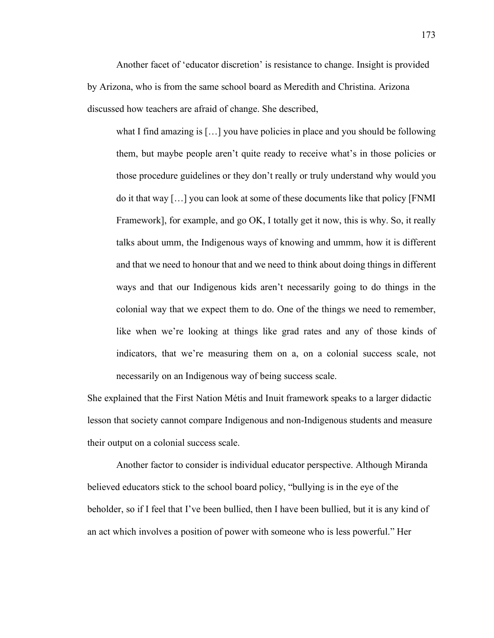Another facet of 'educator discretion' is resistance to change. Insight is provided by Arizona, who is from the same school board as Meredith and Christina. Arizona discussed how teachers are afraid of change. She described,

what I find amazing is […] you have policies in place and you should be following them, but maybe people aren't quite ready to receive what's in those policies or those procedure guidelines or they don't really or truly understand why would you do it that way […] you can look at some of these documents like that policy [FNMI Framework], for example, and go OK, I totally get it now, this is why. So, it really talks about umm, the Indigenous ways of knowing and ummm, how it is different and that we need to honour that and we need to think about doing things in different ways and that our Indigenous kids aren't necessarily going to do things in the colonial way that we expect them to do. One of the things we need to remember, like when we're looking at things like grad rates and any of those kinds of indicators, that we're measuring them on a, on a colonial success scale, not necessarily on an Indigenous way of being success scale.

She explained that the First Nation Métis and Inuit framework speaks to a larger didactic lesson that society cannot compare Indigenous and non-Indigenous students and measure their output on a colonial success scale.

Another factor to consider is individual educator perspective. Although Miranda believed educators stick to the school board policy, "bullying is in the eye of the beholder, so if I feel that I've been bullied, then I have been bullied, but it is any kind of an act which involves a position of power with someone who is less powerful." Her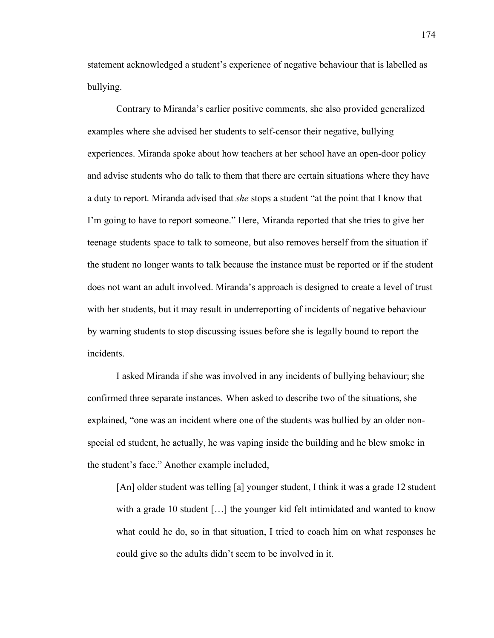statement acknowledged a student's experience of negative behaviour that is labelled as bullying.

Contrary to Miranda's earlier positive comments, she also provided generalized examples where she advised her students to self-censor their negative, bullying experiences. Miranda spoke about how teachers at her school have an open-door policy and advise students who do talk to them that there are certain situations where they have a duty to report. Miranda advised that *she* stops a student "at the point that I know that I'm going to have to report someone." Here, Miranda reported that she tries to give her teenage students space to talk to someone, but also removes herself from the situation if the student no longer wants to talk because the instance must be reported or if the student does not want an adult involved. Miranda's approach is designed to create a level of trust with her students, but it may result in underreporting of incidents of negative behaviour by warning students to stop discussing issues before she is legally bound to report the incidents.

I asked Miranda if she was involved in any incidents of bullying behaviour; she confirmed three separate instances. When asked to describe two of the situations, she explained, "one was an incident where one of the students was bullied by an older nonspecial ed student, he actually, he was vaping inside the building and he blew smoke in the student's face." Another example included,

[An] older student was telling [a] younger student, I think it was a grade 12 student with a grade 10 student [...] the younger kid felt intimidated and wanted to know what could he do, so in that situation, I tried to coach him on what responses he could give so the adults didn't seem to be involved in it.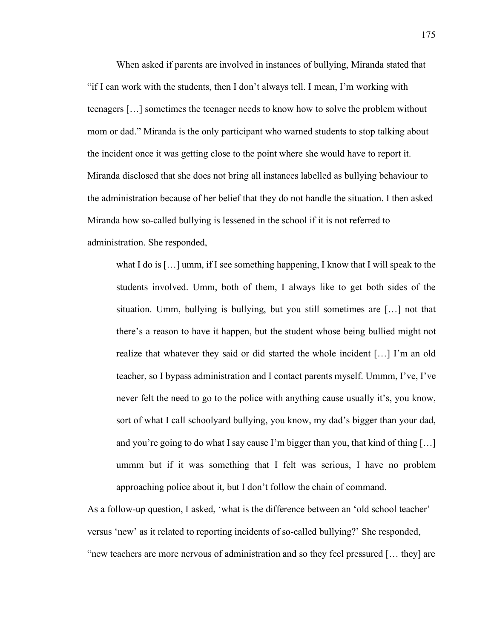When asked if parents are involved in instances of bullying, Miranda stated that "if I can work with the students, then I don't always tell. I mean, I'm working with teenagers […] sometimes the teenager needs to know how to solve the problem without mom or dad." Miranda is the only participant who warned students to stop talking about the incident once it was getting close to the point where she would have to report it. Miranda disclosed that she does not bring all instances labelled as bullying behaviour to the administration because of her belief that they do not handle the situation. I then asked Miranda how so-called bullying is lessened in the school if it is not referred to administration. She responded,

what I do is  $[\ldots]$  umm, if I see something happening, I know that I will speak to the students involved. Umm, both of them, I always like to get both sides of the situation. Umm, bullying is bullying, but you still sometimes are […] not that there's a reason to have it happen, but the student whose being bullied might not realize that whatever they said or did started the whole incident […] I'm an old teacher, so I bypass administration and I contact parents myself. Ummm, I've, I've never felt the need to go to the police with anything cause usually it's, you know, sort of what I call schoolyard bullying, you know, my dad's bigger than your dad, and you're going to do what I say cause I'm bigger than you, that kind of thing […] ummm but if it was something that I felt was serious, I have no problem approaching police about it, but I don't follow the chain of command.

As a follow-up question, I asked, 'what is the difference between an 'old school teacher' versus 'new' as it related to reporting incidents of so-called bullying?' She responded, "new teachers are more nervous of administration and so they feel pressured [… they] are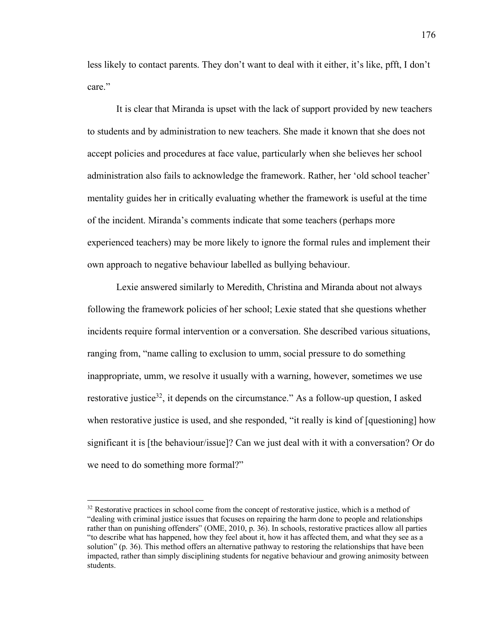less likely to contact parents. They don't want to deal with it either, it's like, pfft, I don't care."

It is clear that Miranda is upset with the lack of support provided by new teachers to students and by administration to new teachers. She made it known that she does not accept policies and procedures at face value, particularly when she believes her school administration also fails to acknowledge the framework. Rather, her 'old school teacher' mentality guides her in critically evaluating whether the framework is useful at the time of the incident. Miranda's comments indicate that some teachers (perhaps more experienced teachers) may be more likely to ignore the formal rules and implement their own approach to negative behaviour labelled as bullying behaviour.

Lexie answered similarly to Meredith, Christina and Miranda about not always following the framework policies of her school; Lexie stated that she questions whether incidents require formal intervention or a conversation. She described various situations, ranging from, "name calling to exclusion to umm, social pressure to do something inappropriate, umm, we resolve it usually with a warning, however, sometimes we use restorative justice<sup>32</sup>, it depends on the circumstance." As a follow-up question, I asked when restorative justice is used, and she responded, "it really is kind of [questioning] how significant it is [the behaviour/issue]? Can we just deal with it with a conversation? Or do we need to do something more formal?"

<sup>&</sup>lt;sup>32</sup> Restorative practices in school come from the concept of restorative justice, which is a method of "dealing with criminal justice issues that focuses on repairing the harm done to people and relationships rather than on punishing offenders" (OME, 2010, p. 36). In schools, restorative practices allow all parties "to describe what has happened, how they feel about it, how it has affected them, and what they see as a solution" (p. 36). This method offers an alternative pathway to restoring the relationships that have been impacted, rather than simply disciplining students for negative behaviour and growing animosity between students.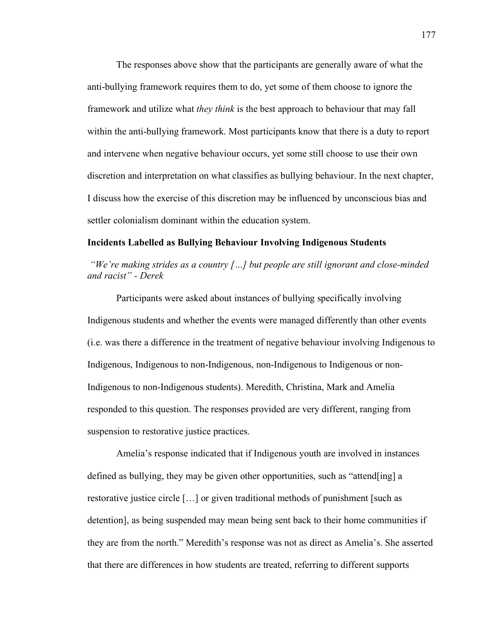The responses above show that the participants are generally aware of what the anti-bullying framework requires them to do, yet some of them choose to ignore the framework and utilize what *they think* is the best approach to behaviour that may fall within the anti-bullying framework. Most participants know that there is a duty to report and intervene when negative behaviour occurs, yet some still choose to use their own discretion and interpretation on what classifies as bullying behaviour. In the next chapter, I discuss how the exercise of this discretion may be influenced by unconscious bias and settler colonialism dominant within the education system.

### **Incidents Labelled as Bullying Behaviour Involving Indigenous Students**

# *"We're making strides as a country […] but people are still ignorant and close-minded and racist" - Derek*

Participants were asked about instances of bullying specifically involving Indigenous students and whether the events were managed differently than other events (i.e. was there a difference in the treatment of negative behaviour involving Indigenous to Indigenous, Indigenous to non-Indigenous, non-Indigenous to Indigenous or non-Indigenous to non-Indigenous students). Meredith, Christina, Mark and Amelia responded to this question. The responses provided are very different, ranging from suspension to restorative justice practices.

Amelia's response indicated that if Indigenous youth are involved in instances defined as bullying, they may be given other opportunities, such as "attend[ing] a restorative justice circle […] or given traditional methods of punishment [such as detention], as being suspended may mean being sent back to their home communities if they are from the north." Meredith's response was not as direct as Amelia's. She asserted that there are differences in how students are treated, referring to different supports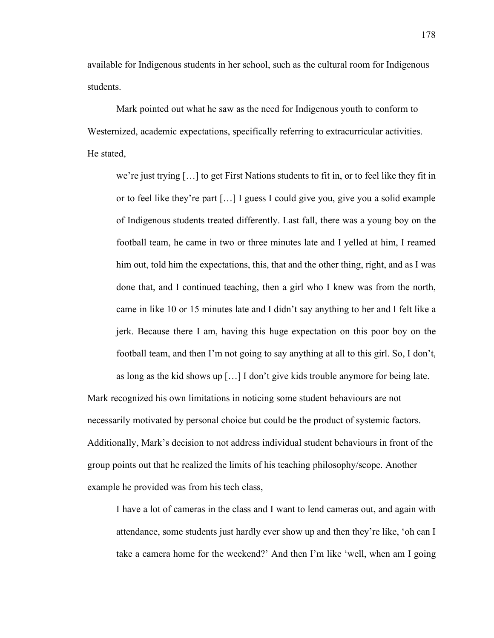available for Indigenous students in her school, such as the cultural room for Indigenous students.

Mark pointed out what he saw as the need for Indigenous youth to conform to Westernized, academic expectations, specifically referring to extracurricular activities. He stated,

we're just trying […] to get First Nations students to fit in, or to feel like they fit in or to feel like they're part […] I guess I could give you, give you a solid example of Indigenous students treated differently. Last fall, there was a young boy on the football team, he came in two or three minutes late and I yelled at him, I reamed him out, told him the expectations, this, that and the other thing, right, and as I was done that, and I continued teaching, then a girl who I knew was from the north, came in like 10 or 15 minutes late and I didn't say anything to her and I felt like a jerk. Because there I am, having this huge expectation on this poor boy on the football team, and then I'm not going to say anything at all to this girl. So, I don't,

as long as the kid shows up […] I don't give kids trouble anymore for being late.

Mark recognized his own limitations in noticing some student behaviours are not necessarily motivated by personal choice but could be the product of systemic factors. Additionally, Mark's decision to not address individual student behaviours in front of the group points out that he realized the limits of his teaching philosophy/scope. Another example he provided was from his tech class,

I have a lot of cameras in the class and I want to lend cameras out, and again with attendance, some students just hardly ever show up and then they're like, 'oh can I take a camera home for the weekend?' And then I'm like 'well, when am I going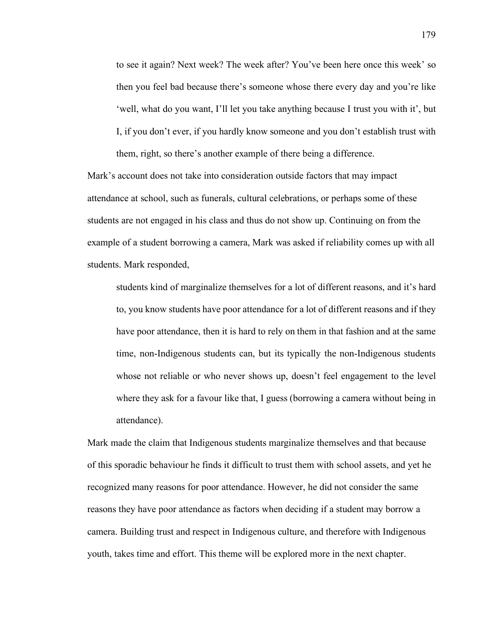to see it again? Next week? The week after? You've been here once this week' so then you feel bad because there's someone whose there every day and you're like 'well, what do you want, I'll let you take anything because I trust you with it', but I, if you don't ever, if you hardly know someone and you don't establish trust with them, right, so there's another example of there being a difference.

Mark's account does not take into consideration outside factors that may impact attendance at school, such as funerals, cultural celebrations, or perhaps some of these students are not engaged in his class and thus do not show up. Continuing on from the example of a student borrowing a camera, Mark was asked if reliability comes up with all students. Mark responded,

students kind of marginalize themselves for a lot of different reasons, and it's hard to, you know students have poor attendance for a lot of different reasons and if they have poor attendance, then it is hard to rely on them in that fashion and at the same time, non-Indigenous students can, but its typically the non-Indigenous students whose not reliable or who never shows up, doesn't feel engagement to the level where they ask for a favour like that, I guess (borrowing a camera without being in attendance).

Mark made the claim that Indigenous students marginalize themselves and that because of this sporadic behaviour he finds it difficult to trust them with school assets, and yet he recognized many reasons for poor attendance. However, he did not consider the same reasons they have poor attendance as factors when deciding if a student may borrow a camera. Building trust and respect in Indigenous culture, and therefore with Indigenous youth, takes time and effort. This theme will be explored more in the next chapter.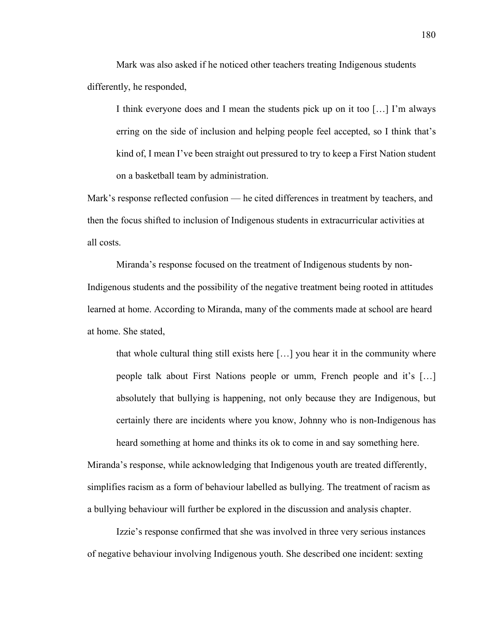Mark was also asked if he noticed other teachers treating Indigenous students differently, he responded,

I think everyone does and I mean the students pick up on it too […] I'm always erring on the side of inclusion and helping people feel accepted, so I think that's kind of, I mean I've been straight out pressured to try to keep a First Nation student on a basketball team by administration.

Mark's response reflected confusion — he cited differences in treatment by teachers, and then the focus shifted to inclusion of Indigenous students in extracurricular activities at all costs.

Miranda's response focused on the treatment of Indigenous students by non-Indigenous students and the possibility of the negative treatment being rooted in attitudes learned at home. According to Miranda, many of the comments made at school are heard at home. She stated,

that whole cultural thing still exists here […] you hear it in the community where people talk about First Nations people or umm, French people and it's […] absolutely that bullying is happening, not only because they are Indigenous, but certainly there are incidents where you know, Johnny who is non-Indigenous has heard something at home and thinks its ok to come in and say something here.

Miranda's response, while acknowledging that Indigenous youth are treated differently, simplifies racism as a form of behaviour labelled as bullying. The treatment of racism as a bullying behaviour will further be explored in the discussion and analysis chapter.

Izzie's response confirmed that she was involved in three very serious instances of negative behaviour involving Indigenous youth. She described one incident: sexting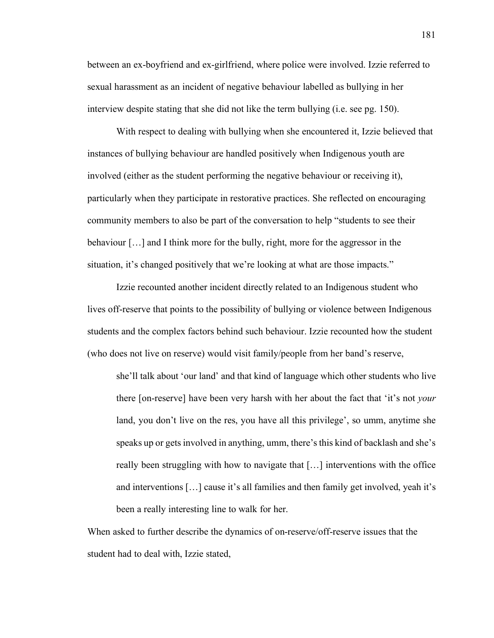between an ex-boyfriend and ex-girlfriend, where police were involved. Izzie referred to sexual harassment as an incident of negative behaviour labelled as bullying in her interview despite stating that she did not like the term bullying (i.e. see pg. 150).

With respect to dealing with bullying when she encountered it, Izzie believed that instances of bullying behaviour are handled positively when Indigenous youth are involved (either as the student performing the negative behaviour or receiving it), particularly when they participate in restorative practices. She reflected on encouraging community members to also be part of the conversation to help "students to see their behaviour […] and I think more for the bully, right, more for the aggressor in the situation, it's changed positively that we're looking at what are those impacts."

Izzie recounted another incident directly related to an Indigenous student who lives off-reserve that points to the possibility of bullying or violence between Indigenous students and the complex factors behind such behaviour. Izzie recounted how the student (who does not live on reserve) would visit family/people from her band's reserve,

she'll talk about 'our land' and that kind of language which other students who live there [on-reserve] have been very harsh with her about the fact that 'it's not *your* land, you don't live on the res, you have all this privilege', so umm, anytime she speaks up or gets involved in anything, umm, there's this kind of backlash and she's really been struggling with how to navigate that […] interventions with the office and interventions […] cause it's all families and then family get involved, yeah it's been a really interesting line to walk for her.

When asked to further describe the dynamics of on-reserve/off-reserve issues that the student had to deal with, Izzie stated,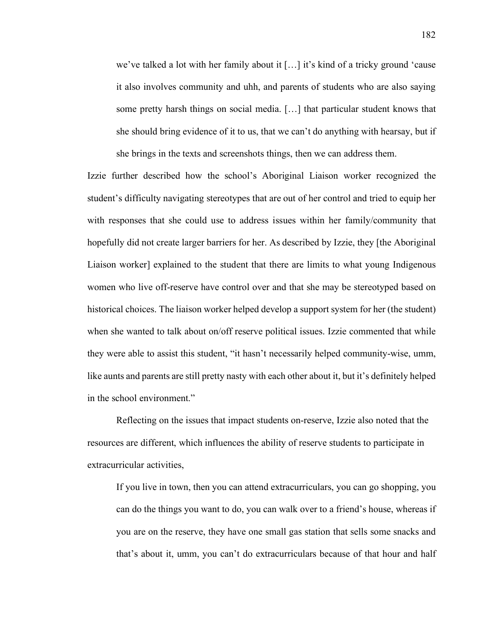we've talked a lot with her family about it […] it's kind of a tricky ground 'cause it also involves community and uhh, and parents of students who are also saying some pretty harsh things on social media. […] that particular student knows that she should bring evidence of it to us, that we can't do anything with hearsay, but if she brings in the texts and screenshots things, then we can address them.

Izzie further described how the school's Aboriginal Liaison worker recognized the student's difficulty navigating stereotypes that are out of her control and tried to equip her with responses that she could use to address issues within her family/community that hopefully did not create larger barriers for her. As described by Izzie, they [the Aboriginal Liaison worker] explained to the student that there are limits to what young Indigenous women who live off-reserve have control over and that she may be stereotyped based on historical choices. The liaison worker helped develop a support system for her (the student) when she wanted to talk about on/off reserve political issues. Izzie commented that while they were able to assist this student, "it hasn't necessarily helped community-wise, umm, like aunts and parents are still pretty nasty with each other about it, but it's definitely helped in the school environment."

Reflecting on the issues that impact students on-reserve, Izzie also noted that the resources are different, which influences the ability of reserve students to participate in extracurricular activities,

If you live in town, then you can attend extracurriculars, you can go shopping, you can do the things you want to do, you can walk over to a friend's house, whereas if you are on the reserve, they have one small gas station that sells some snacks and that's about it, umm, you can't do extracurriculars because of that hour and half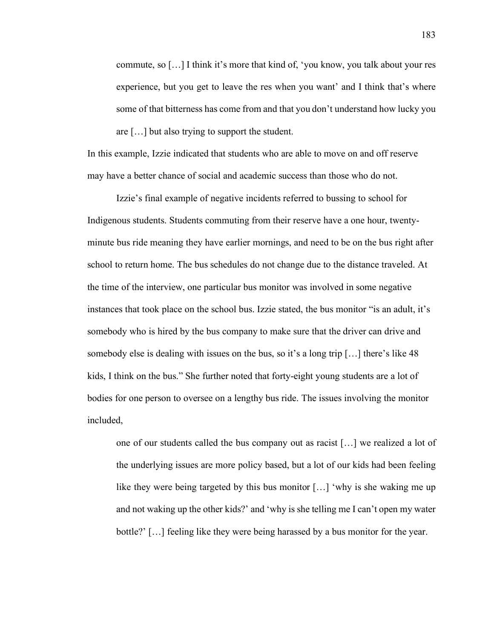commute, so […] I think it's more that kind of, 'you know, you talk about your res experience, but you get to leave the res when you want' and I think that's where some of that bitterness has come from and that you don't understand how lucky you are […] but also trying to support the student.

In this example, Izzie indicated that students who are able to move on and off reserve may have a better chance of social and academic success than those who do not.

Izzie's final example of negative incidents referred to bussing to school for Indigenous students. Students commuting from their reserve have a one hour, twentyminute bus ride meaning they have earlier mornings, and need to be on the bus right after school to return home. The bus schedules do not change due to the distance traveled. At the time of the interview, one particular bus monitor was involved in some negative instances that took place on the school bus. Izzie stated, the bus monitor "is an adult, it's somebody who is hired by the bus company to make sure that the driver can drive and somebody else is dealing with issues on the bus, so it's a long trip […] there's like 48 kids, I think on the bus." She further noted that forty-eight young students are a lot of bodies for one person to oversee on a lengthy bus ride. The issues involving the monitor included,

one of our students called the bus company out as racist […] we realized a lot of the underlying issues are more policy based, but a lot of our kids had been feeling like they were being targeted by this bus monitor […] 'why is she waking me up and not waking up the other kids?' and 'why is she telling me I can't open my water bottle?' […] feeling like they were being harassed by a bus monitor for the year.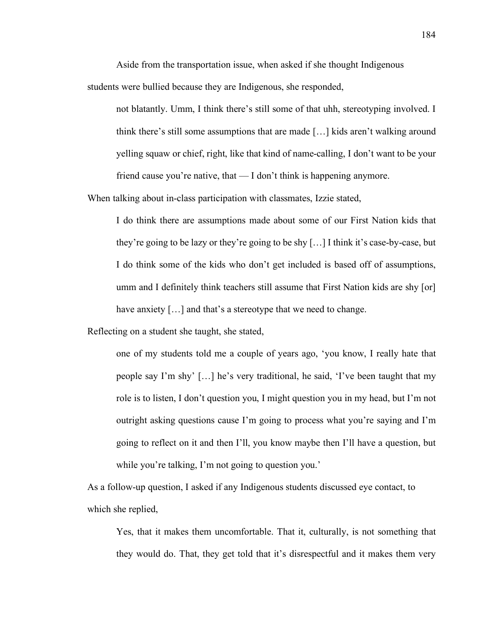Aside from the transportation issue, when asked if she thought Indigenous students were bullied because they are Indigenous, she responded,

not blatantly. Umm, I think there's still some of that uhh, stereotyping involved. I think there's still some assumptions that are made […] kids aren't walking around yelling squaw or chief, right, like that kind of name-calling, I don't want to be your friend cause you're native, that — I don't think is happening anymore.

When talking about in-class participation with classmates, Izzie stated,

I do think there are assumptions made about some of our First Nation kids that they're going to be lazy or they're going to be shy […] I think it's case-by-case, but I do think some of the kids who don't get included is based off of assumptions, umm and I definitely think teachers still assume that First Nation kids are shy [or] have anxiety [...] and that's a stereotype that we need to change.

Reflecting on a student she taught, she stated,

one of my students told me a couple of years ago, 'you know, I really hate that people say I'm shy' […] he's very traditional, he said, 'I've been taught that my role is to listen, I don't question you, I might question you in my head, but I'm not outright asking questions cause I'm going to process what you're saying and I'm going to reflect on it and then I'll, you know maybe then I'll have a question, but while you're talking, I'm not going to question you.'

As a follow-up question, I asked if any Indigenous students discussed eye contact, to which she replied,

Yes, that it makes them uncomfortable. That it, culturally, is not something that they would do. That, they get told that it's disrespectful and it makes them very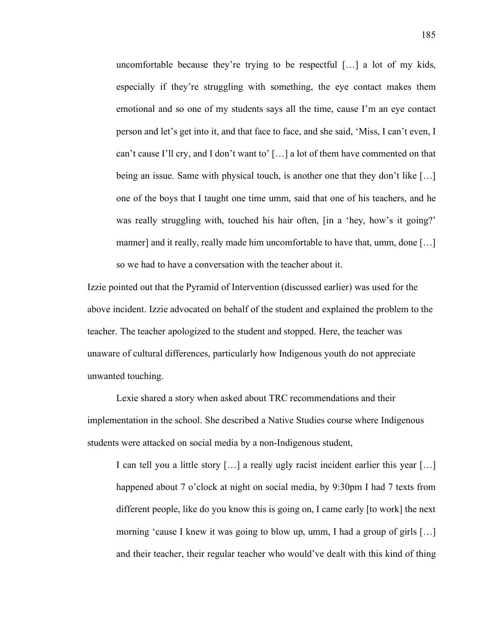uncomfortable because they're trying to be respectful  $[\dots]$  a lot of my kids, especially if they're struggling with something, the eye contact makes them emotional and so one of my students says all the time, cause I'm an eye contact person and let's get into it, and that face to face, and she said, 'Miss, I can't even, I can't cause I'll cry, and I don't want to' […] a lot of them have commented on that being an issue. Same with physical touch, is another one that they don't like […] one of the boys that I taught one time umm, said that one of his teachers, and he was really struggling with, touched his hair often, [in a 'hey, how's it going?' manner] and it really, really made him uncomfortable to have that, umm, done […] so we had to have a conversation with the teacher about it.

Izzie pointed out that the Pyramid of Intervention (discussed earlier) was used for the above incident. Izzie advocated on behalf of the student and explained the problem to the teacher. The teacher apologized to the student and stopped. Here, the teacher was unaware of cultural differences, particularly how Indigenous youth do not appreciate unwanted touching.

Lexie shared a story when asked about TRC recommendations and their implementation in the school. She described a Native Studies course where Indigenous students were attacked on social media by a non-Indigenous student,

I can tell you a little story […] a really ugly racist incident earlier this year […] happened about 7 o'clock at night on social media, by 9:30pm I had 7 texts from different people, like do you know this is going on, I came early [to work] the next morning 'cause I knew it was going to blow up, umm, I had a group of girls [...] and their teacher, their regular teacher who would've dealt with this kind of thing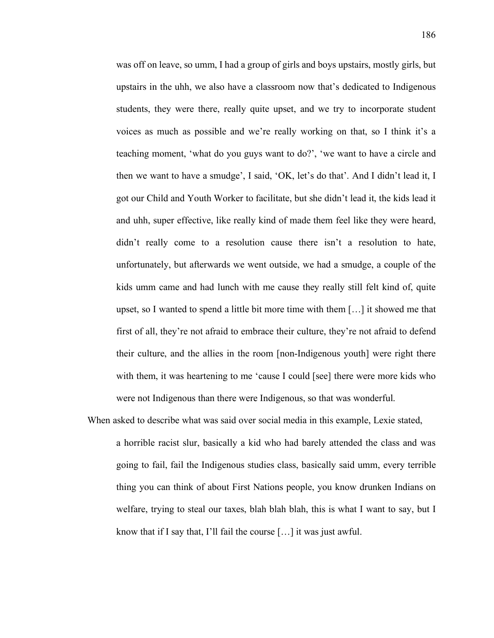was off on leave, so umm, I had a group of girls and boys upstairs, mostly girls, but upstairs in the uhh, we also have a classroom now that's dedicated to Indigenous students, they were there, really quite upset, and we try to incorporate student voices as much as possible and we're really working on that, so I think it's a teaching moment, 'what do you guys want to do?', 'we want to have a circle and then we want to have a smudge', I said, 'OK, let's do that'. And I didn't lead it, I got our Child and Youth Worker to facilitate, but she didn't lead it, the kids lead it and uhh, super effective, like really kind of made them feel like they were heard, didn't really come to a resolution cause there isn't a resolution to hate, unfortunately, but afterwards we went outside, we had a smudge, a couple of the kids umm came and had lunch with me cause they really still felt kind of, quite upset, so I wanted to spend a little bit more time with them […] it showed me that first of all, they're not afraid to embrace their culture, they're not afraid to defend their culture, and the allies in the room [non-Indigenous youth] were right there with them, it was heartening to me 'cause I could [see] there were more kids who were not Indigenous than there were Indigenous, so that was wonderful.

When asked to describe what was said over social media in this example, Lexie stated, a horrible racist slur, basically a kid who had barely attended the class and was going to fail, fail the Indigenous studies class, basically said umm, every terrible thing you can think of about First Nations people, you know drunken Indians on welfare, trying to steal our taxes, blah blah blah, this is what I want to say, but I know that if I say that, I'll fail the course […] it was just awful.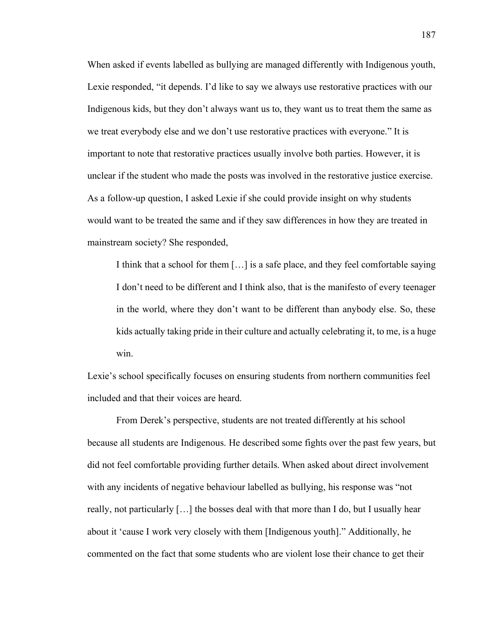When asked if events labelled as bullying are managed differently with Indigenous youth, Lexie responded, "it depends. I'd like to say we always use restorative practices with our Indigenous kids, but they don't always want us to, they want us to treat them the same as we treat everybody else and we don't use restorative practices with everyone." It is important to note that restorative practices usually involve both parties. However, it is unclear if the student who made the posts was involved in the restorative justice exercise. As a follow-up question, I asked Lexie if she could provide insight on why students would want to be treated the same and if they saw differences in how they are treated in mainstream society? She responded,

I think that a school for them […] is a safe place, and they feel comfortable saying I don't need to be different and I think also, that is the manifesto of every teenager in the world, where they don't want to be different than anybody else. So, these kids actually taking pride in their culture and actually celebrating it, to me, is a huge win.

Lexie's school specifically focuses on ensuring students from northern communities feel included and that their voices are heard.

From Derek's perspective, students are not treated differently at his school because all students are Indigenous. He described some fights over the past few years, but did not feel comfortable providing further details. When asked about direct involvement with any incidents of negative behaviour labelled as bullying, his response was "not really, not particularly […] the bosses deal with that more than I do, but I usually hear about it 'cause I work very closely with them [Indigenous youth]." Additionally, he commented on the fact that some students who are violent lose their chance to get their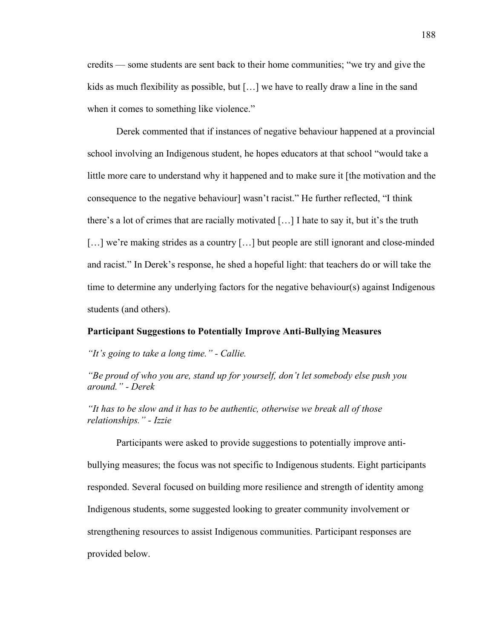credits — some students are sent back to their home communities; "we try and give the kids as much flexibility as possible, but […] we have to really draw a line in the sand when it comes to something like violence."

Derek commented that if instances of negative behaviour happened at a provincial school involving an Indigenous student, he hopes educators at that school "would take a little more care to understand why it happened and to make sure it [the motivation and the consequence to the negative behaviour] wasn't racist." He further reflected, "I think there's a lot of crimes that are racially motivated  $[\dots]$  I hate to say it, but it's the truth [...] we're making strides as a country [...] but people are still ignorant and close-minded and racist." In Derek's response, he shed a hopeful light: that teachers do or will take the time to determine any underlying factors for the negative behaviour(s) against Indigenous students (and others).

#### **Participant Suggestions to Potentially Improve Anti-Bullying Measures**

*"It's going to take a long time." - Callie.* 

*"Be proud of who you are, stand up for yourself, don't let somebody else push you around." - Derek*

*"It has to be slow and it has to be authentic, otherwise we break all of those relationships." - Izzie* 

Participants were asked to provide suggestions to potentially improve antibullying measures; the focus was not specific to Indigenous students. Eight participants responded. Several focused on building more resilience and strength of identity among Indigenous students, some suggested looking to greater community involvement or strengthening resources to assist Indigenous communities. Participant responses are provided below.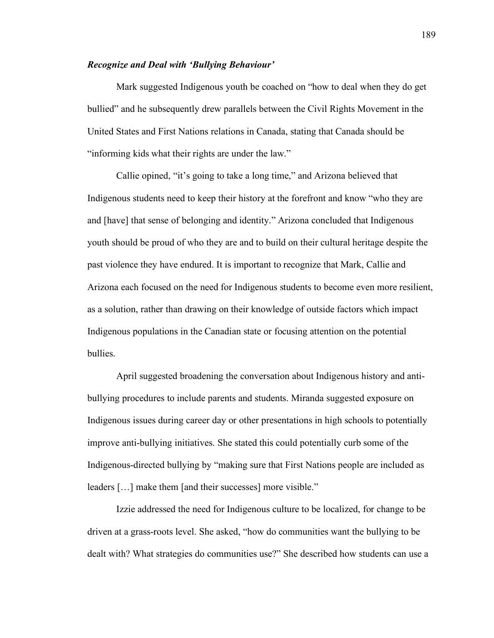#### *Recognize and Deal with 'Bullying Behaviour'*

Mark suggested Indigenous youth be coached on "how to deal when they do get bullied" and he subsequently drew parallels between the Civil Rights Movement in the United States and First Nations relations in Canada, stating that Canada should be "informing kids what their rights are under the law."

Callie opined, "it's going to take a long time," and Arizona believed that Indigenous students need to keep their history at the forefront and know "who they are and [have] that sense of belonging and identity." Arizona concluded that Indigenous youth should be proud of who they are and to build on their cultural heritage despite the past violence they have endured. It is important to recognize that Mark, Callie and Arizona each focused on the need for Indigenous students to become even more resilient, as a solution, rather than drawing on their knowledge of outside factors which impact Indigenous populations in the Canadian state or focusing attention on the potential bullies.

April suggested broadening the conversation about Indigenous history and antibullying procedures to include parents and students. Miranda suggested exposure on Indigenous issues during career day or other presentations in high schools to potentially improve anti-bullying initiatives. She stated this could potentially curb some of the Indigenous-directed bullying by "making sure that First Nations people are included as leaders […] make them [and their successes] more visible."

Izzie addressed the need for Indigenous culture to be localized, for change to be driven at a grass-roots level. She asked, "how do communities want the bullying to be dealt with? What strategies do communities use?" She described how students can use a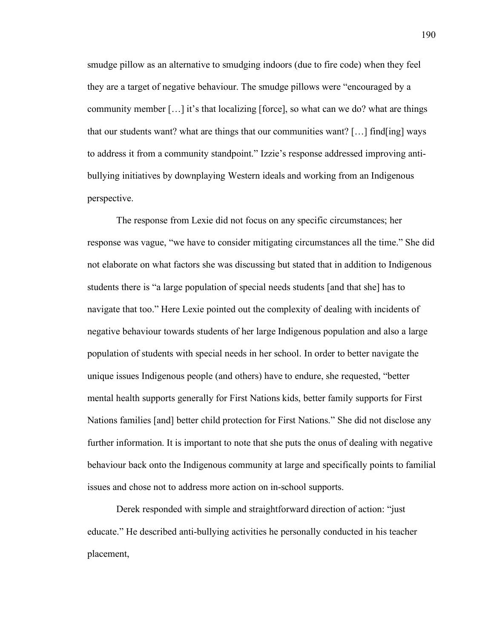smudge pillow as an alternative to smudging indoors (due to fire code) when they feel they are a target of negative behaviour. The smudge pillows were "encouraged by a community member […] it's that localizing [force], so what can we do? what are things that our students want? what are things that our communities want? […] find[ing] ways to address it from a community standpoint." Izzie's response addressed improving antibullying initiatives by downplaying Western ideals and working from an Indigenous perspective.

The response from Lexie did not focus on any specific circumstances; her response was vague, "we have to consider mitigating circumstances all the time." She did not elaborate on what factors she was discussing but stated that in addition to Indigenous students there is "a large population of special needs students [and that she] has to navigate that too." Here Lexie pointed out the complexity of dealing with incidents of negative behaviour towards students of her large Indigenous population and also a large population of students with special needs in her school. In order to better navigate the unique issues Indigenous people (and others) have to endure, she requested, "better mental health supports generally for First Nations kids, better family supports for First Nations families [and] better child protection for First Nations." She did not disclose any further information. It is important to note that she puts the onus of dealing with negative behaviour back onto the Indigenous community at large and specifically points to familial issues and chose not to address more action on in-school supports.

Derek responded with simple and straightforward direction of action: "just educate." He described anti-bullying activities he personally conducted in his teacher placement,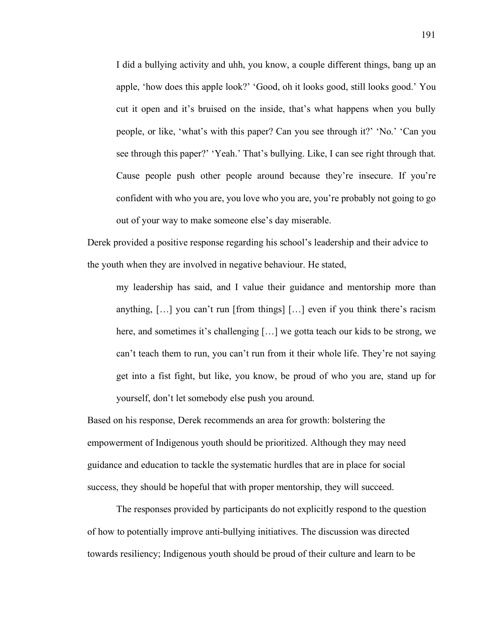I did a bullying activity and uhh, you know, a couple different things, bang up an apple, 'how does this apple look?' 'Good, oh it looks good, still looks good.' You cut it open and it's bruised on the inside, that's what happens when you bully people, or like, 'what's with this paper? Can you see through it?' 'No.' 'Can you see through this paper?' 'Yeah.' That's bullying. Like, I can see right through that. Cause people push other people around because they're insecure. If you're confident with who you are, you love who you are, you're probably not going to go out of your way to make someone else's day miserable.

Derek provided a positive response regarding his school's leadership and their advice to the youth when they are involved in negative behaviour. He stated,

my leadership has said, and I value their guidance and mentorship more than anything, […] you can't run [from things] […] even if you think there's racism here, and sometimes it's challenging [...] we gotta teach our kids to be strong, we can't teach them to run, you can't run from it their whole life. They're not saying get into a fist fight, but like, you know, be proud of who you are, stand up for yourself, don't let somebody else push you around.

Based on his response, Derek recommends an area for growth: bolstering the empowerment of Indigenous youth should be prioritized. Although they may need guidance and education to tackle the systematic hurdles that are in place for social success, they should be hopeful that with proper mentorship, they will succeed.

The responses provided by participants do not explicitly respond to the question of how to potentially improve anti-bullying initiatives. The discussion was directed towards resiliency; Indigenous youth should be proud of their culture and learn to be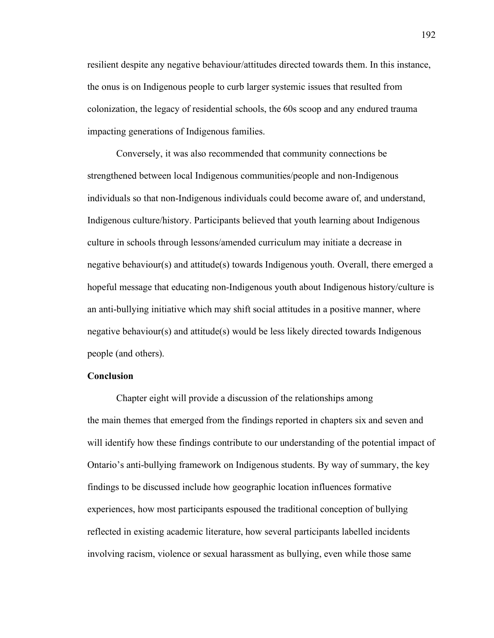resilient despite any negative behaviour/attitudes directed towards them. In this instance, the onus is on Indigenous people to curb larger systemic issues that resulted from colonization, the legacy of residential schools, the 60s scoop and any endured trauma impacting generations of Indigenous families.

Conversely, it was also recommended that community connections be strengthened between local Indigenous communities/people and non-Indigenous individuals so that non-Indigenous individuals could become aware of, and understand, Indigenous culture/history. Participants believed that youth learning about Indigenous culture in schools through lessons/amended curriculum may initiate a decrease in negative behaviour(s) and attitude(s) towards Indigenous youth. Overall, there emerged a hopeful message that educating non-Indigenous youth about Indigenous history/culture is an anti-bullying initiative which may shift social attitudes in a positive manner, where negative behaviour(s) and attitude(s) would be less likely directed towards Indigenous people (and others).

#### **Conclusion**

Chapter eight will provide a discussion of the relationships among the main themes that emerged from the findings reported in chapters six and seven and will identify how these findings contribute to our understanding of the potential impact of Ontario's anti-bullying framework on Indigenous students. By way of summary, the key findings to be discussed include how geographic location influences formative experiences, how most participants espoused the traditional conception of bullying reflected in existing academic literature, how several participants labelled incidents involving racism, violence or sexual harassment as bullying, even while those same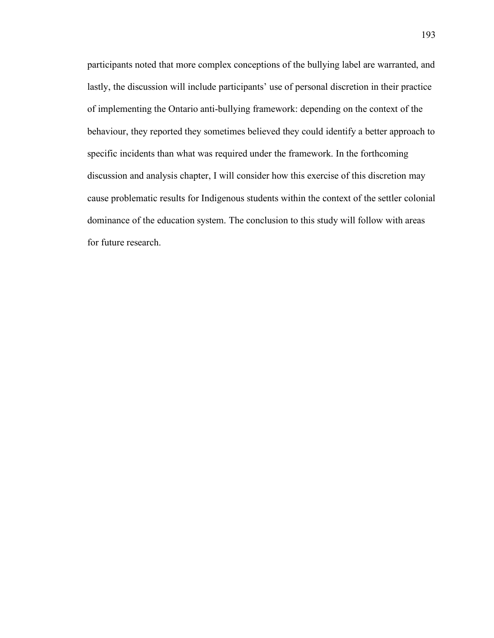participants noted that more complex conceptions of the bullying label are warranted, and lastly, the discussion will include participants' use of personal discretion in their practice of implementing the Ontario anti-bullying framework: depending on the context of the behaviour, they reported they sometimes believed they could identify a better approach to specific incidents than what was required under the framework. In the forthcoming discussion and analysis chapter, I will consider how this exercise of this discretion may cause problematic results for Indigenous students within the context of the settler colonial dominance of the education system. The conclusion to this study will follow with areas for future research.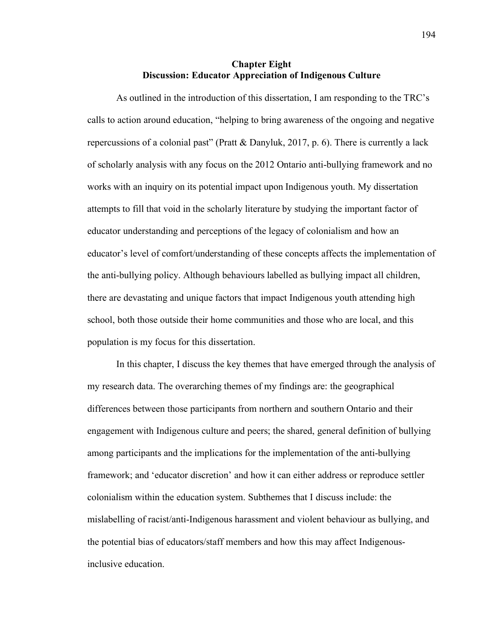### **Chapter Eight Discussion: Educator Appreciation of Indigenous Culture**

As outlined in the introduction of this dissertation, I am responding to the TRC's calls to action around education, "helping to bring awareness of the ongoing and negative repercussions of a colonial past" (Pratt & Danyluk, 2017, p. 6). There is currently a lack of scholarly analysis with any focus on the 2012 Ontario anti-bullying framework and no works with an inquiry on its potential impact upon Indigenous youth. My dissertation attempts to fill that void in the scholarly literature by studying the important factor of educator understanding and perceptions of the legacy of colonialism and how an educator's level of comfort/understanding of these concepts affects the implementation of the anti-bullying policy. Although behaviours labelled as bullying impact all children, there are devastating and unique factors that impact Indigenous youth attending high school, both those outside their home communities and those who are local, and this population is my focus for this dissertation.

In this chapter, I discuss the key themes that have emerged through the analysis of my research data. The overarching themes of my findings are: the geographical differences between those participants from northern and southern Ontario and their engagement with Indigenous culture and peers; the shared, general definition of bullying among participants and the implications for the implementation of the anti-bullying framework; and 'educator discretion' and how it can either address or reproduce settler colonialism within the education system. Subthemes that I discuss include: the mislabelling of racist/anti-Indigenous harassment and violent behaviour as bullying, and the potential bias of educators/staff members and how this may affect Indigenousinclusive education.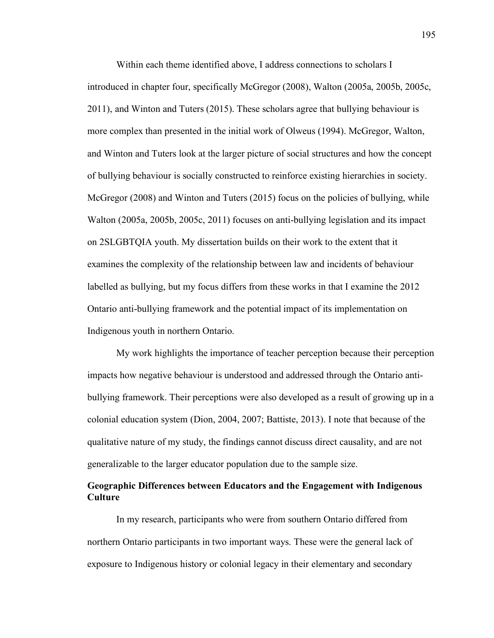Within each theme identified above, I address connections to scholars I introduced in chapter four, specifically McGregor (2008), Walton (2005a, 2005b, 2005c, 2011), and Winton and Tuters (2015). These scholars agree that bullying behaviour is more complex than presented in the initial work of Olweus (1994). McGregor, Walton, and Winton and Tuters look at the larger picture of social structures and how the concept of bullying behaviour is socially constructed to reinforce existing hierarchies in society. McGregor (2008) and Winton and Tuters (2015) focus on the policies of bullying, while Walton (2005a, 2005b, 2005c, 2011) focuses on anti-bullying legislation and its impact on 2SLGBTQIA youth. My dissertation builds on their work to the extent that it examines the complexity of the relationship between law and incidents of behaviour labelled as bullying, but my focus differs from these works in that I examine the 2012 Ontario anti-bullying framework and the potential impact of its implementation on Indigenous youth in northern Ontario.

My work highlights the importance of teacher perception because their perception impacts how negative behaviour is understood and addressed through the Ontario antibullying framework. Their perceptions were also developed as a result of growing up in a colonial education system (Dion, 2004, 2007; Battiste, 2013). I note that because of the qualitative nature of my study, the findings cannot discuss direct causality, and are not generalizable to the larger educator population due to the sample size.

### **Geographic Differences between Educators and the Engagement with Indigenous Culture**

In my research, participants who were from southern Ontario differed from northern Ontario participants in two important ways. These were the general lack of exposure to Indigenous history or colonial legacy in their elementary and secondary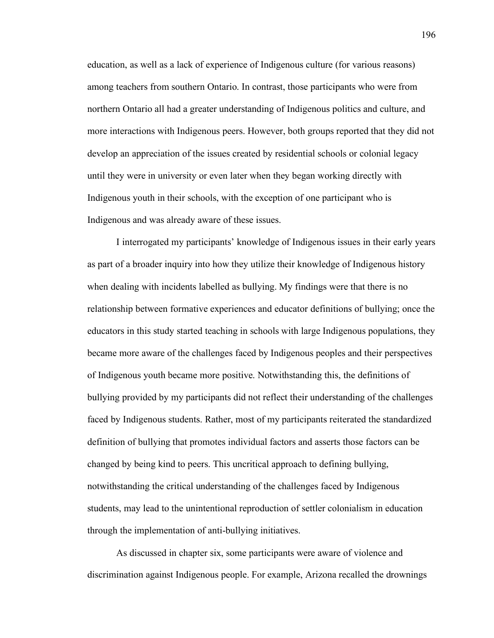education, as well as a lack of experience of Indigenous culture (for various reasons) among teachers from southern Ontario. In contrast, those participants who were from northern Ontario all had a greater understanding of Indigenous politics and culture, and more interactions with Indigenous peers. However, both groups reported that they did not develop an appreciation of the issues created by residential schools or colonial legacy until they were in university or even later when they began working directly with Indigenous youth in their schools, with the exception of one participant who is Indigenous and was already aware of these issues.

I interrogated my participants' knowledge of Indigenous issues in their early years as part of a broader inquiry into how they utilize their knowledge of Indigenous history when dealing with incidents labelled as bullying. My findings were that there is no relationship between formative experiences and educator definitions of bullying; once the educators in this study started teaching in schools with large Indigenous populations, they became more aware of the challenges faced by Indigenous peoples and their perspectives of Indigenous youth became more positive. Notwithstanding this, the definitions of bullying provided by my participants did not reflect their understanding of the challenges faced by Indigenous students. Rather, most of my participants reiterated the standardized definition of bullying that promotes individual factors and asserts those factors can be changed by being kind to peers. This uncritical approach to defining bullying, notwithstanding the critical understanding of the challenges faced by Indigenous students, may lead to the unintentional reproduction of settler colonialism in education through the implementation of anti-bullying initiatives.

As discussed in chapter six, some participants were aware of violence and discrimination against Indigenous people. For example, Arizona recalled the drownings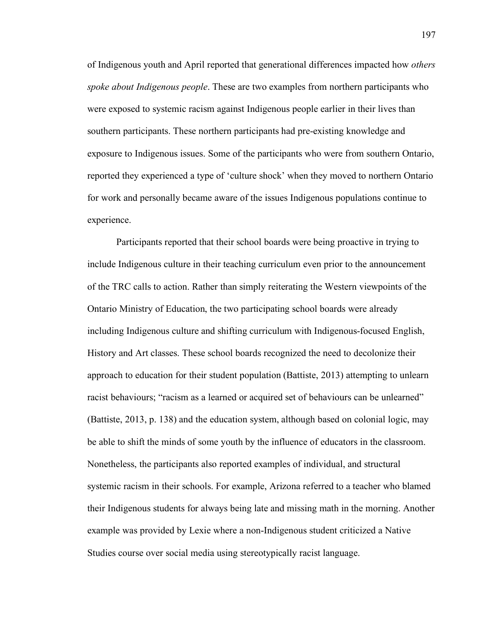of Indigenous youth and April reported that generational differences impacted how *others spoke about Indigenous people*. These are two examples from northern participants who were exposed to systemic racism against Indigenous people earlier in their lives than southern participants. These northern participants had pre-existing knowledge and exposure to Indigenous issues. Some of the participants who were from southern Ontario, reported they experienced a type of 'culture shock' when they moved to northern Ontario for work and personally became aware of the issues Indigenous populations continue to experience.

Participants reported that their school boards were being proactive in trying to include Indigenous culture in their teaching curriculum even prior to the announcement of the TRC calls to action. Rather than simply reiterating the Western viewpoints of the Ontario Ministry of Education, the two participating school boards were already including Indigenous culture and shifting curriculum with Indigenous-focused English, History and Art classes. These school boards recognized the need to decolonize their approach to education for their student population (Battiste, 2013) attempting to unlearn racist behaviours; "racism as a learned or acquired set of behaviours can be unlearned" (Battiste, 2013, p. 138) and the education system, although based on colonial logic, may be able to shift the minds of some youth by the influence of educators in the classroom. Nonetheless, the participants also reported examples of individual, and structural systemic racism in their schools. For example, Arizona referred to a teacher who blamed their Indigenous students for always being late and missing math in the morning. Another example was provided by Lexie where a non-Indigenous student criticized a Native Studies course over social media using stereotypically racist language.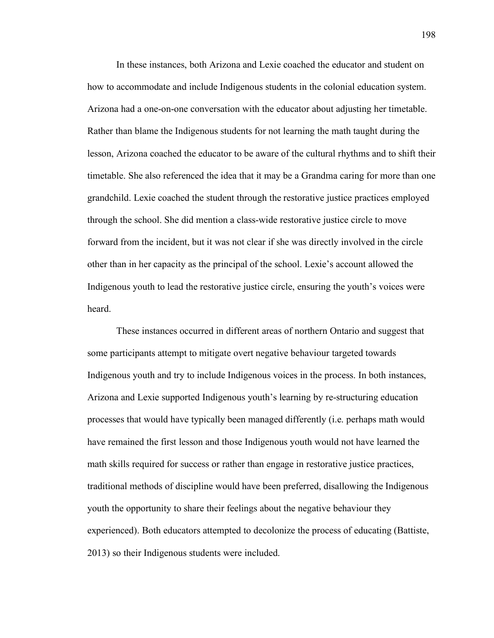In these instances, both Arizona and Lexie coached the educator and student on how to accommodate and include Indigenous students in the colonial education system. Arizona had a one-on-one conversation with the educator about adjusting her timetable. Rather than blame the Indigenous students for not learning the math taught during the lesson, Arizona coached the educator to be aware of the cultural rhythms and to shift their timetable. She also referenced the idea that it may be a Grandma caring for more than one grandchild. Lexie coached the student through the restorative justice practices employed through the school. She did mention a class-wide restorative justice circle to move forward from the incident, but it was not clear if she was directly involved in the circle other than in her capacity as the principal of the school. Lexie's account allowed the Indigenous youth to lead the restorative justice circle, ensuring the youth's voices were heard.

These instances occurred in different areas of northern Ontario and suggest that some participants attempt to mitigate overt negative behaviour targeted towards Indigenous youth and try to include Indigenous voices in the process. In both instances, Arizona and Lexie supported Indigenous youth's learning by re-structuring education processes that would have typically been managed differently (i.e. perhaps math would have remained the first lesson and those Indigenous youth would not have learned the math skills required for success or rather than engage in restorative justice practices, traditional methods of discipline would have been preferred, disallowing the Indigenous youth the opportunity to share their feelings about the negative behaviour they experienced). Both educators attempted to decolonize the process of educating (Battiste, 2013) so their Indigenous students were included.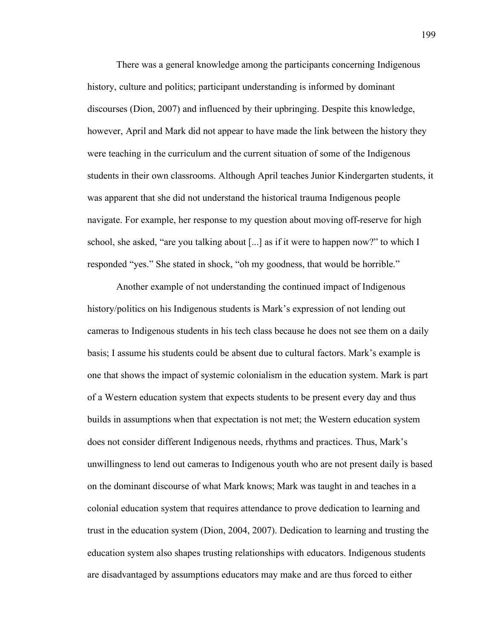There was a general knowledge among the participants concerning Indigenous history, culture and politics; participant understanding is informed by dominant discourses (Dion, 2007) and influenced by their upbringing. Despite this knowledge, however, April and Mark did not appear to have made the link between the history they were teaching in the curriculum and the current situation of some of the Indigenous students in their own classrooms. Although April teaches Junior Kindergarten students, it was apparent that she did not understand the historical trauma Indigenous people navigate. For example, her response to my question about moving off-reserve for high school, she asked, "are you talking about [...] as if it were to happen now?" to which I responded "yes." She stated in shock, "oh my goodness, that would be horrible."

Another example of not understanding the continued impact of Indigenous history/politics on his Indigenous students is Mark's expression of not lending out cameras to Indigenous students in his tech class because he does not see them on a daily basis; I assume his students could be absent due to cultural factors. Mark's example is one that shows the impact of systemic colonialism in the education system. Mark is part of a Western education system that expects students to be present every day and thus builds in assumptions when that expectation is not met; the Western education system does not consider different Indigenous needs, rhythms and practices. Thus, Mark's unwillingness to lend out cameras to Indigenous youth who are not present daily is based on the dominant discourse of what Mark knows; Mark was taught in and teaches in a colonial education system that requires attendance to prove dedication to learning and trust in the education system (Dion, 2004, 2007). Dedication to learning and trusting the education system also shapes trusting relationships with educators. Indigenous students are disadvantaged by assumptions educators may make and are thus forced to either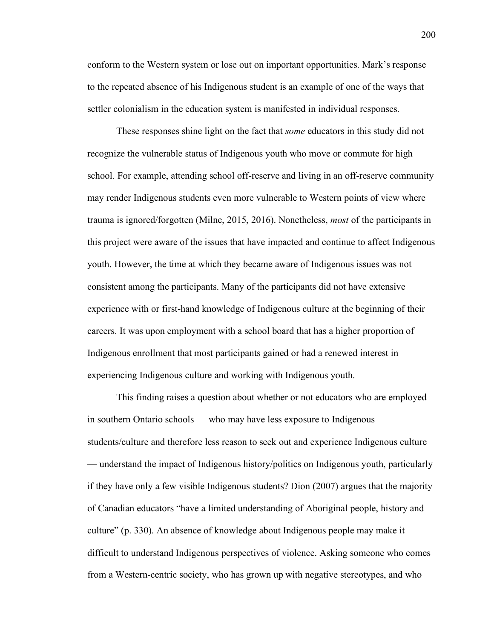conform to the Western system or lose out on important opportunities. Mark's response to the repeated absence of his Indigenous student is an example of one of the ways that settler colonialism in the education system is manifested in individual responses.

These responses shine light on the fact that *some* educators in this study did not recognize the vulnerable status of Indigenous youth who move or commute for high school. For example, attending school off-reserve and living in an off-reserve community may render Indigenous students even more vulnerable to Western points of view where trauma is ignored/forgotten (Milne, 2015, 2016). Nonetheless, *most* of the participants in this project were aware of the issues that have impacted and continue to affect Indigenous youth. However, the time at which they became aware of Indigenous issues was not consistent among the participants. Many of the participants did not have extensive experience with or first-hand knowledge of Indigenous culture at the beginning of their careers. It was upon employment with a school board that has a higher proportion of Indigenous enrollment that most participants gained or had a renewed interest in experiencing Indigenous culture and working with Indigenous youth.

This finding raises a question about whether or not educators who are employed in southern Ontario schools — who may have less exposure to Indigenous students/culture and therefore less reason to seek out and experience Indigenous culture — understand the impact of Indigenous history/politics on Indigenous youth, particularly if they have only a few visible Indigenous students? Dion (2007) argues that the majority of Canadian educators "have a limited understanding of Aboriginal people, history and culture" (p. 330). An absence of knowledge about Indigenous people may make it difficult to understand Indigenous perspectives of violence. Asking someone who comes from a Western-centric society, who has grown up with negative stereotypes, and who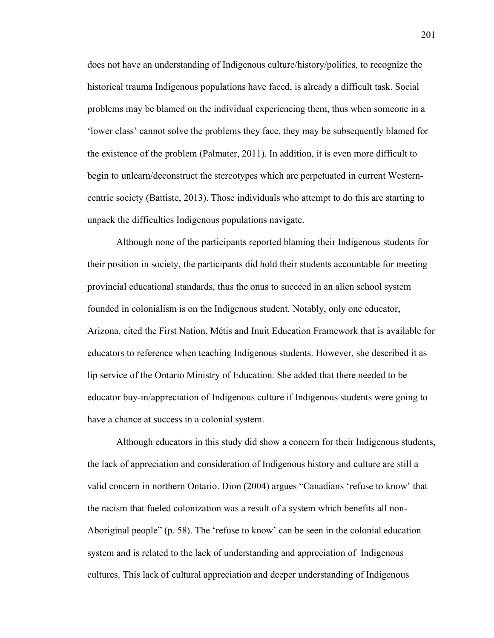does not have an understanding of Indigenous culture/history/politics, to recognize the historical trauma Indigenous populations have faced, is already a difficult task. Social problems may be blamed on the individual experiencing them, thus when someone in a 'lower class' cannot solve the problems they face, they may be subsequently blamed for the existence of the problem (Palmater, 2011). In addition, it is even more difficult to begin to unlearn/deconstruct the stereotypes which are perpetuated in current Westerncentric society (Battiste, 2013). Those individuals who attempt to do this are starting to unpack the difficulties Indigenous populations navigate.

Although none of the participants reported blaming their Indigenous students for their position in society, the participants did hold their students accountable for meeting provincial educational standards, thus the onus to succeed in an alien school system founded in colonialism is on the Indigenous student. Notably, only one educator, Arizona, cited the First Nation, Métis and Inuit Education Framework that is available for educators to reference when teaching Indigenous students. However, she described it as lip service of the Ontario Ministry of Education. She added that there needed to be educator buy-in/appreciation of Indigenous culture if Indigenous students were going to have a chance at success in a colonial system.

Although educators in this study did show a concern for their Indigenous students, the lack of appreciation and consideration of Indigenous history and culture are still a valid concern in northern Ontario. Dion (2004) argues "Canadians 'refuse to know' that the racism that fueled colonization was a result of a system which benefits all non-Aboriginal people" (p. 58). The 'refuse to know' can be seen in the colonial education system and is related to the lack of understanding and appreciation of Indigenous cultures. This lack of cultural appreciation and deeper understanding of Indigenous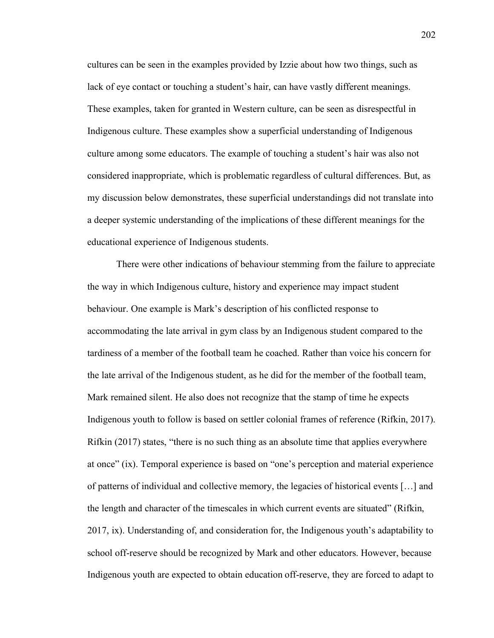cultures can be seen in the examples provided by Izzie about how two things, such as lack of eye contact or touching a student's hair, can have vastly different meanings. These examples, taken for granted in Western culture, can be seen as disrespectful in Indigenous culture. These examples show a superficial understanding of Indigenous culture among some educators. The example of touching a student's hair was also not considered inappropriate, which is problematic regardless of cultural differences. But, as my discussion below demonstrates, these superficial understandings did not translate into a deeper systemic understanding of the implications of these different meanings for the educational experience of Indigenous students.

There were other indications of behaviour stemming from the failure to appreciate the way in which Indigenous culture, history and experience may impact student behaviour. One example is Mark's description of his conflicted response to accommodating the late arrival in gym class by an Indigenous student compared to the tardiness of a member of the football team he coached. Rather than voice his concern for the late arrival of the Indigenous student, as he did for the member of the football team, Mark remained silent. He also does not recognize that the stamp of time he expects Indigenous youth to follow is based on settler colonial frames of reference (Rifkin, 2017). Rifkin (2017) states, "there is no such thing as an absolute time that applies everywhere at once" (ix). Temporal experience is based on "one's perception and material experience of patterns of individual and collective memory, the legacies of historical events […] and the length and character of the timescales in which current events are situated" (Rifkin, 2017, ix). Understanding of, and consideration for, the Indigenous youth's adaptability to school off-reserve should be recognized by Mark and other educators. However, because Indigenous youth are expected to obtain education off-reserve, they are forced to adapt to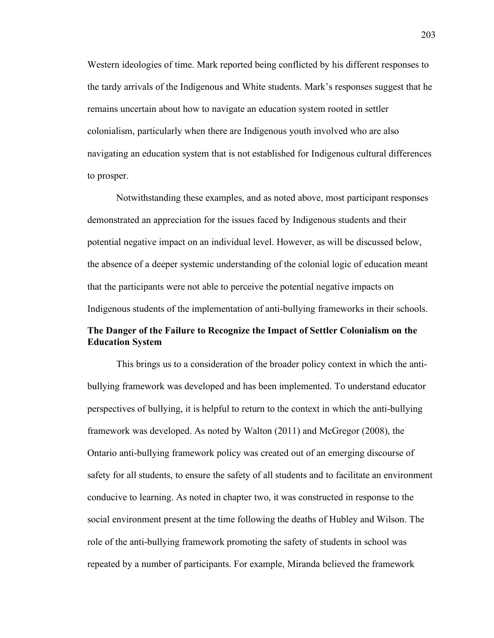Western ideologies of time. Mark reported being conflicted by his different responses to the tardy arrivals of the Indigenous and White students. Mark's responses suggest that he remains uncertain about how to navigate an education system rooted in settler colonialism, particularly when there are Indigenous youth involved who are also navigating an education system that is not established for Indigenous cultural differences to prosper.

Notwithstanding these examples, and as noted above, most participant responses demonstrated an appreciation for the issues faced by Indigenous students and their potential negative impact on an individual level. However, as will be discussed below, the absence of a deeper systemic understanding of the colonial logic of education meant that the participants were not able to perceive the potential negative impacts on Indigenous students of the implementation of anti-bullying frameworks in their schools.

# **The Danger of the Failure to Recognize the Impact of Settler Colonialism on the Education System**

This brings us to a consideration of the broader policy context in which the antibullying framework was developed and has been implemented. To understand educator perspectives of bullying, it is helpful to return to the context in which the anti-bullying framework was developed. As noted by Walton (2011) and McGregor (2008), the Ontario anti-bullying framework policy was created out of an emerging discourse of safety for all students, to ensure the safety of all students and to facilitate an environment conducive to learning. As noted in chapter two, it was constructed in response to the social environment present at the time following the deaths of Hubley and Wilson. The role of the anti-bullying framework promoting the safety of students in school was repeated by a number of participants. For example, Miranda believed the framework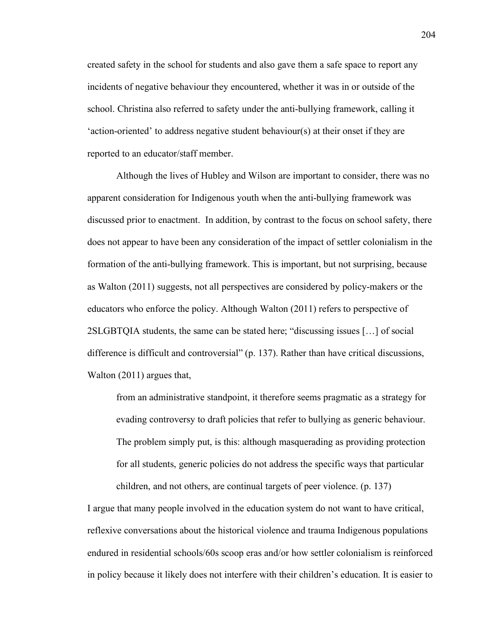created safety in the school for students and also gave them a safe space to report any incidents of negative behaviour they encountered, whether it was in or outside of the school. Christina also referred to safety under the anti-bullying framework, calling it 'action-oriented' to address negative student behaviour(s) at their onset if they are reported to an educator/staff member.

Although the lives of Hubley and Wilson are important to consider, there was no apparent consideration for Indigenous youth when the anti-bullying framework was discussed prior to enactment. In addition, by contrast to the focus on school safety, there does not appear to have been any consideration of the impact of settler colonialism in the formation of the anti-bullying framework. This is important, but not surprising, because as Walton (2011) suggests, not all perspectives are considered by policy-makers or the educators who enforce the policy. Although Walton (2011) refers to perspective of 2SLGBTQIA students, the same can be stated here; "discussing issues […] of social difference is difficult and controversial" (p. 137). Rather than have critical discussions, Walton (2011) argues that,

from an administrative standpoint, it therefore seems pragmatic as a strategy for evading controversy to draft policies that refer to bullying as generic behaviour. The problem simply put, is this: although masquerading as providing protection for all students, generic policies do not address the specific ways that particular children, and not others, are continual targets of peer violence. (p. 137)

I argue that many people involved in the education system do not want to have critical, reflexive conversations about the historical violence and trauma Indigenous populations endured in residential schools/60s scoop eras and/or how settler colonialism is reinforced in policy because it likely does not interfere with their children's education. It is easier to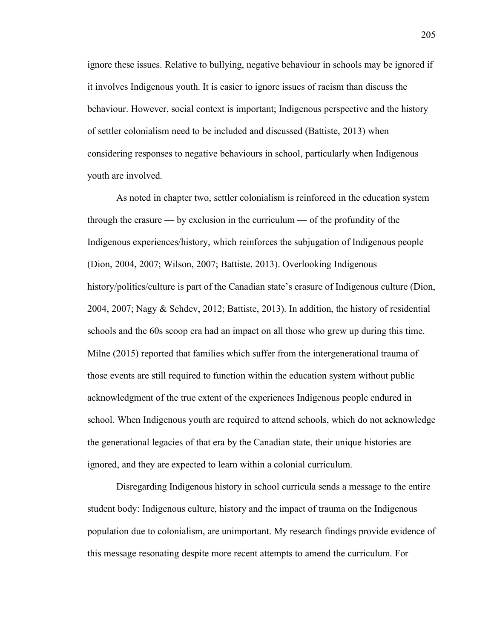ignore these issues. Relative to bullying, negative behaviour in schools may be ignored if it involves Indigenous youth. It is easier to ignore issues of racism than discuss the behaviour. However, social context is important; Indigenous perspective and the history of settler colonialism need to be included and discussed (Battiste, 2013) when considering responses to negative behaviours in school, particularly when Indigenous youth are involved.

As noted in chapter two, settler colonialism is reinforced in the education system through the erasure — by exclusion in the curriculum — of the profundity of the Indigenous experiences/history, which reinforces the subjugation of Indigenous people (Dion, 2004, 2007; Wilson, 2007; Battiste, 2013). Overlooking Indigenous history/politics/culture is part of the Canadian state's erasure of Indigenous culture (Dion, 2004, 2007; Nagy & Sehdev, 2012; Battiste, 2013). In addition, the history of residential schools and the 60s scoop era had an impact on all those who grew up during this time. Milne (2015) reported that families which suffer from the intergenerational trauma of those events are still required to function within the education system without public acknowledgment of the true extent of the experiences Indigenous people endured in school. When Indigenous youth are required to attend schools, which do not acknowledge the generational legacies of that era by the Canadian state, their unique histories are ignored, and they are expected to learn within a colonial curriculum.

Disregarding Indigenous history in school curricula sends a message to the entire student body: Indigenous culture, history and the impact of trauma on the Indigenous population due to colonialism, are unimportant. My research findings provide evidence of this message resonating despite more recent attempts to amend the curriculum. For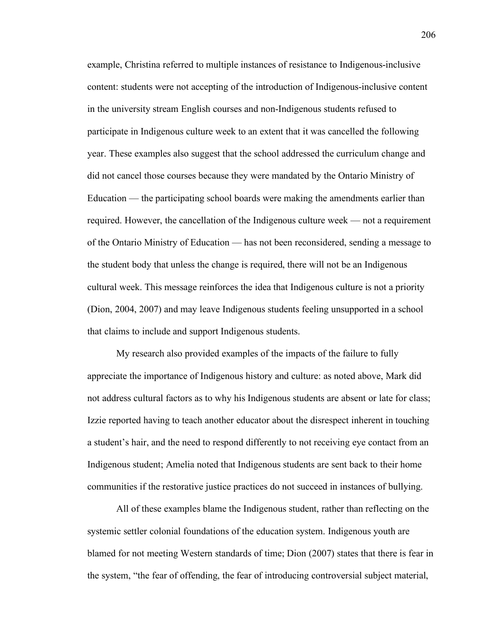example, Christina referred to multiple instances of resistance to Indigenous-inclusive content: students were not accepting of the introduction of Indigenous-inclusive content in the university stream English courses and non-Indigenous students refused to participate in Indigenous culture week to an extent that it was cancelled the following year. These examples also suggest that the school addressed the curriculum change and did not cancel those courses because they were mandated by the Ontario Ministry of Education — the participating school boards were making the amendments earlier than required. However, the cancellation of the Indigenous culture week — not a requirement of the Ontario Ministry of Education — has not been reconsidered, sending a message to the student body that unless the change is required, there will not be an Indigenous cultural week. This message reinforces the idea that Indigenous culture is not a priority (Dion, 2004, 2007) and may leave Indigenous students feeling unsupported in a school that claims to include and support Indigenous students.

My research also provided examples of the impacts of the failure to fully appreciate the importance of Indigenous history and culture: as noted above, Mark did not address cultural factors as to why his Indigenous students are absent or late for class; Izzie reported having to teach another educator about the disrespect inherent in touching a student's hair, and the need to respond differently to not receiving eye contact from an Indigenous student; Amelia noted that Indigenous students are sent back to their home communities if the restorative justice practices do not succeed in instances of bullying.

All of these examples blame the Indigenous student, rather than reflecting on the systemic settler colonial foundations of the education system. Indigenous youth are blamed for not meeting Western standards of time; Dion (2007) states that there is fear in the system, "the fear of offending, the fear of introducing controversial subject material,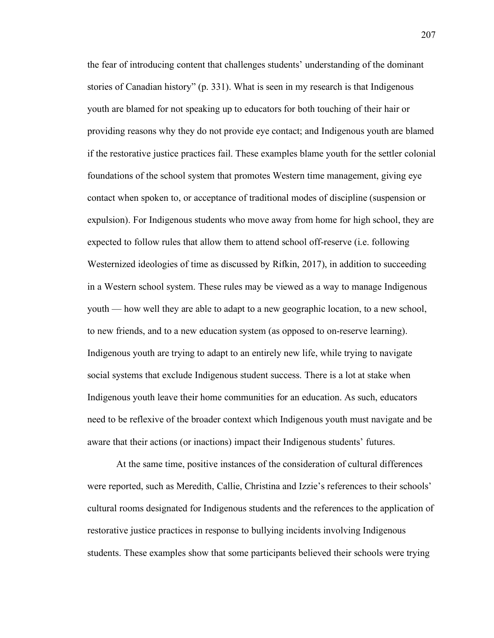the fear of introducing content that challenges students' understanding of the dominant stories of Canadian history" (p. 331). What is seen in my research is that Indigenous youth are blamed for not speaking up to educators for both touching of their hair or providing reasons why they do not provide eye contact; and Indigenous youth are blamed if the restorative justice practices fail. These examples blame youth for the settler colonial foundations of the school system that promotes Western time management, giving eye contact when spoken to, or acceptance of traditional modes of discipline (suspension or expulsion). For Indigenous students who move away from home for high school, they are expected to follow rules that allow them to attend school off-reserve (i.e. following Westernized ideologies of time as discussed by Rifkin, 2017), in addition to succeeding in a Western school system. These rules may be viewed as a way to manage Indigenous youth — how well they are able to adapt to a new geographic location, to a new school, to new friends, and to a new education system (as opposed to on-reserve learning). Indigenous youth are trying to adapt to an entirely new life, while trying to navigate social systems that exclude Indigenous student success. There is a lot at stake when Indigenous youth leave their home communities for an education. As such, educators need to be reflexive of the broader context which Indigenous youth must navigate and be aware that their actions (or inactions) impact their Indigenous students' futures.

At the same time, positive instances of the consideration of cultural differences were reported, such as Meredith, Callie, Christina and Izzie's references to their schools' cultural rooms designated for Indigenous students and the references to the application of restorative justice practices in response to bullying incidents involving Indigenous students. These examples show that some participants believed their schools were trying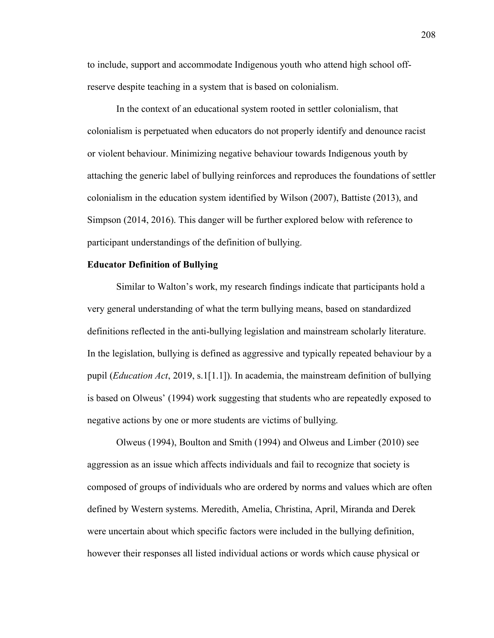to include, support and accommodate Indigenous youth who attend high school offreserve despite teaching in a system that is based on colonialism.

In the context of an educational system rooted in settler colonialism, that colonialism is perpetuated when educators do not properly identify and denounce racist or violent behaviour. Minimizing negative behaviour towards Indigenous youth by attaching the generic label of bullying reinforces and reproduces the foundations of settler colonialism in the education system identified by Wilson (2007), Battiste (2013), and Simpson (2014, 2016). This danger will be further explored below with reference to participant understandings of the definition of bullying.

## **Educator Definition of Bullying**

Similar to Walton's work, my research findings indicate that participants hold a very general understanding of what the term bullying means, based on standardized definitions reflected in the anti-bullying legislation and mainstream scholarly literature. In the legislation, bullying is defined as aggressive and typically repeated behaviour by a pupil (*Education Act*, 2019, s.1[1.1]). In academia, the mainstream definition of bullying is based on Olweus' (1994) work suggesting that students who are repeatedly exposed to negative actions by one or more students are victims of bullying.

Olweus (1994), Boulton and Smith (1994) and Olweus and Limber (2010) see aggression as an issue which affects individuals and fail to recognize that society is composed of groups of individuals who are ordered by norms and values which are often defined by Western systems. Meredith, Amelia, Christina, April, Miranda and Derek were uncertain about which specific factors were included in the bullying definition, however their responses all listed individual actions or words which cause physical or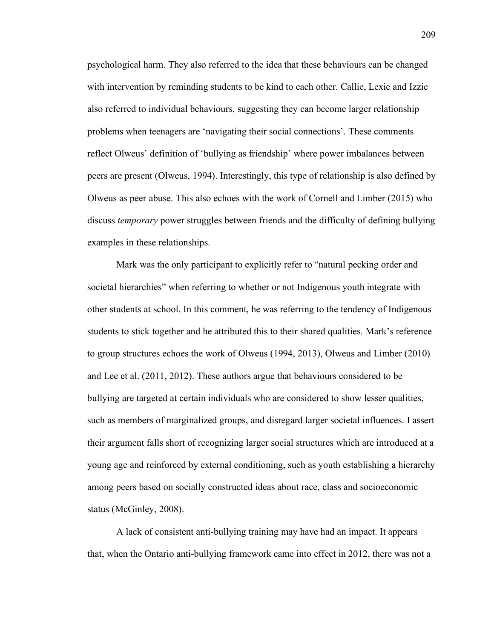psychological harm. They also referred to the idea that these behaviours can be changed with intervention by reminding students to be kind to each other. Callie, Lexie and Izzie also referred to individual behaviours, suggesting they can become larger relationship problems when teenagers are 'navigating their social connections'. These comments reflect Olweus' definition of 'bullying as friendship' where power imbalances between peers are present (Olweus, 1994). Interestingly, this type of relationship is also defined by Olweus as peer abuse. This also echoes with the work of Cornell and Limber (2015) who discuss *temporary* power struggles between friends and the difficulty of defining bullying examples in these relationships.

Mark was the only participant to explicitly refer to "natural pecking order and societal hierarchies" when referring to whether or not Indigenous youth integrate with other students at school. In this comment, he was referring to the tendency of Indigenous students to stick together and he attributed this to their shared qualities. Mark's reference to group structures echoes the work of Olweus (1994, 2013), Olweus and Limber (2010) and Lee et al. (2011, 2012). These authors argue that behaviours considered to be bullying are targeted at certain individuals who are considered to show lesser qualities, such as members of marginalized groups, and disregard larger societal influences. I assert their argument falls short of recognizing larger social structures which are introduced at a young age and reinforced by external conditioning, such as youth establishing a hierarchy among peers based on socially constructed ideas about race, class and socioeconomic status (McGinley, 2008).

A lack of consistent anti-bullying training may have had an impact. It appears that, when the Ontario anti-bullying framework came into effect in 2012, there was not a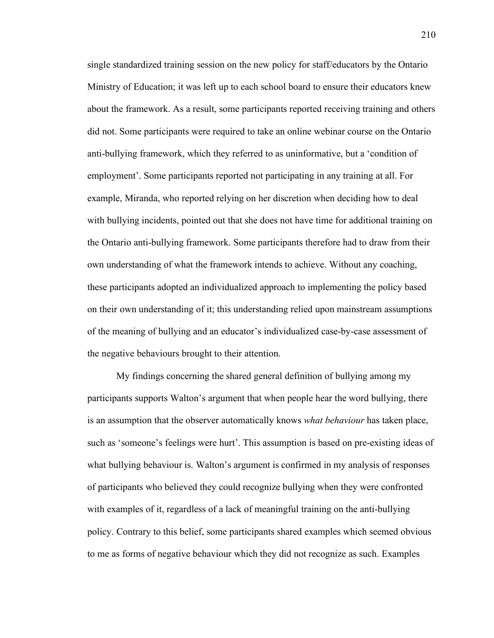single standardized training session on the new policy for staff/educators by the Ontario Ministry of Education; it was left up to each school board to ensure their educators knew about the framework. As a result, some participants reported receiving training and others did not. Some participants were required to take an online webinar course on the Ontario anti-bullying framework, which they referred to as uninformative, but a 'condition of employment'. Some participants reported not participating in any training at all. For example, Miranda, who reported relying on her discretion when deciding how to deal with bullying incidents, pointed out that she does not have time for additional training on the Ontario anti-bullying framework. Some participants therefore had to draw from their own understanding of what the framework intends to achieve. Without any coaching, these participants adopted an individualized approach to implementing the policy based on their own understanding of it; this understanding relied upon mainstream assumptions of the meaning of bullying and an educator's individualized case-by-case assessment of the negative behaviours brought to their attention.

My findings concerning the shared general definition of bullying among my participants supports Walton's argument that when people hear the word bullying, there is an assumption that the observer automatically knows *what behaviour* has taken place, such as 'someone's feelings were hurt'. This assumption is based on pre-existing ideas of what bullying behaviour is. Walton's argument is confirmed in my analysis of responses of participants who believed they could recognize bullying when they were confronted with examples of it, regardless of a lack of meaningful training on the anti-bullying policy. Contrary to this belief, some participants shared examples which seemed obvious to me as forms of negative behaviour which they did not recognize as such. Examples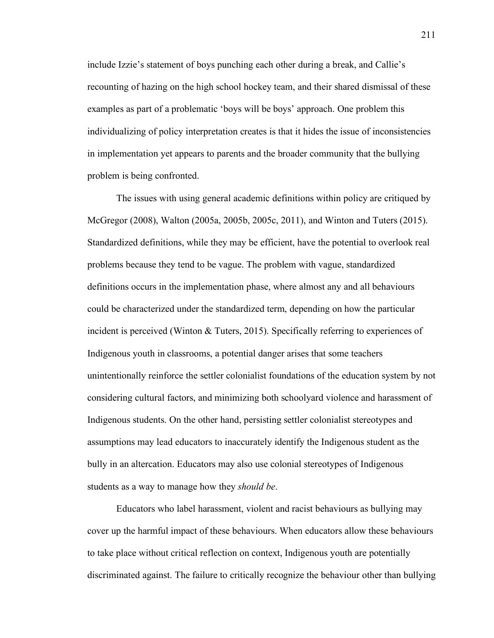include Izzie's statement of boys punching each other during a break, and Callie's recounting of hazing on the high school hockey team, and their shared dismissal of these examples as part of a problematic 'boys will be boys' approach. One problem this individualizing of policy interpretation creates is that it hides the issue of inconsistencies in implementation yet appears to parents and the broader community that the bullying problem is being confronted.

The issues with using general academic definitions within policy are critiqued by McGregor (2008), Walton (2005a, 2005b, 2005c, 2011), and Winton and Tuters (2015). Standardized definitions, while they may be efficient, have the potential to overlook real problems because they tend to be vague. The problem with vague, standardized definitions occurs in the implementation phase, where almost any and all behaviours could be characterized under the standardized term, depending on how the particular incident is perceived (Winton & Tuters, 2015). Specifically referring to experiences of Indigenous youth in classrooms, a potential danger arises that some teachers unintentionally reinforce the settler colonialist foundations of the education system by not considering cultural factors, and minimizing both schoolyard violence and harassment of Indigenous students. On the other hand, persisting settler colonialist stereotypes and assumptions may lead educators to inaccurately identify the Indigenous student as the bully in an altercation. Educators may also use colonial stereotypes of Indigenous students as a way to manage how they *should be*.

Educators who label harassment, violent and racist behaviours as bullying may cover up the harmful impact of these behaviours. When educators allow these behaviours to take place without critical reflection on context, Indigenous youth are potentially discriminated against. The failure to critically recognize the behaviour other than bullying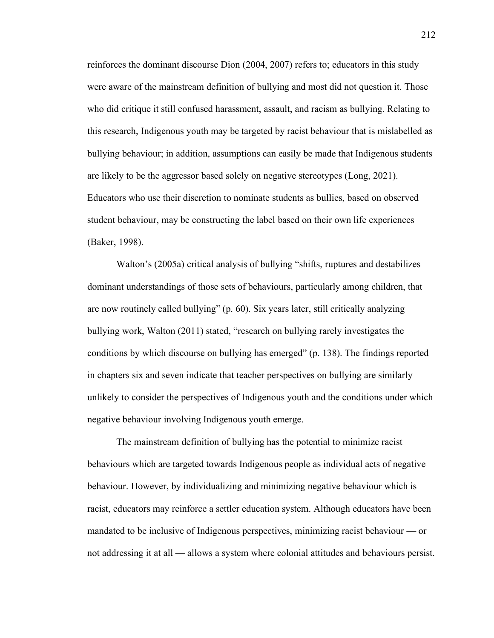reinforces the dominant discourse Dion (2004, 2007) refers to; educators in this study were aware of the mainstream definition of bullying and most did not question it. Those who did critique it still confused harassment, assault, and racism as bullying. Relating to this research, Indigenous youth may be targeted by racist behaviour that is mislabelled as bullying behaviour; in addition, assumptions can easily be made that Indigenous students are likely to be the aggressor based solely on negative stereotypes (Long, 2021). Educators who use their discretion to nominate students as bullies, based on observed student behaviour, may be constructing the label based on their own life experiences (Baker, 1998).

Walton's (2005a) critical analysis of bullying "shifts, ruptures and destabilizes dominant understandings of those sets of behaviours, particularly among children, that are now routinely called bullying" (p. 60). Six years later, still critically analyzing bullying work, Walton (2011) stated, "research on bullying rarely investigates the conditions by which discourse on bullying has emerged" (p. 138). The findings reported in chapters six and seven indicate that teacher perspectives on bullying are similarly unlikely to consider the perspectives of Indigenous youth and the conditions under which negative behaviour involving Indigenous youth emerge.

The mainstream definition of bullying has the potential to minimize racist behaviours which are targeted towards Indigenous people as individual acts of negative behaviour. However, by individualizing and minimizing negative behaviour which is racist, educators may reinforce a settler education system. Although educators have been mandated to be inclusive of Indigenous perspectives, minimizing racist behaviour — or not addressing it at all — allows a system where colonial attitudes and behaviours persist.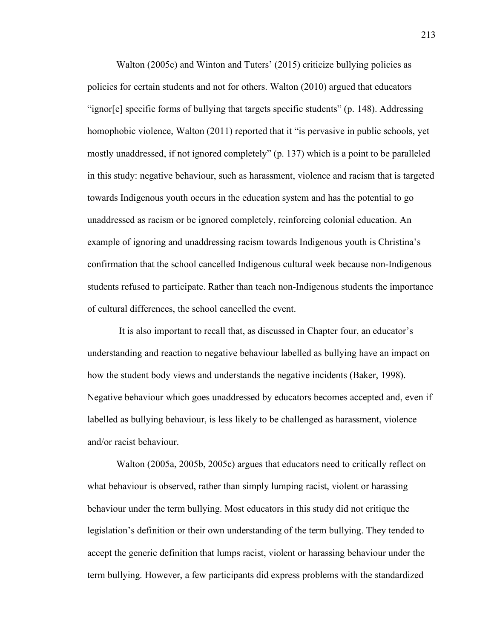Walton (2005c) and Winton and Tuters' (2015) criticize bullying policies as policies for certain students and not for others. Walton (2010) argued that educators "ignor[e] specific forms of bullying that targets specific students" (p. 148). Addressing homophobic violence, Walton (2011) reported that it "is pervasive in public schools, yet mostly unaddressed, if not ignored completely" (p. 137) which is a point to be paralleled in this study: negative behaviour, such as harassment, violence and racism that is targeted towards Indigenous youth occurs in the education system and has the potential to go unaddressed as racism or be ignored completely, reinforcing colonial education. An example of ignoring and unaddressing racism towards Indigenous youth is Christina's confirmation that the school cancelled Indigenous cultural week because non-Indigenous students refused to participate. Rather than teach non-Indigenous students the importance of cultural differences, the school cancelled the event.

It is also important to recall that, as discussed in Chapter four, an educator's understanding and reaction to negative behaviour labelled as bullying have an impact on how the student body views and understands the negative incidents (Baker, 1998). Negative behaviour which goes unaddressed by educators becomes accepted and, even if labelled as bullying behaviour, is less likely to be challenged as harassment, violence and/or racist behaviour.

Walton (2005a, 2005b, 2005c) argues that educators need to critically reflect on what behaviour is observed, rather than simply lumping racist, violent or harassing behaviour under the term bullying. Most educators in this study did not critique the legislation's definition or their own understanding of the term bullying. They tended to accept the generic definition that lumps racist, violent or harassing behaviour under the term bullying. However, a few participants did express problems with the standardized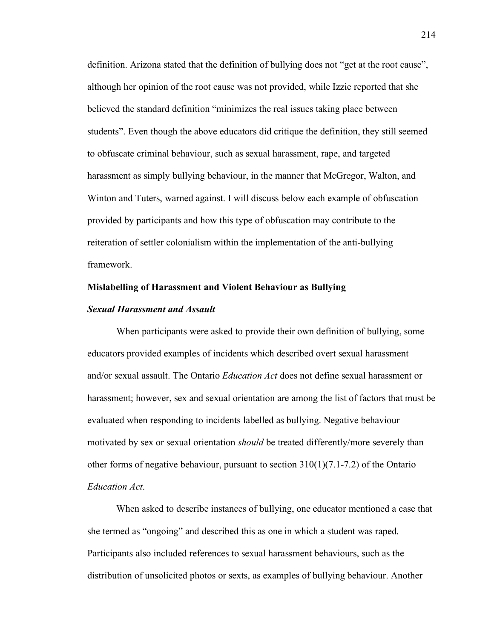definition. Arizona stated that the definition of bullying does not "get at the root cause", although her opinion of the root cause was not provided, while Izzie reported that she believed the standard definition "minimizes the real issues taking place between students". Even though the above educators did critique the definition, they still seemed to obfuscate criminal behaviour, such as sexual harassment, rape, and targeted harassment as simply bullying behaviour, in the manner that McGregor, Walton, and Winton and Tuters, warned against. I will discuss below each example of obfuscation provided by participants and how this type of obfuscation may contribute to the reiteration of settler colonialism within the implementation of the anti-bullying framework.

#### **Mislabelling of Harassment and Violent Behaviour as Bullying**

# *Sexual Harassment and Assault*

When participants were asked to provide their own definition of bullying, some educators provided examples of incidents which described overt sexual harassment and/or sexual assault. The Ontario *Education Act* does not define sexual harassment or harassment; however, sex and sexual orientation are among the list of factors that must be evaluated when responding to incidents labelled as bullying. Negative behaviour motivated by sex or sexual orientation *should* be treated differently/more severely than other forms of negative behaviour, pursuant to section  $310(1)(7.1-7.2)$  of the Ontario *Education Act*.

 When asked to describe instances of bullying, one educator mentioned a case that she termed as "ongoing" and described this as one in which a student was raped. Participants also included references to sexual harassment behaviours, such as the distribution of unsolicited photos or sexts, as examples of bullying behaviour. Another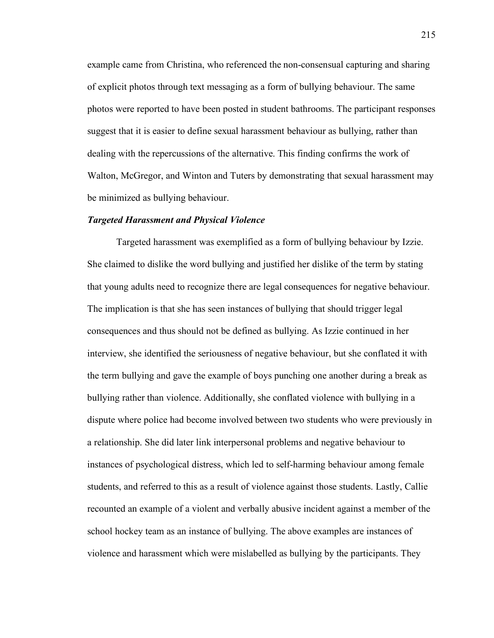example came from Christina, who referenced the non-consensual capturing and sharing of explicit photos through text messaging as a form of bullying behaviour. The same photos were reported to have been posted in student bathrooms. The participant responses suggest that it is easier to define sexual harassment behaviour as bullying, rather than dealing with the repercussions of the alternative. This finding confirms the work of Walton, McGregor, and Winton and Tuters by demonstrating that sexual harassment may be minimized as bullying behaviour.

#### *Targeted Harassment and Physical Violence*

Targeted harassment was exemplified as a form of bullying behaviour by Izzie. She claimed to dislike the word bullying and justified her dislike of the term by stating that young adults need to recognize there are legal consequences for negative behaviour. The implication is that she has seen instances of bullying that should trigger legal consequences and thus should not be defined as bullying. As Izzie continued in her interview, she identified the seriousness of negative behaviour, but she conflated it with the term bullying and gave the example of boys punching one another during a break as bullying rather than violence. Additionally, she conflated violence with bullying in a dispute where police had become involved between two students who were previously in a relationship. She did later link interpersonal problems and negative behaviour to instances of psychological distress, which led to self-harming behaviour among female students, and referred to this as a result of violence against those students. Lastly, Callie recounted an example of a violent and verbally abusive incident against a member of the school hockey team as an instance of bullying. The above examples are instances of violence and harassment which were mislabelled as bullying by the participants. They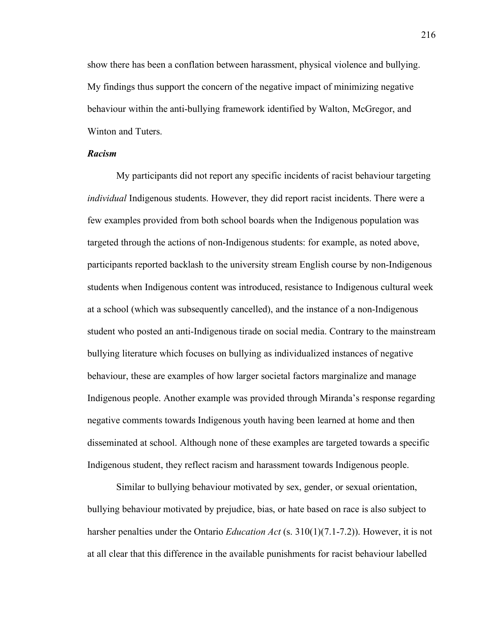show there has been a conflation between harassment, physical violence and bullying. My findings thus support the concern of the negative impact of minimizing negative behaviour within the anti-bullying framework identified by Walton, McGregor, and Winton and Tuters.

# *Racism*

My participants did not report any specific incidents of racist behaviour targeting *individual* Indigenous students. However, they did report racist incidents. There were a few examples provided from both school boards when the Indigenous population was targeted through the actions of non-Indigenous students: for example, as noted above, participants reported backlash to the university stream English course by non-Indigenous students when Indigenous content was introduced, resistance to Indigenous cultural week at a school (which was subsequently cancelled), and the instance of a non-Indigenous student who posted an anti-Indigenous tirade on social media. Contrary to the mainstream bullying literature which focuses on bullying as individualized instances of negative behaviour, these are examples of how larger societal factors marginalize and manage Indigenous people. Another example was provided through Miranda's response regarding negative comments towards Indigenous youth having been learned at home and then disseminated at school. Although none of these examples are targeted towards a specific Indigenous student, they reflect racism and harassment towards Indigenous people.

Similar to bullying behaviour motivated by sex, gender, or sexual orientation, bullying behaviour motivated by prejudice, bias, or hate based on race is also subject to harsher penalties under the Ontario *Education Act* (s. 310(1)(7.1-7.2)). However, it is not at all clear that this difference in the available punishments for racist behaviour labelled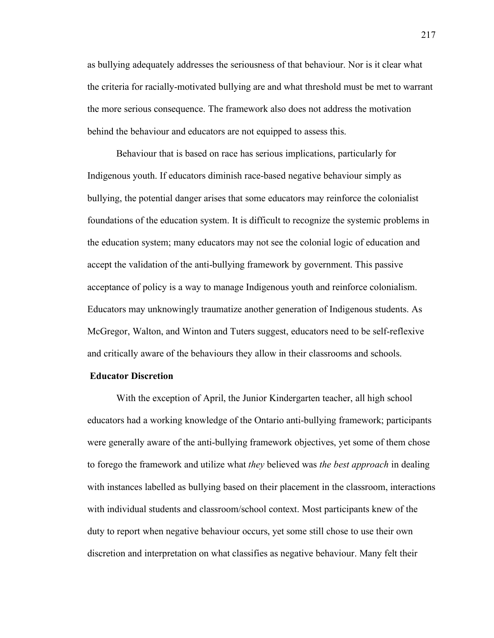as bullying adequately addresses the seriousness of that behaviour. Nor is it clear what the criteria for racially-motivated bullying are and what threshold must be met to warrant the more serious consequence. The framework also does not address the motivation behind the behaviour and educators are not equipped to assess this.

Behaviour that is based on race has serious implications, particularly for Indigenous youth. If educators diminish race-based negative behaviour simply as bullying, the potential danger arises that some educators may reinforce the colonialist foundations of the education system. It is difficult to recognize the systemic problems in the education system; many educators may not see the colonial logic of education and accept the validation of the anti-bullying framework by government. This passive acceptance of policy is a way to manage Indigenous youth and reinforce colonialism. Educators may unknowingly traumatize another generation of Indigenous students. As McGregor, Walton, and Winton and Tuters suggest, educators need to be self-reflexive and critically aware of the behaviours they allow in their classrooms and schools.

#### **Educator Discretion**

With the exception of April, the Junior Kindergarten teacher, all high school educators had a working knowledge of the Ontario anti-bullying framework; participants were generally aware of the anti-bullying framework objectives, yet some of them chose to forego the framework and utilize what *they* believed was *the best approach* in dealing with instances labelled as bullying based on their placement in the classroom, interactions with individual students and classroom/school context. Most participants knew of the duty to report when negative behaviour occurs, yet some still chose to use their own discretion and interpretation on what classifies as negative behaviour. Many felt their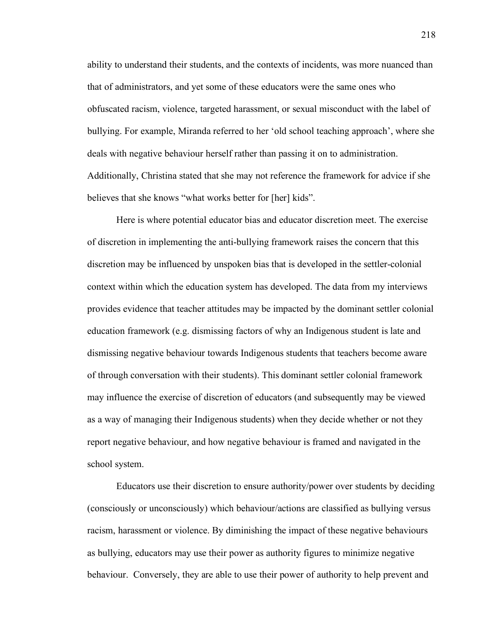ability to understand their students, and the contexts of incidents, was more nuanced than that of administrators, and yet some of these educators were the same ones who obfuscated racism, violence, targeted harassment, or sexual misconduct with the label of bullying. For example, Miranda referred to her 'old school teaching approach', where she deals with negative behaviour herself rather than passing it on to administration. Additionally, Christina stated that she may not reference the framework for advice if she believes that she knows "what works better for [her] kids".

Here is where potential educator bias and educator discretion meet. The exercise of discretion in implementing the anti-bullying framework raises the concern that this discretion may be influenced by unspoken bias that is developed in the settler-colonial context within which the education system has developed. The data from my interviews provides evidence that teacher attitudes may be impacted by the dominant settler colonial education framework (e.g. dismissing factors of why an Indigenous student is late and dismissing negative behaviour towards Indigenous students that teachers become aware of through conversation with their students). This dominant settler colonial framework may influence the exercise of discretion of educators (and subsequently may be viewed as a way of managing their Indigenous students) when they decide whether or not they report negative behaviour, and how negative behaviour is framed and navigated in the school system.

Educators use their discretion to ensure authority/power over students by deciding (consciously or unconsciously) which behaviour/actions are classified as bullying versus racism, harassment or violence. By diminishing the impact of these negative behaviours as bullying, educators may use their power as authority figures to minimize negative behaviour. Conversely, they are able to use their power of authority to help prevent and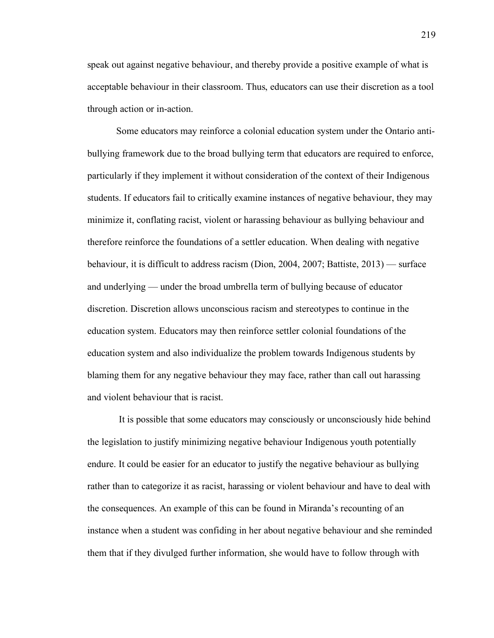speak out against negative behaviour, and thereby provide a positive example of what is acceptable behaviour in their classroom. Thus, educators can use their discretion as a tool through action or in-action.

Some educators may reinforce a colonial education system under the Ontario antibullying framework due to the broad bullying term that educators are required to enforce, particularly if they implement it without consideration of the context of their Indigenous students. If educators fail to critically examine instances of negative behaviour, they may minimize it, conflating racist, violent or harassing behaviour as bullying behaviour and therefore reinforce the foundations of a settler education. When dealing with negative behaviour, it is difficult to address racism (Dion, 2004, 2007; Battiste, 2013) — surface and underlying — under the broad umbrella term of bullying because of educator discretion. Discretion allows unconscious racism and stereotypes to continue in the education system. Educators may then reinforce settler colonial foundations of the education system and also individualize the problem towards Indigenous students by blaming them for any negative behaviour they may face, rather than call out harassing and violent behaviour that is racist.

It is possible that some educators may consciously or unconsciously hide behind the legislation to justify minimizing negative behaviour Indigenous youth potentially endure. It could be easier for an educator to justify the negative behaviour as bullying rather than to categorize it as racist, harassing or violent behaviour and have to deal with the consequences. An example of this can be found in Miranda's recounting of an instance when a student was confiding in her about negative behaviour and she reminded them that if they divulged further information, she would have to follow through with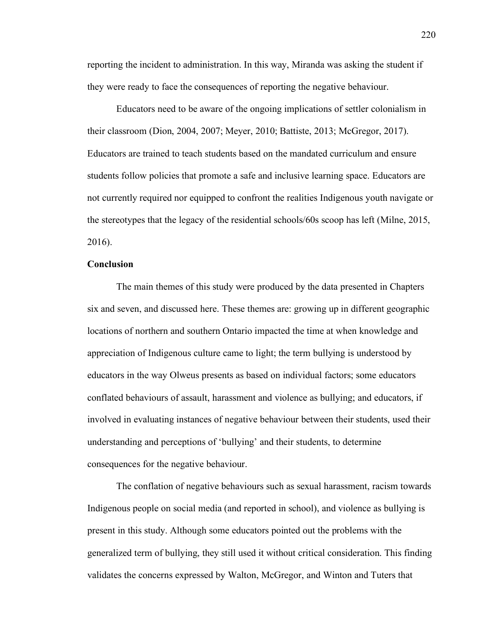reporting the incident to administration. In this way, Miranda was asking the student if they were ready to face the consequences of reporting the negative behaviour.

Educators need to be aware of the ongoing implications of settler colonialism in their classroom (Dion, 2004, 2007; Meyer, 2010; Battiste, 2013; McGregor, 2017). Educators are trained to teach students based on the mandated curriculum and ensure students follow policies that promote a safe and inclusive learning space. Educators are not currently required nor equipped to confront the realities Indigenous youth navigate or the stereotypes that the legacy of the residential schools/60s scoop has left (Milne, 2015, 2016).

# **Conclusion**

The main themes of this study were produced by the data presented in Chapters six and seven, and discussed here. These themes are: growing up in different geographic locations of northern and southern Ontario impacted the time at when knowledge and appreciation of Indigenous culture came to light; the term bullying is understood by educators in the way Olweus presents as based on individual factors; some educators conflated behaviours of assault, harassment and violence as bullying; and educators, if involved in evaluating instances of negative behaviour between their students, used their understanding and perceptions of 'bullying' and their students, to determine consequences for the negative behaviour.

The conflation of negative behaviours such as sexual harassment, racism towards Indigenous people on social media (and reported in school), and violence as bullying is present in this study. Although some educators pointed out the problems with the generalized term of bullying, they still used it without critical consideration. This finding validates the concerns expressed by Walton, McGregor, and Winton and Tuters that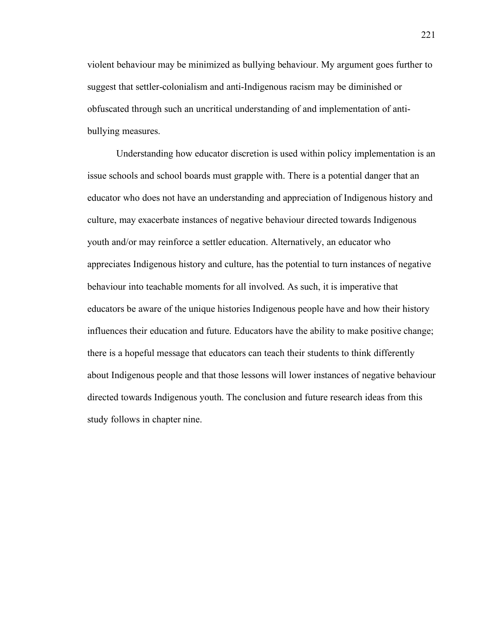violent behaviour may be minimized as bullying behaviour. My argument goes further to suggest that settler-colonialism and anti-Indigenous racism may be diminished or obfuscated through such an uncritical understanding of and implementation of antibullying measures.

Understanding how educator discretion is used within policy implementation is an issue schools and school boards must grapple with. There is a potential danger that an educator who does not have an understanding and appreciation of Indigenous history and culture, may exacerbate instances of negative behaviour directed towards Indigenous youth and/or may reinforce a settler education. Alternatively, an educator who appreciates Indigenous history and culture, has the potential to turn instances of negative behaviour into teachable moments for all involved. As such, it is imperative that educators be aware of the unique histories Indigenous people have and how their history influences their education and future. Educators have the ability to make positive change; there is a hopeful message that educators can teach their students to think differently about Indigenous people and that those lessons will lower instances of negative behaviour directed towards Indigenous youth. The conclusion and future research ideas from this study follows in chapter nine.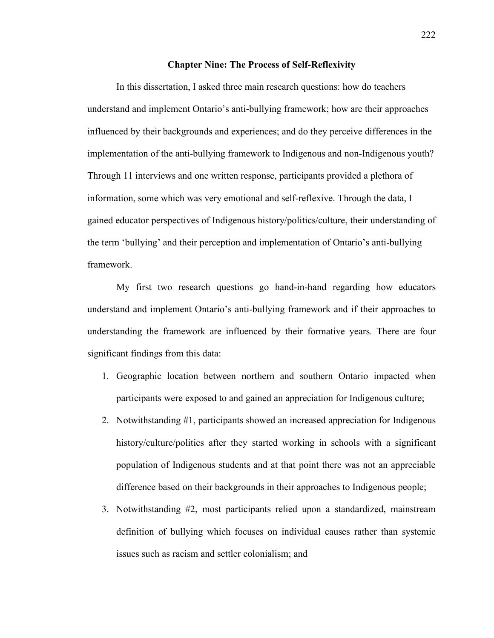#### **Chapter Nine: The Process of Self-Reflexivity**

In this dissertation, I asked three main research questions: how do teachers understand and implement Ontario's anti-bullying framework; how are their approaches influenced by their backgrounds and experiences; and do they perceive differences in the implementation of the anti-bullying framework to Indigenous and non-Indigenous youth? Through 11 interviews and one written response, participants provided a plethora of information, some which was very emotional and self-reflexive. Through the data, I gained educator perspectives of Indigenous history/politics/culture, their understanding of the term 'bullying' and their perception and implementation of Ontario's anti-bullying framework.

My first two research questions go hand-in-hand regarding how educators understand and implement Ontario's anti-bullying framework and if their approaches to understanding the framework are influenced by their formative years. There are four significant findings from this data:

- 1. Geographic location between northern and southern Ontario impacted when participants were exposed to and gained an appreciation for Indigenous culture;
- 2. Notwithstanding #1, participants showed an increased appreciation for Indigenous history/culture/politics after they started working in schools with a significant population of Indigenous students and at that point there was not an appreciable difference based on their backgrounds in their approaches to Indigenous people;
- 3. Notwithstanding #2, most participants relied upon a standardized, mainstream definition of bullying which focuses on individual causes rather than systemic issues such as racism and settler colonialism; and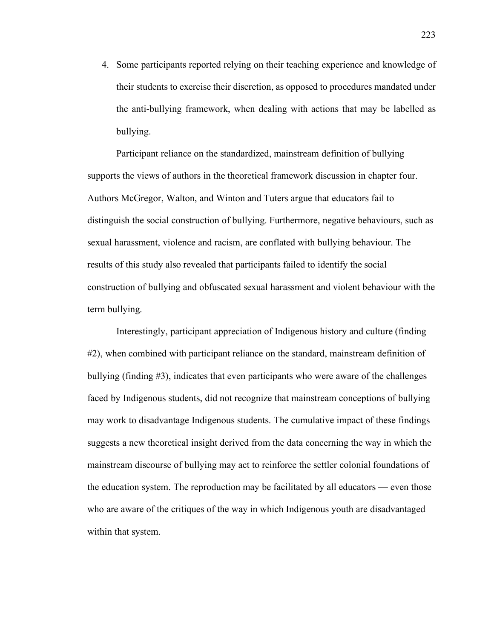4. Some participants reported relying on their teaching experience and knowledge of their students to exercise their discretion, as opposed to procedures mandated under the anti-bullying framework, when dealing with actions that may be labelled as bullying.

Participant reliance on the standardized, mainstream definition of bullying supports the views of authors in the theoretical framework discussion in chapter four. Authors McGregor, Walton, and Winton and Tuters argue that educators fail to distinguish the social construction of bullying. Furthermore, negative behaviours, such as sexual harassment, violence and racism, are conflated with bullying behaviour. The results of this study also revealed that participants failed to identify the social construction of bullying and obfuscated sexual harassment and violent behaviour with the term bullying.

Interestingly, participant appreciation of Indigenous history and culture (finding #2), when combined with participant reliance on the standard, mainstream definition of bullying (finding #3), indicates that even participants who were aware of the challenges faced by Indigenous students, did not recognize that mainstream conceptions of bullying may work to disadvantage Indigenous students. The cumulative impact of these findings suggests a new theoretical insight derived from the data concerning the way in which the mainstream discourse of bullying may act to reinforce the settler colonial foundations of the education system. The reproduction may be facilitated by all educators — even those who are aware of the critiques of the way in which Indigenous youth are disadvantaged within that system.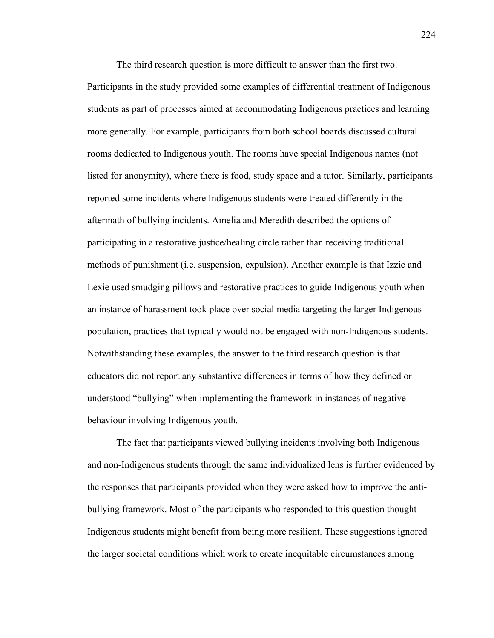The third research question is more difficult to answer than the first two.

Participants in the study provided some examples of differential treatment of Indigenous students as part of processes aimed at accommodating Indigenous practices and learning more generally. For example, participants from both school boards discussed cultural rooms dedicated to Indigenous youth. The rooms have special Indigenous names (not listed for anonymity), where there is food, study space and a tutor. Similarly, participants reported some incidents where Indigenous students were treated differently in the aftermath of bullying incidents. Amelia and Meredith described the options of participating in a restorative justice/healing circle rather than receiving traditional methods of punishment (i.e. suspension, expulsion). Another example is that Izzie and Lexie used smudging pillows and restorative practices to guide Indigenous youth when an instance of harassment took place over social media targeting the larger Indigenous population, practices that typically would not be engaged with non-Indigenous students. Notwithstanding these examples, the answer to the third research question is that educators did not report any substantive differences in terms of how they defined or understood "bullying" when implementing the framework in instances of negative behaviour involving Indigenous youth.

The fact that participants viewed bullying incidents involving both Indigenous and non-Indigenous students through the same individualized lens is further evidenced by the responses that participants provided when they were asked how to improve the antibullying framework. Most of the participants who responded to this question thought Indigenous students might benefit from being more resilient. These suggestions ignored the larger societal conditions which work to create inequitable circumstances among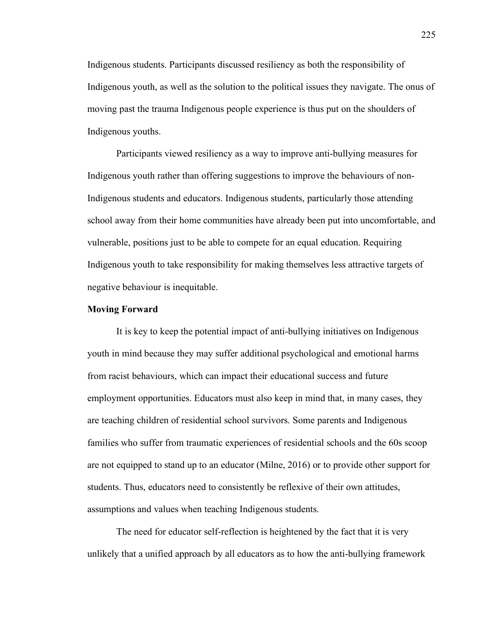Indigenous students. Participants discussed resiliency as both the responsibility of Indigenous youth, as well as the solution to the political issues they navigate. The onus of moving past the trauma Indigenous people experience is thus put on the shoulders of Indigenous youths.

Participants viewed resiliency as a way to improve anti-bullying measures for Indigenous youth rather than offering suggestions to improve the behaviours of non-Indigenous students and educators. Indigenous students, particularly those attending school away from their home communities have already been put into uncomfortable, and vulnerable, positions just to be able to compete for an equal education. Requiring Indigenous youth to take responsibility for making themselves less attractive targets of negative behaviour is inequitable.

### **Moving Forward**

It is key to keep the potential impact of anti-bullying initiatives on Indigenous youth in mind because they may suffer additional psychological and emotional harms from racist behaviours, which can impact their educational success and future employment opportunities. Educators must also keep in mind that, in many cases, they are teaching children of residential school survivors. Some parents and Indigenous families who suffer from traumatic experiences of residential schools and the 60s scoop are not equipped to stand up to an educator (Milne, 2016) or to provide other support for students. Thus, educators need to consistently be reflexive of their own attitudes, assumptions and values when teaching Indigenous students.

The need for educator self-reflection is heightened by the fact that it is very unlikely that a unified approach by all educators as to how the anti-bullying framework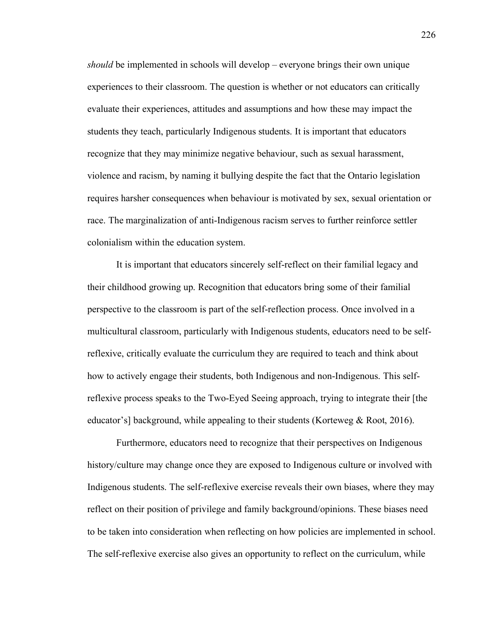*should* be implemented in schools will develop – everyone brings their own unique experiences to their classroom. The question is whether or not educators can critically evaluate their experiences, attitudes and assumptions and how these may impact the students they teach, particularly Indigenous students. It is important that educators recognize that they may minimize negative behaviour, such as sexual harassment, violence and racism, by naming it bullying despite the fact that the Ontario legislation requires harsher consequences when behaviour is motivated by sex, sexual orientation or race. The marginalization of anti-Indigenous racism serves to further reinforce settler colonialism within the education system.

It is important that educators sincerely self-reflect on their familial legacy and their childhood growing up. Recognition that educators bring some of their familial perspective to the classroom is part of the self-reflection process. Once involved in a multicultural classroom, particularly with Indigenous students, educators need to be selfreflexive, critically evaluate the curriculum they are required to teach and think about how to actively engage their students, both Indigenous and non-Indigenous. This selfreflexive process speaks to the Two-Eyed Seeing approach, trying to integrate their [the educator's] background, while appealing to their students (Korteweg & Root, 2016).

Furthermore, educators need to recognize that their perspectives on Indigenous history/culture may change once they are exposed to Indigenous culture or involved with Indigenous students. The self-reflexive exercise reveals their own biases, where they may reflect on their position of privilege and family background/opinions. These biases need to be taken into consideration when reflecting on how policies are implemented in school. The self-reflexive exercise also gives an opportunity to reflect on the curriculum, while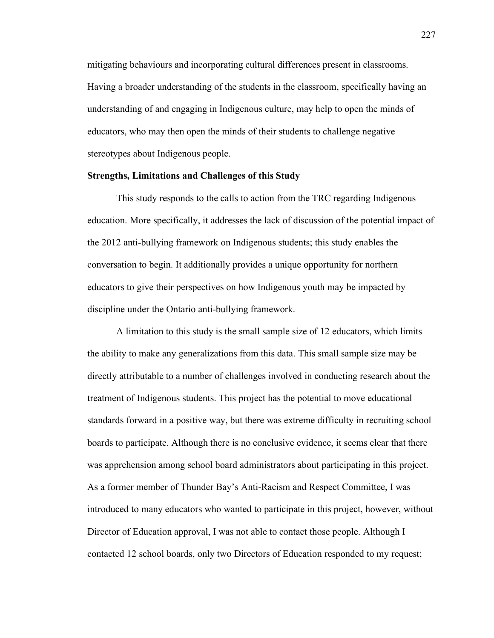mitigating behaviours and incorporating cultural differences present in classrooms. Having a broader understanding of the students in the classroom, specifically having an understanding of and engaging in Indigenous culture, may help to open the minds of educators, who may then open the minds of their students to challenge negative stereotypes about Indigenous people.

### **Strengths, Limitations and Challenges of this Study**

This study responds to the calls to action from the TRC regarding Indigenous education. More specifically, it addresses the lack of discussion of the potential impact of the 2012 anti-bullying framework on Indigenous students; this study enables the conversation to begin. It additionally provides a unique opportunity for northern educators to give their perspectives on how Indigenous youth may be impacted by discipline under the Ontario anti-bullying framework.

A limitation to this study is the small sample size of 12 educators, which limits the ability to make any generalizations from this data. This small sample size may be directly attributable to a number of challenges involved in conducting research about the treatment of Indigenous students. This project has the potential to move educational standards forward in a positive way, but there was extreme difficulty in recruiting school boards to participate. Although there is no conclusive evidence, it seems clear that there was apprehension among school board administrators about participating in this project. As a former member of Thunder Bay's Anti-Racism and Respect Committee, I was introduced to many educators who wanted to participate in this project, however, without Director of Education approval, I was not able to contact those people. Although I contacted 12 school boards, only two Directors of Education responded to my request;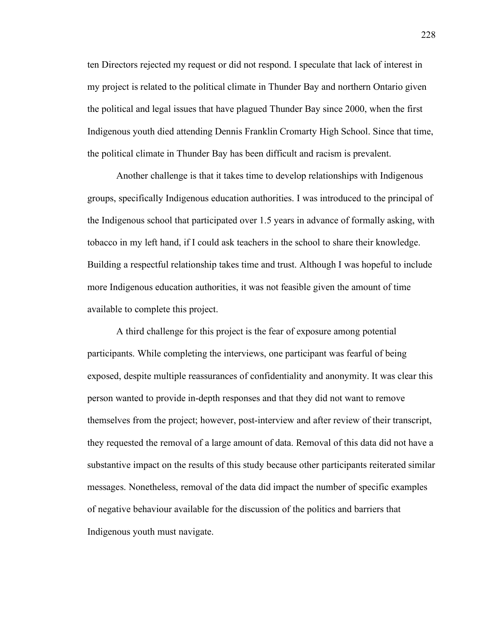ten Directors rejected my request or did not respond. I speculate that lack of interest in my project is related to the political climate in Thunder Bay and northern Ontario given the political and legal issues that have plagued Thunder Bay since 2000, when the first Indigenous youth died attending Dennis Franklin Cromarty High School. Since that time, the political climate in Thunder Bay has been difficult and racism is prevalent.

Another challenge is that it takes time to develop relationships with Indigenous groups, specifically Indigenous education authorities. I was introduced to the principal of the Indigenous school that participated over 1.5 years in advance of formally asking, with tobacco in my left hand, if I could ask teachers in the school to share their knowledge. Building a respectful relationship takes time and trust. Although I was hopeful to include more Indigenous education authorities, it was not feasible given the amount of time available to complete this project.

A third challenge for this project is the fear of exposure among potential participants. While completing the interviews, one participant was fearful of being exposed, despite multiple reassurances of confidentiality and anonymity. It was clear this person wanted to provide in-depth responses and that they did not want to remove themselves from the project; however, post-interview and after review of their transcript, they requested the removal of a large amount of data. Removal of this data did not have a substantive impact on the results of this study because other participants reiterated similar messages. Nonetheless, removal of the data did impact the number of specific examples of negative behaviour available for the discussion of the politics and barriers that Indigenous youth must navigate.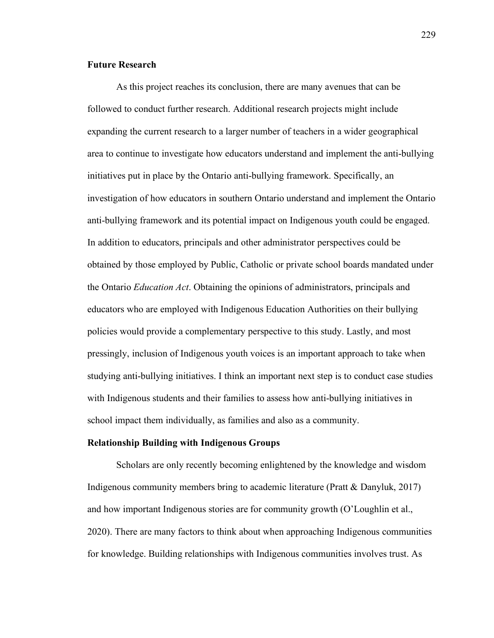# **Future Research**

As this project reaches its conclusion, there are many avenues that can be followed to conduct further research. Additional research projects might include expanding the current research to a larger number of teachers in a wider geographical area to continue to investigate how educators understand and implement the anti-bullying initiatives put in place by the Ontario anti-bullying framework. Specifically, an investigation of how educators in southern Ontario understand and implement the Ontario anti-bullying framework and its potential impact on Indigenous youth could be engaged. In addition to educators, principals and other administrator perspectives could be obtained by those employed by Public, Catholic or private school boards mandated under the Ontario *Education Act*. Obtaining the opinions of administrators, principals and educators who are employed with Indigenous Education Authorities on their bullying policies would provide a complementary perspective to this study. Lastly, and most pressingly, inclusion of Indigenous youth voices is an important approach to take when studying anti-bullying initiatives. I think an important next step is to conduct case studies with Indigenous students and their families to assess how anti-bullying initiatives in school impact them individually, as families and also as a community.

# **Relationship Building with Indigenous Groups**

Scholars are only recently becoming enlightened by the knowledge and wisdom Indigenous community members bring to academic literature (Pratt & Danyluk, 2017) and how important Indigenous stories are for community growth (O'Loughlin et al., 2020). There are many factors to think about when approaching Indigenous communities for knowledge. Building relationships with Indigenous communities involves trust. As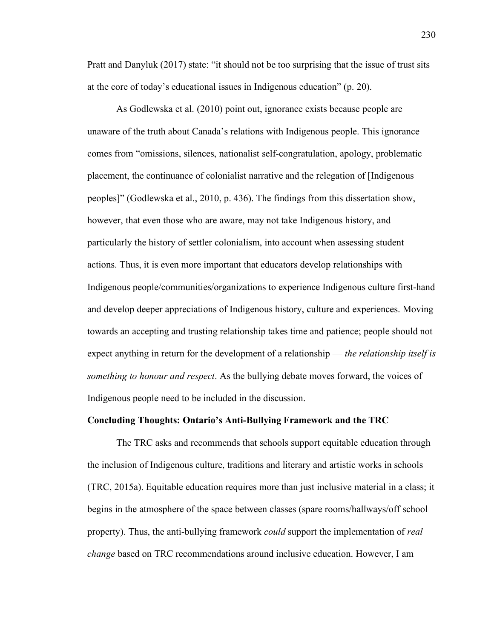Pratt and Danyluk (2017) state: "it should not be too surprising that the issue of trust sits at the core of today's educational issues in Indigenous education" (p. 20).

As Godlewska et al. (2010) point out, ignorance exists because people are unaware of the truth about Canada's relations with Indigenous people. This ignorance comes from "omissions, silences, nationalist self-congratulation, apology, problematic placement, the continuance of colonialist narrative and the relegation of [Indigenous peoples]" (Godlewska et al., 2010, p. 436). The findings from this dissertation show, however, that even those who are aware, may not take Indigenous history, and particularly the history of settler colonialism, into account when assessing student actions. Thus, it is even more important that educators develop relationships with Indigenous people/communities/organizations to experience Indigenous culture first-hand and develop deeper appreciations of Indigenous history, culture and experiences. Moving towards an accepting and trusting relationship takes time and patience; people should not expect anything in return for the development of a relationship — *the relationship itself is something to honour and respect*. As the bullying debate moves forward, the voices of Indigenous people need to be included in the discussion.

# **Concluding Thoughts: Ontario's Anti-Bullying Framework and the TRC**

The TRC asks and recommends that schools support equitable education through the inclusion of Indigenous culture, traditions and literary and artistic works in schools (TRC, 2015a). Equitable education requires more than just inclusive material in a class; it begins in the atmosphere of the space between classes (spare rooms/hallways/off school property). Thus, the anti-bullying framework *could* support the implementation of *real change* based on TRC recommendations around inclusive education. However, I am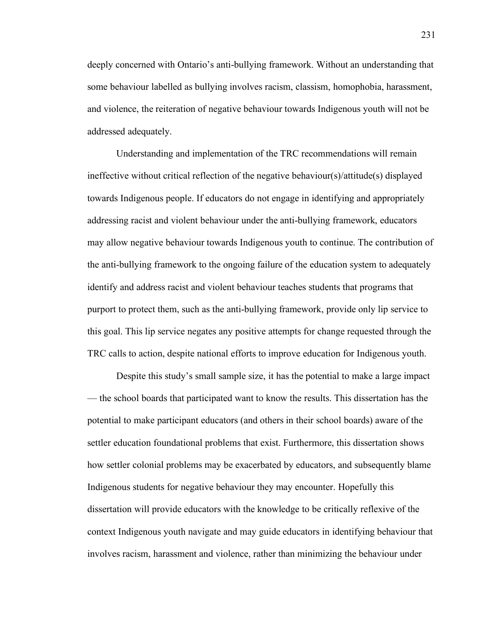deeply concerned with Ontario's anti-bullying framework. Without an understanding that some behaviour labelled as bullying involves racism, classism, homophobia, harassment, and violence, the reiteration of negative behaviour towards Indigenous youth will not be addressed adequately.

Understanding and implementation of the TRC recommendations will remain ineffective without critical reflection of the negative behaviour(s)/attitude(s) displayed towards Indigenous people. If educators do not engage in identifying and appropriately addressing racist and violent behaviour under the anti-bullying framework, educators may allow negative behaviour towards Indigenous youth to continue. The contribution of the anti-bullying framework to the ongoing failure of the education system to adequately identify and address racist and violent behaviour teaches students that programs that purport to protect them, such as the anti-bullying framework, provide only lip service to this goal. This lip service negates any positive attempts for change requested through the TRC calls to action, despite national efforts to improve education for Indigenous youth.

Despite this study's small sample size, it has the potential to make a large impact — the school boards that participated want to know the results. This dissertation has the potential to make participant educators (and others in their school boards) aware of the settler education foundational problems that exist. Furthermore, this dissertation shows how settler colonial problems may be exacerbated by educators, and subsequently blame Indigenous students for negative behaviour they may encounter. Hopefully this dissertation will provide educators with the knowledge to be critically reflexive of the context Indigenous youth navigate and may guide educators in identifying behaviour that involves racism, harassment and violence, rather than minimizing the behaviour under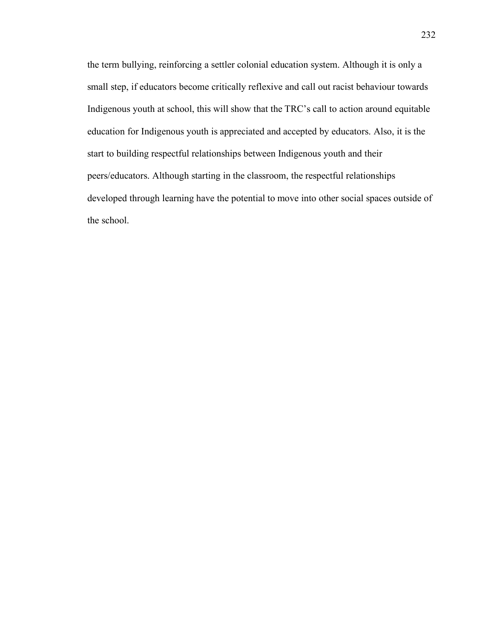the term bullying, reinforcing a settler colonial education system. Although it is only a small step, if educators become critically reflexive and call out racist behaviour towards Indigenous youth at school, this will show that the TRC's call to action around equitable education for Indigenous youth is appreciated and accepted by educators. Also, it is the start to building respectful relationships between Indigenous youth and their peers/educators. Although starting in the classroom, the respectful relationships developed through learning have the potential to move into other social spaces outside of the school.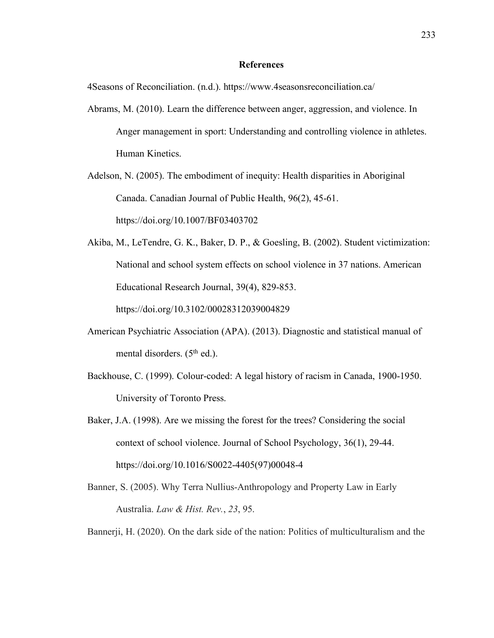# **References**

4Seasons of Reconciliation. (n.d.). https://www.4seasonsreconciliation.ca/

Abrams, M. (2010). Learn the difference between anger, aggression, and violence. In Anger management in sport: Understanding and controlling violence in athletes. Human Kinetics.

Adelson, N. (2005). The embodiment of inequity: Health disparities in Aboriginal Canada. Canadian Journal of Public Health, 96(2), 45-61. https://doi.org/10.1007/BF03403702

Akiba, M., LeTendre, G. K., Baker, D. P., & Goesling, B. (2002). Student victimization: National and school system effects on school violence in 37 nations. American Educational Research Journal, 39(4), 829-853. https://doi.org/10.3102/00028312039004829

- American Psychiatric Association (APA). (2013). Diagnostic and statistical manual of mental disorders.  $(5<sup>th</sup>$  ed.).
- Backhouse, C. (1999). Colour-coded: A legal history of racism in Canada, 1900-1950. University of Toronto Press.

Baker, J.A. (1998). Are we missing the forest for the trees? Considering the social context of school violence. Journal of School Psychology, 36(1), 29-44. https://doi.org/10.1016/S0022-4405(97)00048-4

Banner, S. (2005). Why Terra Nullius-Anthropology and Property Law in Early Australia. *Law & Hist. Rev.*, *23*, 95.

Bannerji, H. (2020). On the dark side of the nation: Politics of multiculturalism and the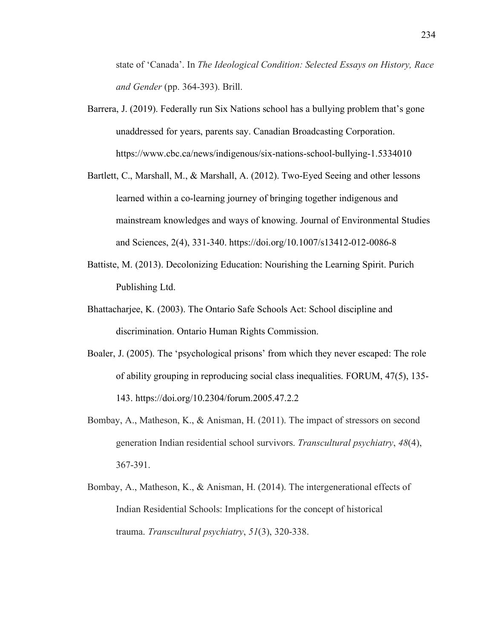state of 'Canada'. In *The Ideological Condition: Selected Essays on History, Race and Gender* (pp. 364-393). Brill.

- Barrera, J. (2019). Federally run Six Nations school has a bullying problem that's gone unaddressed for years, parents say. Canadian Broadcasting Corporation. https://www.cbc.ca/news/indigenous/six-nations-school-bullying-1.5334010
- Bartlett, C., Marshall, M., & Marshall, A. (2012). Two-Eyed Seeing and other lessons learned within a co-learning journey of bringing together indigenous and mainstream knowledges and ways of knowing. Journal of Environmental Studies and Sciences, 2(4), 331-340. https://doi.org/10.1007/s13412-012-0086-8
- Battiste, M. (2013). Decolonizing Education: Nourishing the Learning Spirit. Purich Publishing Ltd.
- Bhattacharjee, K. (2003). The Ontario Safe Schools Act: School discipline and discrimination. Ontario Human Rights Commission.
- Boaler, J. (2005). The 'psychological prisons' from which they never escaped: The role of ability grouping in reproducing social class inequalities. FORUM, 47(5), 135- 143. https://doi.org/10.2304/forum.2005.47.2.2
- Bombay, A., Matheson, K., & Anisman, H. (2011). The impact of stressors on second generation Indian residential school survivors. *Transcultural psychiatry*, *48*(4), 367-391.
- Bombay, A., Matheson, K., & Anisman, H. (2014). The intergenerational effects of Indian Residential Schools: Implications for the concept of historical trauma. *Transcultural psychiatry*, *51*(3), 320-338.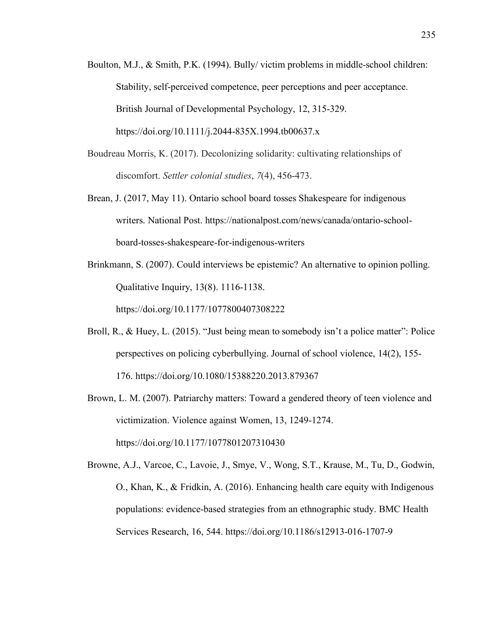- Boulton, M.J., & Smith, P.K. (1994). Bully/ victim problems in middle-school children: Stability, self-perceived competence, peer perceptions and peer acceptance. British Journal of Developmental Psychology, 12, 315-329. https://doi.org/10.1111/j.2044-835X.1994.tb00637.x
- Boudreau Morris, K. (2017). Decolonizing solidarity: cultivating relationships of discomfort. *Settler colonial studies*, *7*(4), 456-473.
- Brean, J. (2017, May 11). Ontario school board tosses Shakespeare for indigenous writers. National Post. https://nationalpost.com/news/canada/ontario-schoolboard-tosses-shakespeare-for-indigenous-writers
- Brinkmann, S. (2007). Could interviews be epistemic? An alternative to opinion polling. Qualitative Inquiry, 13(8). 1116-1138. https://doi.org/10.1177/1077800407308222
- Broll, R., & Huey, L. (2015). "Just being mean to somebody isn't a police matter": Police perspectives on policing cyberbullying. Journal of school violence, 14(2), 155- 176. https://doi.org/10.1080/15388220.2013.879367
- Brown, L. M. (2007). Patriarchy matters: Toward a gendered theory of teen violence and victimization. Violence against Women, 13, 1249-1274. https://doi.org/10.1177/1077801207310430
- Browne, A.J., Varcoe, C., Lavoie, J., Smye, V., Wong, S.T., Krause, M., Tu, D., Godwin, O., Khan, K., & Fridkin, A. (2016). Enhancing health care equity with Indigenous populations: evidence-based strategies from an ethnographic study. BMC Health Services Research, 16, 544. https://doi.org/10.1186/s12913-016-1707-9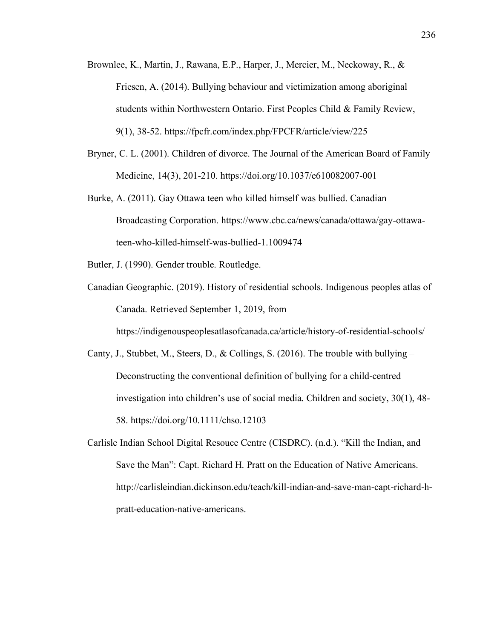- Brownlee, K., Martin, J., Rawana, E.P., Harper, J., Mercier, M., Neckoway, R., & Friesen, A. (2014). Bullying behaviour and victimization among aboriginal students within Northwestern Ontario. First Peoples Child & Family Review, 9(1), 38-52. https://fpcfr.com/index.php/FPCFR/article/view/225
- Bryner, C. L. (2001). Children of divorce. The Journal of the American Board of Family Medicine, 14(3), 201-210. https://doi.org/10.1037/e610082007-001
- Burke, A. (2011). Gay Ottawa teen who killed himself was bullied. Canadian Broadcasting Corporation. https://www.cbc.ca/news/canada/ottawa/gay-ottawateen-who-killed-himself-was-bullied-1.1009474
- Butler, J. (1990). Gender trouble. Routledge.
- Canadian Geographic. (2019). History of residential schools. Indigenous peoples atlas of Canada. Retrieved September 1, 2019, from

https://indigenouspeoplesatlasofcanada.ca/article/history-of-residential-schools/

- Canty, J., Stubbet, M., Steers, D., & Collings, S. (2016). The trouble with bullying Deconstructing the conventional definition of bullying for a child-centred investigation into children's use of social media. Children and society, 30(1), 48- 58. https://doi.org/10.1111/chso.12103
- Carlisle Indian School Digital Resouce Centre (CISDRC). (n.d.). "Kill the Indian, and Save the Man": Capt. Richard H. Pratt on the Education of Native Americans. http://carlisleindian.dickinson.edu/teach/kill-indian-and-save-man-capt-richard-hpratt-education-native-americans.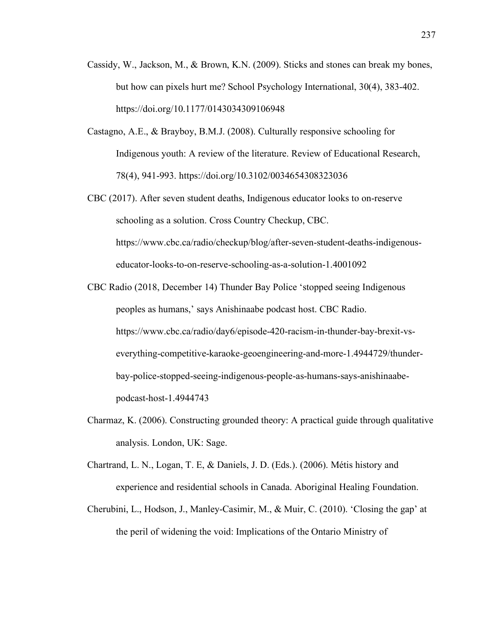- Cassidy, W., Jackson, M., & Brown, K.N. (2009). Sticks and stones can break my bones, but how can pixels hurt me? School Psychology International, 30(4), 383-402. https://doi.org/10.1177/0143034309106948
- Castagno, A.E., & Brayboy, B.M.J. (2008). Culturally responsive schooling for Indigenous youth: A review of the literature. Review of Educational Research, 78(4), 941-993. https://doi.org/10.3102/0034654308323036
- CBC (2017). After seven student deaths, Indigenous educator looks to on-reserve schooling as a solution. Cross Country Checkup, CBC. https://www.cbc.ca/radio/checkup/blog/after-seven-student-deaths-indigenouseducator-looks-to-on-reserve-schooling-as-a-solution-1.4001092
- CBC Radio (2018, December 14) Thunder Bay Police 'stopped seeing Indigenous peoples as humans,' says Anishinaabe podcast host. CBC Radio. https://www.cbc.ca/radio/day6/episode-420-racism-in-thunder-bay-brexit-vseverything-competitive-karaoke-geoengineering-and-more-1.4944729/thunderbay-police-stopped-seeing-indigenous-people-as-humans-says-anishinaabepodcast-host-1.4944743
- Charmaz, K. (2006). Constructing grounded theory: A practical guide through qualitative analysis. London, UK: Sage.
- Chartrand, L. N., Logan, T. E, & Daniels, J. D. (Eds.). (2006). Métis history and experience and residential schools in Canada. Aboriginal Healing Foundation.
- Cherubini, L., Hodson, J., Manley-Casimir, M., & Muir, C. (2010). 'Closing the gap' at the peril of widening the void: Implications of the Ontario Ministry of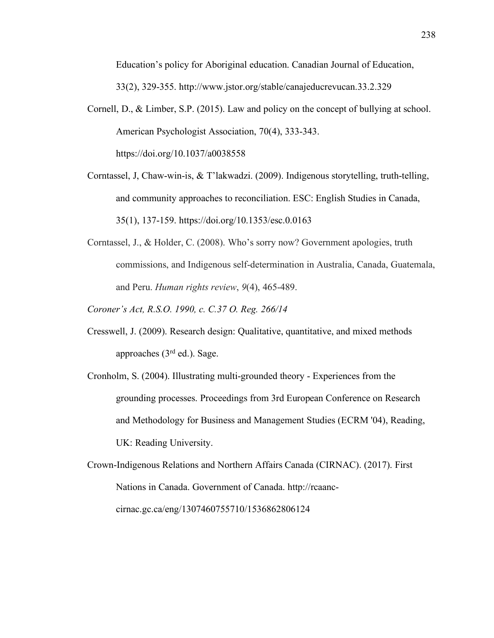Education's policy for Aboriginal education. Canadian Journal of Education, 33(2), 329-355. http://www.jstor.org/stable/canajeducrevucan.33.2.329

- Cornell, D., & Limber, S.P. (2015). Law and policy on the concept of bullying at school. American Psychologist Association, 70(4), 333-343. https://doi.org/10.1037/a0038558
- Corntassel, J, Chaw-win-is, & T'lakwadzi. (2009). Indigenous storytelling, truth-telling, and community approaches to reconciliation. ESC: English Studies in Canada, 35(1), 137-159. https://doi.org/10.1353/esc.0.0163
- Corntassel, J., & Holder, C. (2008). Who's sorry now? Government apologies, truth commissions, and Indigenous self-determination in Australia, Canada, Guatemala, and Peru. *Human rights review*, *9*(4), 465-489.
- *Coroner's Act, R.S.O. 1990, c. C.37 O. Reg. 266/14*
- Cresswell, J. (2009). Research design: Qualitative, quantitative, and mixed methods approaches (3rd ed.). Sage.
- Cronholm, S. (2004). Illustrating multi-grounded theory Experiences from the grounding processes. Proceedings from 3rd European Conference on Research and Methodology for Business and Management Studies (ECRM '04), Reading, UK: Reading University.
- Crown-Indigenous Relations and Northern Affairs Canada (CIRNAC). (2017). First Nations in Canada. Government of Canada. http://rcaanccirnac.gc.ca/eng/1307460755710/1536862806124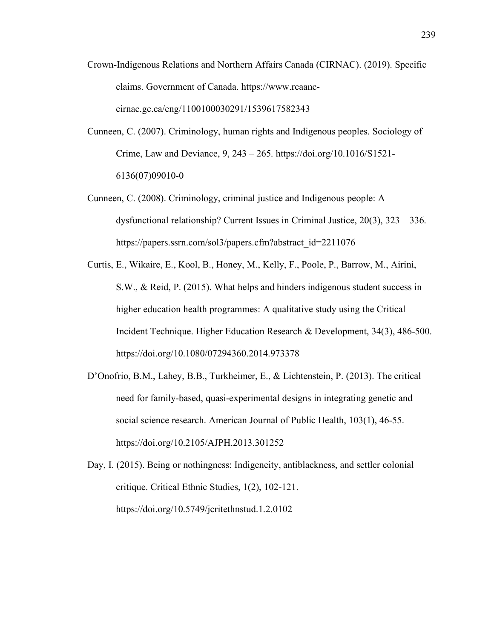- Crown-Indigenous Relations and Northern Affairs Canada (CIRNAC). (2019). Specific claims. Government of Canada. https://www.rcaanccirnac.gc.ca/eng/1100100030291/1539617582343
- Cunneen, C. (2007). Criminology, human rights and Indigenous peoples. Sociology of Crime, Law and Deviance, 9, 243 – 265. https://doi.org/10.1016/S1521- 6136(07)09010-0
- Cunneen, C. (2008). Criminology, criminal justice and Indigenous people: A dysfunctional relationship? Current Issues in Criminal Justice, 20(3), 323 – 336. https://papers.ssrn.com/sol3/papers.cfm?abstract\_id=2211076
- Curtis, E., Wikaire, E., Kool, B., Honey, M., Kelly, F., Poole, P., Barrow, M., Airini, S.W., & Reid, P. (2015). What helps and hinders indigenous student success in higher education health programmes: A qualitative study using the Critical Incident Technique. Higher Education Research & Development, 34(3), 486-500. https://doi.org/10.1080/07294360.2014.973378
- D'Onofrio, B.M., Lahey, B.B., Turkheimer, E., & Lichtenstein, P. (2013). The critical need for family-based, quasi-experimental designs in integrating genetic and social science research. American Journal of Public Health, 103(1), 46-55. https://doi.org/10.2105/AJPH.2013.301252

Day, I. (2015). Being or nothingness: Indigeneity, antiblackness, and settler colonial critique. Critical Ethnic Studies, 1(2), 102-121. https://doi.org/10.5749/jcritethnstud.1.2.0102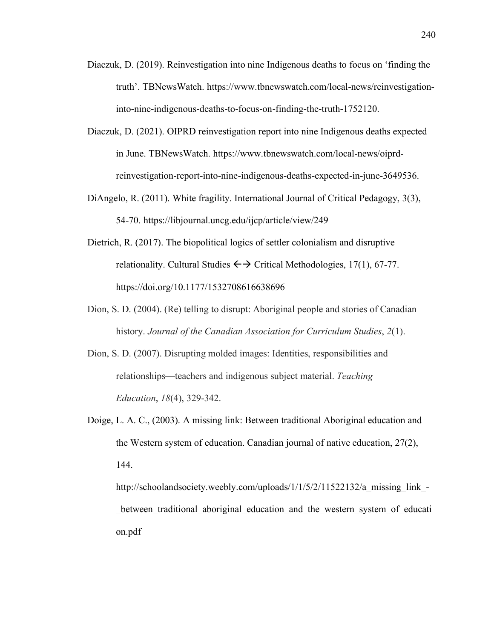- Diaczuk, D. (2019). Reinvestigation into nine Indigenous deaths to focus on 'finding the truth'. TBNewsWatch. https://www.tbnewswatch.com/local-news/reinvestigationinto-nine-indigenous-deaths-to-focus-on-finding-the-truth-1752120.
- Diaczuk, D. (2021). OIPRD reinvestigation report into nine Indigenous deaths expected in June. TBNewsWatch. https://www.tbnewswatch.com/local-news/oiprdreinvestigation-report-into-nine-indigenous-deaths-expected-in-june-3649536.
- DiAngelo, R. (2011). White fragility. International Journal of Critical Pedagogy, 3(3), 54-70. https://libjournal.uncg.edu/ijcp/article/view/249
- Dietrich, R. (2017). The biopolitical logics of settler colonialism and disruptive relationality. Cultural Studies  $\leftrightarrow$  Critical Methodologies, 17(1), 67-77. https://doi.org/10.1177/1532708616638696
- Dion, S. D. (2004). (Re) telling to disrupt: Aboriginal people and stories of Canadian history. *Journal of the Canadian Association for Curriculum Studies*, *2*(1).
- Dion, S. D. (2007). Disrupting molded images: Identities, responsibilities and relationships—teachers and indigenous subject material. *Teaching Education*, *18*(4), 329-342.

Doige, L. A. C., (2003). A missing link: Between traditional Aboriginal education and the Western system of education. Canadian journal of native education, 27(2), 144.

http://schoolandsociety.weebly.com/uploads/1/1/5/2/11522132/a\_missing\_link\_between traditional aboriginal education and the western system of educati on.pdf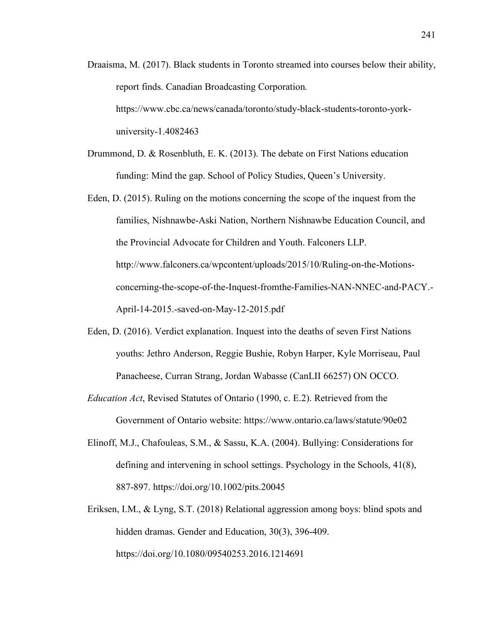- Draaisma, M. (2017). Black students in Toronto streamed into courses below their ability, report finds. Canadian Broadcasting Corporation. https://www.cbc.ca/news/canada/toronto/study-black-students-toronto-yorkuniversity-1.4082463
- Drummond, D. & Rosenbluth, E. K. (2013). The debate on First Nations education funding: Mind the gap. School of Policy Studies, Queen's University.
- Eden, D. (2015). Ruling on the motions concerning the scope of the inquest from the families, Nishnawbe-Aski Nation, Northern Nishnawbe Education Council, and the Provincial Advocate for Children and Youth. Falconers LLP. http://www.falconers.ca/wpcontent/uploads/2015/10/Ruling-on-the-Motionsconcerning-the-scope-of-the-Inquest-fromthe-Families-NAN-NNEC-and-PACY.- April-14-2015.-saved-on-May-12-2015.pdf
- Eden, D. (2016). Verdict explanation. Inquest into the deaths of seven First Nations youths: Jethro Anderson, Reggie Bushie, Robyn Harper, Kyle Morriseau, Paul Panacheese, Curran Strang, Jordan Wabasse (CanLII 66257) ON OCCO.
- *Education Act*, Revised Statutes of Ontario (1990, c. E.2). Retrieved from the Government of Ontario website: https://www.ontario.ca/laws/statute/90e02
- Elinoff, M.J., Chafouleas, S.M., & Sassu, K.A. (2004). Bullying: Considerations for defining and intervening in school settings. Psychology in the Schools, 41(8), 887-897. https://doi.org/10.1002/pits.20045
- Eriksen, I.M., & Lyng, S.T. (2018) Relational aggression among boys: blind spots and hidden dramas. Gender and Education, 30(3), 396-409. https://doi.org/10.1080/09540253.2016.1214691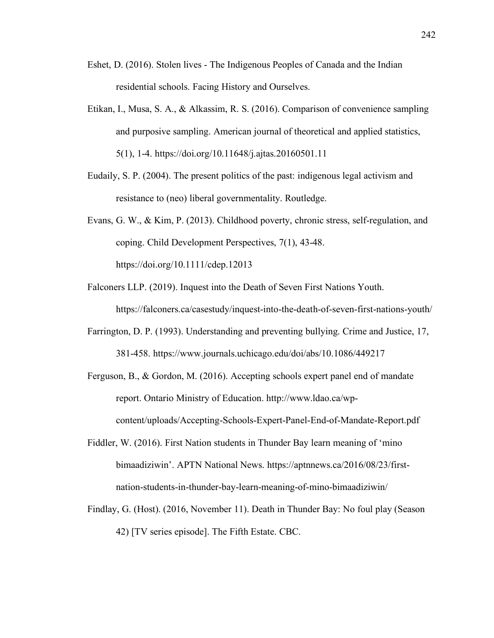- Eshet, D. (2016). Stolen lives The Indigenous Peoples of Canada and the Indian residential schools. Facing History and Ourselves.
- Etikan, I., Musa, S. A., & Alkassim, R. S. (2016). Comparison of convenience sampling and purposive sampling. American journal of theoretical and applied statistics, 5(1), 1-4. https://doi.org/10.11648/j.ajtas.20160501.11
- Eudaily, S. P. (2004). The present politics of the past: indigenous legal activism and resistance to (neo) liberal governmentality. Routledge.
- Evans, G. W., & Kim, P. (2013). Childhood poverty, chronic stress, self-regulation, and coping. Child Development Perspectives, 7(1), 43-48. https://doi.org/10.1111/cdep.12013
- Falconers LLP. (2019). Inquest into the Death of Seven First Nations Youth. https://falconers.ca/casestudy/inquest-into-the-death-of-seven-first-nations-youth/
- Farrington, D. P. (1993). Understanding and preventing bullying. Crime and Justice, 17, 381-458. https://www.journals.uchicago.edu/doi/abs/10.1086/449217
- Ferguson, B., & Gordon, M. (2016). Accepting schools expert panel end of mandate report. Ontario Ministry of Education. http://www.ldao.ca/wpcontent/uploads/Accepting-Schools-Expert-Panel-End-of-Mandate-Report.pdf
- Fiddler, W. (2016). First Nation students in Thunder Bay learn meaning of 'mino bimaadiziwin'. APTN National News. https://aptnnews.ca/2016/08/23/firstnation-students-in-thunder-bay-learn-meaning-of-mino-bimaadiziwin/
- Findlay, G. (Host). (2016, November 11). Death in Thunder Bay: No foul play (Season 42) [TV series episode]. The Fifth Estate. CBC.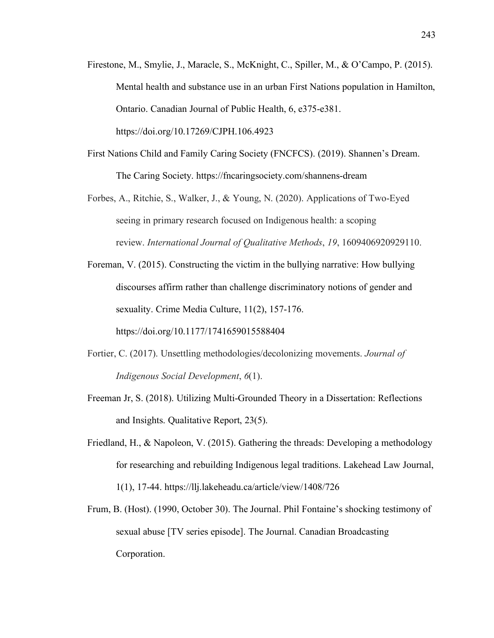- Firestone, M., Smylie, J., Maracle, S., McKnight, C., Spiller, M., & O'Campo, P. (2015). Mental health and substance use in an urban First Nations population in Hamilton, Ontario. Canadian Journal of Public Health, 6, e375-e381. https://doi.org/10.17269/CJPH.106.4923
- First Nations Child and Family Caring Society (FNCFCS). (2019). Shannen's Dream. The Caring Society. https://fncaringsociety.com/shannens-dream
- Forbes, A., Ritchie, S., Walker, J., & Young, N. (2020). Applications of Two-Eyed seeing in primary research focused on Indigenous health: a scoping review. *International Journal of Qualitative Methods*, *19*, 1609406920929110.
- Foreman, V. (2015). Constructing the victim in the bullying narrative: How bullying discourses affirm rather than challenge discriminatory notions of gender and sexuality. Crime Media Culture, 11(2), 157-176.

https://doi.org/10.1177/1741659015588404

- Fortier, C. (2017). Unsettling methodologies/decolonizing movements. *Journal of Indigenous Social Development*, *6*(1).
- Freeman Jr, S. (2018). Utilizing Multi-Grounded Theory in a Dissertation: Reflections and Insights. Qualitative Report, 23(5).
- Friedland, H., & Napoleon, V. (2015). Gathering the threads: Developing a methodology for researching and rebuilding Indigenous legal traditions. Lakehead Law Journal, 1(1), 17-44. https://llj.lakeheadu.ca/article/view/1408/726
- Frum, B. (Host). (1990, October 30). The Journal. Phil Fontaine's shocking testimony of sexual abuse [TV series episode]. The Journal. Canadian Broadcasting Corporation.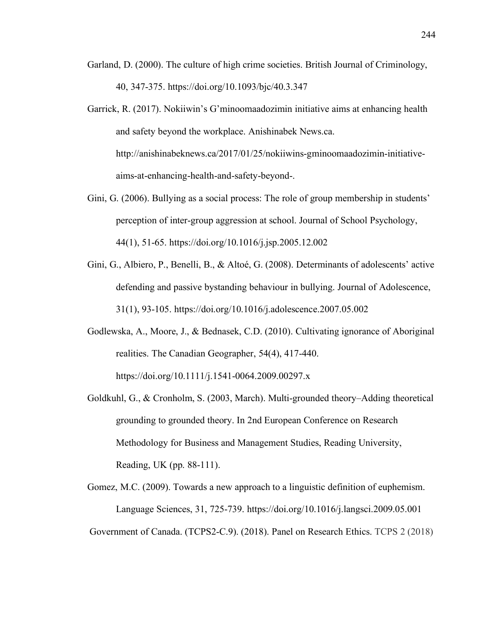- Garland, D. (2000). The culture of high crime societies. British Journal of Criminology, 40, 347-375. https://doi.org/10.1093/bjc/40.3.347
- Garrick, R. (2017). Nokiiwin's G'minoomaadozimin initiative aims at enhancing health and safety beyond the workplace. Anishinabek News.ca. http://anishinabeknews.ca/2017/01/25/nokiiwins-gminoomaadozimin-initiativeaims-at-enhancing-health-and-safety-beyond-.
- Gini, G. (2006). Bullying as a social process: The role of group membership in students' perception of inter-group aggression at school. Journal of School Psychology, 44(1), 51-65. https://doi.org/10.1016/j.jsp.2005.12.002
- Gini, G., Albiero, P., Benelli, B., & Altoé, G. (2008). Determinants of adolescents' active defending and passive bystanding behaviour in bullying. Journal of Adolescence, 31(1), 93-105. https://doi.org/10.1016/j.adolescence.2007.05.002
- Godlewska, A., Moore, J., & Bednasek, C.D. (2010). Cultivating ignorance of Aboriginal realities. The Canadian Geographer, 54(4), 417-440. https://doi.org/10.1111/j.1541-0064.2009.00297.x
- Goldkuhl, G., & Cronholm, S. (2003, March). Multi-grounded theory–Adding theoretical grounding to grounded theory. In 2nd European Conference on Research Methodology for Business and Management Studies, Reading University, Reading, UK (pp. 88-111).
- Gomez, M.C. (2009). Towards a new approach to a linguistic definition of euphemism. Language Sciences, 31, 725-739. https://doi.org/10.1016/j.langsci.2009.05.001 Government of Canada. (TCPS2-C.9). (2018). Panel on Research Ethics. TCPS 2 (2018)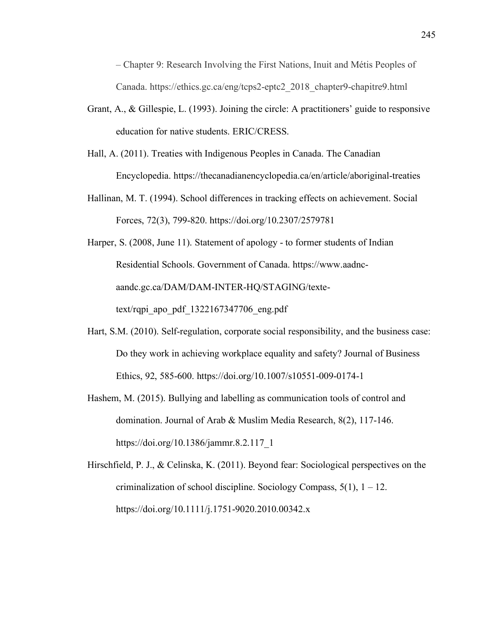– Chapter 9: Research Involving the First Nations, Inuit and Métis Peoples of Canada. https://ethics.gc.ca/eng/tcps2-eptc2\_2018\_chapter9-chapitre9.html

- Grant, A., & Gillespie, L. (1993). Joining the circle: A practitioners' guide to responsive education for native students. ERIC/CRESS.
- Hall, A. (2011). Treaties with Indigenous Peoples in Canada. The Canadian Encyclopedia. https://thecanadianencyclopedia.ca/en/article/aboriginal-treaties
- Hallinan, M. T. (1994). School differences in tracking effects on achievement. Social Forces, 72(3), 799-820. https://doi.org/10.2307/2579781
- Harper, S. (2008, June 11). Statement of apology to former students of Indian Residential Schools. Government of Canada. https://www.aadncaandc.gc.ca/DAM/DAM-INTER-HQ/STAGING/textetext/rqpi apo pdf  $1322167347706$  eng.pdf
- Hart, S.M. (2010). Self-regulation, corporate social responsibility, and the business case: Do they work in achieving workplace equality and safety? Journal of Business Ethics, 92, 585-600. https://doi.org/10.1007/s10551-009-0174-1
- Hashem, M. (2015). Bullying and labelling as communication tools of control and domination. Journal of Arab & Muslim Media Research, 8(2), 117-146. https://doi.org/10.1386/jammr.8.2.117\_1
- Hirschfield, P. J., & Celinska, K. (2011). Beyond fear: Sociological perspectives on the criminalization of school discipline. Sociology Compass,  $5(1)$ ,  $1 - 12$ . https://doi.org/10.1111/j.1751-9020.2010.00342.x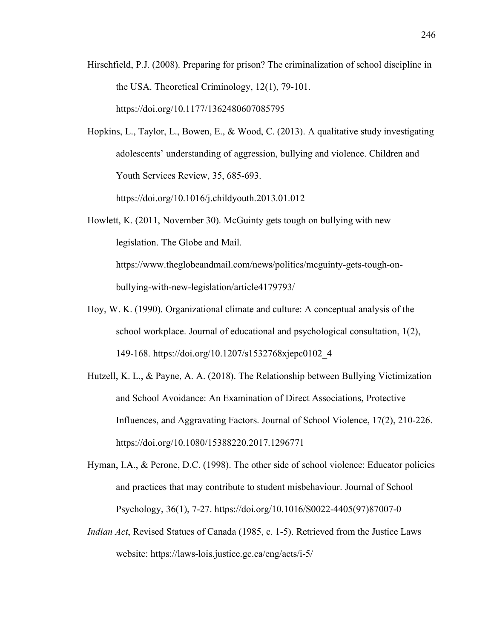- Hirschfield, P.J. (2008). Preparing for prison? The criminalization of school discipline in the USA. Theoretical Criminology, 12(1), 79-101. https://doi.org/10.1177/1362480607085795
- Hopkins, L., Taylor, L., Bowen, E., & Wood, C. (2013). A qualitative study investigating adolescents' understanding of aggression, bullying and violence. Children and Youth Services Review, 35, 685-693.

https://doi.org/10.1016/j.childyouth.2013.01.012

Howlett, K. (2011, November 30). McGuinty gets tough on bullying with new legislation. The Globe and Mail. https://www.theglobeandmail.com/news/politics/mcguinty-gets-tough-on-

bullying-with-new-legislation/article4179793/

- Hoy, W. K. (1990). Organizational climate and culture: A conceptual analysis of the school workplace. Journal of educational and psychological consultation, 1(2), 149-168. https://doi.org/10.1207/s1532768xjepc0102\_4
- Hutzell, K. L., & Payne, A. A. (2018). The Relationship between Bullying Victimization and School Avoidance: An Examination of Direct Associations, Protective Influences, and Aggravating Factors. Journal of School Violence, 17(2), 210-226. https://doi.org/10.1080/15388220.2017.1296771
- Hyman, I.A., & Perone, D.C. (1998). The other side of school violence: Educator policies and practices that may contribute to student misbehaviour. Journal of School Psychology, 36(1), 7-27. https://doi.org/10.1016/S0022-4405(97)87007-0
- *Indian Act*, Revised Statues of Canada (1985, c. 1-5). Retrieved from the Justice Laws website: https://laws-lois.justice.gc.ca/eng/acts/i-5/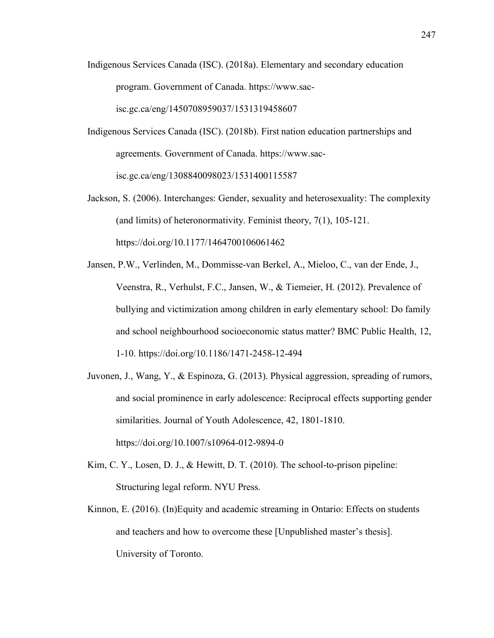Indigenous Services Canada (ISC). (2018a). Elementary and secondary education program. Government of Canada. https://www.sac-

isc.gc.ca/eng/1450708959037/1531319458607

Indigenous Services Canada (ISC). (2018b). First nation education partnerships and agreements. Government of Canada. https://www.sacisc.gc.ca/eng/1308840098023/1531400115587

- Jackson, S. (2006). Interchanges: Gender, sexuality and heterosexuality: The complexity (and limits) of heteronormativity. Feminist theory, 7(1), 105-121. https://doi.org/10.1177/1464700106061462
- Jansen, P.W., Verlinden, M., Dommisse-van Berkel, A., Mieloo, C., van der Ende, J., Veenstra, R., Verhulst, F.C., Jansen, W., & Tiemeier, H. (2012). Prevalence of bullying and victimization among children in early elementary school: Do family and school neighbourhood socioeconomic status matter? BMC Public Health, 12, 1-10. https://doi.org/10.1186/1471-2458-12-494
- Juvonen, J., Wang, Y., & Espinoza, G. (2013). Physical aggression, spreading of rumors, and social prominence in early adolescence: Reciprocal effects supporting gender similarities. Journal of Youth Adolescence, 42, 1801-1810. https://doi.org/10.1007/s10964-012-9894-0
- Kim, C. Y., Losen, D. J., & Hewitt, D. T. (2010). The school-to-prison pipeline: Structuring legal reform. NYU Press.
- Kinnon, E. (2016). (In)Equity and academic streaming in Ontario: Effects on students and teachers and how to overcome these [Unpublished master's thesis]. University of Toronto.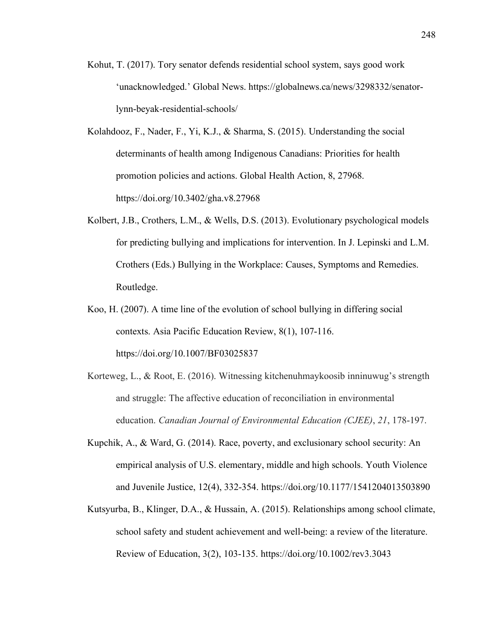- Kohut, T. (2017). Tory senator defends residential school system, says good work 'unacknowledged.' Global News. https://globalnews.ca/news/3298332/senatorlynn-beyak-residential-schools/
- Kolahdooz, F., Nader, F., Yi, K.J., & Sharma, S. (2015). Understanding the social determinants of health among Indigenous Canadians: Priorities for health promotion policies and actions. Global Health Action, 8, 27968. https://doi.org/10.3402/gha.v8.27968
- Kolbert, J.B., Crothers, L.M., & Wells, D.S. (2013). Evolutionary psychological models for predicting bullying and implications for intervention. In J. Lepinski and L.M. Crothers (Eds.) Bullying in the Workplace: Causes, Symptoms and Remedies. Routledge.
- Koo, H. (2007). A time line of the evolution of school bullying in differing social contexts. Asia Pacific Education Review, 8(1), 107-116. https://doi.org/10.1007/BF03025837
- Korteweg, L., & Root, E. (2016). Witnessing kitchenuhmaykoosib inninuwug's strength and struggle: The affective education of reconciliation in environmental education. *Canadian Journal of Environmental Education (CJEE)*, *21*, 178-197.
- Kupchik, A., & Ward, G. (2014). Race, poverty, and exclusionary school security: An empirical analysis of U.S. elementary, middle and high schools. Youth Violence and Juvenile Justice, 12(4), 332-354. https://doi.org/10.1177/1541204013503890
- Kutsyurba, B., Klinger, D.A., & Hussain, A. (2015). Relationships among school climate, school safety and student achievement and well-being: a review of the literature. Review of Education, 3(2), 103-135. https://doi.org/10.1002/rev3.3043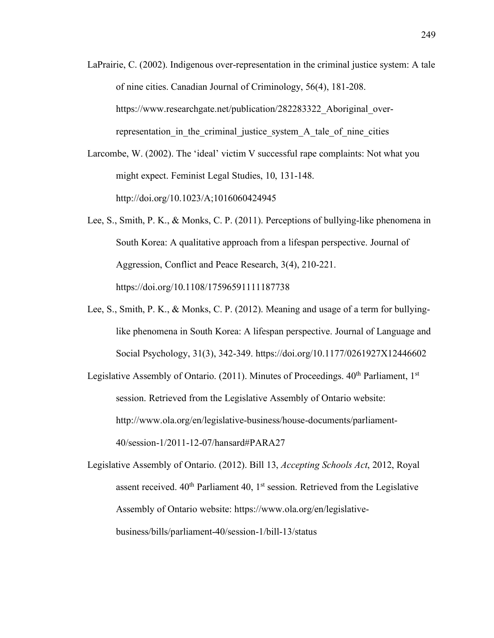- LaPrairie, C. (2002). Indigenous over-representation in the criminal justice system: A tale of nine cities. Canadian Journal of Criminology, 56(4), 181-208. https://www.researchgate.net/publication/282283322\_Aboriginal\_overrepresentation in the criminal justice system A tale of nine cities
- Larcombe, W. (2002). The 'ideal' victim V successful rape complaints: Not what you might expect. Feminist Legal Studies, 10, 131-148. http://doi.org/10.1023/A;1016060424945
- Lee, S., Smith, P. K., & Monks, C. P. (2011). Perceptions of bullying-like phenomena in South Korea: A qualitative approach from a lifespan perspective. Journal of Aggression, Conflict and Peace Research, 3(4), 210-221. https://doi.org/10.1108/17596591111187738
- Lee, S., Smith, P. K., & Monks, C. P. (2012). Meaning and usage of a term for bullyinglike phenomena in South Korea: A lifespan perspective. Journal of Language and Social Psychology, 31(3), 342-349. https://doi.org/10.1177/0261927X12446602

Legislative Assembly of Ontario. (2011). Minutes of Proceedings.  $40<sup>th</sup>$  Parliament,  $1<sup>st</sup>$ session. Retrieved from the Legislative Assembly of Ontario website: http://www.ola.org/en/legislative-business/house-documents/parliament-40/session-1/2011-12-07/hansard#PARA27

Legislative Assembly of Ontario. (2012). Bill 13, *Accepting Schools Act*, 2012, Royal assent received.  $40<sup>th</sup>$  Parliament 40, 1<sup>st</sup> session. Retrieved from the Legislative Assembly of Ontario website: https://www.ola.org/en/legislativebusiness/bills/parliament-40/session-1/bill-13/status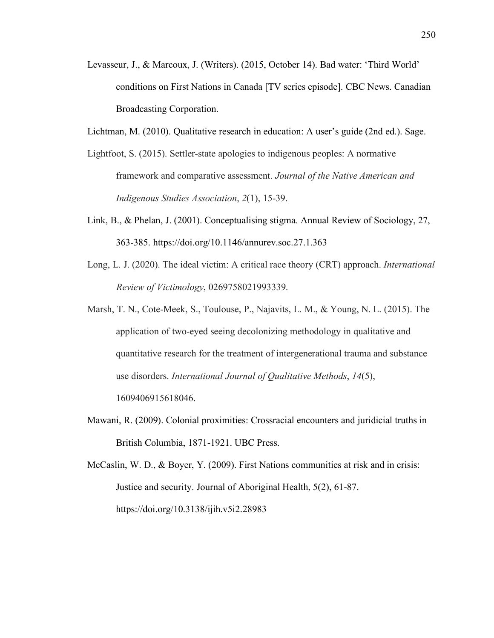- Levasseur, J., & Marcoux, J. (Writers). (2015, October 14). Bad water: 'Third World' conditions on First Nations in Canada [TV series episode]. CBC News. Canadian Broadcasting Corporation.
- Lichtman, M. (2010). Qualitative research in education: A user's guide (2nd ed.). Sage.
- Lightfoot, S. (2015). Settler-state apologies to indigenous peoples: A normative framework and comparative assessment. *Journal of the Native American and Indigenous Studies Association*, *2*(1), 15-39.
- Link, B., & Phelan, J. (2001). Conceptualising stigma. Annual Review of Sociology, 27, 363-385. https://doi.org/10.1146/annurev.soc.27.1.363
- Long, L. J. (2020). The ideal victim: A critical race theory (CRT) approach. *International Review of Victimology*, 0269758021993339.
- Marsh, T. N., Cote-Meek, S., Toulouse, P., Najavits, L. M., & Young, N. L. (2015). The application of two-eyed seeing decolonizing methodology in qualitative and quantitative research for the treatment of intergenerational trauma and substance use disorders. *International Journal of Qualitative Methods*, *14*(5), 1609406915618046.
- Mawani, R. (2009). Colonial proximities: Crossracial encounters and juridicial truths in British Columbia, 1871-1921. UBC Press.

McCaslin, W. D., & Boyer, Y. (2009). First Nations communities at risk and in crisis: Justice and security. Journal of Aboriginal Health, 5(2), 61-87. https://doi.org/10.3138/ijih.v5i2.28983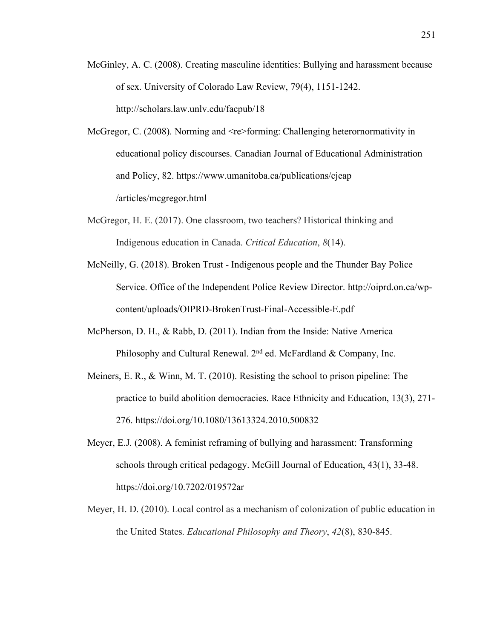- McGinley, A. C. (2008). Creating masculine identities: Bullying and harassment because of sex. University of Colorado Law Review, 79(4), 1151-1242. http://scholars.law.unlv.edu/facpub/18
- McGregor, C. (2008). Norming and <re>forming: Challenging heterornormativity in educational policy discourses. Canadian Journal of Educational Administration and Policy, 82. https://www.umanitoba.ca/publications/cjeap /articles/mcgregor.html
- McGregor, H. E. (2017). One classroom, two teachers? Historical thinking and Indigenous education in Canada. *Critical Education*, *8*(14).
- McNeilly, G. (2018). Broken Trust Indigenous people and the Thunder Bay Police Service. Office of the Independent Police Review Director. http://oiprd.on.ca/wpcontent/uploads/OIPRD-BrokenTrust-Final-Accessible-E.pdf
- McPherson, D. H., & Rabb, D. (2011). Indian from the Inside: Native America Philosophy and Cultural Renewal. 2<sup>nd</sup> ed. McFardland & Company, Inc.
- Meiners, E. R., & Winn, M. T. (2010). Resisting the school to prison pipeline: The practice to build abolition democracies. Race Ethnicity and Education, 13(3), 271- 276. https://doi.org/10.1080/13613324.2010.500832
- Meyer, E.J. (2008). A feminist reframing of bullying and harassment: Transforming schools through critical pedagogy. McGill Journal of Education, 43(1), 33-48. https://doi.org/10.7202/019572ar
- Meyer, H. D. (2010). Local control as a mechanism of colonization of public education in the United States. *Educational Philosophy and Theory*, *42*(8), 830-845.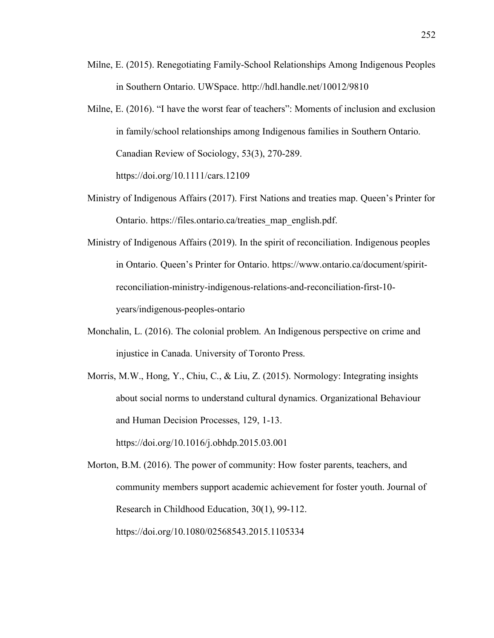- Milne, E. (2015). Renegotiating Family-School Relationships Among Indigenous Peoples in Southern Ontario. UWSpace. http://hdl.handle.net/10012/9810
- Milne, E. (2016). "I have the worst fear of teachers": Moments of inclusion and exclusion in family/school relationships among Indigenous families in Southern Ontario. Canadian Review of Sociology, 53(3), 270-289. https://doi.org/10.1111/cars.12109
- Ministry of Indigenous Affairs (2017). First Nations and treaties map. Queen's Printer for Ontario. https://files.ontario.ca/treaties\_map\_english.pdf.
- Ministry of Indigenous Affairs (2019). In the spirit of reconciliation. Indigenous peoples in Ontario. Queen's Printer for Ontario. https://www.ontario.ca/document/spiritreconciliation-ministry-indigenous-relations-and-reconciliation-first-10 years/indigenous-peoples-ontario
- Monchalin, L. (2016). The colonial problem. An Indigenous perspective on crime and injustice in Canada. University of Toronto Press.
- Morris, M.W., Hong, Y., Chiu, C., & Liu, Z. (2015). Normology: Integrating insights about social norms to understand cultural dynamics. Organizational Behaviour and Human Decision Processes, 129, 1-13. https://doi.org/10.1016/j.obhdp.2015.03.001

Morton, B.M. (2016). The power of community: How foster parents, teachers, and community members support academic achievement for foster youth. Journal of Research in Childhood Education, 30(1), 99-112. https://doi.org/10.1080/02568543.2015.1105334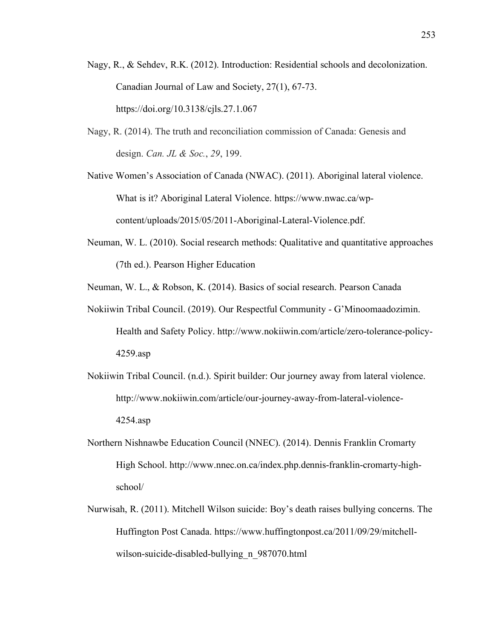- Nagy, R., & Sehdev, R.K. (2012). Introduction: Residential schools and decolonization. Canadian Journal of Law and Society, 27(1), 67-73. https://doi.org/10.3138/cjls.27.1.067
- Nagy, R. (2014). The truth and reconciliation commission of Canada: Genesis and design. *Can. JL & Soc.*, *29*, 199.

Native Women's Association of Canada (NWAC). (2011). Aboriginal lateral violence. What is it? Aboriginal Lateral Violence. https://www.nwac.ca/wpcontent/uploads/2015/05/2011-Aboriginal-Lateral-Violence.pdf.

Neuman, W. L. (2010). Social research methods: Qualitative and quantitative approaches (7th ed.). Pearson Higher Education

Neuman, W. L., & Robson, K. (2014). Basics of social research. Pearson Canada

- Nokiiwin Tribal Council. (2019). Our Respectful Community G'Minoomaadozimin. Health and Safety Policy. http://www.nokiiwin.com/article/zero-tolerance-policy-4259.asp
- Nokiiwin Tribal Council. (n.d.). Spirit builder: Our journey away from lateral violence. http://www.nokiiwin.com/article/our-journey-away-from-lateral-violence-4254.asp
- Northern Nishnawbe Education Council (NNEC). (2014). Dennis Franklin Cromarty High School. http://www.nnec.on.ca/index.php.dennis-franklin-cromarty-highschool/
- Nurwisah, R. (2011). Mitchell Wilson suicide: Boy's death raises bullying concerns. The Huffington Post Canada. https://www.huffingtonpost.ca/2011/09/29/mitchellwilson-suicide-disabled-bullying\_n\_987070.html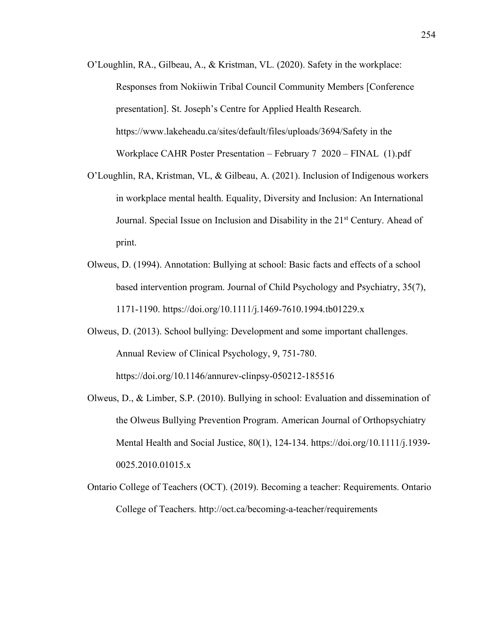- O'Loughlin, RA., Gilbeau, A., & Kristman, VL. (2020). Safety in the workplace: Responses from Nokiiwin Tribal Council Community Members [Conference presentation]. St. Joseph's Centre for Applied Health Research. https://www.lakeheadu.ca/sites/default/files/uploads/3694/Safety in the Workplace CAHR Poster Presentation – February 7 2020 – FINAL (1).pdf
- O'Loughlin, RA, Kristman, VL, & Gilbeau, A. (2021). Inclusion of Indigenous workers in workplace mental health. Equality, Diversity and Inclusion: An International Journal. Special Issue on Inclusion and Disability in the 21<sup>st</sup> Century. Ahead of print.
- Olweus, D. (1994). Annotation: Bullying at school: Basic facts and effects of a school based intervention program. Journal of Child Psychology and Psychiatry, 35(7), 1171-1190. https://doi.org/10.1111/j.1469-7610.1994.tb01229.x
- Olweus, D. (2013). School bullying: Development and some important challenges. Annual Review of Clinical Psychology, 9, 751-780. https://doi.org/10.1146/annurev-clinpsy-050212-185516
- Olweus, D., & Limber, S.P. (2010). Bullying in school: Evaluation and dissemination of the Olweus Bullying Prevention Program. American Journal of Orthopsychiatry Mental Health and Social Justice, 80(1), 124-134. https://doi.org/10.1111/j.1939- 0025.2010.01015.x
- Ontario College of Teachers (OCT). (2019). Becoming a teacher: Requirements. Ontario College of Teachers. http://oct.ca/becoming-a-teacher/requirements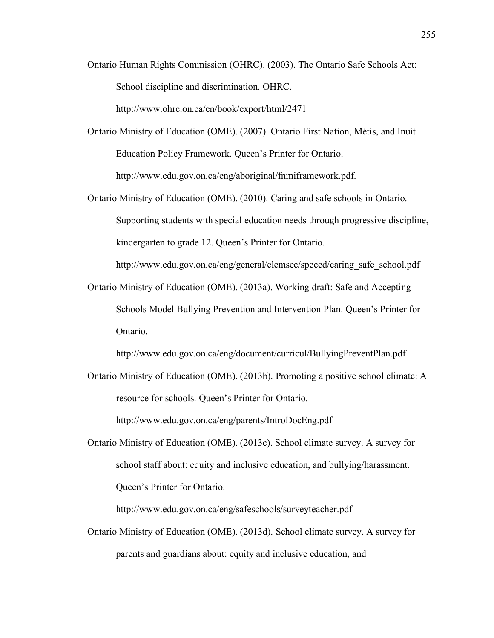Ontario Human Rights Commission (OHRC). (2003). The Ontario Safe Schools Act: School discipline and discrimination. OHRC.

http://www.ohrc.on.ca/en/book/export/html/2471

- Ontario Ministry of Education (OME). (2007). Ontario First Nation, Métis, and Inuit Education Policy Framework. Queen's Printer for Ontario. http://www.edu.gov.on.ca/eng/aboriginal/fnmiframework.pdf.
- Ontario Ministry of Education (OME). (2010). Caring and safe schools in Ontario. Supporting students with special education needs through progressive discipline, kindergarten to grade 12. Queen's Printer for Ontario.

http://www.edu.gov.on.ca/eng/general/elemsec/speced/caring\_safe\_school.pdf

Ontario Ministry of Education (OME). (2013a). Working draft: Safe and Accepting Schools Model Bullying Prevention and Intervention Plan. Queen's Printer for Ontario.

http://www.edu.gov.on.ca/eng/document/curricul/BullyingPreventPlan.pdf

Ontario Ministry of Education (OME). (2013b). Promoting a positive school climate: A resource for schools. Queen's Printer for Ontario.

http://www.edu.gov.on.ca/eng/parents/IntroDocEng.pdf

Ontario Ministry of Education (OME). (2013c). School climate survey. A survey for school staff about: equity and inclusive education, and bullying/harassment. Queen's Printer for Ontario.

http://www.edu.gov.on.ca/eng/safeschools/surveyteacher.pdf

Ontario Ministry of Education (OME). (2013d). School climate survey. A survey for parents and guardians about: equity and inclusive education, and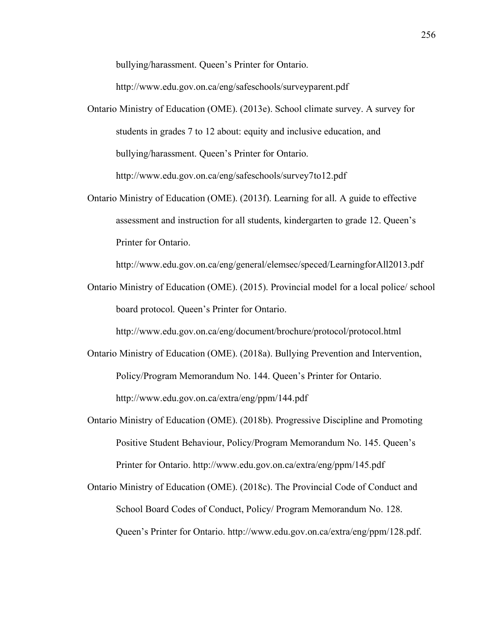bullying/harassment. Queen's Printer for Ontario.

http://www.edu.gov.on.ca/eng/safeschools/surveyparent.pdf

Ontario Ministry of Education (OME). (2013e). School climate survey. A survey for students in grades 7 to 12 about: equity and inclusive education, and bullying/harassment. Queen's Printer for Ontario.

http://www.edu.gov.on.ca/eng/safeschools/survey7to12.pdf

Ontario Ministry of Education (OME). (2013f). Learning for all. A guide to effective assessment and instruction for all students, kindergarten to grade 12. Queen's Printer for Ontario.

http://www.edu.gov.on.ca/eng/general/elemsec/speced/LearningforAll2013.pdf

Ontario Ministry of Education (OME). (2015). Provincial model for a local police/ school board protocol. Queen's Printer for Ontario.

http://www.edu.gov.on.ca/eng/document/brochure/protocol/protocol.html

- Ontario Ministry of Education (OME). (2018a). Bullying Prevention and Intervention, Policy/Program Memorandum No. 144. Queen's Printer for Ontario. http://www.edu.gov.on.ca/extra/eng/ppm/144.pdf
- Ontario Ministry of Education (OME). (2018b). Progressive Discipline and Promoting Positive Student Behaviour, Policy/Program Memorandum No. 145. Queen's Printer for Ontario. http://www.edu.gov.on.ca/extra/eng/ppm/145.pdf
- Ontario Ministry of Education (OME). (2018c). The Provincial Code of Conduct and School Board Codes of Conduct, Policy/ Program Memorandum No. 128. Queen's Printer for Ontario. http://www.edu.gov.on.ca/extra/eng/ppm/128.pdf.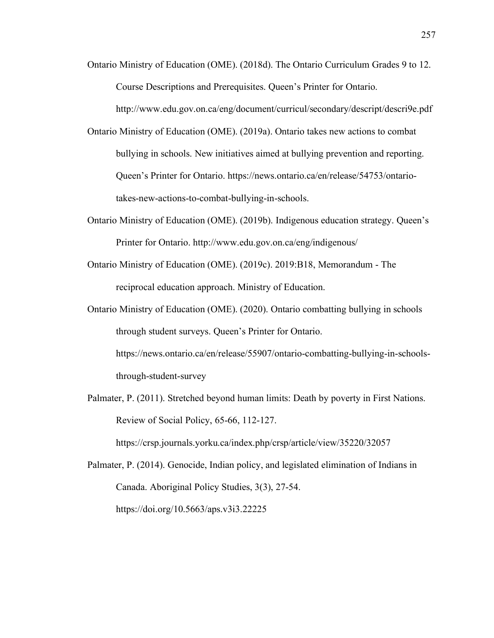Ontario Ministry of Education (OME). (2018d). The Ontario Curriculum Grades 9 to 12. Course Descriptions and Prerequisites. Queen's Printer for Ontario.

http://www.edu.gov.on.ca/eng/document/curricul/secondary/descript/descri9e.pdf

- Ontario Ministry of Education (OME). (2019a). Ontario takes new actions to combat bullying in schools. New initiatives aimed at bullying prevention and reporting. Queen's Printer for Ontario. https://news.ontario.ca/en/release/54753/ontariotakes-new-actions-to-combat-bullying-in-schools.
- Ontario Ministry of Education (OME). (2019b). Indigenous education strategy. Queen's Printer for Ontario. http://www.edu.gov.on.ca/eng/indigenous/
- Ontario Ministry of Education (OME). (2019c). 2019:B18, Memorandum The reciprocal education approach. Ministry of Education.
- Ontario Ministry of Education (OME). (2020). Ontario combatting bullying in schools through student surveys. Queen's Printer for Ontario. https://news.ontario.ca/en/release/55907/ontario-combatting-bullying-in-schoolsthrough-student-survey
- Palmater, P. (2011). Stretched beyond human limits: Death by poverty in First Nations. Review of Social Policy, 65-66, 112-127.

https://crsp.journals.yorku.ca/index.php/crsp/article/view/35220/32057

Palmater, P. (2014). Genocide, Indian policy, and legislated elimination of Indians in Canada. Aboriginal Policy Studies, 3(3), 27-54.

https://doi.org/10.5663/aps.v3i3.22225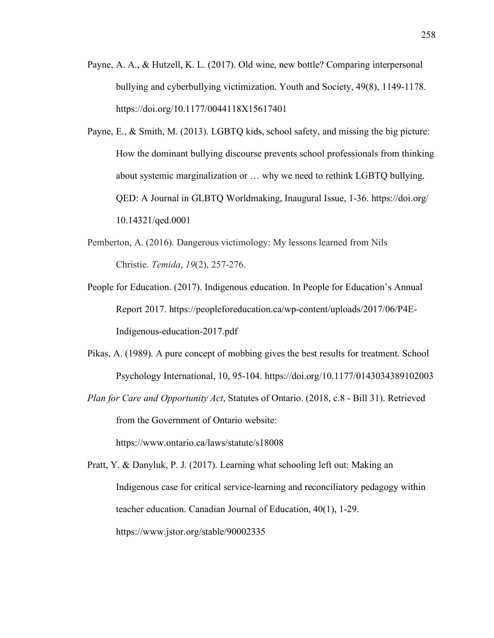- Payne, A. A., & Hutzell, K. L. (2017). Old wine, new bottle? Comparing interpersonal bullying and cyberbullying victimization. Youth and Society, 49(8), 1149-1178. https://doi.org/10.1177/0044118X15617401
- Payne, E., & Smith, M. (2013). LGBTQ kids, school safety, and missing the big picture: How the dominant bullying discourse prevents school professionals from thinking about systemic marginalization or … why we need to rethink LGBTQ bullying. QED: A Journal in GLBTQ Worldmaking, Inaugural Issue, 1-36. https://doi.org/ 10.14321/qed.0001
- Pemberton, A. (2016). Dangerous victimology: My lessons learned from Nils Christie. *Temida*, *19*(2), 257-276.
- People for Education. (2017). Indigenous education. In People for Education's Annual Report 2017. https://peopleforeducation.ca/wp-content/uploads/2017/06/P4E-Indigenous-education-2017.pdf
- Pikas, A. (1989). A pure concept of mobbing gives the best results for treatment. School Psychology International, 10, 95-104. https://doi.org/10.1177/0143034389102003
- *Plan for Care and Opportunity Act*, Statutes of Ontario. (2018, c.8 Bill 31). Retrieved from the Government of Ontario website:

https://www.ontario.ca/laws/statute/s18008

Pratt, Y. & Danyluk, P. J. (2017). Learning what schooling left out: Making an Indigenous case for critical service-learning and reconciliatory pedagogy within teacher education. Canadian Journal of Education, 40(1), 1-29. https://www.jstor.org/stable/90002335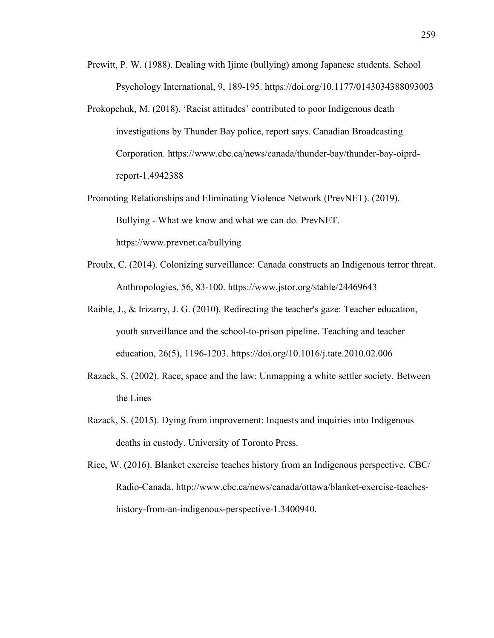- Prewitt, P. W. (1988). Dealing with Ijime (bullying) among Japanese students. School Psychology International, 9, 189-195. https://doi.org/10.1177/0143034388093003
- Prokopchuk, M. (2018). 'Racist attitudes' contributed to poor Indigenous death investigations by Thunder Bay police, report says. Canadian Broadcasting Corporation. https://www.cbc.ca/news/canada/thunder-bay/thunder-bay-oiprdreport-1.4942388
- Promoting Relationships and Eliminating Violence Network (PrevNET). (2019). Bullying - What we know and what we can do. PrevNET. https://www.prevnet.ca/bullying
- Proulx, C. (2014). Colonizing surveillance: Canada constructs an Indigenous terror threat. Anthropologies, 56, 83-100. https://www.jstor.org/stable/24469643
- Raible, J., & Irizarry, J. G. (2010). Redirecting the teacher's gaze: Teacher education, youth surveillance and the school-to-prison pipeline. Teaching and teacher education, 26(5), 1196-1203. https://doi.org/10.1016/j.tate.2010.02.006
- Razack, S. (2002). Race, space and the law: Unmapping a white settler society. Between the Lines
- Razack, S. (2015). Dying from improvement: Inquests and inquiries into Indigenous deaths in custody. University of Toronto Press.
- Rice, W. (2016). Blanket exercise teaches history from an Indigenous perspective. CBC/ Radio-Canada. http://www.cbc.ca/news/canada/ottawa/blanket-exercise-teacheshistory-from-an-indigenous-perspective-1.3400940.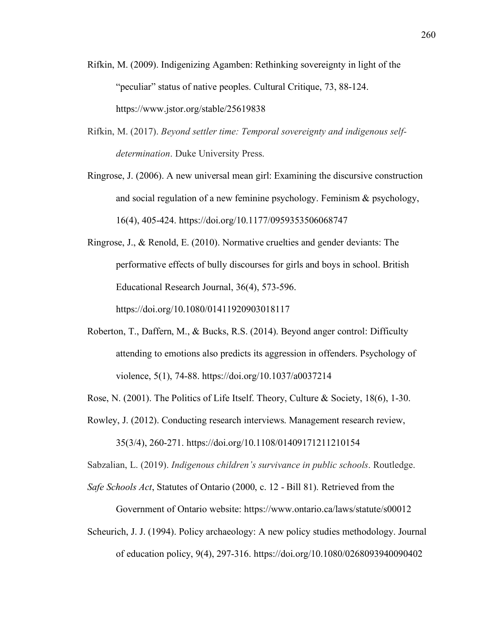- Rifkin, M. (2009). Indigenizing Agamben: Rethinking sovereignty in light of the "peculiar" status of native peoples. Cultural Critique, 73, 88-124. https://www.jstor.org/stable/25619838
- Rifkin, M. (2017). *Beyond settler time: Temporal sovereignty and indigenous selfdetermination*. Duke University Press.
- Ringrose, J. (2006). A new universal mean girl: Examining the discursive construction and social regulation of a new feminine psychology. Feminism & psychology, 16(4), 405-424. https://doi.org/10.1177/0959353506068747
- Ringrose, J., & Renold, E. (2010). Normative cruelties and gender deviants: The performative effects of bully discourses for girls and boys in school. British Educational Research Journal, 36(4), 573-596.

https://doi.org/10.1080/01411920903018117

Roberton, T., Daffern, M., & Bucks, R.S. (2014). Beyond anger control: Difficulty attending to emotions also predicts its aggression in offenders. Psychology of violence, 5(1), 74-88. https://doi.org/10.1037/a0037214

Rose, N. (2001). The Politics of Life Itself. Theory, Culture & Society, 18(6), 1-30.

Rowley, J. (2012). Conducting research interviews. Management research review, 35(3/4), 260-271. https://doi.org/10.1108/01409171211210154

Sabzalian, L. (2019). *Indigenous children's survivance in public schools*. Routledge.

*Safe Schools Act*, Statutes of Ontario (2000, c. 12 - Bill 81). Retrieved from the

Government of Ontario website: https://www.ontario.ca/laws/statute/s00012

Scheurich, J. J. (1994). Policy archaeology: A new policy studies methodology. Journal of education policy, 9(4), 297-316. https://doi.org/10.1080/0268093940090402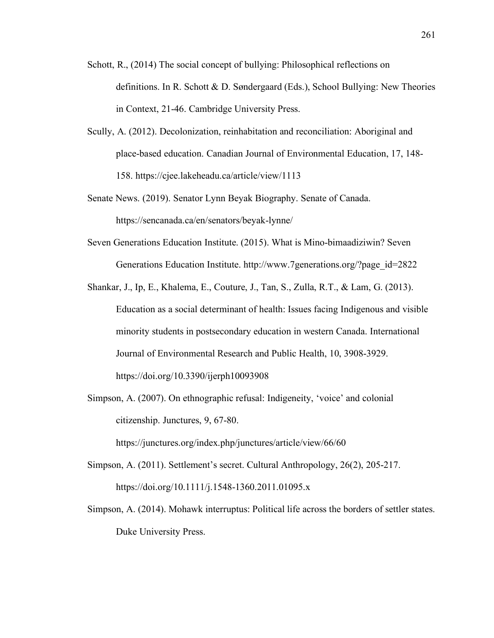- Schott, R., (2014) The social concept of bullying: Philosophical reflections on definitions. In R. Schott & D. Søndergaard (Eds.), School Bullying: New Theories in Context, 21-46. Cambridge University Press.
- Scully, A. (2012). Decolonization, reinhabitation and reconciliation: Aboriginal and place-based education. Canadian Journal of Environmental Education, 17, 148- 158. https://cjee.lakeheadu.ca/article/view/1113

Senate News. (2019). Senator Lynn Beyak Biography. Senate of Canada. https://sencanada.ca/en/senators/beyak-lynne/

Seven Generations Education Institute. (2015). What is Mino-bimaadiziwin? Seven Generations Education Institute. http://www.7generations.org/?page\_id=2822

Shankar, J., Ip, E., Khalema, E., Couture, J., Tan, S., Zulla, R.T., & Lam, G. (2013). Education as a social determinant of health: Issues facing Indigenous and visible minority students in postsecondary education in western Canada. International Journal of Environmental Research and Public Health, 10, 3908-3929. https://doi.org/10.3390/ijerph10093908

Simpson, A. (2007). On ethnographic refusal: Indigeneity, 'voice' and colonial citizenship. Junctures, 9, 67-80.

https://junctures.org/index.php/junctures/article/view/66/60

- Simpson, A. (2011). Settlement's secret. Cultural Anthropology, 26(2), 205-217. https://doi.org/10.1111/j.1548-1360.2011.01095.x
- Simpson, A. (2014). Mohawk interruptus: Political life across the borders of settler states. Duke University Press.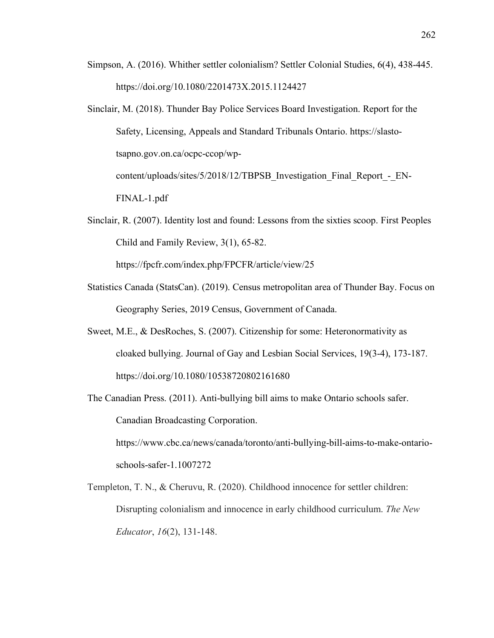- Simpson, A. (2016). Whither settler colonialism? Settler Colonial Studies, 6(4), 438-445. https://doi.org/10.1080/2201473X.2015.1124427
- Sinclair, M. (2018). Thunder Bay Police Services Board Investigation. Report for the Safety, Licensing, Appeals and Standard Tribunals Ontario. https://slastotsapno.gov.on.ca/ocpc-ccop/wpcontent/uploads/sites/5/2018/12/TBPSB\_Investigation\_Final\_Report\_-\_EN-FINAL-1.pdf
- Sinclair, R. (2007). Identity lost and found: Lessons from the sixties scoop. First Peoples Child and Family Review, 3(1), 65-82.

https://fpcfr.com/index.php/FPCFR/article/view/25

- Statistics Canada (StatsCan). (2019). Census metropolitan area of Thunder Bay. Focus on Geography Series, 2019 Census, Government of Canada.
- Sweet, M.E., & DesRoches, S. (2007). Citizenship for some: Heteronormativity as cloaked bullying. Journal of Gay and Lesbian Social Services, 19(3-4), 173-187. https://doi.org/10.1080/10538720802161680
- The Canadian Press. (2011). Anti-bullying bill aims to make Ontario schools safer. Canadian Broadcasting Corporation. https://www.cbc.ca/news/canada/toronto/anti-bullying-bill-aims-to-make-ontarioschools-safer-1.1007272
- Templeton, T. N., & Cheruvu, R. (2020). Childhood innocence for settler children: Disrupting colonialism and innocence in early childhood curriculum. *The New Educator*, *16*(2), 131-148.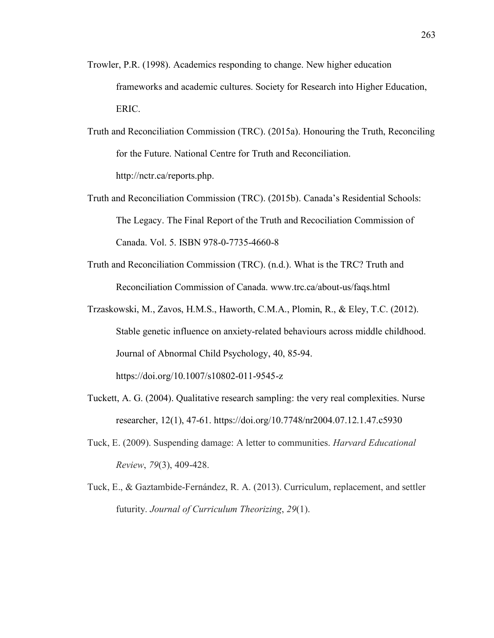- Trowler, P.R. (1998). Academics responding to change. New higher education frameworks and academic cultures. Society for Research into Higher Education, ERIC.
- Truth and Reconciliation Commission (TRC). (2015a). Honouring the Truth, Reconciling for the Future. National Centre for Truth and Reconciliation. http://nctr.ca/reports.php.
- Truth and Reconciliation Commission (TRC). (2015b). Canada's Residential Schools: The Legacy. The Final Report of the Truth and Recociliation Commission of Canada. Vol. 5. ISBN 978-0-7735-4660-8
- Truth and Reconciliation Commission (TRC). (n.d.). What is the TRC? Truth and Reconciliation Commission of Canada. www.trc.ca/about-us/faqs.html
- Trzaskowski, M., Zavos, H.M.S., Haworth, C.M.A., Plomin, R., & Eley, T.C. (2012). Stable genetic influence on anxiety-related behaviours across middle childhood. Journal of Abnormal Child Psychology, 40, 85-94. https://doi.org/10.1007/s10802-011-9545-z
- Tuckett, A. G. (2004). Qualitative research sampling: the very real complexities. Nurse researcher, 12(1), 47-61. https://doi.org/10.7748/nr2004.07.12.1.47.c5930
- Tuck, E. (2009). Suspending damage: A letter to communities. *Harvard Educational Review*, *79*(3), 409-428.
- Tuck, E., & Gaztambide-Fernández, R. A. (2013). Curriculum, replacement, and settler futurity. *Journal of Curriculum Theorizing*, *29*(1).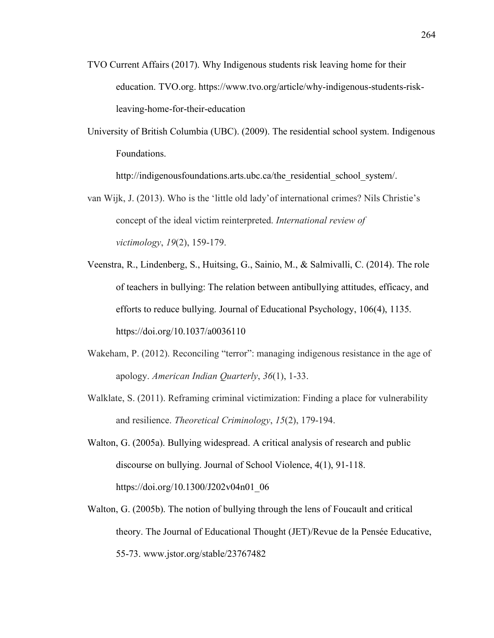- TVO Current Affairs (2017). Why Indigenous students risk leaving home for their education. TVO.org. https://www.tvo.org/article/why-indigenous-students-riskleaving-home-for-their-education
- University of British Columbia (UBC). (2009). The residential school system. Indigenous Foundations.

http://indigenousfoundations.arts.ubc.ca/the\_residential\_school\_system/.

- van Wijk, J. (2013). Who is the 'little old lady'of international crimes? Nils Christie's concept of the ideal victim reinterpreted. *International review of victimology*, *19*(2), 159-179.
- Veenstra, R., Lindenberg, S., Huitsing, G., Sainio, M., & Salmivalli, C. (2014). The role of teachers in bullying: The relation between antibullying attitudes, efficacy, and efforts to reduce bullying. Journal of Educational Psychology, 106(4), 1135. https://doi.org/10.1037/a0036110
- Wakeham, P. (2012). Reconciling "terror": managing indigenous resistance in the age of apology. *American Indian Quarterly*, *36*(1), 1-33.
- Walklate, S. (2011). Reframing criminal victimization: Finding a place for vulnerability and resilience. *Theoretical Criminology*, *15*(2), 179-194.
- Walton, G. (2005a). Bullying widespread. A critical analysis of research and public discourse on bullying. Journal of School Violence, 4(1), 91-118. https://doi.org/10.1300/J202v04n01\_06
- Walton, G. (2005b). The notion of bullying through the lens of Foucault and critical theory. The Journal of Educational Thought (JET)/Revue de la Pensée Educative, 55-73. www.jstor.org/stable/23767482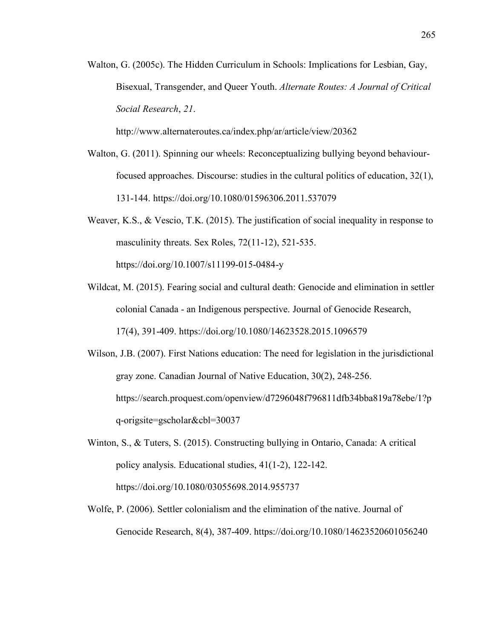Walton, G. (2005c). The Hidden Curriculum in Schools: Implications for Lesbian, Gay, Bisexual, Transgender, and Queer Youth. *Alternate Routes: A Journal of Critical Social Research*, *21*.

http://www.alternateroutes.ca/index.php/ar/article/view/20362

- Walton, G. (2011). Spinning our wheels: Reconceptualizing bullying beyond behaviourfocused approaches. Discourse: studies in the cultural politics of education, 32(1), 131-144. https://doi.org/10.1080/01596306.2011.537079
- Weaver, K.S., & Vescio, T.K. (2015). The justification of social inequality in response to masculinity threats. Sex Roles, 72(11-12), 521-535. https://doi.org/10.1007/s11199-015-0484-y
- Wildcat, M. (2015). Fearing social and cultural death: Genocide and elimination in settler colonial Canada - an Indigenous perspective. Journal of Genocide Research, 17(4), 391-409. https://doi.org/10.1080/14623528.2015.1096579
- Wilson, J.B. (2007). First Nations education: The need for legislation in the jurisdictional gray zone. Canadian Journal of Native Education, 30(2), 248-256. https://search.proquest.com/openview/d7296048f796811dfb34bba819a78ebe/1?p q-origsite=gscholar&cbl=30037
- Winton, S., & Tuters, S. (2015). Constructing bullying in Ontario, Canada: A critical policy analysis. Educational studies, 41(1-2), 122-142. https://doi.org/10.1080/03055698.2014.955737
- Wolfe, P. (2006). Settler colonialism and the elimination of the native. Journal of Genocide Research, 8(4), 387-409. https://doi.org/10.1080/14623520601056240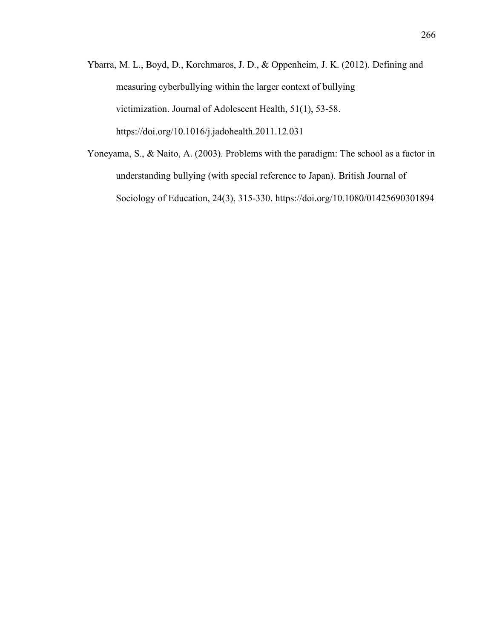- Ybarra, M. L., Boyd, D., Korchmaros, J. D., & Oppenheim, J. K. (2012). Defining and measuring cyberbullying within the larger context of bullying victimization. Journal of Adolescent Health, 51(1), 53-58. https://doi.org/10.1016/j.jadohealth.2011.12.031
- Yoneyama, S., & Naito, A. (2003). Problems with the paradigm: The school as a factor in understanding bullying (with special reference to Japan). British Journal of Sociology of Education, 24(3), 315-330. https://doi.org/10.1080/01425690301894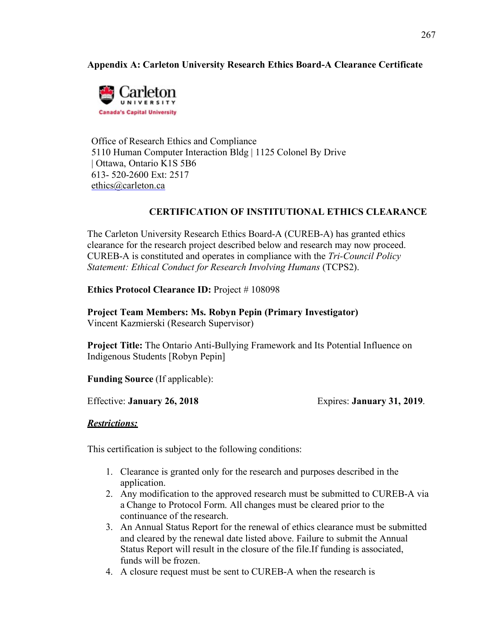# **Appendix A: Carleton University Research Ethics Board-A Clearance Certificate**



Office of Research Ethics and Compliance 5110 Human Computer Interaction Bldg | 1125 Colonel By Drive | Ottawa, Ontario K1S 5B6 613- 520-2600 Ext: 2517 ethics@carleton.ca

# **CERTIFICATION OF INSTITUTIONAL ETHICS CLEARANCE**

The Carleton University Research Ethics Board-A (CUREB-A) has granted ethics clearance for the research project described below and research may now proceed. CUREB-A is constituted and operates in compliance with the *Tri-Council Policy Statement: Ethical Conduct for Research Involving Humans* (TCPS2).

**Ethics Protocol Clearance ID: Project # 108098** 

**Project Team Members: Ms. Robyn Pepin (Primary Investigator)** Vincent Kazmierski (Research Supervisor)

**Project Title:** The Ontario Anti-Bullying Framework and Its Potential Influence on Indigenous Students [Robyn Pepin]

**Funding Source** (If applicable):

Effective: **January 26, 2018** Expires: **January 31, 2019**.

#### *Restrictions:*

This certification is subject to the following conditions:

- 1. Clearance is granted only for the research and purposes described in the application.
- 2. Any modification to the approved research must be submitted to CUREB-A via a Change to Protocol Form. All changes must be cleared prior to the continuance of the research.
- 3. An Annual Status Report for the renewal of ethics clearance must be submitted and cleared by the renewal date listed above. Failure to submit the Annual Status Report will result in the closure of the file.If funding is associated, funds will be frozen.
- 4. A closure request must be sent to CUREB-A when the research is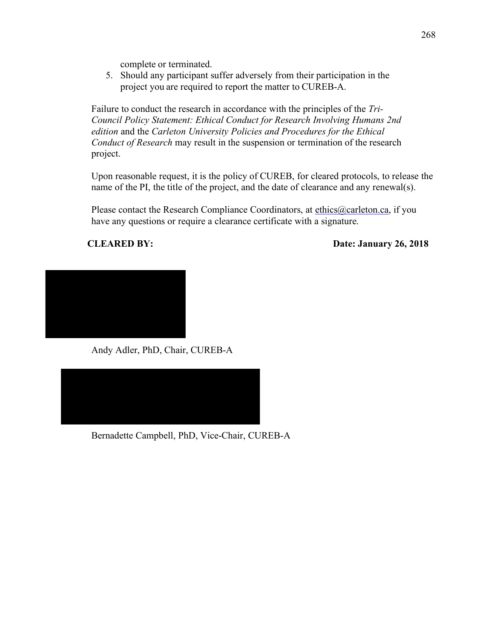complete or terminated.

5. Should any participant suffer adversely from their participation in the project you are required to report the matter to CUREB-A.

Failure to conduct the research in accordance with the principles of the *Tri-Council Policy Statement: Ethical Conduct for Research Involving Humans 2nd edition* and the *Carleton University Policies and Procedures for the Ethical Conduct of Research* may result in the suspension or termination of the research project.

Upon reasonable request, it is the policy of CUREB, for cleared protocols, to release the name of the PI, the title of the project, and the date of clearance and any renewal(s).

Please contact the Research Compliance Coordinators, at ethics@carleton.ca, if you have any questions or require a clearance certificate with a signature.

**CLEARED BY: Date: January 26, 2018**



Andy Adler, PhD, Chair, CUREB-A



Bernadette Campbell, PhD, Vice-Chair, CUREB-A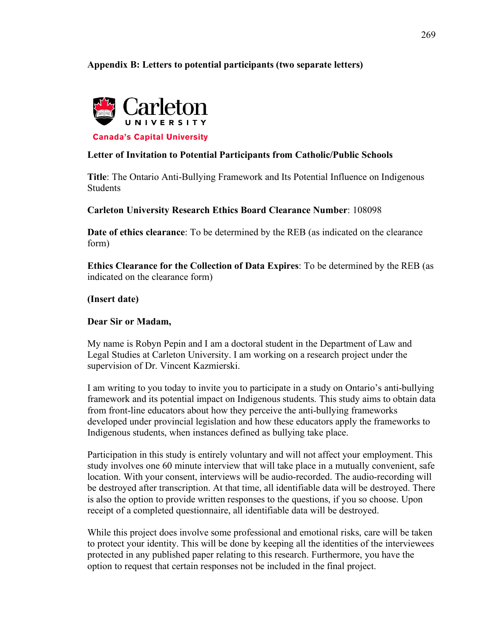### **Appendix B: Letters to potential participants (two separate letters)**



### **Letter of Invitation to Potential Participants from Catholic/Public Schools**

**Title**: The Ontario Anti-Bullying Framework and Its Potential Influence on Indigenous Students

#### **Carleton University Research Ethics Board Clearance Number**: 108098

**Date of ethics clearance**: To be determined by the REB (as indicated on the clearance form)

**Ethics Clearance for the Collection of Data Expires**: To be determined by the REB (as indicated on the clearance form)

#### **(Insert date)**

#### **Dear Sir or Madam,**

My name is Robyn Pepin and I am a doctoral student in the Department of Law and Legal Studies at Carleton University. I am working on a research project under the supervision of Dr. Vincent Kazmierski.

I am writing to you today to invite you to participate in a study on Ontario's anti-bullying framework and its potential impact on Indigenous students. This study aims to obtain data from front-line educators about how they perceive the anti-bullying frameworks developed under provincial legislation and how these educators apply the frameworks to Indigenous students, when instances defined as bullying take place.

Participation in this study is entirely voluntary and will not affect your employment. This study involves one 60 minute interview that will take place in a mutually convenient, safe location. With your consent, interviews will be audio-recorded. The audio-recording will be destroyed after transcription. At that time, all identifiable data will be destroyed. There is also the option to provide written responses to the questions, if you so choose. Upon receipt of a completed questionnaire, all identifiable data will be destroyed.

While this project does involve some professional and emotional risks, care will be taken to protect your identity. This will be done by keeping all the identities of the interviewees protected in any published paper relating to this research. Furthermore, you have the option to request that certain responses not be included in the final project.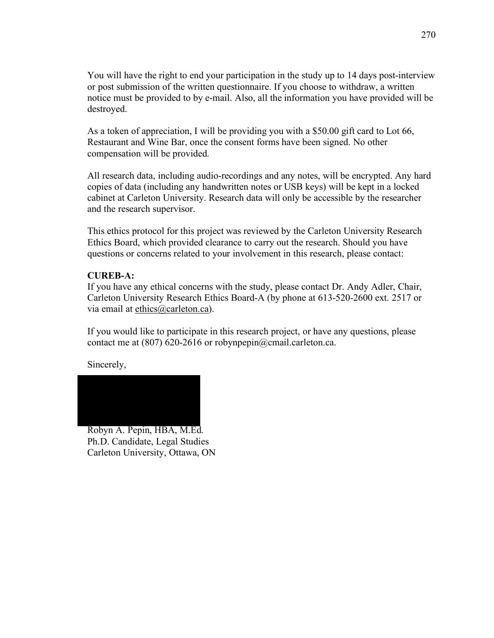You will have the right to end your participation in the study up to 14 days post-interview or post submission of the written questionnaire. If you choose to withdraw, a written notice must be provided to by e-mail. Also, all the information you have provided will be destroyed.

As a token of appreciation, I will be providing you with a \$50.00 gift card to Lot 66, Restaurant and Wine Bar, once the consent forms have been signed. No other compensation will be provided.

All research data, including audio-recordings and any notes, will be encrypted. Any hard copies of data (including any handwritten notes or USB keys) will be kept in a locked cabinet at Carleton University. Research data will only be accessible by the researcher and the research supervisor.

This ethics protocol for this project was reviewed by the Carleton University Research Ethics Board, which provided clearance to carry out the research. Should you have questions or concerns related to your involvement in this research, please contact:

# **CUREB-A:**

If you have any ethical concerns with the study, please contact Dr. Andy Adler, Chair, Carleton University Research Ethics Board-A (by phone at 613-520-2600 ext. 2517 or via email at ethics@carleton.ca).

If you would like to participate in this research project, or have any questions, please contact me at (807) 620-2616 or robynpepin@cmail.carleton.ca.

Sincerely,



Robyn A. Pepin, HBA, M.Ed. Ph.D. Candidate, Legal Studies Carleton University, Ottawa, ON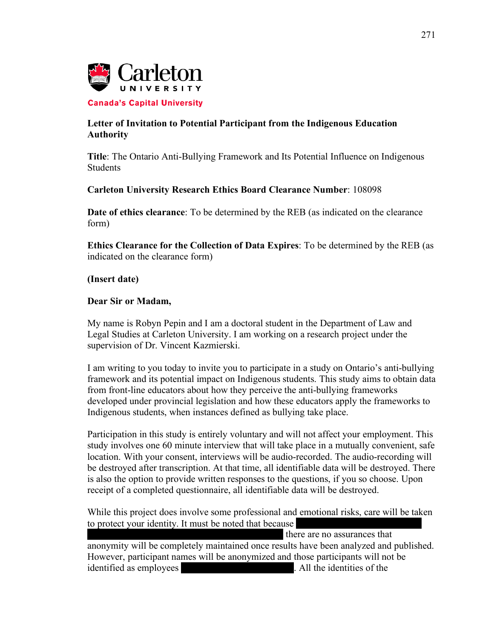

### **Letter of Invitation to Potential Participant from the Indigenous Education Authority**

**Title**: The Ontario Anti-Bullying Framework and Its Potential Influence on Indigenous **Students** 

#### **Carleton University Research Ethics Board Clearance Number**: 108098

**Date of ethics clearance**: To be determined by the REB (as indicated on the clearance form)

**Ethics Clearance for the Collection of Data Expires**: To be determined by the REB (as indicated on the clearance form)

### **(Insert date)**

#### **Dear Sir or Madam,**

My name is Robyn Pepin and I am a doctoral student in the Department of Law and Legal Studies at Carleton University. I am working on a research project under the supervision of Dr. Vincent Kazmierski.

I am writing to you today to invite you to participate in a study on Ontario's anti-bullying framework and its potential impact on Indigenous students. This study aims to obtain data from front-line educators about how they perceive the anti-bullying frameworks developed under provincial legislation and how these educators apply the frameworks to Indigenous students, when instances defined as bullying take place.

Participation in this study is entirely voluntary and will not affect your employment. This study involves one 60 minute interview that will take place in a mutually convenient, safe location. With your consent, interviews will be audio-recorded. The audio-recording will be destroyed after transcription. At that time, all identifiable data will be destroyed. There is also the option to provide written responses to the questions, if you so choose. Upon receipt of a completed questionnaire, all identifiable data will be destroyed.

While this project does involve some professional and emotional risks, care will be taken to protect your identity. It must be noted that because

there are no assurances that anonymity will be completely maintained once results have been analyzed and published. However, participant names will be anonymized and those participants will not be identified as employees **of the identified** as employees of the  $\blacksquare$ . All the identities of the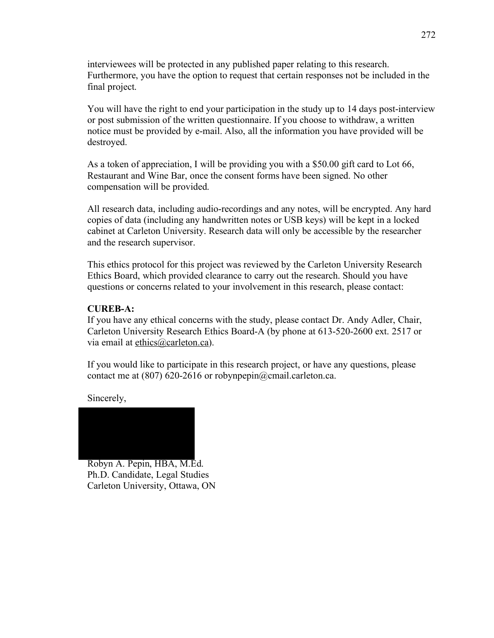interviewees will be protected in any published paper relating to this research. Furthermore, you have the option to request that certain responses not be included in the final project.

You will have the right to end your participation in the study up to 14 days post-interview or post submission of the written questionnaire. If you choose to withdraw, a written notice must be provided by e-mail. Also, all the information you have provided will be destroyed.

As a token of appreciation, I will be providing you with a \$50.00 gift card to Lot 66, Restaurant and Wine Bar, once the consent forms have been signed. No other compensation will be provided.

All research data, including audio-recordings and any notes, will be encrypted. Any hard copies of data (including any handwritten notes or USB keys) will be kept in a locked cabinet at Carleton University. Research data will only be accessible by the researcher and the research supervisor.

This ethics protocol for this project was reviewed by the Carleton University Research Ethics Board, which provided clearance to carry out the research. Should you have questions or concerns related to your involvement in this research, please contact:

#### **CUREB-A:**

If you have any ethical concerns with the study, please contact Dr. Andy Adler, Chair, Carleton University Research Ethics Board-A (by phone at 613-520-2600 ext. 2517 or via email at ethics@carleton.ca).

If you would like to participate in this research project, or have any questions, please contact me at (807) 620-2616 or robynpepin@cmail.carleton.ca.

Sincerely,



Robyn A. Pepin, HBA, M.Ed. Ph.D. Candidate, Legal Studies Carleton University, Ottawa, ON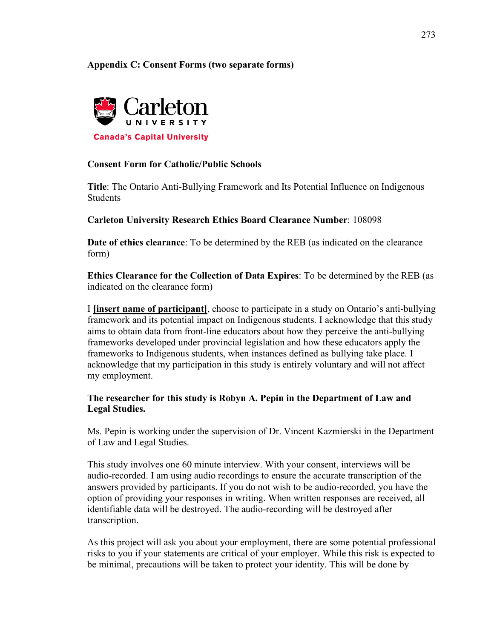#### **Appendix C: Consent Forms (two separate forms)**



#### **Consent Form for Catholic/Public Schools**

**Title**: The Ontario Anti-Bullying Framework and Its Potential Influence on Indigenous Students

**Carleton University Research Ethics Board Clearance Number**: 108098

**Date of ethics clearance**: To be determined by the REB (as indicated on the clearance form)

**Ethics Clearance for the Collection of Data Expires**: To be determined by the REB (as indicated on the clearance form)

I **[insert name of participant]**, choose to participate in a study on Ontario's anti-bullying framework and its potential impact on Indigenous students. I acknowledge that this study aims to obtain data from front-line educators about how they perceive the anti-bullying frameworks developed under provincial legislation and how these educators apply the frameworks to Indigenous students, when instances defined as bullying take place. I acknowledge that my participation in this study is entirely voluntary and will not affect my employment.

#### **The researcher for this study is Robyn A. Pepin in the Department of Law and Legal Studies.**

Ms. Pepin is working under the supervision of Dr. Vincent Kazmierski in the Department of Law and Legal Studies.

This study involves one 60 minute interview. With your consent, interviews will be audio-recorded. I am using audio recordings to ensure the accurate transcription of the answers provided by participants. If you do not wish to be audio-recorded, you have the option of providing your responses in writing. When written responses are received, all identifiable data will be destroyed. The audio-recording will be destroyed after transcription.

As this project will ask you about your employment, there are some potential professional risks to you if your statements are critical of your employer. While this risk is expected to be minimal, precautions will be taken to protect your identity. This will be done by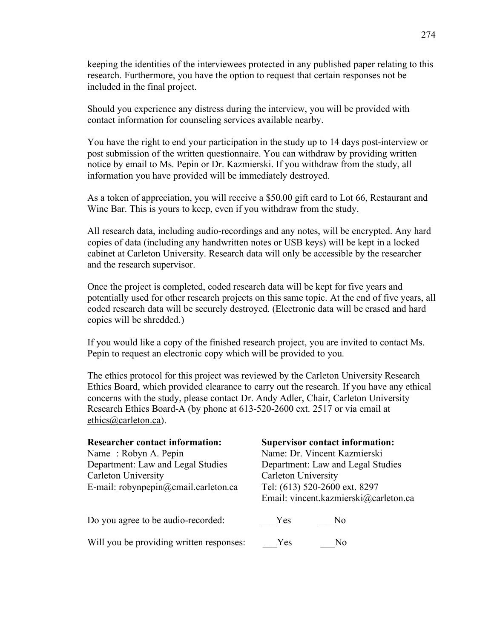keeping the identities of the interviewees protected in any published paper relating to this research. Furthermore, you have the option to request that certain responses not be included in the final project.

Should you experience any distress during the interview, you will be provided with contact information for counseling services available nearby.

You have the right to end your participation in the study up to 14 days post-interview or post submission of the written questionnaire. You can withdraw by providing written notice by email to Ms. Pepin or Dr. Kazmierski. If you withdraw from the study, all information you have provided will be immediately destroyed.

As a token of appreciation, you will receive a \$50.00 gift card to Lot 66, Restaurant and Wine Bar. This is yours to keep, even if you withdraw from the study.

All research data, including audio-recordings and any notes, will be encrypted. Any hard copies of data (including any handwritten notes or USB keys) will be kept in a locked cabinet at Carleton University. Research data will only be accessible by the researcher and the research supervisor.

Once the project is completed, coded research data will be kept for five years and potentially used for other research projects on this same topic. At the end of five years, all coded research data will be securely destroyed. (Electronic data will be erased and hard copies will be shredded.)

If you would like a copy of the finished research project, you are invited to contact Ms. Pepin to request an electronic copy which will be provided to you.

The ethics protocol for this project was reviewed by the Carleton University Research Ethics Board, which provided clearance to carry out the research. If you have any ethical concerns with the study, please contact Dr. Andy Adler, Chair, Carleton University Research Ethics Board-A (by phone at 613-520-2600 ext. 2517 or via email at ethics@carleton.ca).

| <b>Researcher contact information:</b>   | <b>Supervisor contact information:</b> |  |
|------------------------------------------|----------------------------------------|--|
| Name: Robyn A. Pepin                     | Name: Dr. Vincent Kazmierski           |  |
| Department: Law and Legal Studies        | Department: Law and Legal Studies      |  |
| <b>Carleton University</b>               | Carleton University                    |  |
| E-mail: robynpepin@cmail.carleton.ca     | Tel: (613) 520-2600 ext. 8297          |  |
|                                          | Email: vincent.kazmierski@carleton.ca  |  |
| Do you agree to be audio-recorded:       | <b>Yes</b><br>N <sub>0</sub>           |  |
| Will you be providing written responses: | Yes<br>No                              |  |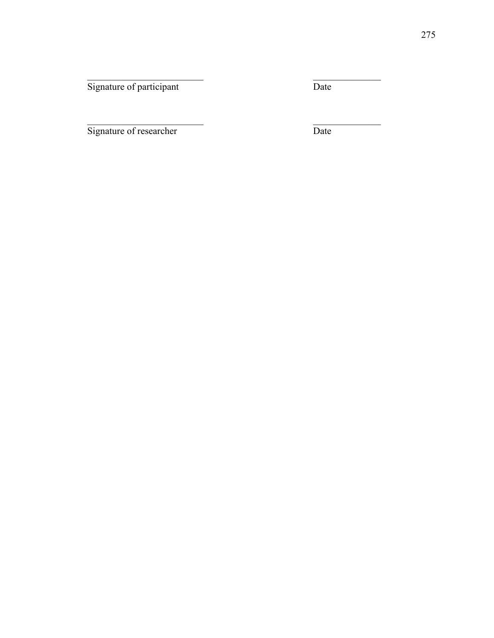Signature of participant Date

 $\mathcal{L}_\mathcal{L}$  , and the contribution of the contribution of  $\mathcal{L}_\mathcal{L}$ 

 $\mathcal{L}_\text{max}$  and  $\mathcal{L}_\text{max}$  and  $\mathcal{L}_\text{max}$  and  $\mathcal{L}_\text{max}$ 

Signature of researcher Date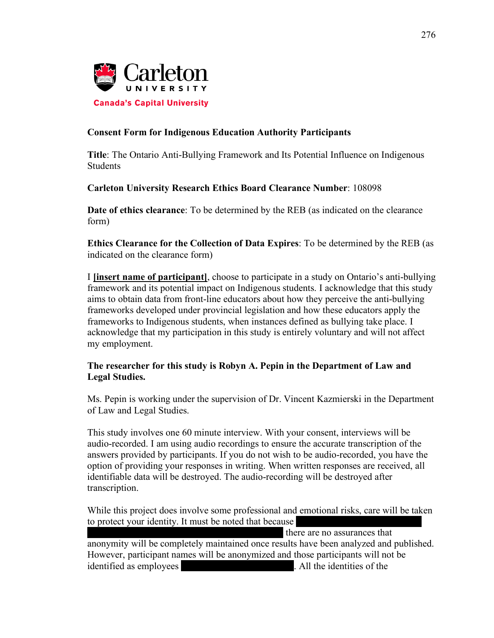

# **Consent Form for Indigenous Education Authority Participants**

**Title**: The Ontario Anti-Bullying Framework and Its Potential Influence on Indigenous Students

# **Carleton University Research Ethics Board Clearance Number**: 108098

**Date of ethics clearance**: To be determined by the REB (as indicated on the clearance form)

**Ethics Clearance for the Collection of Data Expires**: To be determined by the REB (as indicated on the clearance form)

I **[insert name of participant]**, choose to participate in a study on Ontario's anti-bullying framework and its potential impact on Indigenous students. I acknowledge that this study aims to obtain data from front-line educators about how they perceive the anti-bullying frameworks developed under provincial legislation and how these educators apply the frameworks to Indigenous students, when instances defined as bullying take place. I acknowledge that my participation in this study is entirely voluntary and will not affect my employment.

### **The researcher for this study is Robyn A. Pepin in the Department of Law and Legal Studies.**

Ms. Pepin is working under the supervision of Dr. Vincent Kazmierski in the Department of Law and Legal Studies.

This study involves one 60 minute interview. With your consent, interviews will be audio-recorded. I am using audio recordings to ensure the accurate transcription of the answers provided by participants. If you do not wish to be audio-recorded, you have the option of providing your responses in writing. When written responses are received, all identifiable data will be destroyed. The audio-recording will be destroyed after transcription.

While this project does involve some professional and emotional risks, care will be taken to protect your identity. It must be noted that because

|                                                                                        | there are no assurances that |
|----------------------------------------------------------------------------------------|------------------------------|
| anonymity will be completely maintained once results have been analyzed and published. |                              |
| However, participant names will be anonymized and those participants will not be       |                              |
| identified as employees                                                                | . All the identities of the  |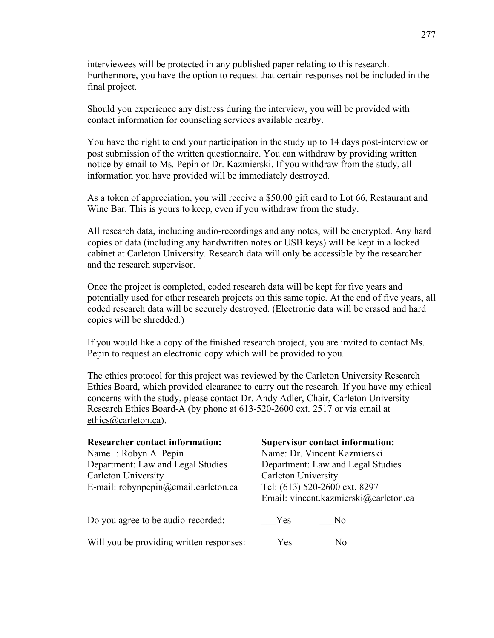interviewees will be protected in any published paper relating to this research. Furthermore, you have the option to request that certain responses not be included in the final project.

Should you experience any distress during the interview, you will be provided with contact information for counseling services available nearby.

You have the right to end your participation in the study up to 14 days post-interview or post submission of the written questionnaire. You can withdraw by providing written notice by email to Ms. Pepin or Dr. Kazmierski. If you withdraw from the study, all information you have provided will be immediately destroyed.

As a token of appreciation, you will receive a \$50.00 gift card to Lot 66, Restaurant and Wine Bar. This is yours to keep, even if you withdraw from the study.

All research data, including audio-recordings and any notes, will be encrypted. Any hard copies of data (including any handwritten notes or USB keys) will be kept in a locked cabinet at Carleton University. Research data will only be accessible by the researcher and the research supervisor.

Once the project is completed, coded research data will be kept for five years and potentially used for other research projects on this same topic. At the end of five years, all coded research data will be securely destroyed. (Electronic data will be erased and hard copies will be shredded.)

If you would like a copy of the finished research project, you are invited to contact Ms. Pepin to request an electronic copy which will be provided to you.

The ethics protocol for this project was reviewed by the Carleton University Research Ethics Board, which provided clearance to carry out the research. If you have any ethical concerns with the study, please contact Dr. Andy Adler, Chair, Carleton University Research Ethics Board-A (by phone at 613-520-2600 ext. 2517 or via email at ethics@carleton.ca).

| <b>Researcher contact information:</b>   | <b>Supervisor contact information:</b> |
|------------------------------------------|----------------------------------------|
| Name: Robyn A. Pepin                     | Name: Dr. Vincent Kazmierski           |
| Department: Law and Legal Studies        | Department: Law and Legal Studies      |
| Carleton University                      | <b>Carleton University</b>             |
| E-mail: robynpepin@cmail.carleton.ca     | Tel: (613) 520-2600 ext. 8297          |
|                                          | Email: vincent.kazmierski@carleton.ca  |
| Do you agree to be audio-recorded:       | <b>Yes</b><br>N <sub>0</sub>           |
| Will you be providing written responses: | Yes<br>No                              |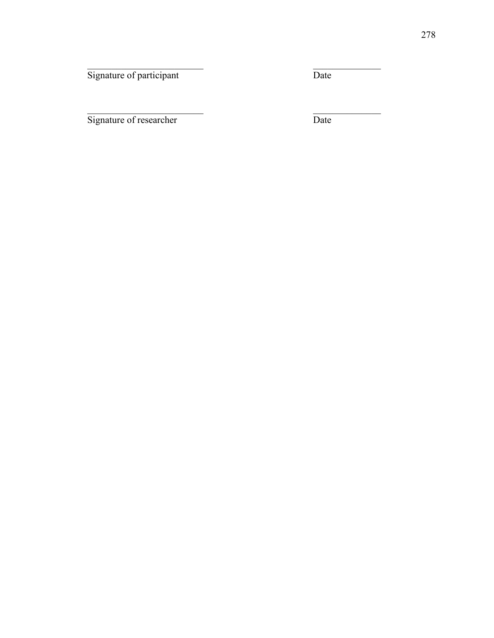Signature of participant Date

 $\mathcal{L}_\mathcal{L}$  , and the contribution of the contribution of  $\mathcal{L}_\mathcal{L}$ 

 $\mathcal{L}_\mathcal{L}$  , and the contribution of the contribution of  $\mathcal{L}_\mathcal{L}$ 

Signature of researcher Date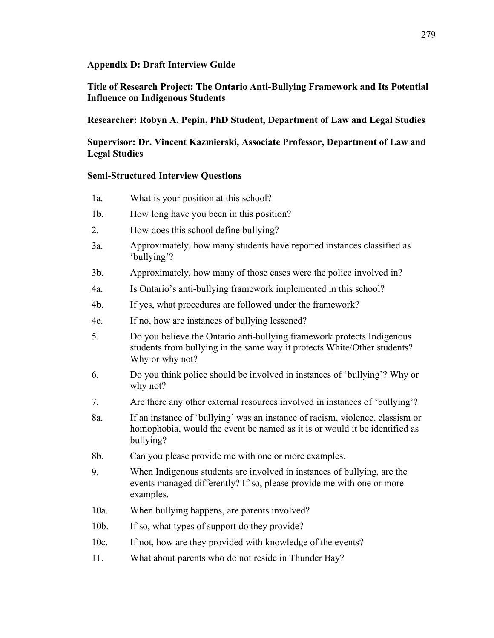### **Appendix D: Draft Interview Guide**

# **Title of Research Project: The Ontario Anti-Bullying Framework and Its Potential Influence on Indigenous Students**

### **Researcher: Robyn A. Pepin, PhD Student, Department of Law and Legal Studies**

## **Supervisor: Dr. Vincent Kazmierski, Associate Professor, Department of Law and Legal Studies**

### **Semi-Structured Interview Questions**

- 1a. What is your position at this school?
- 1b. How long have you been in this position?
- 2. How does this school define bullying?
- 3a. Approximately, how many students have reported instances classified as 'bullying'?
- 3b. Approximately, how many of those cases were the police involved in?
- 4a. Is Ontario's anti-bullying framework implemented in this school?
- 4b. If yes, what procedures are followed under the framework?
- 4c. If no, how are instances of bullying lessened?
- 5. Do you believe the Ontario anti-bullying framework protects Indigenous students from bullying in the same way it protects White/Other students? Why or why not?
- 6. Do you think police should be involved in instances of 'bullying'? Why or why not?
- 7. Are there any other external resources involved in instances of 'bullying'?
- 8a. If an instance of 'bullying' was an instance of racism, violence, classism or homophobia, would the event be named as it is or would it be identified as bullying?
- 8b. Can you please provide me with one or more examples.
- 9. When Indigenous students are involved in instances of bullying, are the events managed differently? If so, please provide me with one or more examples.
- 10a. When bullying happens, are parents involved?
- 10b. If so, what types of support do they provide?
- 10c. If not, how are they provided with knowledge of the events?
- 11. What about parents who do not reside in Thunder Bay?